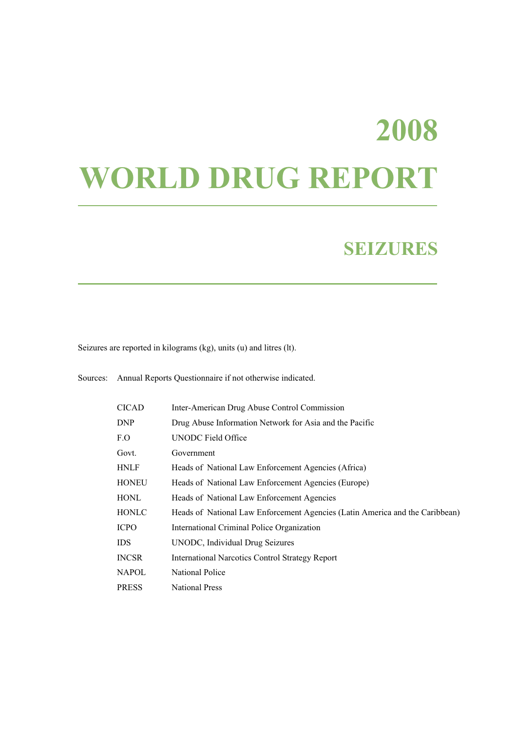# **2008 WORLD DRUG REPORT**

## **SEIZURES**

Seizures are reported in kilograms (kg), units (u) and litres (lt).

| <b>CICAD</b> | Inter-American Drug Abuse Control Commission                                 |
|--------------|------------------------------------------------------------------------------|
| DNP          | Drug Abuse Information Network for Asia and the Pacific                      |
| F.O          | <b>UNODC</b> Field Office                                                    |
| Govt.        | Government                                                                   |
| HNLF         | Heads of National Law Enforcement Agencies (Africa)                          |
| HONEU        | Heads of National Law Enforcement Agencies (Europe)                          |
| HONL         | Heads of National Law Enforcement Agencies                                   |
| HONLC        | Heads of National Law Enforcement Agencies (Latin America and the Caribbean) |
| <b>ICPO</b>  | International Criminal Police Organization                                   |
| IDS          | UNODC, Individual Drug Seizures                                              |
| INCSR        | <b>International Narcotics Control Strategy Report</b>                       |
| NAPOL        | National Police                                                              |
| <b>PRESS</b> | <b>National Press</b>                                                        |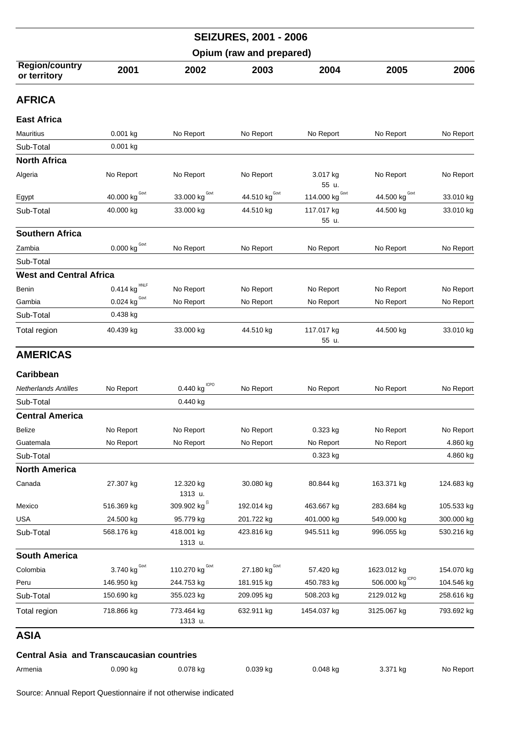|                                                  |                                        |                          | <b>SEIZURES, 2001 - 2006</b>     |                     |                           |            |
|--------------------------------------------------|----------------------------------------|--------------------------|----------------------------------|---------------------|---------------------------|------------|
|                                                  |                                        |                          | Opium (raw and prepared)         |                     |                           |            |
| <b>Region/country</b><br>or territory            | 2001                                   | 2002                     | 2003                             | 2004                | 2005                      | 2006       |
| <b>AFRICA</b>                                    |                                        |                          |                                  |                     |                           |            |
| <b>East Africa</b>                               |                                        |                          |                                  |                     |                           |            |
| Mauritius                                        | 0.001 kg                               | No Report                | No Report                        | No Report           | No Report                 | No Report  |
| Sub-Total                                        | 0.001 kg                               |                          |                                  |                     |                           |            |
| <b>North Africa</b>                              |                                        |                          |                                  |                     |                           |            |
| Algeria                                          | No Report                              | No Report                | No Report                        | 3.017 kg<br>55 u.   | No Report                 | No Report  |
| Egypt                                            | 40.000 kg Govt                         | Govt<br>33.000 kg        | 44.510 kg <sup>Govt</sup>        | Govt<br>114.000 kg  | 44.500 kg <sup>Govt</sup> | 33.010 kg  |
| Sub-Total                                        | 40.000 kg                              | 33.000 kg                | 44.510 kg                        | 117.017 kg<br>55 u. | 44.500 kg                 | 33.010 kg  |
| <b>Southern Africa</b>                           |                                        |                          |                                  |                     |                           |            |
| Zambia                                           | 0.000 kg $^{Govt}$                     | No Report                | No Report                        | No Report           | No Report                 | No Report  |
| Sub-Total                                        |                                        |                          |                                  |                     |                           |            |
| <b>West and Central Africa</b>                   |                                        |                          |                                  |                     |                           |            |
| Benin                                            | 0.414 kg                               | No Report                | No Report                        | No Report           | No Report                 | No Report  |
| Gambia                                           | $\underline{0.024}$ kg <sup>Govt</sup> | No Report                | No Report                        | No Report           | No Report                 | No Report  |
| Sub-Total                                        | 0.438 kg                               |                          |                                  |                     |                           |            |
| Total region                                     | 40.439 kg                              | 33.000 kg                | 44.510 kg                        | 117.017 kg<br>55 u. | 44.500 kg                 | 33.010 kg  |
| <b>AMERICAS</b>                                  |                                        |                          |                                  |                     |                           |            |
| Caribbean                                        |                                        |                          |                                  |                     |                           |            |
| <b>Netherlands Antilles</b>                      | No Report                              | $0.440$ kg $1$ CPO       | No Report                        | No Report           | No Report                 | No Report  |
| Sub-Total                                        |                                        | 0.440 kg                 |                                  |                     |                           |            |
| <b>Central America</b>                           |                                        |                          |                                  |                     |                           |            |
| <b>Belize</b>                                    | No Report                              | No Report                | No Report                        | 0.323 kg            | No Report                 | No Report  |
| Guatemala                                        | No Report                              | No Report                | No Report                        | No Report           | No Report                 | 4.860 kg   |
| Sub-Total                                        |                                        |                          |                                  | 0.323 kg            |                           | 4.860 kg   |
| <b>North America</b>                             |                                        |                          |                                  |                     |                           |            |
| Canada                                           | 27.307 kg                              | 12.320 kg<br>1313 u.     | 30.080 kg                        | 80.844 kg           | 163.371 kg                | 124.683 kg |
| Mexico                                           | 516.369 kg                             | 309.902 kg <sup>(1</sup> | 192.014 kg                       | 463.667 kg          | 283.684 kg                | 105.533 kg |
| <b>USA</b>                                       | 24.500 kg                              | 95.779 kg                | 201.722 kg                       | 401.000 kg          | 549.000 kg                | 300.000 kg |
| Sub-Total                                        | 568.176 kg                             | 418.001 kg<br>1313 u.    | 423.816 kg                       | 945.511 kg          | 996.055 kg                | 530.216 kg |
| <b>South America</b>                             |                                        |                          |                                  |                     |                           |            |
| Colombia                                         | 3.740 $\text{kg}^{\text{Gout}}$        | Govt<br>110.270 kg       | 27.180 $\text{kg}^{\text{Govt}}$ | 57.420 kg           | 1623.012 kg               | 154.070 kg |
| Peru                                             | 146.950 kg                             | 244.753 kg               | 181.915 kg                       | 450.783 kg          | 506.000 kg CPO            | 104.546 kg |
| Sub-Total                                        | 150.690 kg                             | 355.023 kg               | 209.095 kg                       | 508.203 kg          | 2129.012 kg               | 258.616 kg |
| Total region                                     | 718.866 kg                             | 773.464 kg<br>1313 u.    | 632.911 kg                       | 1454.037 kg         | 3125.067 kg               | 793.692 kg |
| ASIA                                             |                                        |                          |                                  |                     |                           |            |
| <b>Central Asia and Transcaucasian countries</b> |                                        |                          |                                  |                     |                           |            |
| Armenia                                          | 0.090 kg                               | 0.078 kg                 | 0.039 kg                         | 0.048 kg            | 3.371 kg                  | No Report  |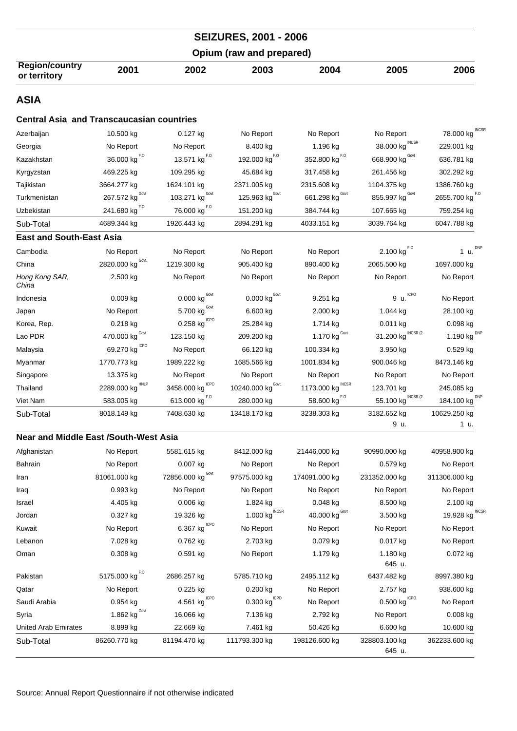|                                                  |                                          |                                        | <b>SEIZURES, 2001 - 2006</b>            |                                  |                                         |                                |
|--------------------------------------------------|------------------------------------------|----------------------------------------|-----------------------------------------|----------------------------------|-----------------------------------------|--------------------------------|
|                                                  |                                          |                                        | Opium (raw and prepared)                |                                  |                                         |                                |
| <b>Region/country</b><br>or territory            | 2001                                     | 2002                                   | 2003                                    | 2004                             | 2005                                    | 2006                           |
| <b>ASIA</b>                                      |                                          |                                        |                                         |                                  |                                         |                                |
| <b>Central Asia and Transcaucasian countries</b> |                                          |                                        |                                         |                                  |                                         |                                |
| Azerbaijan                                       | 10.500 kg                                | 0.127 kg                               | No Report                               | No Report                        | No Report                               | 78.000 kg INCSR                |
| Georgia                                          | No Report                                | No Report                              | 8.400 kg                                | 1.196 kg                         | <b>INCSR</b><br>38.000 kg               | 229.001 kg                     |
| Kazakhstan                                       | $36.000$ $\text{kg}^{\text{F},\text{O}}$ | 13.571 $\text{kg}^{\text{F},\text{O}}$ | 192.000 $\text{kg}^{\text{F},\text{O}}$ | 352.800 $\text{kg}^{F,0}$        | 668.900 kg                              | 636.781 kg                     |
| Kyrgyzstan                                       | 469.225 kg                               | 109.295 kg                             | 45.684 kg                               | 317.458 kg                       | 261.456 kg                              | 302.292 kg                     |
| Tajikistan                                       | 3664.277 kg                              | 1624.101 kg                            | 2371.005 kg                             | 2315.608 kg                      | 1104.375 kg                             | 1386.760 kg                    |
| Turkmenistan                                     | Govt<br>267.572 kg                       | Govt<br>103.271 kg                     | 125.963 kg <sup>Govt</sup>              | 661.298 kg Govt                  | 855.997 $\text{kg}^{\text{Govt}}$       | 2655.700 kg $^{F.0}$           |
| Uzbekistan                                       | 241.680 kg <sup>F.0</sup>                | 76.000 kg <sup>F.0</sup>               | 151.200 kg                              | 384.744 kg                       | 107.665 kg                              | 759.254 kg                     |
| Sub-Total                                        | 4689.344 kg                              | 1926.443 kg                            | 2894.291 kg                             | 4033.151 kg                      | 3039.764 kg                             | 6047.788 kg                    |
| <b>East and South-East Asia</b>                  |                                          |                                        |                                         |                                  |                                         |                                |
| Cambodia                                         | No Report                                | No Report                              | No Report                               | No Report                        | $2.100 \ \mathrm{kg}^{F.0}$             | 1 u. $^{DNP}$                  |
| China                                            | Govt.<br>2820.000 kg                     | 1219.300 kg                            | 905.400 kg                              | 890.400 kg                       | 2065.500 kg                             | 1697.000 kg                    |
| Hong Kong SAR,<br>China                          | 2.500 kg                                 | No Report                              | No Report                               | No Report                        | No Report                               | No Report                      |
| Indonesia                                        | $0.009$ kg                               | Govt<br>0.000 kg                       | Govt<br>$0.000$ kg                      | 9.251 kg                         | 9 u.                                    | No Report                      |
| Japan                                            | No Report                                | 5.700 kg                               | 6.600 kg                                | 2.000 kg                         | 1.044 kg                                | 28.100 kg                      |
| Korea, Rep.                                      | $0.218$ kg                               | 0.258 kg $^{\text{\tiny{ICPO}}}$       | 25.284 kg                               | 1.714 kg                         | 0.011 kg                                | $0.098$ kg                     |
| Lao PDR                                          | 470.000 kg Govt                          | 123.150 kg                             | 209.200 kg                              | 1.170 $\text{kg}^{\text{Govt}}$  | INCSR (2<br>31.200 kg                   | 1.190 $\text{kg}^{\text{DNP}}$ |
| Malaysia                                         | 69.270 kg $^{ICPO}$                      | No Report                              | 66.120 kg                               | 100.334 kg                       | 3.950 kg                                | 0.529 kg                       |
| Myanmar                                          | 1770.773 kg                              | 1989.222 kg                            | 1685.566 kg                             | 1001.834 kg                      | 900.046 kg                              | 8473.146 kg                    |
| Singapore                                        | 13.375 kg                                | No Report                              | No Report                               | No Report                        | No Report                               | No Report                      |
| Thailand                                         | HNLP<br>2289.000 kg                      | 3458.000 kg                            | 10240.000 kg $^{\text{Gout.}}$          | 1173.000 kg                      | 123.701 kg                              | 245.085 kg                     |
| Viet Nam                                         | 583.005 kg                               | 613.000 kg <sup>F.0</sup>              | 280.000 kg                              | 58.600 kg <sup>F.0</sup>         | 55.100 kg INCSR (2                      | 184.100 kg DNP                 |
| Sub-Total                                        | 8018.149 kg                              | 7408.630 kg                            | 13418.170 kg                            | 3238.303 kg                      | 3182.652 kg<br>9 u.                     | 10629.250 kg<br>1 u.           |
| <b>Near and Middle East /South-West Asia</b>     |                                          |                                        |                                         |                                  |                                         |                                |
| Afghanistan                                      | No Report                                | 5581.615 kg                            | 8412.000 kg                             | 21446.000 kg                     | 90990.000 kg                            | 40958.900 kg                   |
| <b>Bahrain</b>                                   | No Report                                | 0.007 kg                               | No Report                               | No Report                        | 0.579 kg                                | No Report                      |
| Iran                                             | 81061.000 kg                             | Govt<br>72856.000 kg                   | 97575.000 kg                            | 174091.000 kg                    | 231352.000 kg                           | 311306.000 kg                  |
| Iraq                                             | 0.993 kg                                 | No Report                              | No Report                               | No Report                        | No Report                               | No Report                      |
| Israel                                           | 4.405 kg                                 | $0.006$ kg                             | 1.824 kg                                | 0.048 kg                         | 8.500 kg                                | 2.100 kg                       |
| Jordan                                           | $0.327$ kg                               | 19.326 kg                              | 1.000 $\text{kg}^{\text{INCSR}}$        | 40.000 $\text{kg}^{\text{Govt}}$ | 3.500 kg                                | <b>INCSF</b><br>19.928 kg      |
| Kuwait                                           | No Report                                | ICPO<br>6.367 kg                       | No Report                               | No Report                        | No Report                               | No Report                      |
| Lebanon                                          | 7.028 kg                                 | 0.762 kg                               | 2.703 kg                                | $0.079$ kg                       | $0.017$ kg                              | No Report                      |
| Oman                                             | $0.308$ kg                               | 0.591 kg                               | No Report                               | 1.179 kg                         | 1.180 kg<br>645 u.                      | 0.072 kg                       |
| Pakistan                                         | 5175.000 kg $^{F,0}$                     | 2686.257 kg                            | 5785.710 kg                             | 2495.112 kg                      | 6437.482 kg                             | 8997.380 kg                    |
| Qatar                                            | No Report                                | $0.225$ kg                             | $0.200$ kg                              | No Report                        | 2.757 kg                                | 938.600 kg                     |
| Saudi Arabia                                     | $0.954$ kg                               | ICPO<br>4.561 kg                       | 0.300 kg <sup>ICPO</sup>                | No Report                        | $0.500$ $\mathrm{kg}^{\mathrm{\,ICPO}}$ | No Report                      |
| Syria                                            | 1.862 kg $^{Gout}$                       | 16.066 kg                              | 7.136 kg                                | 2.792 kg                         | No Report                               | $0.008$ kg                     |
| <b>United Arab Emirates</b>                      | 8.899 kg                                 | 22.669 kg                              | 7.461 kg                                | 50.426 kg                        | 6.600 kg                                | 10.600 kg                      |
| Sub-Total                                        | 86260.770 kg                             | 81194.470 kg                           | 111793.300 kg                           | 198126.600 kg                    | 328803.100 kg<br>645 u.                 | 362233.600 kg                  |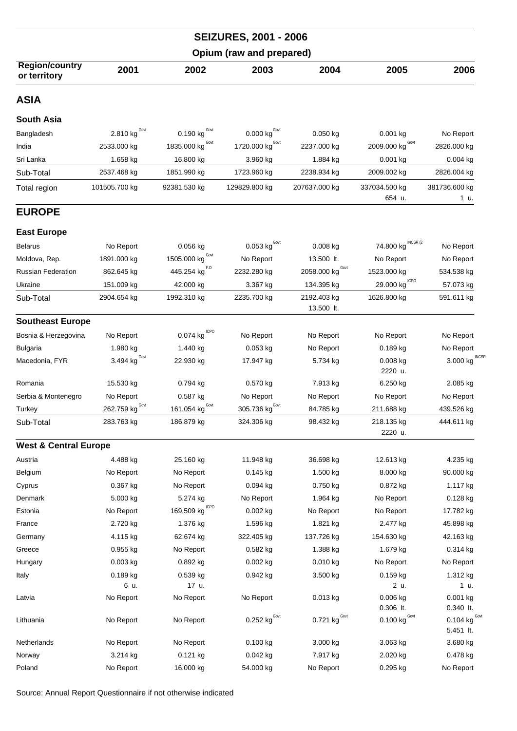|                                       |                                 |                           | <b>SEIZURES, 2001 - 2006</b>       |                                 |                              |                                       |
|---------------------------------------|---------------------------------|---------------------------|------------------------------------|---------------------------------|------------------------------|---------------------------------------|
|                                       |                                 |                           | Opium (raw and prepared)           |                                 |                              |                                       |
| <b>Region/country</b><br>or territory | 2001                            | 2002                      | 2003                               | 2004                            | 2005                         | 2006                                  |
| <b>ASIA</b>                           |                                 |                           |                                    |                                 |                              |                                       |
| <b>South Asia</b>                     |                                 |                           |                                    |                                 |                              |                                       |
| Bangladesh                            | 2.810 $\text{kg}^{\text{Govt}}$ | 0.190 kg $^{Govt}$        | 0.000 $\text{kg}^{\text{Govt}}$    | 0.050 kg                        | 0.001 kg                     | No Report                             |
| India                                 | 2533.000 kg                     | 1835.000 kg               | 1720.000 $\text{kg}^{\text{Govt}}$ | 2237.000 kg                     | 2009.000 kg $^{\text{Govt}}$ | 2826.000 kg                           |
| Sri Lanka                             | 1.658 kg                        | 16.800 kg                 | 3.960 kg                           | 1.884 kg                        | 0.001 kg                     | $0.004$ kg                            |
| Sub-Total                             | 2537.468 kg                     | 1851.990 kg               | 1723.960 kg                        | 2238.934 kg                     | 2009.002 kg                  | 2826.004 kg                           |
| Total region                          | 101505.700 kg                   | 92381.530 kg              | 129829.800 kg                      | 207637.000 kg                   | 337034.500 kg<br>654 u.      | 381736.600 kg<br>1 u.                 |
| <b>EUROPE</b>                         |                                 |                           |                                    |                                 |                              |                                       |
| <b>East Europe</b>                    |                                 |                           |                                    |                                 |                              |                                       |
| <b>Belarus</b>                        | No Report                       | $0.056$ kg                | $0.053$ kg <sup>Govt</sup>         | $0.008$ kg                      | INCSR (2<br>74.800 kg        | No Report                             |
| Moldova, Rep.                         | 1891.000 kg                     | 1505.000 kg               | No Report                          | 13.500 lt.                      | No Report                    | No Report                             |
| <b>Russian Federation</b>             | 862.645 kg                      | 445.254 kg <sup>F.0</sup> | 2232.280 kg                        | 2058.000 kg $^{\text{Gout}}$    | 1523.000 kg                  | 534.538 kg                            |
| Ukraine                               | 151.009 kg                      | 42.000 kg                 | 3.367 kg                           | 134.395 kg                      | <b>ICPO</b><br>29.000 kg     | 57.073 kg                             |
| Sub-Total                             | 2904.654 kg                     | 1992.310 kg               | 2235.700 kg                        | 2192.403 kg<br>13.500 lt.       | 1626.800 kg                  | 591.611 kg                            |
| <b>Southeast Europe</b>               |                                 |                           |                                    |                                 |                              |                                       |
| Bosnia & Herzegovina                  | No Report                       | ICPO<br>0.074 kg          | No Report                          | No Report                       | No Report                    | No Report                             |
| <b>Bulgaria</b>                       | 1.980 kg                        | 1.440 kg                  | 0.053 kg                           | No Report                       | $0.189$ kg                   | No Report                             |
| Macedonia, FYR                        | 3.494 $\text{kg}^{\text{Govt}}$ | 22.930 kg                 | 17.947 kg                          | 5.734 kg                        | $0.008$ kg<br>2220 u.        | $3.000$ kg INCSR                      |
| Romania                               | 15.530 kg                       | 0.794 kg                  | 0.570 kg                           | 7.913 kg                        | 6.250 kg                     | 2.085 kg                              |
| Serbia & Montenegro                   | No Report                       | 0.587 kg                  | No Report                          | No Report                       | No Report                    | No Report                             |
| Turkey                                | Govt<br>262.759 kg              | Govt<br>161.054 kg        | 305.736 kg <sup>Govt</sup>         | 84.785 kg                       | 211.688 kg                   | 439.526 kg                            |
| Sub-Total                             | 283.763 kg                      | 186.879 kg                | 324.306 kg                         | 98.432 kg                       | 218.135 kg<br>2220 u.        | 444.611 kg                            |
| <b>West &amp; Central Europe</b>      |                                 |                           |                                    |                                 |                              |                                       |
| Austria                               | 4.488 kg                        | 25.160 kg                 | 11.948 kg                          | 36.698 kg                       | 12.613 kg                    | 4.235 kg                              |
| Belgium                               | No Report                       | No Report                 | $0.145$ kg                         | 1.500 kg                        | 8.000 kg                     | 90.000 kg                             |
| Cyprus                                | $0.367$ kg                      | No Report                 | $0.094$ kg                         | 0.750 kg                        | 0.872 kg                     | 1.117 kg                              |
| Denmark                               | 5.000 kg                        | 5.274 kg                  | No Report                          | 1.964 kg                        | No Report                    | $0.128$ kg                            |
| Estonia                               | No Report                       | ICPO<br>169.509 kg        | $0.002$ kg                         | No Report                       | No Report                    | 17.782 kg                             |
| France                                | 2.720 kg                        | 1.376 kg                  | 1.596 kg                           | 1.821 kg                        | 2.477 kg                     | 45.898 kg                             |
| Germany                               | 4.115 kg                        | 62.674 kg                 | 322.405 kg                         | 137.726 kg                      | 154.630 kg                   | 42.163 kg                             |
| Greece                                | $0.955$ kg                      | No Report                 | $0.582$ kg                         | 1.388 kg                        | 1.679 kg                     | $0.314$ kg                            |
| Hungary                               | $0.003$ kg                      | $0.892$ kg                | $0.002$ kg                         | $0.010$ kg                      | No Report                    | No Report                             |
| Italy                                 | 0.189 kg                        | 0.539 kg                  | 0.942 kg                           | 3.500 kg                        | 0.159 kg                     | 1.312 kg                              |
|                                       | 6 u.                            | 17 u.                     |                                    |                                 | 2 u.                         | 1 u.                                  |
| Latvia                                | No Report                       | No Report                 | No Report                          | $0.013$ kg                      | $0.006$ kg<br>0.306 lt.      | 0.001 kg<br>0.340 lt.                 |
| Lithuania                             | No Report                       | No Report                 | $0.252$ kg $^{Govt}$               | 0.721 $\text{kg}^{\text{Govt}}$ | $0.100$ kg $^{\text{Govt}}$  | 0.104 $kg^{\text{Govt}}$<br>5.451 lt. |
| Netherlands                           | No Report                       | No Report                 | 0.100 kg                           | 3.000 kg                        | 3.063 kg                     | 3.680 kg                              |
| Norway                                | 3.214 kg                        | 0.121 kg                  | 0.042 kg                           | 7.917 kg                        | 2.020 kg                     | 0.478 kg                              |
| Poland                                | No Report                       | 16.000 kg                 | 54.000 kg                          | No Report                       | 0.295 kg                     | No Report                             |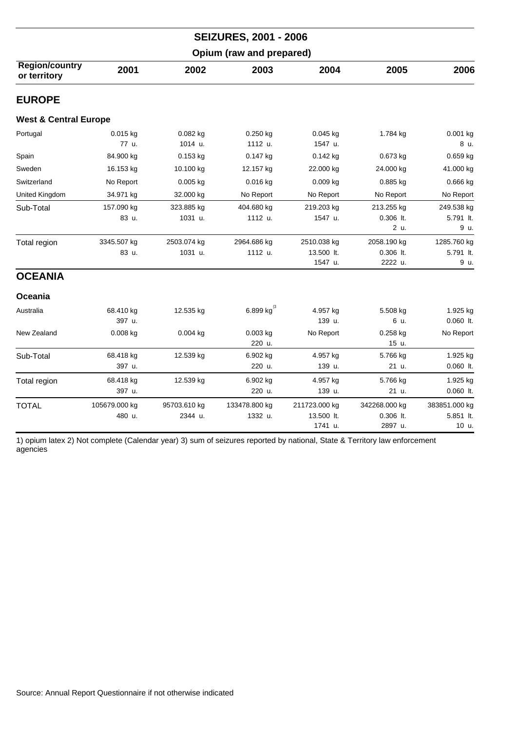|                                       |                         |                         | <b>SEIZURES, 2001 - 2006</b> |                                        |                                       |                                     |
|---------------------------------------|-------------------------|-------------------------|------------------------------|----------------------------------------|---------------------------------------|-------------------------------------|
|                                       |                         |                         | Opium (raw and prepared)     |                                        |                                       |                                     |
| <b>Region/country</b><br>or territory | 2001                    | 2002                    | 2003                         | 2004                                   | 2005                                  | 2006                                |
| <b>EUROPE</b>                         |                         |                         |                              |                                        |                                       |                                     |
| <b>West &amp; Central Europe</b>      |                         |                         |                              |                                        |                                       |                                     |
| Portugal                              | $0.015$ kg<br>77 u.     | $0.082$ kg<br>1014 u.   | $0.250$ kg<br>1112 u.        | $0.045$ kg<br>1547 u.                  | 1.784 kg                              | 0.001 kg<br>8 u.                    |
| Spain                                 | 84.900 kg               | $0.153$ kg              | $0.147$ kg                   | 0.142 kg                               | 0.673 kg                              | 0.659 kg                            |
| Sweden                                | 16.153 kg               | 10.100 kg               | 12.157 kg                    | 22.000 kg                              | 24.000 kg                             | 41.000 kg                           |
| Switzerland                           | No Report               | 0.005 kg                | 0.016 kg                     | 0.009 kg                               | 0.885 kg                              | 0.666 kg                            |
| United Kingdom                        | 34.971 kg               | 32.000 kg               | No Report                    | No Report                              | No Report                             | No Report                           |
| Sub-Total                             | 157.090 kg<br>83 u.     | 323.885 kg<br>1031 u.   | 404.680 kg<br>1112 u.        | 219.203 kg<br>1547 u.                  | 213.255 kg<br>$0.306$ It.<br>2 u.     | 249.538 kg<br>5.791 lt.<br>9 u.     |
| Total region                          | 3345.507 kg<br>83 u.    | 2503.074 kg<br>1031 u.  | 2964.686 kg<br>1112 u.       | 2510.038 kg<br>13.500 lt.<br>1547 u.   | 2058.190 kg<br>0.306 lt.<br>2222 u.   | 1285.760 kg<br>5.791 lt.<br>9 u.    |
| <b>OCEANIA</b>                        |                         |                         |                              |                                        |                                       |                                     |
| Oceania                               |                         |                         |                              |                                        |                                       |                                     |
| Australia                             | 68.410 kg<br>397 u.     | 12.535 kg               | 6.899 kg $^{(3)}$            | 4.957 kg<br>139 u.                     | 5.508 kg<br>6 u.                      | 1.925 kg<br>$0.060$ lt.             |
| New Zealand                           | 0.008 kg                | 0.004 kg                | $0.003$ kg<br>220 u.         | No Report                              | 0.258 kg<br>15 u.                     | No Report                           |
| Sub-Total                             | 68.418 kg<br>397 u.     | 12.539 kg               | 6.902 kg<br>220 u.           | 4.957 kg<br>139 u.                     | 5.766 kg<br>21 u.                     | 1.925 kg<br>$0.060$ lt.             |
| Total region                          | 68.418 kg<br>397 u.     | 12.539 kg               | 6.902 kg<br>220 u.           | 4.957 kg<br>139 u.                     | 5.766 kg<br>21 u.                     | 1.925 kg<br>0.060 lt.               |
| <b>TOTAL</b>                          | 105679.000 kg<br>480 u. | 95703.610 kg<br>2344 u. | 133478.800 kg<br>1332 u.     | 211723.000 kg<br>13.500 lt.<br>1741 u. | 342268.000 kg<br>0.306 lt.<br>2897 u. | 383851.000 kg<br>5.851 lt.<br>10 u. |

1) opium latex 2) Not complete (Calendar year) 3) sum of seizures reported by national, State & Territory law enforcement agencies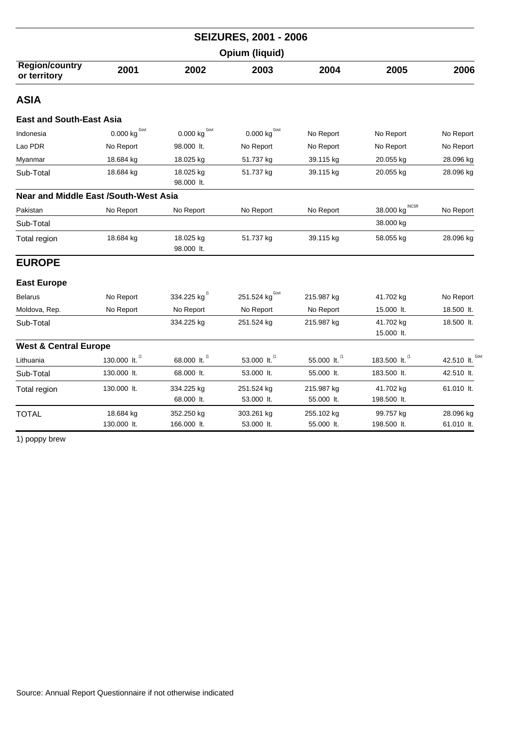|                                              | <b>SEIZURES, 2001 - 2006</b>      |                             |                            |                          |                          |                 |  |  |
|----------------------------------------------|-----------------------------------|-----------------------------|----------------------------|--------------------------|--------------------------|-----------------|--|--|
|                                              |                                   |                             | Opium (liquid)             |                          |                          |                 |  |  |
| <b>Region/country</b><br>or territory        | 2001                              | 2002                        | 2003                       | 2004                     | 2005                     | 2006            |  |  |
| ASIA                                         |                                   |                             |                            |                          |                          |                 |  |  |
| <b>East and South-East Asia</b>              |                                   |                             |                            |                          |                          |                 |  |  |
| Indonesia                                    | 0.000 $\text{kg}^{\,\text{Govt}}$ | $0.000$ kg $^{\text{Govt}}$ | $0.000$ kg <sup>Govt</sup> | No Report                | No Report                | No Report       |  |  |
| Lao PDR                                      | No Report                         | 98.000 lt.                  | No Report                  | No Report                | No Report                | No Report       |  |  |
| Myanmar                                      | 18.684 kg                         | 18.025 kg                   | 51.737 kg                  | 39.115 kg                | 20.055 kg                | 28.096 kg       |  |  |
| Sub-Total                                    | 18.684 kg                         | 18.025 kg<br>98.000 lt.     | 51.737 kg                  | 39.115 kg                | 20.055 kg                | 28.096 kg       |  |  |
| <b>Near and Middle East /South-West Asia</b> |                                   |                             |                            |                          |                          |                 |  |  |
| Pakistan                                     | No Report                         | No Report                   | No Report                  | No Report                | 38.000 kg                | No Report       |  |  |
| Sub-Total                                    |                                   |                             |                            |                          | 38.000 kg                |                 |  |  |
| Total region                                 | 18.684 kg                         | 18.025 kg<br>98.000 lt.     | 51.737 kg                  | 39.115 kg                | 58.055 kg                | 28.096 kg       |  |  |
| <b>EUROPE</b>                                |                                   |                             |                            |                          |                          |                 |  |  |
| <b>East Europe</b>                           |                                   |                             |                            |                          |                          |                 |  |  |
| <b>Belarus</b>                               | No Report                         | 334.225 kg                  | 251.524 $kgGovt$           | 215.987 kg               | 41.702 kg                | No Report       |  |  |
| Moldova, Rep.                                | No Report                         | No Report                   | No Report                  | No Report                | 15.000 lt.               | 18.500 lt.      |  |  |
| Sub-Total                                    |                                   | 334.225 kg                  | 251.524 kg                 | 215.987 kg               | 41.702 kg<br>15.000 lt.  | 18.500 lt.      |  |  |
| <b>West &amp; Central Europe</b>             |                                   |                             |                            |                          |                          |                 |  |  |
| Lithuania                                    | 130.000 lt. (1                    | 68.000 lt. (1               | 53.000 lt. <sup>(1</sup>   | 55.000 lt. (1            | 183.500 lt. (1           | 42.510 lt. Govi |  |  |
| Sub-Total                                    | 130.000 lt.                       | 68.000 lt.                  | 53.000 lt.                 | 55.000 lt.               | 183.500 lt.              | 42.510 lt.      |  |  |
| Total region                                 | 130.000 lt.                       | 334.225 kg<br>68.000 lt.    | 251.524 kg<br>53.000 lt.   | 215.987 kg<br>55.000 lt. | 41.702 kg<br>198.500 lt. | 61.010 lt.      |  |  |
| <b>TOTAL</b>                                 | 18.684 kg                         | 352.250 kg                  | 303.261 kg                 | 255.102 kg               | 99.757 kg                | 28.096 kg       |  |  |
|                                              | 130.000 lt.                       | 166.000 lt.                 | 53.000 lt.                 | 55.000 lt.               | 198.500 lt.              | 61.010 lt.      |  |  |

1) poppy brew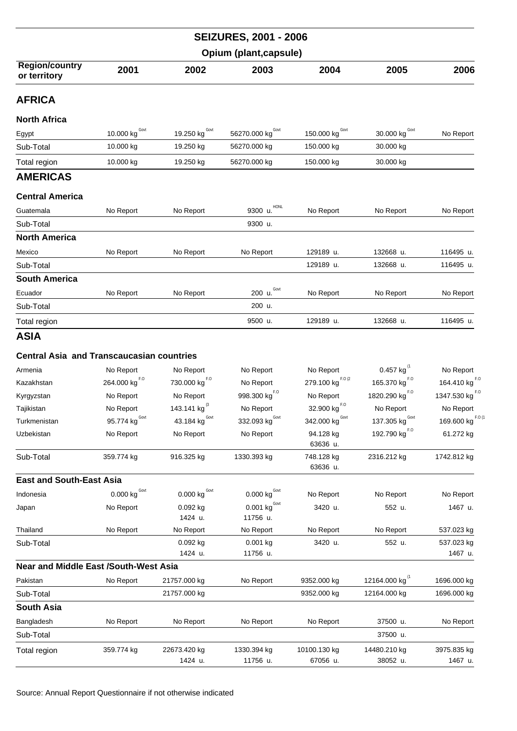|                                                  |                                                     |                                         | <b>SEIZURES, 2001 - 2006</b>            |                                                  |                            |                            |  |  |
|--------------------------------------------------|-----------------------------------------------------|-----------------------------------------|-----------------------------------------|--------------------------------------------------|----------------------------|----------------------------|--|--|
|                                                  | Opium (plant, capsule)                              |                                         |                                         |                                                  |                            |                            |  |  |
| Region/country<br>or territory                   | 2001                                                | 2002                                    | 2003                                    | 2004                                             | 2005                       | 2006                       |  |  |
| <b>AFRICA</b>                                    |                                                     |                                         |                                         |                                                  |                            |                            |  |  |
| <b>North Africa</b>                              |                                                     |                                         |                                         |                                                  |                            |                            |  |  |
| Egypt                                            | $\underline{10.000}$ kg $\overline{S}_{\text{ovt}}$ | 19.250 kg $^{Govt}$                     | 56270.000 $\text{kg}^{\text{Govt}}$     | 150.000 kg <sup>Govt</sup>                       | 30.000 kg Govt             | No Report                  |  |  |
| Sub-Total                                        | 10.000 kg                                           | 19.250 kg                               | 56270.000 kg                            | 150.000 kg                                       | 30.000 kg                  |                            |  |  |
| Total region                                     | 10.000 kg                                           | 19.250 kg                               | 56270.000 kg                            | 150.000 kg                                       | 30.000 kg                  |                            |  |  |
| <b>AMERICAS</b>                                  |                                                     |                                         |                                         |                                                  |                            |                            |  |  |
| <b>Central America</b>                           |                                                     |                                         |                                         |                                                  |                            |                            |  |  |
| Guatemala                                        | No Report                                           | No Report                               | HONL<br>9300 u.                         | No Report                                        | No Report                  | No Report                  |  |  |
| Sub-Total                                        |                                                     |                                         | 9300 u.                                 |                                                  |                            |                            |  |  |
| <b>North America</b>                             |                                                     |                                         |                                         |                                                  |                            |                            |  |  |
| Mexico                                           | No Report                                           | No Report                               | No Report                               | 129189 u.                                        | 132668 u.                  | 116495 u.                  |  |  |
| Sub-Total                                        |                                                     |                                         |                                         | 129189 u.                                        | 132668 u.                  | 116495 u.                  |  |  |
| <b>South America</b>                             |                                                     |                                         |                                         |                                                  |                            |                            |  |  |
| Ecuador                                          | No Report                                           | No Report                               | Govt<br>200 u.                          | No Report                                        | No Report                  | No Report                  |  |  |
| Sub-Total                                        |                                                     |                                         | 200 u.                                  |                                                  |                            |                            |  |  |
| Total region                                     |                                                     |                                         | 9500 u.                                 | 129189 u.                                        | 132668 u.                  | 116495 u.                  |  |  |
| <b>ASIA</b>                                      |                                                     |                                         |                                         |                                                  |                            |                            |  |  |
|                                                  |                                                     |                                         |                                         |                                                  |                            |                            |  |  |
| <b>Central Asia and Transcaucasian countries</b> |                                                     |                                         |                                         |                                                  |                            |                            |  |  |
| Armenia                                          | No Report                                           | No Report                               | No Report                               | No Report                                        | 0.457 kg $^{(1)}$          | No Report                  |  |  |
| Kazakhstan                                       | 264.000 $\text{kg}^{F.0}$                           | 730.000 $\text{kg}^{\text{F},\text{O}}$ | No Report                               | 279.100 kg <sup>F.0(2</sup>                      | 165.370 $\text{kg}^{F.0}$  | 164.410 $\text{kg}^{F,0}$  |  |  |
| Kyrgyzstan                                       | No Report                                           | No Report                               | 998.300 $\text{kg}^{\text{F},\text{O}}$ | No Report                                        | 1820.290 kg <sup>F.0</sup> | 1347.530 kg <sup>F.0</sup> |  |  |
| Tajikistan                                       | No Report<br>Govt                                   | 143.141 kg $^{(3)}$<br>Govt             | No Report<br>Govt                       | $32.900$ $\text{kg}^{\text{F},\text{O}}$<br>Govt | No Report<br>Govt          | No Report<br>$F.O$ $C$     |  |  |
| Turkmenistan                                     | 95.774 kg                                           | 43.184 kg                               | 332.093 kg                              | 342.000 kg                                       | 137.305 kg                 | 169.600 kg                 |  |  |
| Uzbekistan                                       | No Report                                           | No Report                               | No Report                               | 94.128 kg<br>63636 u.                            | 192.790 $\text{kg}^{F.0}$  | 61.272 kg                  |  |  |
| Sub-Total                                        | 359.774 kg                                          | 916.325 kg                              | 1330.393 kg                             | 748.128 kg                                       | 2316.212 kg                | 1742.812 kg                |  |  |
|                                                  |                                                     |                                         |                                         | 63636 u.                                         |                            |                            |  |  |
| <b>East and South-East Asia</b>                  |                                                     | Govt                                    |                                         |                                                  |                            |                            |  |  |
| Indonesia                                        | $0.000$ $\text{kg}$ $^{\text{Govt}}$                | 0.000 kg                                | $0.000$ kg <sup>Govt</sup>              | No Report                                        | No Report                  | No Report                  |  |  |
| Japan                                            | No Report                                           | 0.092 kg<br>1424 u.                     | $0.001$ kg <sup>Govt</sup><br>11756 u.  | 3420 u.                                          | 552 u.                     | 1467 u.                    |  |  |
| Thailand                                         | No Report                                           | No Report                               | No Report                               | No Report                                        | No Report                  | 537.023 kg                 |  |  |
| Sub-Total                                        |                                                     | 0.092 kg                                | $0.001$ kg                              | 3420 u.                                          | 552 u.                     | 537.023 kg                 |  |  |
|                                                  |                                                     | 1424 u.                                 | 11756 u.                                |                                                  |                            | 1467 u.                    |  |  |
| <b>Near and Middle East /South-West Asia</b>     |                                                     |                                         |                                         |                                                  |                            |                            |  |  |
| Pakistan                                         | No Report                                           | 21757.000 kg                            | No Report                               | 9352.000 kg                                      | 12164.000 kg <sup>(1</sup> | 1696.000 kg                |  |  |
| Sub-Total                                        |                                                     | 21757.000 kg                            |                                         | 9352.000 kg                                      | 12164.000 kg               | 1696.000 kg                |  |  |
| <b>South Asia</b>                                |                                                     |                                         |                                         |                                                  |                            |                            |  |  |
| Bangladesh                                       | No Report                                           | No Report                               | No Report                               | No Report                                        | 37500 u.                   | No Report                  |  |  |
| Sub-Total                                        |                                                     |                                         |                                         |                                                  | 37500 u.                   |                            |  |  |
| Total region                                     | 359.774 kg                                          | 22673.420 kg                            | 1330.394 kg                             | 10100.130 kg                                     | 14480.210 kg               | 3975.835 kg                |  |  |
|                                                  |                                                     | 1424 u.                                 | 11756 u.                                | 67056 u.                                         | 38052 u.                   | 1467 u.                    |  |  |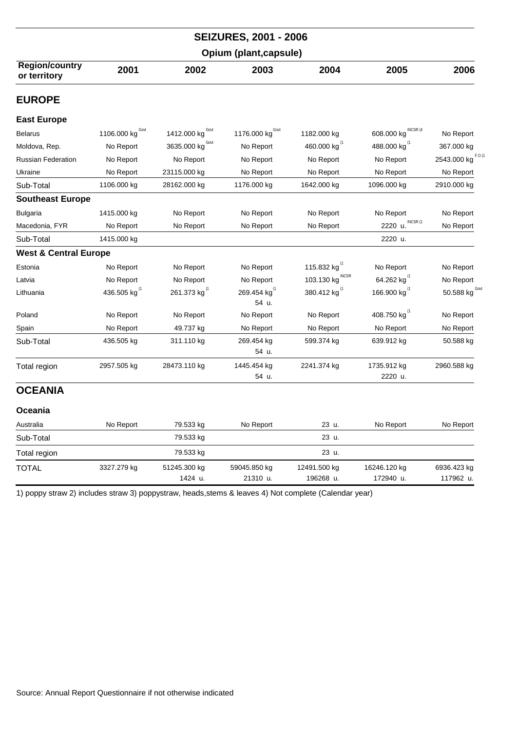|                                       |                          |                                    | <b>SEIZURES, 2001 - 2006</b>      |                            |                            |                            |  |  |
|---------------------------------------|--------------------------|------------------------------------|-----------------------------------|----------------------------|----------------------------|----------------------------|--|--|
|                                       | Opium (plant, capsule)   |                                    |                                   |                            |                            |                            |  |  |
| <b>Region/country</b><br>or territory | 2001                     | 2002                               | 2003                              | 2004                       | 2005                       | 2006                       |  |  |
| <b>EUROPE</b>                         |                          |                                    |                                   |                            |                            |                            |  |  |
| <b>East Europe</b>                    |                          |                                    |                                   |                            |                            |                            |  |  |
| <b>Belarus</b>                        | 1106.000 kg Covt         | 1412.000 kg Govt                   | 1176.000 kg <sup>Govt</sup>       | 1182.000 kg                | 608.000 kg INCSR (4        | No Report                  |  |  |
| Moldova, Rep.                         | No Report                | 3635.000 $\text{kg}^{\text{Govt}}$ | No Report                         | 460.000 kg <sup>(1</sup>   | 488.000 kg <sup>(1</sup>   | 367.000 kg                 |  |  |
| <b>Russian Federation</b>             | No Report                | No Report                          | No Report                         | No Report                  | No Report                  | 2543.000 kg F.O (1         |  |  |
| Ukraine                               | No Report                | 23115.000 kg                       | No Report                         | No Report                  | No Report                  | No Report                  |  |  |
| Sub-Total                             | 1106.000 kg              | 28162.000 kg                       | 1176.000 kg                       | 1642.000 kg                | 1096.000 kg                | 2910.000 kg                |  |  |
| <b>Southeast Europe</b>               |                          |                                    |                                   |                            |                            |                            |  |  |
| <b>Bulgaria</b>                       | 1415.000 kg              | No Report                          | No Report                         | No Report                  | No Report                  | No Report                  |  |  |
| Macedonia, FYR                        | No Report                | No Report                          | No Report                         | No Report                  | INCSR (1<br>2220 u.        | No Report                  |  |  |
| Sub-Total                             | 1415.000 kg              |                                    |                                   |                            | 2220 u.                    |                            |  |  |
| <b>West &amp; Central Europe</b>      |                          |                                    |                                   |                            |                            |                            |  |  |
| Estonia                               | No Report                | No Report                          | No Report                         | 115.832 kg <sup>(1</sup> ) | No Report                  | No Report                  |  |  |
| Latvia                                | No Report                | No Report                          | No Report                         | 103.130 kg INCSR           | 64.262 kg <sup>(1</sup> )  | No Report                  |  |  |
| Lithuania                             | 436.505 kg <sup>(1</sup> | 261.373 kg <sup>(1</sup>           | 269.454 kg <sup>(1</sup><br>54 u. | 380.412 kg <sup>(1</sup> ) | 166.900 kg <sup>(1</sup> ) | 50.588 kg $^{\text{Gout}}$ |  |  |
| Poland                                | No Report                | No Report                          | No Report                         | No Report                  | 408.750 kg <sup>(1</sup>   | No Report                  |  |  |
| Spain                                 | No Report                | 49.737 kg                          | No Report                         | No Report                  | No Report                  | No Report                  |  |  |
| Sub-Total                             | 436.505 kg               | 311.110 kg                         | 269.454 kg<br>54 u.               | 599.374 kg                 | 639.912 kg                 | 50.588 kg                  |  |  |
| Total region                          | 2957.505 kg              | 28473.110 kg                       | 1445.454 kg<br>54 u.              | 2241.374 kg                | 1735.912 kg<br>2220 u.     | 2960.588 kg                |  |  |
| <b>OCEANIA</b>                        |                          |                                    |                                   |                            |                            |                            |  |  |
| Oceania                               |                          |                                    |                                   |                            |                            |                            |  |  |
| Australia                             | No Report                | 79.533 kg                          | No Report                         | 23 u.                      | No Report                  | No Report                  |  |  |
| Sub-Total                             |                          | 79.533 kg                          |                                   | 23 u.                      |                            |                            |  |  |
| Total region                          |                          | 79.533 kg                          |                                   | 23 u.                      |                            |                            |  |  |
| <b>TOTAL</b>                          | 3327.279 kg              | 51245.300 kg<br>1424 u.            | 59045.850 kg<br>21310 u.          | 12491.500 kg<br>196268 u.  | 16246.120 kg<br>172940 u.  | 6936.423 kg<br>117962 u.   |  |  |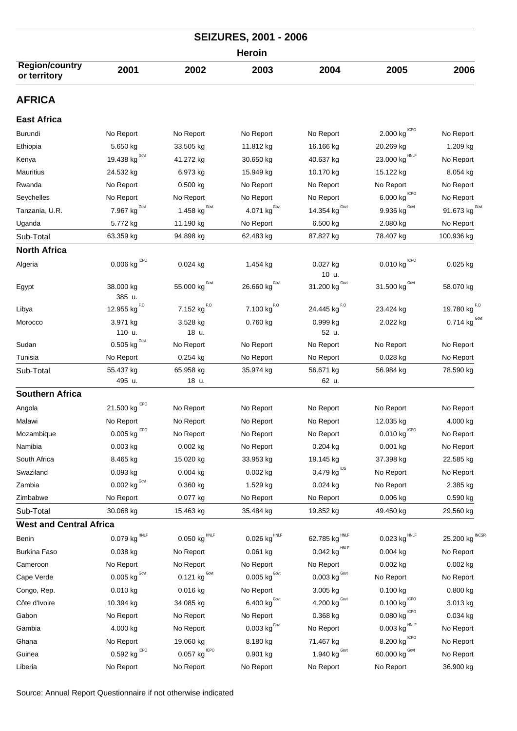|                                       |                                       |                                       | <b>SEIZURES, 2001 - 2006</b>      |                                     |                                                 |                                 |  |  |
|---------------------------------------|---------------------------------------|---------------------------------------|-----------------------------------|-------------------------------------|-------------------------------------------------|---------------------------------|--|--|
|                                       | <b>Heroin</b>                         |                                       |                                   |                                     |                                                 |                                 |  |  |
| <b>Region/country</b><br>or territory | 2001                                  | 2002                                  | 2003                              | 2004                                | 2005                                            | 2006                            |  |  |
| <b>AFRICA</b>                         |                                       |                                       |                                   |                                     |                                                 |                                 |  |  |
| <b>East Africa</b>                    |                                       |                                       |                                   |                                     |                                                 |                                 |  |  |
| <b>Burundi</b>                        | No Report                             | No Report                             | No Report                         | No Report                           | $2.000$ kg $\mathrm{^{ICPO}}$                   | No Report                       |  |  |
| Ethiopia                              | 5.650 kg                              | 33.505 kg                             | 11.812 kg                         | 16.166 kg                           | 20.269 kg                                       | 1.209 kg                        |  |  |
| Kenya                                 | 19.438 kg $^{Gout}$                   | 41.272 kg                             | 30.650 kg                         | 40.637 kg                           | $23.000 \; \mathrm{kg}^{\mathrm{HNLF}}$         | No Report                       |  |  |
| Mauritius                             | 24.532 kg                             | 6.973 kg                              | 15.949 kg                         | 10.170 kg                           | 15.122 kg                                       | $8.054$ kg                      |  |  |
| Rwanda                                | No Report                             | $0.500$ kg                            | No Report                         | No Report                           | No Report                                       | No Report                       |  |  |
| Seychelles                            | No Report                             | No Report                             | No Report                         | No Report                           | $6.000$ $\text{kg}^{\text{\,\scriptsize ICPO}}$ | No Report                       |  |  |
| Tanzania, U.R.                        | 7.967 kg $^{Govt}$                    | 1.458 kg $^{Govt}$                    | 4.071 $\text{kg}^{\text{Govt}}$   | 14.354 kg $^{Govt}$                 | 9.936 kg $^{Govt}$                              | 91.673 $kgGovt$                 |  |  |
| Uganda                                | 5.772 kg                              | 11.190 kg                             | No Report                         | 6.500 kg                            | 2.080 kg                                        | No Report                       |  |  |
| Sub-Total                             | 63.359 kg                             | 94.898 kg                             | 62.483 kg                         | 87.827 kg                           | 78.407 kg                                       | 100.936 kg                      |  |  |
| <b>North Africa</b>                   |                                       |                                       |                                   |                                     |                                                 |                                 |  |  |
| Algeria                               | $0.006$ kg $^{\mathrm{ICPO}}$         | $0.024$ kg                            | 1.454 kg                          | 0.027 kg<br>10 u.                   | $0.010$ kg $10^{10}$                            | $0.025$ kg                      |  |  |
| Egypt                                 | 38.000 kg<br>385 u.                   | 55.000 $\text{kg}^{\text{Govt}}$      | 26.660 kg $^{Govt}$               | 31.200 $\text{kg}^{\text{Govt}}$    | 31.500 $\text{kg}^{\text{Govt}}$                | 58.070 kg                       |  |  |
| Libya                                 | 12.955 kg <sup>F.0</sup>              | 7.152 $\text{kg}^{\text{F},\text{O}}$ | $7.100 \ \mathrm{kg}^{F.0}$       | 24.445 kg <sup>F.0</sup>            | 23.424 kg                                       | 19.780 $\text{kg}^{F.0}$        |  |  |
| Morocco                               | 3.971 kg                              | 3.528 kg                              | $0.760$ kg                        | 0.999 kg                            | 2.022 kg                                        | 0.714 $\text{kg}^{\text{Govt}}$ |  |  |
|                                       | 110 u.                                | 18 u.                                 |                                   | 52 u.                               |                                                 |                                 |  |  |
| Sudan                                 | 0.505 kg $^{Govt}$                    | No Report                             | No Report                         | No Report                           | No Report                                       | No Report                       |  |  |
| Tunisia                               | No Report                             | $0.254$ kg                            | No Report                         | No Report                           | 0.028 kg                                        | No Report                       |  |  |
| Sub-Total                             | 55.437 kg                             | 65.958 kg                             | 35.974 kg                         | 56.671 kg                           | 56.984 kg                                       | 78.590 kg                       |  |  |
|                                       | 495 u.                                | 18 u.                                 |                                   | 62 u.                               |                                                 |                                 |  |  |
| <b>Southern Africa</b>                |                                       |                                       |                                   |                                     |                                                 |                                 |  |  |
| Angola                                | 21.500 kg $^{ICPO}$                   | No Report                             | No Report                         | No Report                           | No Report                                       | No Report                       |  |  |
| Malawi                                | No Report                             | No Report                             | No Report                         | No Report                           | 12.035 kg                                       | 4.000 kg                        |  |  |
| Mozambique                            | $0.005$ $\mathrm{kg}^{\mathrm{ICPO}}$ | No Report                             | No Report                         | No Report                           | $0.010$ kg $^{ICPO}$                            | No Report                       |  |  |
| Namibia                               | $0.003$ kg                            | $0.002$ kg                            | No Report                         | $0.204$ kg                          | $0.001$ kg                                      | No Report                       |  |  |
| South Africa                          | 8.465 kg                              | 15.020 kg                             | 33.953 kg                         | 19.145 kg                           | 37.398 kg                                       | 22.585 kg                       |  |  |
| Swaziland                             | $0.093$ kg<br>Govt                    | 0.004 kg                              | 0.002 kg                          | 0.479 kg $^{1DS}$                   | No Report                                       | No Report                       |  |  |
| Zambia                                | 0.002 kg                              | $0.360$ kg                            | 1.529 kg                          | $0.024$ kg                          | No Report                                       | 2.385 kg                        |  |  |
| Zimbabwe                              | No Report                             | 0.077 kg                              | No Report                         | No Report                           | 0.006 kg                                        | $0.590$ kg                      |  |  |
| Sub-Total                             | 30.068 kg                             | 15.463 kg                             | 35.484 kg                         | 19.852 kg                           | 49.450 kg                                       | 29.560 kg                       |  |  |
| <b>West and Central Africa</b>        | HNLF                                  | HNLF                                  |                                   |                                     | <b>HNLF</b>                                     | <b>INCSF</b>                    |  |  |
| Benin                                 | 0.079 kg                              | 0.050 kg                              | $0.026$ kg                        | 62.785 kg                           | 0.023 kg                                        | 25.200 kg                       |  |  |
| Burkina Faso                          | 0.038 kg                              | No Report                             | 0.061 kg                          | $0.042$ kg <sup>HNLF</sup>          | $0.004$ kg                                      | No Report                       |  |  |
| Cameroon                              | No Report                             | No Report                             | No Report                         | No Report                           | $0.002$ kg                                      | $0.002$ kg                      |  |  |
| Cape Verde                            | $0.005$ kg $^{\text{Govt}}$           | $0.121$ kg <sup>Govt</sup>            | $0.005$ kg $^{Govt}$              | $0.003$ $\text{kg}^{\,\text{Govt}}$ | No Report                                       | No Report                       |  |  |
| Congo, Rep.                           | 0.010 kg                              | $0.016$ kg                            | No Report                         | 3.005 kg                            | 0.100 kg                                        | $0.800$ kg                      |  |  |
| Côte d'Ivoire                         | 10.394 kg                             | 34.085 kg                             | $6.400 kg$ <sup>Govt</sup>        | 4.200 $\text{kg}^{\text{Govt}}$     | $0.100$ kg <sup>ICPO</sup><br><b>ICPO</b>       | 3.013 kg                        |  |  |
| Gabon                                 | No Report                             | No Report                             | No Report                         | 0.368 kg                            | 0.080 kg                                        | 0.034 kg                        |  |  |
| Gambia                                | 4.000 kg                              | No Report                             | $0.003$ $\text{kg}^{\text{Govt}}$ | No Report                           | $0.003$ kg $^{\rm HNLF}$                        | No Report                       |  |  |
| Ghana                                 | No Report                             | 19.060 kg                             | 8.180 kg                          | 71.467 kg                           | 8.200 kg $^{ICPO}$                              | No Report                       |  |  |
| Guinea                                | $0.592$ kg <sup>ICPO</sup>            | $0.057$ kg <sup>ICPO</sup>            | 0.901 kg                          | 1.940 $kgGovt$                      | 60.000 $\text{kg}^{\text{Govt}}$                | No Report                       |  |  |
| Liberia                               | No Report                             | No Report                             | No Report                         | No Report                           | No Report                                       | 36.900 kg                       |  |  |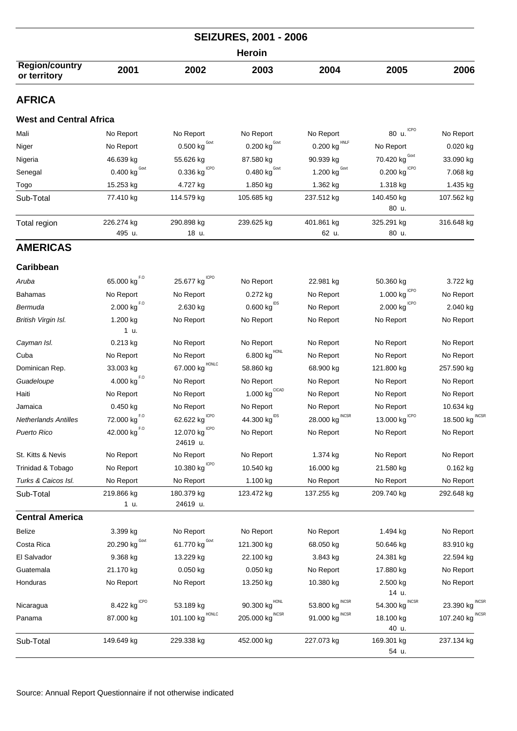| <b>SEIZURES, 2001 - 2006</b>          |                                          |                                       |                                         |                                        |                                          |                    |  |
|---------------------------------------|------------------------------------------|---------------------------------------|-----------------------------------------|----------------------------------------|------------------------------------------|--------------------|--|
|                                       |                                          |                                       | <b>Heroin</b>                           |                                        |                                          |                    |  |
| <b>Region/country</b><br>or territory | 2001                                     | 2002                                  | 2003                                    | 2004                                   | 2005                                     | 2006               |  |
| <b>AFRICA</b>                         |                                          |                                       |                                         |                                        |                                          |                    |  |
| <b>West and Central Africa</b>        |                                          |                                       |                                         |                                        |                                          |                    |  |
| Mali                                  | No Report                                | No Report                             | No Report                               | No Report                              | <b>ICPO</b><br>80 u.                     | No Report          |  |
| Niger                                 | No Report                                | 0.500 $\text{kg}^{\text{Govt}}$       | $0.200$ kg <sup>Govt</sup>              | $0.200 \; \mathrm{kg}^{\mathrm{HNLF}}$ | No Report                                | $0.020$ kg         |  |
| Nigeria                               | 46.639 kg                                | 55.626 kg                             | 87.580 kg                               | 90.939 kg                              | 70.420 $\text{kg}^{\text{Govt}}$         | 33.090 kg          |  |
| Senegal                               | 0.400 $\text{kg}^{\text{Govt}}$          | $0.336$ kg <sup>ICPO</sup>            | 0.480 $\text{kg}^{\text{Govt}}$         | 1.200 $\text{kg}^{\text{Gout}}$        | $0.200$ $\text{kg}^{\text{\tiny{lCPO}}}$ | 7.068 kg           |  |
| Togo                                  | 15.253 kg                                | 4.727 kg                              | 1.850 kg                                | 1.362 kg                               | 1.318 kg                                 | 1.435 kg           |  |
| Sub-Total                             | 77.410 kg                                | 114.579 kg                            | 105.685 kg                              | 237.512 kg                             | 140.450 kg<br>80 u.                      | 107.562 kg         |  |
| Total region                          | 226.274 kg<br>495 u.                     | 290.898 kg<br>18 u.                   | 239.625 kg                              | 401.861 kg<br>62 u.                    | 325.291 kg<br>80 u.                      | 316.648 kg         |  |
| <b>AMERICAS</b>                       |                                          |                                       |                                         |                                        |                                          |                    |  |
| <b>Caribbean</b>                      |                                          |                                       |                                         |                                        |                                          |                    |  |
| Aruba                                 | 65.000 kg $^{F.0}$                       | 25.677 kg                             | No Report                               | 22.981 kg                              | 50.360 kg                                | 3.722 kg           |  |
| <b>Bahamas</b>                        | No Report                                | No Report                             | 0.272 kg                                | No Report                              | $1.000$ kg $^{\mathrm{ICPO}}$            | No Report          |  |
| Bermuda                               | $2.000$ $\text{kg}^{\text{F},\text{O}}$  | 2.630 kg                              | $0.600$ kg $^{1DS}$                     | No Report                              | $2.000$ kg $^{\mathrm{ICPO}}$            | 2.040 kg           |  |
| British Virgin Isl.                   | 1.200 kg<br>1 u.                         | No Report                             | No Report                               | No Report                              | No Report                                | No Report          |  |
| Cayman Isl.                           | $0.213$ kg                               | No Report                             | No Report                               | No Report                              | No Report                                | No Report          |  |
| Cuba                                  | No Report                                | No Report                             | $6.800$ $\mathrm{kg}^{\mathrm{HONL}}$   | No Report                              | No Report                                | No Report          |  |
| Dominican Rep.                        | 33.003 kg                                | HONLC<br>67.000 kg                    | 58.860 kg                               | 68.900 kg                              | 121.800 kg                               | 257.590 kg         |  |
| Guadeloupe                            | $4.000$ $\text{kg}^{\text{\tiny F,O}}$   | No Report                             | No Report                               | No Report                              | No Report                                | No Report          |  |
| Haiti                                 | No Report                                | No Report                             | 1.000 $\text{kg}^{\text{CICAD}}$        | No Report                              | No Report                                | No Report          |  |
| Jamaica                               | 0.450 kg                                 | No Report                             | No Report                               | No Report                              | No Report                                | 10.634 kg          |  |
| <b>Netherlands Antilles</b>           | 72.000 kg                                | 62.622 kg                             | 44.300 kg                               | <b>INCOK</b><br>28.000 kg              | ICPU<br>13.000 kg                        | INCSP<br>18.500 kg |  |
| Puerto Rico                           | $42.000$ $\text{kg}^{\text{F},\text{O}}$ | 12.070 $kg^{\text{ICPO}}$<br>24619 u. | No Report                               | No Report                              | No Report                                | No Report          |  |
| St. Kitts & Nevis                     | No Report                                | No Report                             | No Report                               | 1.374 kg                               | No Report                                | No Report          |  |
| Trinidad & Tobago                     | No Report                                | 10.380 $kg^{\text{ICPO}}$             | 10.540 kg                               | 16.000 kg                              | 21.580 kg                                | $0.162$ kg         |  |
| Turks & Caicos Isl.                   | No Report                                | No Report                             | 1.100 kg                                | No Report                              | No Report                                | No Report          |  |
| Sub-Total                             | 219.866 kg<br>1 u.                       | 180.379 kg<br>24619 u.                | 123.472 kg                              | 137.255 kg                             | 209.740 kg                               | 292.648 kg         |  |
| <b>Central America</b>                |                                          |                                       |                                         |                                        |                                          |                    |  |
| Belize                                | 3.399 kg                                 | No Report                             | No Report                               | No Report                              | 1.494 kg                                 | No Report          |  |
| Costa Rica                            | 20.290 $\text{kg}^{\text{Govt}}$         | 61.770 $kgGovt$                       | 121.300 kg                              | 68.050 kg                              | 50.646 kg                                | 83.910 kg          |  |
| El Salvador                           | 9.368 kg                                 | 13.229 kg                             | 22.100 kg                               | 3.843 kg                               | 24.381 kg                                | 22.594 kg          |  |
| Guatemala                             | 21.170 kg                                | $0.050$ kg                            | $0.050$ kg                              | No Report                              | 17.880 kg                                | No Report          |  |
| Honduras                              | No Report                                | No Report                             | 13.250 kg                               | 10.380 kg                              | 2.500 kg<br>14 u.                        | No Report          |  |
| Nicaragua                             | $8.422 \text{ kg}^{\text{ICPO}}$         | 53.189 kg                             | $90.300 \; \mathrm{kg}^{\mathrm{HONL}}$ | 53.800 kg $^{\text{INCSR}}$            | 54.300 kg $^{\text{INCSR}}$              | 23.390 kg INCSR    |  |
| Panama                                | 87.000 kg                                | HONLC<br>101.100 kg                   | 205.000 $\text{kg}^{\text{INCSR}}$      | 91.000 kg INCSR                        | 18.100 kg<br>40 u.                       | 107.240 kg INCSR   |  |
| Sub-Total                             | 149.649 kg                               | 229.338 kg                            | 452.000 kg                              | 227.073 kg                             | 169.301 kg<br>54 u.                      | 237.134 kg         |  |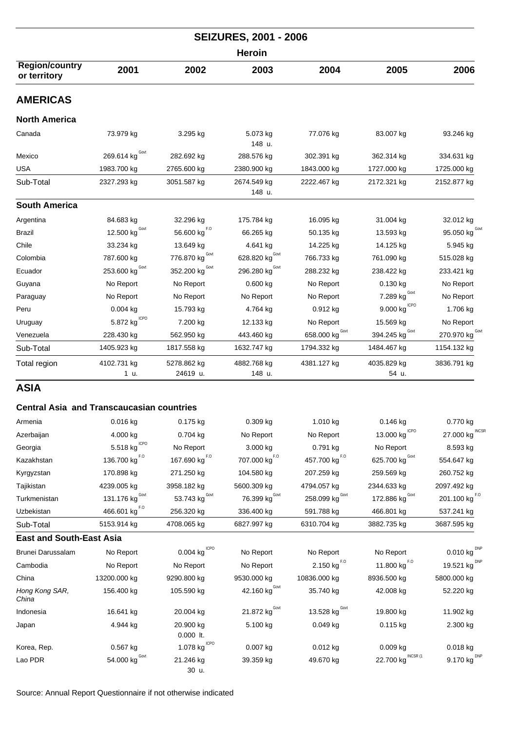|                                                  |                                  |                                          | <b>SEIZURES, 2001 - 2006</b>      |                           |                                         |                                  |
|--------------------------------------------------|----------------------------------|------------------------------------------|-----------------------------------|---------------------------|-----------------------------------------|----------------------------------|
|                                                  |                                  |                                          | <b>Heroin</b>                     |                           |                                         |                                  |
| <b>Region/country</b><br>or territory            | 2001                             | 2002                                     | 2003                              | 2004                      | 2005                                    | 2006                             |
| <b>AMERICAS</b>                                  |                                  |                                          |                                   |                           |                                         |                                  |
| <b>North America</b>                             |                                  |                                          |                                   |                           |                                         |                                  |
| Canada                                           | 73.979 kg                        | 3.295 kg                                 | 5.073 kg<br>148 u.                | 77.076 kg                 | 83.007 kg                               | 93.246 kg                        |
| Mexico                                           | 269.614 kg $^{Gout}$             | 282.692 kg                               | 288.576 kg                        | 302.391 kg                | 362.314 kg                              | 334.631 kg                       |
| <b>USA</b>                                       | 1983.700 kg                      | 2765.600 kg                              | 2380.900 kg                       | 1843.000 kg               | 1727.000 kg                             | 1725.000 kg                      |
| Sub-Total                                        | 2327.293 kg                      | 3051.587 kg                              | 2674.549 kg<br>148 u.             | 2222.467 kg               | 2172.321 kg                             | 2152.877 kg                      |
| <b>South America</b>                             |                                  |                                          |                                   |                           |                                         |                                  |
| Argentina                                        | 84.683 kg                        | 32.296 kg                                | 175.784 kg                        | 16.095 kg                 | 31.004 kg                               | 32.012 kg                        |
| Brazil                                           | 12.500 $\text{kg}^{\text{Govt}}$ | $56.600$ $\text{kg}^{\text{F},\text{O}}$ | 66.265 kg                         | 50.135 kg                 | 13.593 kg                               | 95.050 $\text{kg}^{\text{Govt}}$ |
| Chile                                            | 33.234 kg                        | 13.649 kg                                | 4.641 kg                          | 14.225 kg                 | 14.125 kg                               | 5.945 kg                         |
| Colombia                                         | 787.600 kg                       | Govt<br>776.870 kg                       | 628.820 $\text{kg}^{\text{Govt}}$ | 766.733 kg                | 761.090 kg                              | 515.028 kg                       |
| Ecuador                                          | Govt<br>253.600 kg               | Govt<br>352.200 kg                       | 296.280 $\text{kg}^{\text{Govt}}$ | 288.232 kg                | 238.422 kg                              | 233.421 kg                       |
| Guyana                                           | No Report                        | No Report                                | $0.600$ kg                        | No Report                 | 0.130 kg                                | No Report                        |
| Paraguay                                         | No Report                        | No Report                                | No Report                         | No Report                 | 7.289 $kgGovt$                          | No Report                        |
| Peru                                             | $0.004$ kg                       | 15.793 kg                                | 4.764 kg                          | 0.912 kg                  | $9.000$ kg $1\text{CPO}$                | 1.706 kg                         |
| Uruguay                                          | 5.872 kg $^{\text{ICPO}}$        | 7.200 kg                                 | 12.133 kg                         | No Report                 | 15.569 kg                               | No Report                        |
| Venezuela                                        | 228.430 kg                       | 562.950 kg                               | 443.460 kg                        | 658.000 kg Govt           | 394.245 kg Govt                         | 270.970 kg Covt                  |
| Sub-Total                                        | 1405.923 kg                      | 1817.558 kg                              | 1632.747 kg                       | 1794.332 kg               | 1484.467 kg                             | 1154.132 kg                      |
| Total region                                     | 4102.731 kg<br>1 u.              | 5278.862 kg<br>24619 u.                  | 4882.768 kg<br>148 u.             | 4381.127 kg               | 4035.829 kg<br>54 u.                    | 3836.791 kg                      |
| <b>ASIA</b>                                      |                                  |                                          |                                   |                           |                                         |                                  |
| <b>Central Asia and Transcaucasian countries</b> |                                  |                                          |                                   |                           |                                         |                                  |
| Armenia                                          | 0.016 kg                         | 0.175 kg                                 | 0.309 kg                          | 1.010 kg                  | 0.146 kg                                | 0.770 kg                         |
| Azerbaijan                                       | 4.000 kg                         | 0.704 kg                                 | No Report                         | No Report                 | 13.000 $\text{kg}^{\text{\tiny{ICPO}}}$ | 27.000 kg INCSR                  |
| Georgia                                          | 5.518 kg $^{ICPO}$               | No Report                                | 3.000 kg                          | 0.791 kg                  | No Report                               | 8.593 kg                         |
| Kazakhstan                                       | 136.700 kg <sup>F.0</sup>        | 167.690 kg $^{F, O}$                     | 707.000 kg <sup>F.0</sup>         | 457.700 $\text{kg}^{F,0}$ | 625.700 $kgGovt$                        | 554.647 kg                       |
| Kyrgyzstan                                       | 170.898 kg                       | 271.250 kg                               | 104.580 kg                        | 207.259 kg                | 259.569 kg                              | 260.752 kg                       |
| Tajikistan                                       | 4239.005 kg                      | 3958.182 kg                              | 5600.309 kg                       | 4794.057 kg               | 2344.633 kg                             | 2097.492 kg                      |
| Turkmenistan                                     | 131.176 $kgGovt$                 | 53.743 $\text{kg}^{\text{Govt}}$         | 76.399 $\text{kg}^{\text{Govt}}$  | 258.099 kg Govt           | 172.886 kg Govt                         | 201.100 $\text{kg}^{F,0}$        |
| Uzbekistan                                       | 466.601 kg <sup>F.0</sup>        | 256.320 kg                               | 336.400 kg                        | 591.788 kg                | 466.801 kg                              | 537.241 kg                       |
| Sub-Total                                        | 5153.914 kg                      | 4708.065 kg                              | 6827.997 kg                       | 6310.704 kg               | 3882.735 kg                             | 3687.595 kg                      |

|  |  | <b>East and South-East Asia</b> |  |
|--|--|---------------------------------|--|
|--|--|---------------------------------|--|

| Brunei Darussalam       | No Report         | <b>ICPO</b><br>$0.004$ kg | No Report                 | No Report           | No Report          | $0.010$ kg <sup>DNP</sup> |
|-------------------------|-------------------|---------------------------|---------------------------|---------------------|--------------------|---------------------------|
| Cambodia                | No Report         | No Report                 | No Report                 | 2.150 kg $^{F.0}$   | 11.800 kg $^{F,0}$ | 19.521 kg <sup>DNP</sup>  |
| China                   | 13200.000 kg      | 9290.800 kg               | 9530.000 kg               | 10836.000 kg        | 8936.500 kg        | 5800.000 kg               |
| Hong Kong SAR,<br>China | 156.400 kg        | 105.590 kg                | 42.160 kg <sup>Govt</sup> | 35.740 kg           | 42.008 kg          | 52.220 kg                 |
| Indonesia               | 16.641 kg         | 20.004 kg                 | 21.872 kg <sup>Govt</sup> | 13.528 kg $^{Govt}$ | 19.800 kg          | 11.902 kg                 |
| Japan                   | 4.944 kg          | 20.900 kg<br>$0.000$ It.  | 5.100 kg                  | $0.049$ kg          | $0.115$ kg         | 2.300 kg                  |
| Korea, Rep.             | $0.567$ kg        | 1.078 kg                  | 0.007 kg                  | $0.012$ kg          | $0.009$ kg         | $0.018$ kg                |
| Lao PDR                 | Govt<br>54.000 kg | 21.246 kg<br>30 u.        | 39.359 kg                 | 49.670 kg           | 22.700 kg INCSR (1 | 9.170 kg $^{DNP}$         |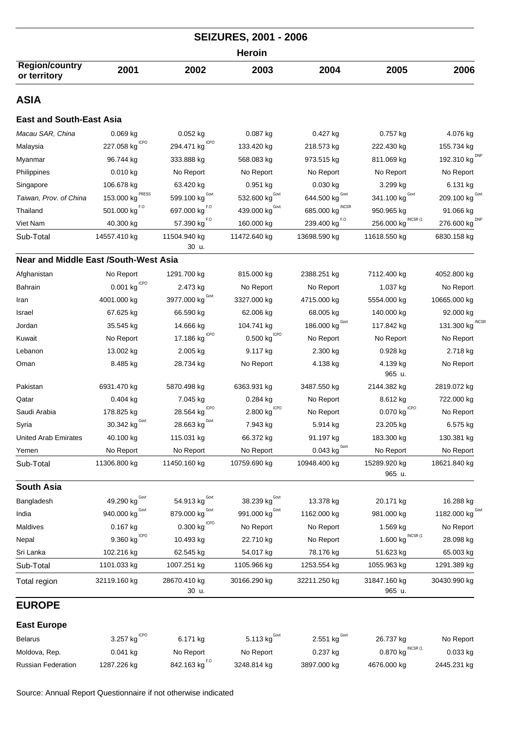| <b>SEIZURES, 2001 - 2006</b>                 |                                       |                                          |                                          |                                 |                                 |                          |  |  |  |
|----------------------------------------------|---------------------------------------|------------------------------------------|------------------------------------------|---------------------------------|---------------------------------|--------------------------|--|--|--|
|                                              | <b>Heroin</b>                         |                                          |                                          |                                 |                                 |                          |  |  |  |
| <b>Region/country</b><br>or territory        | 2001                                  | 2002                                     | 2003                                     | 2004                            | 2005                            | 2006                     |  |  |  |
| ASIA                                         |                                       |                                          |                                          |                                 |                                 |                          |  |  |  |
| <b>East and South-East Asia</b>              |                                       |                                          |                                          |                                 |                                 |                          |  |  |  |
| Macau SAR, China                             | $0.069$ kg                            | 0.052 kg                                 | 0.087 kg                                 | 0.427 kg                        | 0.757 kg                        | 4.076 kg                 |  |  |  |
| Malaysia                                     | <b>ICPO</b><br>227.058 kg             | <b>ICPO</b><br>294.471 kg                | 133.420 kg                               | 218.573 kg                      | 222.430 kg                      | 155.734 kg               |  |  |  |
| Myanmar                                      | 96.744 kg                             | 333.888 kg                               | 568.083 kg                               | 973.515 kg                      | 811.069 kg                      | <b>DNP</b><br>192.310 kg |  |  |  |
| Philippines                                  | $0.010$ kg                            | No Report                                | No Report                                | No Report                       | No Report                       | No Report                |  |  |  |
| Singapore                                    | 106.678 kg                            | 63.420 kg                                | 0.951 kg                                 | 0.030 kg                        | 3.299 kg                        | 6.131 kg                 |  |  |  |
| Taiwan, Prov. of China                       | PRESS<br>153.000 kg                   | 599.100 $kgGovt$                         | 532.600 $\text{kg}^{\text{Govt}}$        | 644.500 $kgGovt$                | 341.100 $kgGovt$                | 209.100 kg $^{Govt}$     |  |  |  |
| Thailand                                     | 501.000 kg $^{F.0}$                   | 697.000 kg <sup>F.0</sup>                | 439.000 kg Govt.                         | 685.000 kg                      | 950.965 kg                      | 91.066 kg                |  |  |  |
| Viet Nam                                     | 40.300 kg                             | 57.390 kg <sup>F.0</sup>                 | 160.000 kg                               | 239.400 kg <sup>F.0</sup>       | INCSR (1<br>256.000 kg          | <b>DNP</b><br>276.600 kg |  |  |  |
| Sub-Total                                    | 14557.410 kg                          | 11504.940 kg<br>30 u.                    | 11472.640 kg                             | 13698.590 kg                    | 11618.550 kg                    | 6830.158 kg              |  |  |  |
| <b>Near and Middle East /South-West Asia</b> |                                       |                                          |                                          |                                 |                                 |                          |  |  |  |
| Afghanistan                                  | No Report                             | 1291.700 kg                              | 815.000 kg                               | 2388.251 kg                     | 7112.400 kg                     | 4052.800 kg              |  |  |  |
| Bahrain                                      | $0.001$ kg $CPO$                      | 2.473 kg                                 | No Report                                | No Report                       | 1.037 kg                        | No Report                |  |  |  |
| Iran                                         | 4001.000 kg                           | 3977.000 $\text{kg}^{\text{Govt}}$       | 3327.000 kg                              | 4715.000 kg                     | 5554.000 kg                     | 10665.000 kg             |  |  |  |
| Israel                                       | 67.625 kg                             | 66.590 kg                                | 62.006 kg                                | 68.005 kg                       | 140.000 kg                      | 92.000 kg                |  |  |  |
| Jordan                                       | 35.545 kg                             | 14.666 kg                                | 104.741 kg                               | 186.000 kg $^{\text{Gout}}$     | 117.842 kg                      | INCSF<br>131.300 kg      |  |  |  |
| Kuwait                                       | No Report                             | <b>ICPO</b><br>17.186 kg                 | $0.500$ $\text{kg}^{\text{\tiny{lCPO}}}$ | No Report                       | No Report                       | No Report                |  |  |  |
| Lebanon                                      | 13.002 kg                             | 2.005 kg                                 | 9.117 kg                                 | 2.300 kg                        | 0.928 kg                        | 2.718 kg                 |  |  |  |
| Oman                                         | 8.485 kg                              | 28.734 kg                                | No Report                                | 4.138 kg                        | 4.139 kg<br>965 u.              | No Report                |  |  |  |
| Pakistan                                     | 6931.470 kg                           | 5870.498 kg                              | 6363.931 kg                              | 3487.550 kg                     | 2144.382 kg                     | 2819.072 kg              |  |  |  |
| Qatar                                        | $0.404$ kg                            | 7.045 kg                                 | 0.284 kg                                 | No Report                       | 8.612 kg                        | 722.000 kg               |  |  |  |
| Saudi Arabia                                 | 178.825 kg                            | 28.564 kg                                | $2.800$ $\mathrm{kg}^{\mathrm{ICPO}}$    | No Report                       | 0.070 $\text{kg}^{\text{ICPO}}$ | No Report                |  |  |  |
| Syria                                        | Govt<br>30.342 kg                     | Govt<br>28.663 kg                        | 7.943 kg                                 | 5.914 kg                        | 23.205 kg                       | 6.575 kg                 |  |  |  |
| <b>United Arab Emirates</b>                  | 40.100 kg                             | 115.031 kg                               | 66.372 kg                                | 91.197 kg                       | 183.300 kg                      | 130.381 kg               |  |  |  |
| Yemen                                        | No Report                             | No Report                                | No Report                                | $0.043$ kg $\frac{Govt}{G}$     | No Report                       | No Report                |  |  |  |
| Sub-Total                                    | 11306.800 kg                          | 11450.160 kg                             | 10759.690 kg                             | 10948.400 kg                    | 15289.920 kg<br>965 u.          | 18621.840 kg             |  |  |  |
| South Asia                                   |                                       |                                          |                                          |                                 |                                 |                          |  |  |  |
| Bangladesh                                   | 49.290 kg                             | 54.913 kg Govt                           | 38.239 $\text{kg}^{\text{Govt}}$         | 13.378 kg                       | 20.171 kg                       | 16.288 kg                |  |  |  |
| India                                        | 940.000 kg Govt                       | 879.000 kg Govt                          | 991.000 kg <sup>Govt</sup>               | 1162.000 kg                     | 981.000 kg                      | 1182.000 kg Govt         |  |  |  |
| Maldives                                     | $0.167$ kg                            | $0.300$ $\mathrm{kg}$ $^{\mathrm{ICPO}}$ | No Report                                | No Report                       | 1.569 kg                        | No Report                |  |  |  |
| Nepal                                        | $9.360$ $\mathrm{kg}^{\mathrm{ICPO}}$ | 10.493 kg                                | 22.710 kg                                | No Report                       | INCSR (1<br>1.600 kg            | 28.098 kg                |  |  |  |
| Sri Lanka                                    | 102.216 kg                            | 62.545 kg                                | 54.017 kg                                | 78.176 kg                       | 51.623 kg                       | 65.003 kg                |  |  |  |
| Sub-Total                                    | 1101.033 kg                           | 1007.251 kg                              | 1105.966 kg                              | 1253.554 kg                     | 1055.963 kg                     | 1291.389 kg              |  |  |  |
| Total region                                 | 32119.160 kg                          | 28670.410 kg<br>30 u.                    | 30166.290 kg                             | 32211.250 kg                    | 31847.160 kg<br>965 u.          | 30430.990 kg             |  |  |  |
| <b>EUROPE</b>                                |                                       |                                          |                                          |                                 |                                 |                          |  |  |  |
| <b>East Europe</b>                           |                                       |                                          |                                          |                                 |                                 |                          |  |  |  |
| <b>Belarus</b>                               | <b>ICPO</b><br>3.257 kg               | 6.171 kg                                 | 5.113 kg <sup>Govt</sup>                 | 2.551 $\text{kg}^{\text{Govt}}$ | 26.737 kg                       | No Report                |  |  |  |
| Moldova, Rep.                                | $0.041$ kg                            | No Report                                | No Report                                | 0.237 kg                        | INCSR (1<br>0.870 kg            | $0.033$ kg               |  |  |  |
| <b>Russian Federation</b>                    | 1287.226 kg                           | 842.163 kg $^{F, O}$                     | 3248.814 kg                              | 3897.000 kg                     | 4676.000 kg                     | 2445.231 kg              |  |  |  |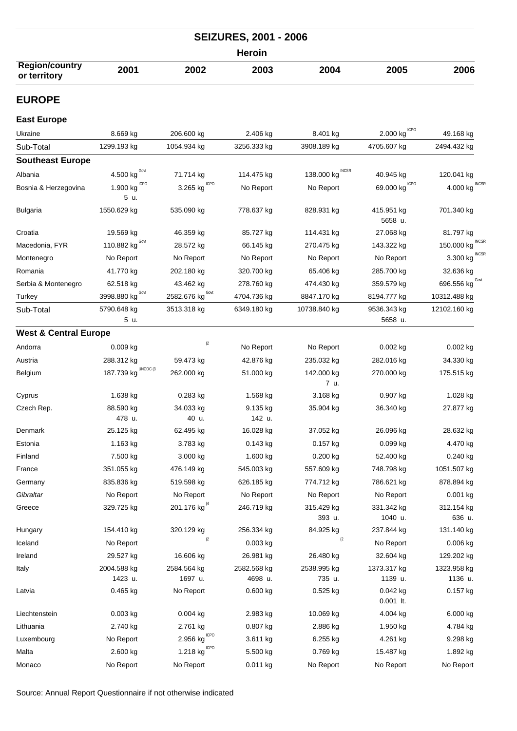|                                       |      |      | <b>SEIZURES, 2001 - 2006</b> |      |      |      |
|---------------------------------------|------|------|------------------------------|------|------|------|
|                                       |      |      | <b>Heroin</b>                |      |      |      |
| <b>Region/country</b><br>or territory | 2001 | 2002 | 2003                         | 2004 | 2005 | 2006 |

## **EUROPE**

#### **East Europe**

| Ukraine                          | 8.669 kg                        | 206.600 kg                 | 2.406 kg    | 8.401 kg             | ICPO<br>2.000 kg         | 49.168 kg                  |
|----------------------------------|---------------------------------|----------------------------|-------------|----------------------|--------------------------|----------------------------|
| Sub-Total                        | 1299.193 kg                     | 1054.934 kg                | 3256.333 kg | 3908.189 kg          | 4705.607 kg              | 2494.432 kg                |
| <b>Southeast Europe</b>          |                                 |                            |             |                      |                          |                            |
| Albania                          | 4.500 kg                        | 71.714 kg                  | 114.475 kg  | 138.000 kg           | 40.945 kg                | 120.041 kg                 |
| Bosnia & Herzegovina             | <b>ICPO</b><br>1.900 kg<br>5 u. | ICPO<br>3.265 kg           | No Report   | No Report            | <b>ICPO</b><br>69.000 kg | <b>INCSF</b><br>4.000 kg   |
| <b>Bulgaria</b>                  | 1550.629 kg                     | 535.090 kg                 | 778.637 kg  | 828.931 kg           | 415.951 kg<br>5658 u.    | 701.340 kg                 |
| Croatia                          | 19.569 kg                       | 46.359 kg                  | 85.727 kg   | 114.431 kg           | 27.068 kg                | 81.797 kg                  |
| Macedonia, FYR                   | 110.882 $kg^{\text{Govt}}$      | 28.572 kg                  | 66.145 kg   | 270.475 kg           | 143.322 kg               | <b>INCSF</b><br>150.000 kg |
| Montenegro                       | No Report                       | No Report                  | No Report   | No Report            | No Report                | <b>INCSF</b><br>3.300 kg   |
| Romania                          | 41.770 kg                       | 202.180 kg                 | 320.700 kg  | 65.406 kg            | 285.700 kg               | 32.636 kg                  |
| Serbia & Montenegro              | 62.518 kg                       | 43.462 kg                  | 278.760 kg  | 474.430 kg           | 359.579 kg               | 696.556 kg Govt            |
| Turkey                           | Govt<br>3998.880 kg             | Govt<br>2582.676 kg        | 4704.736 kg | 8847.170 kg          | 8194.777 kg              | 10312.488 kg               |
| Sub-Total                        | 5790.648 kg<br>5 u.             | 3513.318 kg                | 6349.180 kg | 10738.840 kg         | 9536.343 kg<br>5658 u.   | 12102.160 kg               |
| <b>West &amp; Central Europe</b> |                                 |                            |             |                      |                          |                            |
| Andorra                          | 0.009 kg                        | (2)                        | No Report   | No Report            | $0.002$ kg               | $0.002$ kg                 |
| Austria                          | 288.312 kg                      | 59.473 kg                  | 42.876 kg   | 235.032 kg           | 282.016 kg               | 34.330 kg                  |
| Belgium                          | UNODC (3<br>187.739 kg          | 262.000 kg                 | 51.000 kg   | 142.000 kg           | 270.000 kg               | 175.515 kg                 |
|                                  |                                 |                            |             | 7 u.                 |                          |                            |
| Cyprus                           | 1.638 kg                        | $0.283$ kg                 | 1.568 kg    | 3.168 kg             | 0.907 kg                 | 1.028 kg                   |
| Czech Rep.                       | 88.590 kg                       | 34.033 kg                  | 9.135 kg    | 35.904 kg            | 36.340 kg                | 27.877 kg                  |
|                                  | 478 u.                          | 40 u.                      | 142 u.      |                      |                          |                            |
| Denmark                          | 25.125 kg                       | 62.495 kg                  | 16.028 kg   | 37.052 kg            | 26.096 kg                | 28.632 kg                  |
| Estonia                          | 1.163 kg                        | 3.783 kg                   | $0.143$ kg  | $0.157$ kg           | $0.099$ kg               | 4.470 kg                   |
| Finland                          | 7.500 kg                        | 3.000 kg                   | 1.600 kg    | 0.200 kg             | 52.400 kg                | $0.240$ kg                 |
| France                           | 351.055 kg                      | 476.149 kg                 | 545.003 kg  | 557.609 kg           | 748.798 kg               | 1051.507 kg                |
| Germany                          | 835.836 kg                      | 519.598 kg                 | 626.185 kg  | 774.712 kg           | 786.621 kg               | 878.894 kg                 |
| Gibraltar                        | No Report                       | No Report                  | No Report   | No Report            | No Report                | $0.001$ kg                 |
| Greece                           | 329.725 kg                      | 201.176 kg <sup>(4</sup> ) | 246.719 kg  | 315.429 kg<br>393 u. | 331.342 kg<br>1040 u.    | 312.154 kg<br>636 u.       |
| Hungary                          | 154.410 kg                      | 320.129 kg                 | 256.334 kg  | 84.925 kg            | 237.844 kg               | 131.140 kg                 |
| Iceland                          | No Report                       | (2)                        | $0.003$ kg  | (2)                  | No Report                | $0.006$ kg                 |
| Ireland                          | 29.527 kg                       | 16.606 kg                  | 26.981 kg   | 26.480 kg            | 32.604 kg                | 129.202 kg                 |
| Italy                            | 2004.588 kg                     | 2584.564 kg                | 2582.568 kg | 2538.995 kg          | 1373.317 kg              | 1323.958 kg                |
|                                  | 1423 u.                         | 1697 u.                    | 4698 u.     | 735 u.               | 1139 u.                  | 1136 u.                    |
| Latvia                           | $0.465$ kg                      | No Report                  | $0.600$ kg  | $0.525$ kg           | 0.042 kg<br>$0.001$ lt.  | $0.157$ kg                 |
| Liechtenstein                    | $0.003$ kg                      | $0.004$ kg                 | 2.983 kg    | 10.069 kg            | 4.004 kg                 | 6.000 kg                   |
| Lithuania                        | 2.740 kg                        | 2.761 kg                   | 0.807 kg    | 2.886 kg             | 1.950 kg                 | 4.784 kg                   |
| Luxembourg                       | No Report                       | ICPO<br>2.956 kg           | 3.611 kg    | 6.255 kg             | 4.261 kg                 | 9.298 kg                   |
| Malta                            | 2.600 kg                        | 1.218 kg $^{\text{ICPO}}$  | 5.500 kg    | 0.769 kg             | 15.487 kg                | 1.892 kg                   |
| Monaco                           | No Report                       | No Report                  | $0.011$ kg  | No Report            | No Report                | No Report                  |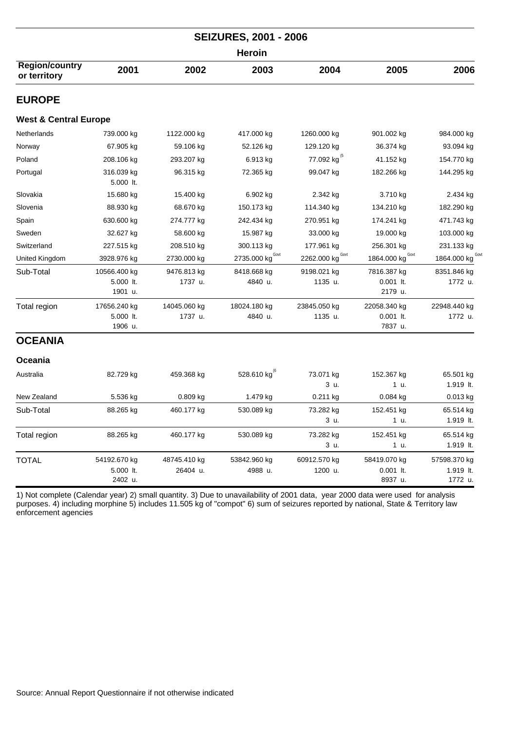| <b>SEIZURES, 2001 - 2006</b>          |                         |              |                             |                         |                        |                        |  |  |  |
|---------------------------------------|-------------------------|--------------|-----------------------------|-------------------------|------------------------|------------------------|--|--|--|
| Heroin                                |                         |              |                             |                         |                        |                        |  |  |  |
| <b>Region/country</b><br>or territory | 2001                    | 2002         | 2003                        | 2004                    | 2005                   | 2006                   |  |  |  |
| <b>EUROPE</b>                         |                         |              |                             |                         |                        |                        |  |  |  |
| <b>West &amp; Central Europe</b>      |                         |              |                             |                         |                        |                        |  |  |  |
| Netherlands                           | 739.000 kg              | 1122.000 kg  | 417.000 kg                  | 1260.000 kg             | 901.002 kg             | 984.000 kg             |  |  |  |
| Norway                                | 67.905 kg               | 59.106 kg    | 52.126 kg                   | 129.120 kg              | 36.374 kg              | 93.094 kg              |  |  |  |
| Poland                                | 208.106 kg              | 293.207 kg   | 6.913 kg                    | 77.092 kg <sup>(5</sup> | 41.152 kg              | 154.770 kg             |  |  |  |
| Portugal                              | 316.039 kg<br>5.000 lt. | 96.315 kg    | 72.365 kg                   | 99.047 kg               | 182.266 kg             | 144.295 kg             |  |  |  |
| Slovakia                              | 15.680 kg               | 15.400 kg    | 6.902 kg                    | 2.342 kg                | 3.710 kg               | 2.434 kg               |  |  |  |
| Slovenia                              | 88.930 kg               | 68.670 kg    | 150.173 kg                  | 114.340 kg              | 134.210 kg             | 182.290 kg             |  |  |  |
| Spain                                 | 630.600 kg              | 274.777 kg   | 242.434 kg                  | 270.951 kg              | 174.241 kg             | 471.743 kg             |  |  |  |
| Sweden                                | 32.627 kg               | 58.600 kg    | 15.987 kg                   | 33.000 kg               | 19.000 kg              | 103.000 kg             |  |  |  |
| Switzerland                           | 227.515 kg              | 208.510 kg   | 300.113 kg                  | 177.961 kg              | 256.301 kg             | 231.133 kg             |  |  |  |
| United Kingdom                        | 3928.976 kg             | 2730.000 kg  | 2735.000 kg <sup>Govt</sup> | 2262.000 kg Govt        | 1864.000 kg Govt       | 1864.000 kg COV        |  |  |  |
| Sub-Total                             | 10566.400 kg            | 9476.813 kg  | 8418.668 kg                 | 9198.021 kg             | 7816.387 kg            | 8351.846 kg            |  |  |  |
|                                       | 5.000 lt.<br>1901 u.    | 1737 u.      | 4840 u.                     | 1135 u.                 | $0.001$ lt.<br>2179 u. | 1772 u.                |  |  |  |
| Total region                          | 17656.240 kg            | 14045.060 kg | 18024.180 kg                | 23845.050 kg            | 22058.340 kg           | 22948.440 kg           |  |  |  |
|                                       | 5.000 lt.<br>1906 u.    | 1737 u.      | 4840 u.                     | 1135 u.                 | $0.001$ lt.<br>7837 u. | 1772 u.                |  |  |  |
| <b>OCEANIA</b>                        |                         |              |                             |                         |                        |                        |  |  |  |
| Oceania                               |                         |              |                             |                         |                        |                        |  |  |  |
| Australia                             | 82.729 kg               | 459.368 kg   | 528.610 kg                  | 73.071 kg<br>3 u.       | 152.367 kg<br>1 u.     | 65.501 kg<br>1.919 lt. |  |  |  |
| New Zealand                           | 5.536 kg                | 0.809 kg     | 1.479 kg                    | 0.211 kg                | 0.084 kg               | $0.013$ kg             |  |  |  |
| Sub-Total                             | 88.265 kg               | 460.177 kg   | 530.089 kg                  | 73.282 kg               | 152.451 kg             | 65.514 kg              |  |  |  |
|                                       |                         |              |                             | 3 u.                    | 1 u.                   | 1.919 lt.              |  |  |  |
| Total region                          | 88.265 kg               | 460.177 kg   | 530.089 kg                  | 73.282 kg               | 152.451 kg             | 65.514 kg              |  |  |  |
|                                       |                         |              |                             | 3 u.                    | 1 u.                   | 1.919 lt.              |  |  |  |
| <b>TOTAL</b>                          | 54192.670 kg            | 48745.410 kg | 53842.960 kg                | 60912.570 kg            | 58419.070 kg           | 57598.370 kg           |  |  |  |
|                                       | 5.000 lt.               | 26404 u.     | 4988 u.                     | 1200 u.                 | $0.001$ lt.            | 1.919 lt.              |  |  |  |
|                                       | 2402 u.                 |              |                             |                         | 8937 u.                | 1772 u.                |  |  |  |

1) Not complete (Calendar year) 2) small quantity. 3) Due to unavailability of 2001 data, year 2000 data were used for analysis purposes. 4) including morphine 5) includes 11.505 kg of "compot" 6) sum of seizures reported by national, State & Territory law enforcement agencies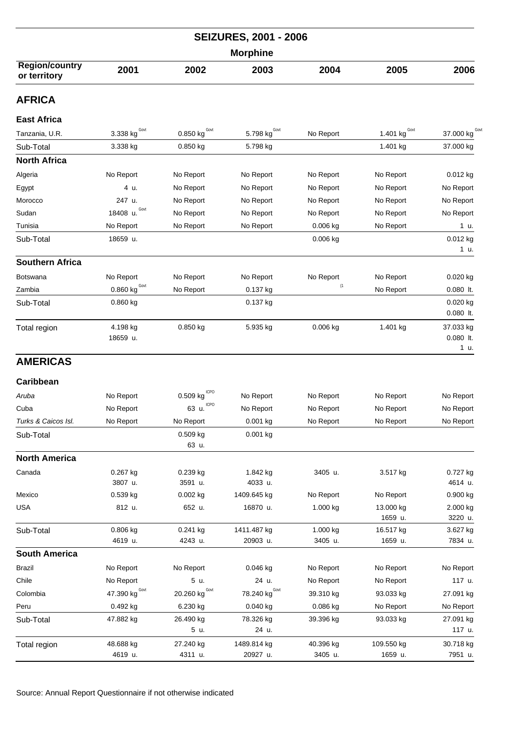| <b>SEIZURES, 2001 - 2006</b>          |                                         |                                  |                           |                     |                      |                                  |  |  |
|---------------------------------------|-----------------------------------------|----------------------------------|---------------------------|---------------------|----------------------|----------------------------------|--|--|
| <b>Morphine</b>                       |                                         |                                  |                           |                     |                      |                                  |  |  |
| <b>Region/country</b><br>or territory | 2001                                    | 2002                             | 2003                      | 2004                | 2005                 | 2006                             |  |  |
| <b>AFRICA</b>                         |                                         |                                  |                           |                     |                      |                                  |  |  |
| <b>East Africa</b>                    |                                         |                                  |                           |                     |                      |                                  |  |  |
| Tanzania, U.R.                        | 3.338 kg $G$ ovt                        | 0.850 $\text{kg}^{\text{Govt}}$  | 5.798 $kgGovt$            | No Report           | 1.401 $kgGovt$       | 37.000 kg Govi                   |  |  |
| Sub-Total                             | 3.338 kg                                | 0.850 kg                         | 5.798 kg                  |                     | 1.401 kg             | 37.000 kg                        |  |  |
| <b>North Africa</b>                   |                                         |                                  |                           |                     |                      |                                  |  |  |
| Algeria                               | No Report                               | No Report                        | No Report                 | No Report           | No Report            | $0.012$ kg                       |  |  |
| Egypt                                 | 4 u.                                    | No Report                        | No Report                 | No Report           | No Report            | No Report                        |  |  |
| Morocco                               | 247 u.                                  | No Report                        | No Report                 | No Report           | No Report            | No Report                        |  |  |
| Sudan                                 | Govt<br>18408 u.                        | No Report                        | No Report                 | No Report           | No Report            | No Report                        |  |  |
| Tunisia                               | No Report                               | No Report                        | No Report                 | 0.006 kg            | No Report            | 1 u.                             |  |  |
| Sub-Total                             | 18659 u.                                |                                  |                           | 0.006 kg            |                      | 0.012 kg<br>1 u.                 |  |  |
| <b>Southern Africa</b>                |                                         |                                  |                           |                     |                      |                                  |  |  |
| <b>Botswana</b>                       | No Report                               | No Report                        | No Report                 | No Report           | No Report            | $0.020$ kg                       |  |  |
| Zambia                                | $\underline{0.860}$ kg $^{\text{Govt}}$ | No Report                        | 0.137 kg                  | (1)                 | No Report            | $0.080$ lt.                      |  |  |
| Sub-Total                             | 0.860 kg                                |                                  | 0.137 kg                  |                     |                      | $0.020$ kg<br>$0.080$ lt.        |  |  |
| Total region                          | 4.198 kg<br>18659 u.                    | 0.850 kg                         | 5.935 kg                  | 0.006 kg            | 1.401 kg             | 37.033 kg<br>$0.080$ lt.<br>1 u. |  |  |
| <b>AMERICAS</b>                       |                                         |                                  |                           |                     |                      |                                  |  |  |
| Caribbean                             |                                         |                                  |                           |                     |                      |                                  |  |  |
| Aruba                                 | No Report                               | 0.509 kg                         | No Report                 | No Report           | No Report            | No Report                        |  |  |
| Cuba                                  | No Report                               | <b>ICPO</b><br>63 u.             | No Report                 | No Report           | No Report            | No Report                        |  |  |
| Turks & Caicos Isl.                   | No Report                               | No Report                        | $0.001$ kg                | No Report           | No Report            | No Report                        |  |  |
| Sub-Total                             |                                         | $0.509$ kg<br>63 u.              | $0.001$ kg                |                     |                      |                                  |  |  |
| <b>North America</b>                  |                                         |                                  |                           |                     |                      |                                  |  |  |
| Canada                                | 0.267 kg<br>3807 u.                     | 0.239 kg<br>3591 u.              | 1.842 kg<br>4033 u.       | 3405 u.             | 3.517 kg             | 0.727 kg<br>4614 u.              |  |  |
| Mexico                                | 0.539 kg                                | 0.002 kg                         | 1409.645 kg               | No Report           | No Report            | 0.900 kg                         |  |  |
| <b>USA</b>                            | 812 u.                                  | 652 u.                           | 16870 u.                  | 1.000 kg            | 13.000 kg<br>1659 u. | 2.000 kg<br>3220 u.              |  |  |
| Sub-Total                             | 0.806 kg<br>4619 u.                     | 0.241 kg<br>4243 u.              | 1411.487 kg<br>20903 u.   | 1.000 kg<br>3405 u. | 16.517 kg<br>1659 u. | 3.627 kg<br>7834 u.              |  |  |
| <b>South America</b>                  |                                         |                                  |                           |                     |                      |                                  |  |  |
| <b>Brazil</b>                         | No Report                               | No Report                        | $0.046$ kg                | No Report           | No Report            | No Report                        |  |  |
| Chile                                 | No Report                               | 5 u.                             | 24 u.                     | No Report           | No Report            | 117 u.                           |  |  |
| Colombia                              | 47.390 kg Govt                          | 20.260 $\text{kg}^{\text{Govt}}$ | 78.240 kg <sup>Govt</sup> | 39.310 kg           | 93.033 kg            | 27.091 kg                        |  |  |
| Peru                                  | 0.492 kg                                | 6.230 kg                         | $0.040$ kg                | 0.086 kg            | No Report            | No Report                        |  |  |
| Sub-Total                             | 47.882 kg                               | 26.490 kg<br>5 u.                | 78.326 kg<br>24 u.        | 39.396 kg           | 93.033 kg            | 27.091 kg<br>117 u.              |  |  |
| Total region                          | 48.688 kg                               | 27.240 kg                        | 1489.814 kg               | 40.396 kg           | 109.550 kg           | 30.718 kg                        |  |  |
|                                       | 4619 u.                                 | 4311 u.                          | 20927 u.                  | 3405 u.             | 1659 u.              | 7951 u.                          |  |  |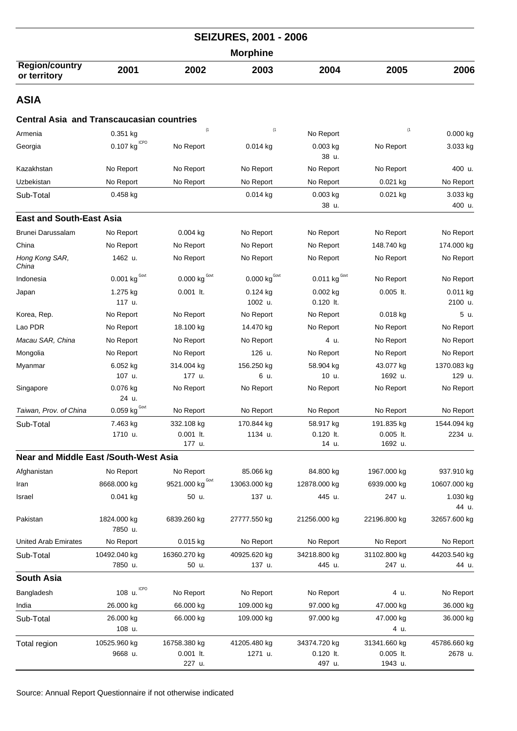| <b>SEIZURES, 2001 - 2006</b>                     |                                        |                                     |                                 |                                 |                                      |                        |  |  |
|--------------------------------------------------|----------------------------------------|-------------------------------------|---------------------------------|---------------------------------|--------------------------------------|------------------------|--|--|
| <b>Morphine</b>                                  |                                        |                                     |                                 |                                 |                                      |                        |  |  |
| <b>Region/country</b><br>or territory            | 2001                                   | 2002                                | 2003                            | 2004                            | 2005                                 | 2006                   |  |  |
| <b>ASIA</b>                                      |                                        |                                     |                                 |                                 |                                      |                        |  |  |
| <b>Central Asia and Transcaucasian countries</b> |                                        |                                     |                                 |                                 |                                      |                        |  |  |
| Armenia                                          | 0.351 kg                               | (1)                                 | (1)                             | No Report                       | (1)                                  | 0.000 kg               |  |  |
| Georgia                                          | $0.107$ kg <sup>ICPO</sup>             | No Report                           | $0.014$ kg                      | $0.003$ kg<br>38 u.             | No Report                            | 3.033 kg               |  |  |
| Kazakhstan                                       | No Report                              | No Report                           | No Report                       | No Report                       | No Report                            | 400 u.                 |  |  |
| Uzbekistan                                       | No Report                              | No Report                           | No Report                       | No Report                       | 0.021 kg                             | No Report              |  |  |
| Sub-Total                                        | $0.458$ kg                             |                                     | 0.014 kg                        | 0.003 kg<br>38 u.               | 0.021 kg                             | 3.033 kg<br>400 u.     |  |  |
| <b>East and South-East Asia</b>                  |                                        |                                     |                                 |                                 |                                      |                        |  |  |
| <b>Brunei Darussalam</b>                         | No Report                              | $0.004$ kg                          | No Report                       | No Report                       | No Report                            | No Report              |  |  |
| China                                            | No Report                              | No Report                           | No Report                       | No Report                       | 148.740 kg                           | 174.000 kg             |  |  |
| Hong Kong SAR,<br>China                          | 1462 u.                                | No Report                           | No Report                       | No Report                       | No Report                            | No Report              |  |  |
| Indonesia                                        | $0.001$ kg $^{Govt}$                   | 0.000 $\text{kg}^{\text{Govt}}$     | 0.000 $\text{kg}^{\text{Govt}}$ | $0.011$ kg <sup>Govt</sup>      | No Report                            | No Report              |  |  |
| Japan                                            | 1.275 kg<br>117 u.                     | $0.001$ lt.                         | $0.124$ kg<br>1002 u.           | $0.002$ kg<br>$0.120$ lt.       | $0.005$ It.                          | 0.011 kg<br>2100 u.    |  |  |
| Korea, Rep.                                      | No Report                              | No Report                           | No Report                       | No Report                       | $0.018$ kg                           | 5 u.                   |  |  |
| Lao PDR                                          | No Report                              | 18.100 kg                           | 14.470 kg                       | No Report                       | No Report                            | No Report              |  |  |
| Macau SAR, China                                 | No Report                              | No Report                           | No Report                       | 4 u.                            | No Report                            | No Report              |  |  |
| Mongolia                                         | No Report                              | No Report                           | 126 u.                          | No Report                       | No Report                            | No Report              |  |  |
| Myanmar                                          | 6.052 kg                               | 314.004 kg                          | 156.250 kg                      | 58.904 kg                       | 43.077 kg                            | 1370.083 kg            |  |  |
|                                                  | 107 u.                                 | 177 u.                              | 6 u.                            | 10 u.                           | 1692 u.                              | 129 u.                 |  |  |
| Singapore                                        | 0.076 kg<br>24 u.                      | No Report                           | No Report                       | No Report                       | No Report                            | No Report              |  |  |
| Taiwan, Prov. of China                           | $\underline{0.059}$ kg <sup>Govt</sup> | No Report                           | No Report                       | No Report                       | No Report                            | No Report              |  |  |
| Sub-Total                                        | 7.463 kg<br>1710 u.                    | 332.108 kg<br>$0.001$ lt.<br>177 u. | 170.844 kg<br>1134 u.           | 58.917 kg<br>0.120 lt.<br>14 u. | 191.835 kg<br>$0.005$ lt.<br>1692 u. | 1544.094 kg<br>2234 u. |  |  |
| <b>Near and Middle East /South-West Asia</b>     |                                        |                                     |                                 |                                 |                                      |                        |  |  |
| Afghanistan                                      | No Report                              | No Report                           | 85.066 kg                       | 84.800 kg                       | 1967.000 kg                          | 937.910 kg             |  |  |
| Iran                                             | 8668.000 kg                            | 9521.000 kg Govt                    | 13063.000 kg                    | 12878.000 kg                    | 6939.000 kg                          | 10607.000 kg           |  |  |
| Israel                                           | 0.041 kg                               | 50 u.                               | 137 u.                          | 445 u.                          | 247 u.                               | 1.030 kg<br>44 u.      |  |  |
| Pakistan                                         | 1824.000 kg<br>7850 u.                 | 6839.260 kg                         | 27777.550 kg                    | 21256.000 kg                    | 22196.800 kg                         | 32657.600 kg           |  |  |
| <b>United Arab Emirates</b>                      | No Report                              | 0.015 kg                            | No Report                       | No Report                       | No Report                            | No Report              |  |  |
| Sub-Total                                        | 10492.040 kg                           | 16360.270 kg                        | 40925.620 kg                    | 34218.800 kg                    | 31102.800 kg                         | 44203.540 kg           |  |  |
|                                                  | 7850 u.                                | 50 u.                               | 137 u.                          | 445 u.                          | 247 u.                               | 44 u.                  |  |  |
| South Asia                                       |                                        |                                     |                                 |                                 |                                      |                        |  |  |
| Bangladesh                                       | <b>ICPO</b><br>108 u.                  | No Report                           | No Report                       | No Report                       | 4 u.                                 | No Report              |  |  |
| India                                            | 26.000 kg                              | 66.000 kg                           | 109.000 kg                      | 97.000 kg                       | 47.000 kg                            | 36.000 kg              |  |  |
| Sub-Total                                        | 26.000 kg<br>108 u.                    | 66.000 kg                           | 109.000 kg                      | 97.000 kg                       | 47.000 kg<br>4 u.                    | 36.000 kg              |  |  |
| Total region                                     | 10525.960 kg                           | 16758.380 kg                        | 41205.480 kg                    | 34374.720 kg                    | 31341.660 kg                         | 45786.660 kg           |  |  |
|                                                  | 9668 u.                                | $0.001$ lt.<br>227 u.               | 1271 u.                         | $0.120$ lt.<br>497 u.           | $0.005$ lt.<br>1943 u.               | 2678 u.                |  |  |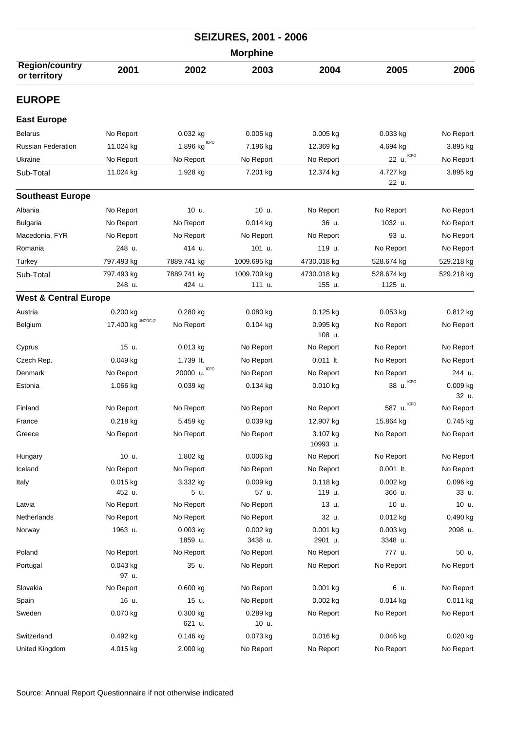|                                       | <b>SEIZURES, 2001 - 2006</b>   |                         |                       |                      |                       |                   |  |  |  |
|---------------------------------------|--------------------------------|-------------------------|-----------------------|----------------------|-----------------------|-------------------|--|--|--|
|                                       | <b>Morphine</b>                |                         |                       |                      |                       |                   |  |  |  |
| <b>Region/country</b><br>or territory | 2001                           | 2002                    | 2003                  | 2004                 | 2005                  | 2006              |  |  |  |
| <b>EUROPE</b>                         |                                |                         |                       |                      |                       |                   |  |  |  |
| <b>East Europe</b>                    |                                |                         |                       |                      |                       |                   |  |  |  |
| <b>Belarus</b>                        | No Report                      | 0.032 kg                | $0.005$ kg            | $0.005$ kg           | 0.033 kg              | No Report         |  |  |  |
| <b>Russian Federation</b>             | 11.024 kg                      | <b>ICPO</b><br>1.896 kg | 7.196 kg              | 12.369 kg            | 4.694 kg              | 3.895 kg          |  |  |  |
| Ukraine                               | No Report                      | No Report               | No Report             | No Report            | <b>ICPO</b><br>22 u.  | No Report         |  |  |  |
| Sub-Total                             | 11.024 kg                      | 1.928 kg                | 7.201 kg              | 12.374 kg            | 4.727 kg<br>22 u.     | 3.895 kg          |  |  |  |
| <b>Southeast Europe</b>               |                                |                         |                       |                      |                       |                   |  |  |  |
| Albania                               | No Report                      | 10 u.                   | 10 u.                 | No Report            | No Report             | No Report         |  |  |  |
| <b>Bulgaria</b>                       | No Report                      | No Report               | $0.014$ kg            | 36 u.                | 1032 u.               | No Report         |  |  |  |
| Macedonia, FYR                        | No Report                      | No Report               | No Report             | No Report            | 93 u.                 | No Report         |  |  |  |
| Romania                               | 248 u.                         | 414 u.                  | 101 u.                | 119 u.               | No Report             | No Report         |  |  |  |
| Turkey                                | 797.493 kg                     | 7889.741 kg             | 1009.695 kg           | 4730.018 kg          | 528.674 kg            | 529.218 kg        |  |  |  |
| Sub-Total                             | 797.493 kg                     | 7889.741 kg             | 1009.709 kg           | 4730.018 kg          | 528.674 kg            | 529.218 kg        |  |  |  |
|                                       | 248 u.                         | 424 u.                  | 111 u.                | 155 u.               | 1125 u.               |                   |  |  |  |
| <b>West &amp; Central Europe</b>      |                                |                         |                       |                      |                       |                   |  |  |  |
| Austria                               | $0.200$ kg                     | 0.280 kg                | $0.080$ kg            | $0.125$ kg           | $0.053$ kg            | 0.812 kg          |  |  |  |
| Belgium                               | 17.400 $kg^{\text{UNODC (2)}}$ | No Report               | $0.104$ kg            | 0.995 kg<br>108 u.   | No Report             | No Report         |  |  |  |
| Cyprus                                | 15 u.                          | 0.013 kg                | No Report             | No Report            | No Report             | No Report         |  |  |  |
| Czech Rep.                            | $0.049$ kg                     | 1.739 lt.               | No Report             | $0.011$ lt.          | No Report             | No Report         |  |  |  |
| Denmark                               | No Report                      | <b>ICPO</b><br>20000 u. | No Report             | No Report            | No Report             | 244 u.            |  |  |  |
| Estonia                               | 1.066 kg                       | 0.039 kg                | $0.134$ kg            | $0.010$ kg           | 38 u. ICPO            | 0.009 kg<br>32 u. |  |  |  |
| Finland                               | No Report                      | No Report               | No Report             | No Report            | ICPO<br>587 u.        | No Report         |  |  |  |
| France                                | 0.218 kg                       | 5.459 kg                | 0.039 kg              | 12.907 kg            | 15.864 kg             | 0.745 kg          |  |  |  |
| Greece                                | No Report                      | No Report               | No Report             | 3.107 kg<br>10993 u. | No Report             | No Report         |  |  |  |
| Hungary                               | 10 u.                          | 1.802 kg                | $0.006$ kg            | No Report            | No Report             | No Report         |  |  |  |
| Iceland                               | No Report                      | No Report               | No Report             | No Report            | $0.001$ lt.           | No Report         |  |  |  |
| Italy                                 | $0.015$ kg                     | 3.332 kg                | 0.009 kg              | 0.118 kg             | 0.002 kg              | 0.096 kg          |  |  |  |
|                                       | 452 u.                         | 5 u.                    | 57 u.                 | 119 u.               | 366 u.                | 33 u.             |  |  |  |
| Latvia                                | No Report                      | No Report               | No Report             | 13 u.                | 10 u.                 | 10 u.             |  |  |  |
| Netherlands                           | No Report                      | No Report               | No Report             | 32 u.                | 0.012 kg              | 0.490 kg          |  |  |  |
| Norway                                | 1963 u.                        | $0.003$ kg<br>1859 u.   | $0.002$ kg<br>3438 u. | 0.001 kg<br>2901 u.  | $0.003$ kg<br>3348 u. | 2098 u.           |  |  |  |
| Poland                                | No Report                      | No Report               | No Report             | No Report            | 777 u.                | 50 u.             |  |  |  |
| Portugal                              | $0.043$ kg<br>97 u.            | 35 u.                   | No Report             | No Report            | No Report             | No Report         |  |  |  |
| Slovakia                              | No Report                      | 0.600 kg                | No Report             | 0.001 kg             | 6 u.                  | No Report         |  |  |  |
| Spain                                 | 16 u.                          | 15 u.                   | No Report             | 0.002 kg             | 0.014 kg              | 0.011 kg          |  |  |  |
| Sweden                                | 0.070 kg                       | 0.300 kg<br>621 u.      | 0.289 kg<br>10 u.     | No Report            | No Report             | No Report         |  |  |  |
| Switzerland                           | 0.492 kg                       | 0.146 kg                | 0.073 kg              | 0.016 kg             | 0.046 kg              | 0.020 kg          |  |  |  |
| United Kingdom                        | 4.015 kg                       | 2.000 kg                | No Report             | No Report            | No Report             | No Report         |  |  |  |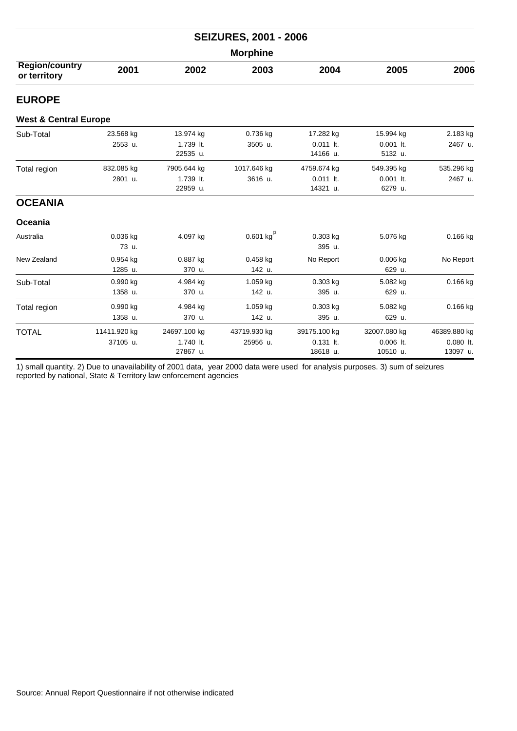|                                       | <b>SEIZURES, 2001 - 2006</b> |                                       |                            |                                         |                                         |                                         |  |  |  |  |
|---------------------------------------|------------------------------|---------------------------------------|----------------------------|-----------------------------------------|-----------------------------------------|-----------------------------------------|--|--|--|--|
| <b>Morphine</b>                       |                              |                                       |                            |                                         |                                         |                                         |  |  |  |  |
| <b>Region/country</b><br>or territory | 2001                         | 2002                                  | 2003                       | 2004                                    | 2005                                    | 2006                                    |  |  |  |  |
| <b>EUROPE</b>                         |                              |                                       |                            |                                         |                                         |                                         |  |  |  |  |
| <b>West &amp; Central Europe</b>      |                              |                                       |                            |                                         |                                         |                                         |  |  |  |  |
| Sub-Total                             | 23.568 kg<br>2553 u.         | 13.974 kg<br>1.739 lt.<br>22535 u.    | 0.736 kg<br>3505 u.        | 17.282 kg<br>$0.011$ lt.<br>14166 u.    | 15.994 kg<br>$0.001$ It.<br>5132 u.     | 2.183 kg<br>2467 u.                     |  |  |  |  |
| Total region                          | 832.085 kg<br>2801 u.        | 7905.644 kg<br>1.739 lt.<br>22959 u.  | 1017.646 kg<br>3616 u.     | 4759.674 kg<br>$0.011$ lt.<br>14321 u.  | 549.395 kg<br>$0.001$ lt.<br>6279 u.    | 535.296 kg<br>2467 u.                   |  |  |  |  |
| <b>OCEANIA</b>                        |                              |                                       |                            |                                         |                                         |                                         |  |  |  |  |
| Oceania                               |                              |                                       |                            |                                         |                                         |                                         |  |  |  |  |
| Australia                             | 0.036 kg<br>73 u.            | 4.097 kg                              | $0.601$ kg <sup>(3</sup> ) | 0.303 kg<br>395 u.                      | 5.076 kg                                | $0.166$ kg                              |  |  |  |  |
| New Zealand                           | 0.954 kg<br>1285 u.          | 0.887 kg<br>370 u.                    | $0.458$ kg<br>142 u.       | No Report                               | $0.006$ kg<br>629 u.                    | No Report                               |  |  |  |  |
| Sub-Total                             | 0.990 kg<br>1358 u.          | 4.984 kg<br>370 u.                    | 1.059 kg<br>142 u.         | 0.303 kg<br>395 u.                      | 5.082 kg<br>629 u.                      | 0.166 kg                                |  |  |  |  |
| Total region                          | 0.990 kg<br>1358 u.          | 4.984 kg<br>370 u.                    | 1.059 kg<br>142 u.         | 0.303 kg<br>395 u.                      | 5.082 kg<br>629 u.                      | 0.166 kg                                |  |  |  |  |
| <b>TOTAL</b>                          | 11411.920 kg<br>37105 u.     | 24697.100 kg<br>1.740 lt.<br>27867 u. | 43719.930 kg<br>25956 u.   | 39175.100 kg<br>$0.131$ lt.<br>18618 u. | 32007.080 kg<br>$0.006$ lt.<br>10510 u. | 46389.880 kg<br>$0.080$ lt.<br>13097 u. |  |  |  |  |

1) small quantity. 2) Due to unavailability of 2001 data, year 2000 data were used for analysis purposes. 3) sum of seizures reported by national, State & Territory law enforcement agencies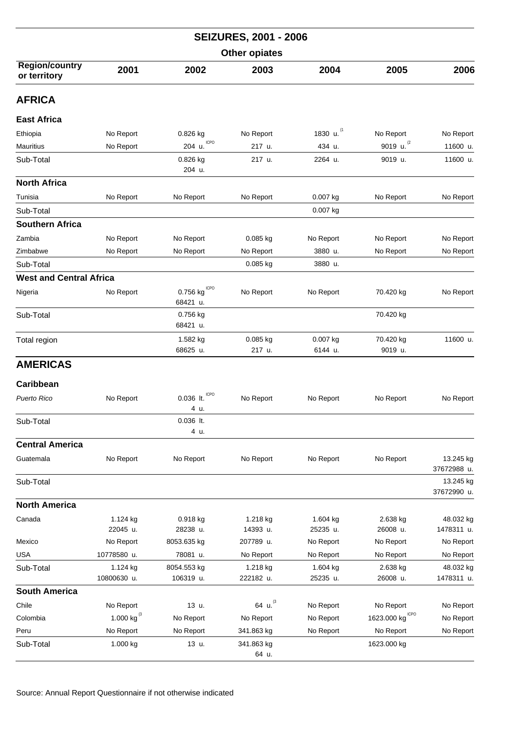|                                       |                         |                              | <b>SEIZURES, 2001 - 2006</b> |                      |                                    |                          |  |  |
|---------------------------------------|-------------------------|------------------------------|------------------------------|----------------------|------------------------------------|--------------------------|--|--|
| <b>Other opiates</b>                  |                         |                              |                              |                      |                                    |                          |  |  |
| <b>Region/country</b><br>or territory | 2001                    | 2002                         | 2003                         | 2004                 | 2005                               | 2006                     |  |  |
| <b>AFRICA</b>                         |                         |                              |                              |                      |                                    |                          |  |  |
| <b>East Africa</b>                    |                         |                              |                              |                      |                                    |                          |  |  |
| Ethiopia                              | No Report               | 0.826 kg                     | No Report                    | 1830 u.              | No Report                          | No Report                |  |  |
| Mauritius                             | No Report               | ICPO<br>204 u.               | 217 u.                       | 434 u.               | 9019 u. $^{(2)}$                   | 11600 u.                 |  |  |
| Sub-Total                             |                         | 0.826 kg<br>204 u.           | 217 u.                       | 2264 u.              | 9019 u.                            | 11600 u.                 |  |  |
| <b>North Africa</b>                   |                         |                              |                              |                      |                                    |                          |  |  |
| Tunisia                               | No Report               | No Report                    | No Report                    | 0.007 kg             | No Report                          | No Report                |  |  |
| Sub-Total                             |                         |                              |                              | 0.007 kg             |                                    |                          |  |  |
| <b>Southern Africa</b>                |                         |                              |                              |                      |                                    |                          |  |  |
| Zambia                                | No Report               | No Report                    | 0.085 kg                     | No Report            | No Report                          | No Report                |  |  |
| Zimbabwe                              | No Report               | No Report                    | No Report                    | 3880 u.              | No Report                          | No Report                |  |  |
| Sub-Total                             |                         |                              | $0.085$ kg                   | 3880 u.              |                                    |                          |  |  |
| <b>West and Central Africa</b>        |                         |                              |                              |                      |                                    |                          |  |  |
| Nigeria                               | No Report               | ICPO<br>0.756 kg<br>68421 u. | No Report                    | No Report            | 70.420 kg                          | No Report                |  |  |
| Sub-Total                             |                         | 0.756 kg<br>68421 u.         |                              |                      | 70.420 kg                          |                          |  |  |
| Total region                          |                         | 1.582 kg<br>68625 u.         | 0.085 kg<br>217 u.           | 0.007 kg<br>6144 u.  | 70.420 kg<br>9019 u.               | 11600 u.                 |  |  |
| <b>AMERICAS</b>                       |                         |                              |                              |                      |                                    |                          |  |  |
| Caribbean                             |                         |                              |                              |                      |                                    |                          |  |  |
| Puerto Rico                           | No Report               | $0.036$ lt.                  | No Report                    | No Report            | No Report                          | No Report                |  |  |
|                                       |                         | 4 u.                         |                              |                      |                                    |                          |  |  |
| Sub-Total                             |                         | 0.036 lt.<br>4 u.            |                              |                      |                                    |                          |  |  |
| <b>Central America</b>                |                         |                              |                              |                      |                                    |                          |  |  |
| Guatemala                             | No Report               | No Report                    | No Report                    | No Report            | No Report                          | 13.245 kg<br>37672988 u. |  |  |
| Sub-Total                             |                         |                              |                              |                      |                                    | 13.245 kg<br>37672990 u. |  |  |
| <b>North America</b>                  |                         |                              |                              |                      |                                    |                          |  |  |
| Canada                                | 1.124 kg<br>22045 u.    | 0.918 kg<br>28238 u.         | 1.218 kg<br>14393 u.         | 1.604 kg<br>25235 u. | 2.638 kg<br>26008 u.               | 48.032 kg<br>1478311 u.  |  |  |
| Mexico                                | No Report               | 8053.635 kg                  | 207789 u.                    | No Report            | No Report                          | No Report                |  |  |
| <b>USA</b>                            | 10778580 u.             | 78081 u.                     | No Report                    | No Report            | No Report                          | No Report                |  |  |
| Sub-Total                             | 1.124 kg<br>10800630 u. | 8054.553 kg<br>106319 u.     | 1.218 kg<br>222182 u.        | 1.604 kg<br>25235 u. | 2.638 kg<br>26008 u.               | 48.032 kg<br>1478311 u.  |  |  |
| <b>South America</b>                  |                         |                              |                              |                      |                                    |                          |  |  |
| Chile                                 | No Report               | 13 u.                        | 64 u.                        | No Report            | No Report                          | No Report                |  |  |
| Colombia                              | 1.000 kg $^{(3)}$       | No Report                    | No Report                    | No Report            | 1623.000 $\text{kg}^{\text{ICPO}}$ | No Report                |  |  |
| Peru                                  | No Report               | No Report                    | 341.863 kg                   | No Report            | No Report                          | No Report                |  |  |
| Sub-Total                             | 1.000 kg                | 13 u.                        | 341.863 kg<br>64 u.          |                      | 1623.000 kg                        |                          |  |  |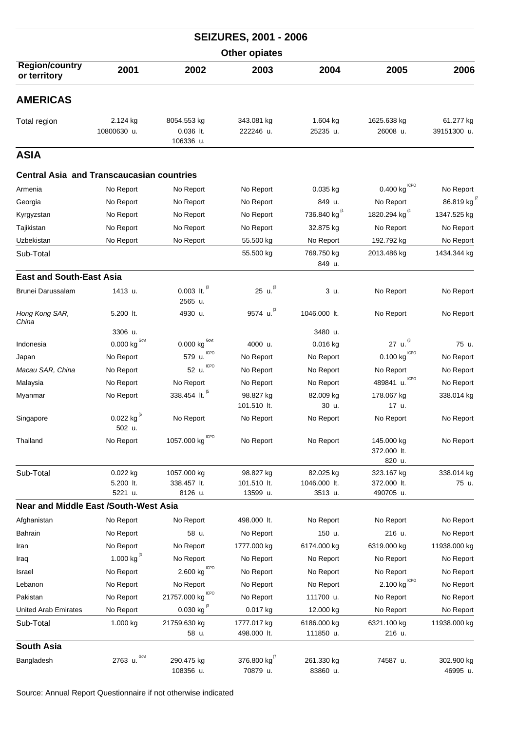|                                                  |                                |                                            | <b>SEIZURES, 2001 - 2006</b> |                          |                                     |                          |
|--------------------------------------------------|--------------------------------|--------------------------------------------|------------------------------|--------------------------|-------------------------------------|--------------------------|
|                                                  |                                |                                            | <b>Other opiates</b>         |                          |                                     |                          |
| <b>Region/country</b><br>or territory            | 2001                           | 2002                                       | 2003                         | 2004                     | 2005                                | 2006                     |
| <b>AMERICAS</b>                                  |                                |                                            |                              |                          |                                     |                          |
| Total region                                     | 2.124 kg<br>10800630 u.        | 8054.553 kg<br>$0.036$ lt.<br>106336 u.    | 343.081 kg<br>222246 u.      | 1.604 kg<br>25235 u.     | 1625.638 kg<br>26008 u.             | 61.277 kg<br>39151300 u. |
| <b>ASIA</b>                                      |                                |                                            |                              |                          |                                     |                          |
| <b>Central Asia and Transcaucasian countries</b> |                                |                                            |                              |                          |                                     |                          |
| Armenia                                          | No Report                      | No Report                                  | No Report                    | $0.035$ kg               | 0.400 kg                            | No Report                |
| Georgia                                          | No Report                      | No Report                                  | No Report                    | 849 u.                   | No Report                           | 86.819 kg                |
| Kyrgyzstan                                       | No Report                      | No Report                                  | No Report                    | 736.840 kg <sup>(4</sup> | 1820.294 kg <sup>(4</sup>           | 1347.525 kg              |
| Tajikistan                                       | No Report                      | No Report                                  | No Report                    | 32.875 kg                | No Report                           | No Report                |
| Uzbekistan                                       | No Report                      | No Report                                  | 55.500 kg                    | No Report                | 192.792 kg                          | No Report                |
| Sub-Total                                        |                                |                                            | 55.500 kg                    | 769.750 kg               | 2013.486 kg                         | 1434.344 kg              |
|                                                  |                                |                                            |                              | 849 u.                   |                                     |                          |
| <b>East and South-East Asia</b>                  |                                |                                            |                              |                          |                                     |                          |
| Brunei Darussalam                                | 1413 u.                        | $0.003\,$ lt. $^{(3}$<br>2565 u.           | 25 u. $^{(3)}$               | 3 u.                     | No Report                           | No Report                |
| Hong Kong SAR,<br>China                          | 5.200 lt.                      | 4930 u.                                    | 9574 u. (3                   | 1046.000 lt.             | No Report                           | No Report                |
|                                                  | 3306 u.                        |                                            |                              | 3480 u.                  |                                     |                          |
| Indonesia                                        | $0.000$ kg $^{\text{Govt}}$    | Govt<br>0.000 kg                           | 4000 u.                      | $0.016$ kg               | 27 u. $^{(3)}$                      | 75 u.                    |
| Japan                                            | No Report                      | <b>ICPO</b><br>579 u.                      | No Report                    | No Report                | $0.100$ kg $10^{10}$                | No Report                |
| Macau SAR, China                                 | No Report                      | ICPO<br>52 u.                              | No Report                    | No Report                | No Report                           | No Report                |
| Malaysia                                         | No Report                      | No Report                                  | No Report                    | No Report                | <b>ICPO</b><br>489841 u.            | No Report                |
| Myanmar                                          | No Report                      | 338.454 lt. (5                             | 98.827 kg<br>101.510 lt.     | 82.009 kg<br>30 u.       | 178.067 kg<br>17 u.                 | 338.014 kg               |
| Singapore                                        | 0.022 kg $^{(6)}$<br>502 u.    | No Report                                  | No Report                    | No Report                | No Report                           | No Report                |
| Thailand                                         | No Report                      | 1057.000 kg CPO                            | No Report                    | No Report                | 145.000 kg<br>372.000 lt.<br>820 u. | No Report                |
| Sub-Total                                        | 0.022 kg                       | 1057.000 kg                                | 98.827 kg                    | 82.025 kg                | 323.167 kg                          | 338.014 kg               |
|                                                  | 5.200 lt.                      | 338.457 lt.                                | 101.510 lt.                  | 1046.000 lt.             | 372.000 lt.                         | 75 u.                    |
|                                                  | 5221 u.                        | 8126 u.                                    | 13599 u.                     | 3513 u.                  | 490705 u.                           |                          |
| <b>Near and Middle East /South-West Asia</b>     |                                |                                            |                              |                          |                                     |                          |
| Afghanistan                                      | No Report                      | No Report                                  | 498.000 lt.                  | No Report                | No Report                           | No Report                |
| Bahrain                                          | No Report                      | 58 u.                                      | No Report                    | 150 u.                   | 216 u.                              | No Report                |
| Iran                                             | No Report<br>1.000 kg $^{(3)}$ | No Report                                  | 1777.000 kg                  | 6174.000 kg              | 6319.000 kg                         | 11938.000 kg             |
| Iraq                                             |                                | No Report<br>$2.600$ kg $\mathrm{^{ICPO}}$ | No Report                    | No Report                | No Report                           | No Report                |
| Israel                                           | No Report                      |                                            | No Report                    | No Report                | No Report                           | No Report                |
| Lebanon                                          | No Report                      | No Report                                  | No Report                    | No Report                | $2.100$ kg $\mathrm{^{ICPO}}$       | No Report                |
| Pakistan                                         | No Report                      | 21757.000 kg CPO                           | No Report                    | 111700 u.                | No Report                           | No Report                |
| United Arab Emirates                             | No Report                      | 0.030 kg $^{(3)}$                          | 0.017 kg                     | 12.000 kg                | No Report                           | No Report                |
| Sub-Total                                        | 1.000 kg                       | 21759.630 kg<br>58 u.                      | 1777.017 kg<br>498.000 lt.   | 6186.000 kg<br>111850 u. | 6321.100 kg<br>216 u.               | 11938.000 kg             |
| <b>South Asia</b>                                |                                |                                            |                              |                          |                                     |                          |
| Bangladesh                                       | 2763 $u.$ Govt                 | 290.475 kg                                 | 376.800 kg $^{(7)}$          | 261.330 kg               | 74587 u.                            | 302.900 kg               |
|                                                  |                                | 108356 u.                                  | 70879 u.                     | 83860 u.                 |                                     | 46995 u.                 |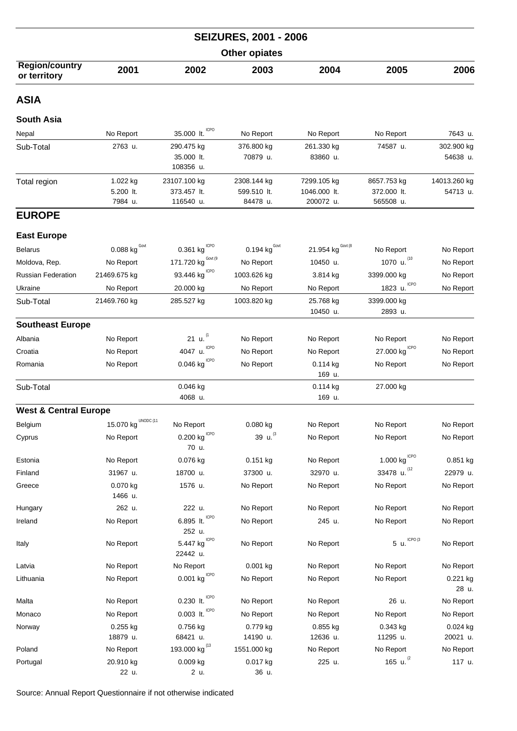| <b>SEIZURES, 2001 - 2006</b>          |                                  |                                          |                                        |                                          |                                         |                          |  |  |
|---------------------------------------|----------------------------------|------------------------------------------|----------------------------------------|------------------------------------------|-----------------------------------------|--------------------------|--|--|
|                                       |                                  |                                          | <b>Other opiates</b>                   |                                          |                                         |                          |  |  |
| <b>Region/country</b><br>or territory | 2001                             | 2002                                     | 2003                                   | 2004                                     | 2005                                    | 2006                     |  |  |
| <b>ASIA</b>                           |                                  |                                          |                                        |                                          |                                         |                          |  |  |
| <b>South Asia</b>                     |                                  |                                          |                                        |                                          |                                         |                          |  |  |
| Nepal                                 | No Report                        | 35.000 lt. ICPO                          | No Report                              | No Report                                | No Report                               | 7643 u.                  |  |  |
| Sub-Total                             | 2763 u.                          | 290.475 kg<br>35.000 lt.<br>108356 u.    | 376.800 kg<br>70879 u.                 | 261.330 kg<br>83860 u.                   | 74587 u.                                | 302.900 kg<br>54638 u.   |  |  |
| Total region                          | 1.022 kg<br>5.200 lt.<br>7984 u. | 23107.100 kg<br>373.457 lt.<br>116540 u. | 2308.144 kg<br>599.510 lt.<br>84478 u. | 7299.105 kg<br>1046.000 lt.<br>200072 u. | 8657.753 kg<br>372.000 lt.<br>565508 u. | 14013.260 kg<br>54713 u. |  |  |
| <b>EUROPE</b>                         |                                  |                                          |                                        |                                          |                                         |                          |  |  |
| <b>East Europe</b>                    |                                  |                                          |                                        |                                          |                                         |                          |  |  |
| <b>Belarus</b>                        | $0.088$ kg $\frac{Govt}{G}$      | 0.361 $\text{kg}^{\text{\tiny{lCPO}}}$   | 0.194 $\text{kg}^{\text{Govt}}$        | 21.954 kg $^{Gout (8)}$                  | No Report                               | No Report                |  |  |
| Moldova, Rep.                         | No Report                        | Govt (9<br>171.720 kg                    | No Report                              | 10450 u.                                 | 1070 u. (10)                            | No Report                |  |  |
| <b>Russian Federation</b>             | 21469.675 kg                     | 93.446 kg $^{ICPO}$                      | 1003.626 kg                            | 3.814 kg                                 | 3399.000 kg                             | No Report                |  |  |
| Ukraine                               | No Report                        | 20.000 kg                                | No Report                              | No Report                                | <b>ICPO</b><br>1823 u.                  | No Report                |  |  |
| Sub-Total                             | 21469.760 kg                     | 285.527 kg                               | 1003.820 kg                            | 25.768 kg<br>10450 u.                    | 3399.000 kg<br>2893 u.                  |                          |  |  |
| <b>Southeast Europe</b>               |                                  |                                          |                                        |                                          |                                         |                          |  |  |
| Albania                               | No Report                        | 21 u. $(1)$                              | No Report                              | No Report                                | No Report                               | No Report                |  |  |
| Croatia                               | No Report                        | <b>ICPO</b><br>4047 u.                   | No Report                              | No Report                                | 27.000 $\text{kg}^{\text{ICPO}}$        | No Report                |  |  |
| Romania                               | No Report                        | $0.046$ kg $10P0$                        | No Report                              | $0.114$ kg<br>169 u.                     | No Report                               | No Report                |  |  |
| Sub-Total                             |                                  | 0.046 kg<br>4068 u.                      |                                        | $0.114$ kg<br>169 u.                     | 27.000 kg                               |                          |  |  |
| <b>West &amp; Central Europe</b>      |                                  |                                          |                                        |                                          |                                         |                          |  |  |
| Belgium                               | UNODC (11<br>15.070 kg           | No Report                                | 0.080 kg                               | No Report                                | No Report                               | No Report                |  |  |
| Cyprus                                | No Report                        | $0.200$ kg $^{\mathrm{ICPO}}$<br>70 u.   | 39 $u^{3}$                             | No Report                                | No Report                               | No Report                |  |  |
| Estonia                               | No Report                        | 0.076 kg                                 | 0.151 kg                               | No Report                                | 1.000 $kg^{\text{ICPO}}$                | 0.851 kg                 |  |  |
| Finland                               | 31967 u.                         | 18700 u.                                 | 37300 u.                               | 32970 u.                                 | 33478 u. (12                            | 22979 u.                 |  |  |
| Greece                                | 0.070 kg<br>1466 u.              | 1576 u.                                  | No Report                              | No Report                                | No Report                               | No Report                |  |  |
| Hungary                               | 262 u.                           | 222 u.                                   | No Report                              | No Report                                | No Report                               | No Report                |  |  |
| Ireland                               | No Report                        | 6.895 It. $CPO$<br>252 u.                | No Report                              | 245 u.                                   | No Report                               | No Report                |  |  |
| Italy                                 | No Report                        | <b>ICPO</b><br>5.447 kg<br>22442 u.      | No Report                              | No Report                                | ICPO <sub>(3</sub><br>5 u.              | No Report                |  |  |
| Latvia                                | No Report                        | No Report                                | $0.001$ kg                             | No Report                                | No Report                               | No Report                |  |  |
| Lithuania                             | No Report                        | $0.001$ kg $CPO$                         | No Report                              | No Report                                | No Report                               | 0.221 kg<br>28 u.        |  |  |
| Malta                                 | No Report                        | 0.230 lt. $CPO$                          | No Report                              | No Report                                | 26 u.                                   | No Report                |  |  |
| Monaco                                | No Report                        | $0.003$ lt. $10^{10}$                    | No Report                              | No Report                                | No Report                               | No Report                |  |  |
| Norway                                | 0.255 kg<br>18879 u.             | 0.756 kg<br>68421 u.                     | 0.779 kg<br>14190 u.                   | 0.855 kg<br>12636 u.                     | 0.343 kg<br>11295 u.                    | 0.024 kg<br>20021 u.     |  |  |
| Poland                                | No Report                        | 193.000 kg <sup>(13</sup>                | 1551.000 kg                            | No Report                                | No Report                               | No Report                |  |  |
| Portugal                              | 20.910 kg<br>22 u.               | 0.009 kg<br>2 u.                         | 0.017 kg<br>36 u.                      | 225 u.                                   | 165 u. $^{(2)}$                         | 117 u.                   |  |  |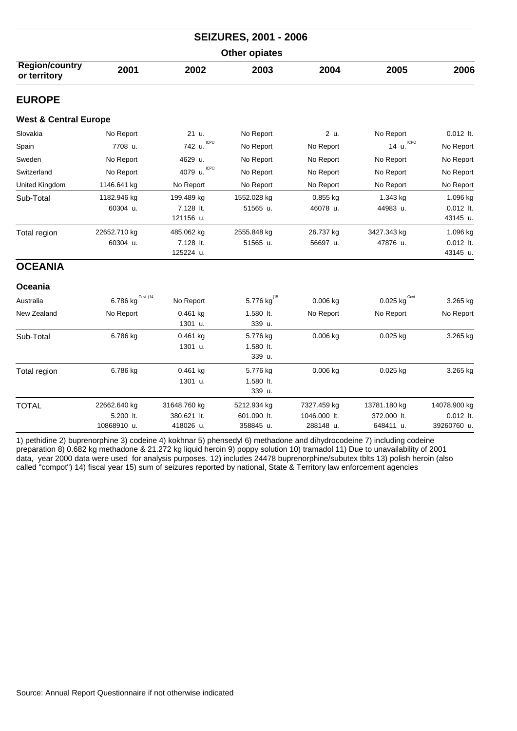| <b>SEIZURES, 2001 - 2006</b>          |                                          |                                          |                                         |                                          |                                          |                                          |  |  |
|---------------------------------------|------------------------------------------|------------------------------------------|-----------------------------------------|------------------------------------------|------------------------------------------|------------------------------------------|--|--|
| <b>Other opiates</b>                  |                                          |                                          |                                         |                                          |                                          |                                          |  |  |
| <b>Region/country</b><br>or territory | 2001                                     | 2002                                     | 2003                                    | 2004                                     | 2005                                     | 2006                                     |  |  |
| <b>EUROPE</b>                         |                                          |                                          |                                         |                                          |                                          |                                          |  |  |
| <b>West &amp; Central Europe</b>      |                                          |                                          |                                         |                                          |                                          |                                          |  |  |
| Slovakia                              | No Report                                | 21 u.                                    | No Report                               | 2 u.                                     | No Report                                | $0.012$ lt.                              |  |  |
| Spain                                 | 7708 u.                                  | <b>ICPO</b><br>742 u.                    | No Report                               | No Report                                | 14 u. ICPO                               | No Report                                |  |  |
| Sweden                                | No Report                                | 4629 u.                                  | No Report                               | No Report                                | No Report                                | No Report                                |  |  |
| Switzerland                           | No Report                                | <b>ICPO</b><br>4079 u.                   | No Report                               | No Report                                | No Report                                | No Report                                |  |  |
| United Kingdom                        | 1146.641 kg                              | No Report                                | No Report                               | No Report                                | No Report                                | No Report                                |  |  |
| Sub-Total                             | 1182.946 kg                              | 199.489 kg                               | 1552.028 kg                             | 0.855 kg                                 | 1.343 kg                                 | 1.096 kg                                 |  |  |
|                                       | 60304 u.                                 | 7.128 lt.<br>121156 u.                   | 51565 u.                                | 46078 u.                                 | 44983 u.                                 | 0.012 lt.<br>43145 u.                    |  |  |
| Total region                          | 22652.710 kg<br>60304 u.                 | 485.062 kg<br>7.128 lt.<br>125224 u.     | 2555.848 kg<br>51565 u.                 | 26.737 kg<br>56697 u.                    | 3427.343 kg<br>47876 u.                  | 1.096 kg<br>0.012 lt.<br>43145 u.        |  |  |
| <b>OCEANIA</b>                        |                                          |                                          |                                         |                                          |                                          |                                          |  |  |
| Oceania                               |                                          |                                          |                                         |                                          |                                          |                                          |  |  |
| Australia                             | 6.786 kg $^{Gout. (14)}$                 | No Report                                | 5.776 kg <sup>(15</sup>                 | 0.006 kg                                 | 0.025 kg $^{Govt}$                       | 3.265 kg                                 |  |  |
| New Zealand                           | No Report                                | 0.461 kg<br>1301 u.                      | 1.580 lt.<br>339 u.                     | No Report                                | No Report                                | No Report                                |  |  |
| Sub-Total                             | 6.786 kg                                 | $0.461$ kg<br>1301 u.                    | 5.776 kg<br>1.580 lt.<br>339 u.         | $0.006$ kg                               | $0.025$ kg                               | 3.265 kg                                 |  |  |
| Total region                          | 6.786 kg                                 | 0.461 kg<br>1301 u.                      | 5.776 kg<br>1.580 lt.<br>339 u.         | $0.006$ kg                               | 0.025 kg                                 | 3.265 kg                                 |  |  |
| <b>TOTAL</b>                          | 22662.640 kg<br>5.200 lt.<br>10868910 u. | 31648.760 kg<br>380.621 lt.<br>418026 u. | 5212.934 kg<br>601.090 lt.<br>358845 u. | 7327.459 kg<br>1046.000 lt.<br>288148 u. | 13781.180 kg<br>372.000 lt.<br>648411 u. | 14078.900 kg<br>0.012 lt.<br>39260760 u. |  |  |
|                                       |                                          |                                          |                                         |                                          |                                          |                                          |  |  |

1) pethidine 2) buprenorphine 3) codeine 4) kokhnar 5) phensedyl 6) methadone and dihydrocodeine 7) including codeine preparation 8) 0.682 kg methadone & 21.272 kg liquid heroin 9) poppy solution 10) tramadol 11) Due to unavailability of 2001 data, year 2000 data were used for analysis purposes. 12) includes 24478 buprenorphine/subutex tblts 13) polish heroin (also called "compot") 14) fiscal year 15) sum of seizures reported by national, State & Territory law enforcement agencies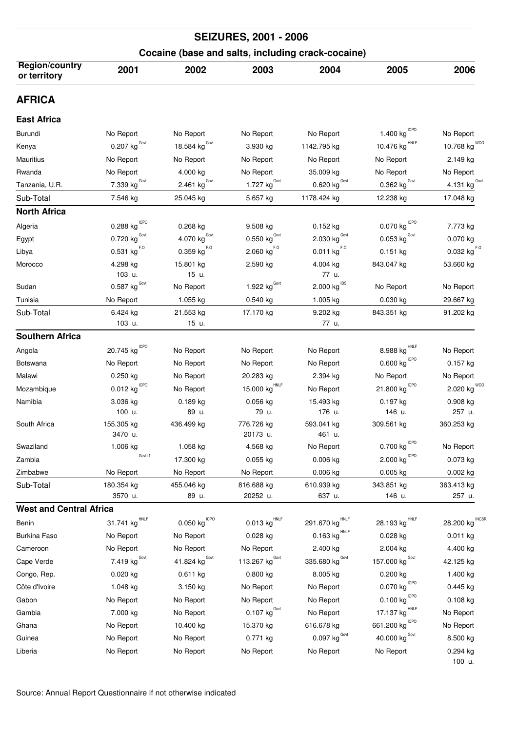| <b>SEIZURES, 2001 - 2006</b>          |                                        |                                         |                                     |                                                   |                                          |                                 |  |  |
|---------------------------------------|----------------------------------------|-----------------------------------------|-------------------------------------|---------------------------------------------------|------------------------------------------|---------------------------------|--|--|
|                                       |                                        |                                         |                                     | Cocaine (base and salts, including crack-cocaine) |                                          |                                 |  |  |
| <b>Region/country</b><br>or territory | 2001                                   | 2002                                    | 2003                                | 2004                                              | 2005                                     | 2006                            |  |  |
| <b>AFRICA</b>                         |                                        |                                         |                                     |                                                   |                                          |                                 |  |  |
| <b>East Africa</b>                    |                                        |                                         |                                     |                                                   |                                          |                                 |  |  |
| Burundi                               | No Report                              | No Report                               | No Report                           | No Report                                         | 1.400 $\text{kg}^{\text{ICPO}}$          | No Report                       |  |  |
| Kenya                                 | $0.207$ kg $^{Govt}$                   | 18.584 $kgGovt$                         | 3.930 kg                            | 1142.795 kg                                       | 10.476 kg HNLF                           | 10.768 $\text{kg}^{\text{WCO}}$ |  |  |
| <b>Mauritius</b>                      | No Report                              | No Report                               | No Report                           | No Report                                         | No Report                                | 2.149 kg                        |  |  |
| Rwanda                                | No Report                              | 4.000 kg                                | No Report                           | 35.009 kg                                         | No Report                                | No Report                       |  |  |
| Tanzania, U.R.                        | $7.339$ kg <sup>Govt</sup>             | $2.461$ kg <sup>Govt</sup>              | $1.727$ kg <sup>Govt</sup>          | $\underline{0.620}$ kg <sup>Govt</sup>            | $0.362$ kg <sup>Govt</sup>               | 4.131 kg <sup>Govt</sup>        |  |  |
| Sub-Total                             | 7.546 kg                               | 25.045 kg                               | 5.657 kg                            | 1178.424 kg                                       | 12.238 kg                                | 17.048 kg                       |  |  |
| <b>North Africa</b>                   |                                        |                                         |                                     |                                                   |                                          |                                 |  |  |
| Algeria                               | 0.288 $\text{kg}^{\text{\tiny{lCPO}}}$ | 0.268 kg                                | 9.508 kg                            | 0.152 kg                                          | 0.070 kg                                 | 7.773 kg                        |  |  |
| Egypt                                 | 0.720 $\text{kg}^{\text{Govt}}$        | $4.070$ $\text{kg}$ $^{\text{Govt}}$    | $0.550$ kg <sup>Govt</sup>          | $2.030$ $\text{kg}$ $^{\text{Govt}}$              | 0.053 $\text{kg}^{\text{Govt}}$          | 0.070 kg                        |  |  |
| Libya                                 | $0.531$ kg <sup>F.O</sup>              | $0.359$ kg <sup>F.O</sup>               | $2.060$ $\text{kg}^{\text{F.0}}$    | 0.011 kg <sup>F.0</sup>                           | $0.151$ kg                               | $0.032$ kg $F.0$                |  |  |
| Morocco                               | 4.298 kg<br>103 u.                     | 15.801 kg<br>15 u.                      | 2.590 kg                            | 4.004 kg<br>77 u.                                 | 843.047 kg                               | 53.660 kg                       |  |  |
| Sudan                                 | $0.587$ kg <sup>Govt</sup>             | No Report                               | 1.922 $kgGovt$                      | $2.000$ $\mathrm{kg}^{\text{IDS}}$                | No Report                                | No Report                       |  |  |
| Tunisia                               | No Report                              | 1.055 kg                                | 0.540 kg                            | 1.005 kg                                          | 0.030 kg                                 | 29.667 kg                       |  |  |
| Sub-Total                             | 6.424 kg<br>103 u.                     | 21.553 kg<br>15 u.                      | 17.170 kg                           | 9.202 kg<br>77 u.                                 | 843.351 kg                               | 91.202 kg                       |  |  |
| <b>Southern Africa</b>                |                                        |                                         |                                     |                                                   |                                          |                                 |  |  |
| Angola                                | 20.745 $\text{kg}^{\text{ICPO}}$       | No Report                               | No Report                           | No Report                                         | HNLF<br>8.988 kg                         | No Report                       |  |  |
| Botswana                              | No Report                              | No Report                               | No Report                           | No Report                                         | $0.600$ $\mathrm{kg}$ $^{\mathrm{ICPO}}$ | 0.157 kg                        |  |  |
| Malawi                                | 0.250 kg                               | No Report                               | 20.283 kg                           | 2.394 kg                                          | No Report                                | No Report                       |  |  |
| Mozambique                            | $0.012$ kg <sup>ICPO</sup>             | No Report                               | 15.000 $\text{kg}^{\text{HNLF}}$    | No Report                                         | <b>ICPO</b><br>21.800 kg                 | $2.020$ kg $^{\rm WCO}$         |  |  |
| Namibia                               | 3.036 kg<br>100 u.                     | $0.189$ kg<br>89 u.                     | $0.056$ kg<br>79 u.                 | 15.493 kg<br>176 u.                               | $0.197$ kg<br>146 u.                     | 0.908 kg<br>257 u.              |  |  |
| South Africa                          | 155.305 kg<br>3470 u.                  | 436.499 kg                              | 776.726 kg<br>20173 u.              | 593.041 kg<br>461 u.                              | 309.561 kg                               | 360.253 kg                      |  |  |
| Swaziland                             | 1.006 kg                               | 1.058 kg                                | 4.568 kg                            | No Report                                         | <b>ICPO</b><br>0.700 kg                  | No Report                       |  |  |
| Zambia                                | Govt (1                                | 17.300 kg                               | $0.055$ kg                          | 0.006 kg                                          | $2.000 \; \mathrm{kg}^{\mathrm{ICPO}}$   | $0.073$ kg                      |  |  |
| Zimbabwe                              | No Report                              | No Report                               | No Report                           | 0.006 kg                                          | 0.005 kg                                 | $0.002$ kg                      |  |  |
| Sub-Total                             | 180.354 kg<br>3570 u.                  | 455.046 kg<br>89 u.                     | 816.688 kg<br>20252 u.              | 610.939 kg<br>637 u.                              | 343.851 kg<br>146 u.                     | 363.413 kg<br>257 u.            |  |  |
| <b>West and Central Africa</b>        |                                        |                                         |                                     |                                                   |                                          |                                 |  |  |
| Benin                                 | 31.741 $\text{kg}^{\text{HNLF}}$       | $0.050$ $\mathrm{kg}^{\mathrm{\,ICPO}}$ | $0.013$ $\mathrm{kg}^\mathrm{HNLF}$ | 291.670 kg $^{\text{HNLF}}$                       | 28.193 $\text{kg}^{\text{HNLF}}$         | 28.200 kg INCSR                 |  |  |
| <b>Burkina Faso</b>                   | No Report                              | No Report                               | $0.028$ kg                          | $0.163$ $\mathrm{kg}^{\mathrm{HNLF}}$             | $0.028$ kg                               | 0.011 kg                        |  |  |
| Cameroon                              | No Report                              | No Report                               | No Report                           | 2.400 kg                                          | 2.004 kg                                 | 4.400 kg                        |  |  |
| Cape Verde                            | 7.419 $kg^{\text{Govt}}$               | 41.824 $kgGovt$                         | 113.267 $kg^{\text{Govt}}$          | 335.680 $kgGovt$                                  | 157.000 $\text{kg}^{\text{Govt}}$        | 42.125 kg                       |  |  |
| Congo, Rep.                           | $0.020$ kg                             | $0.611$ kg                              | $0.800$ kg                          | $8.005$ kg                                        | 0.200 kg                                 | 1.400 kg                        |  |  |
| Côte d'Ivoire                         | 1.048 kg                               | 3.150 kg                                | No Report                           | No Report                                         | $0.070$ kg <sup>ICPO</sup>               | $0.445$ kg                      |  |  |
| Gabon                                 | No Report                              | No Report                               | No Report                           | No Report                                         | $0.100$ kg $CPO$                         | 0.108 kg                        |  |  |
| Gambia                                | 7.000 kg                               | No Report                               | $0.107$ kg <sup>Govt</sup>          | No Report                                         | 17.137 $\text{kg}^{\text{HNLF}}$         | No Report                       |  |  |
| Ghana                                 | No Report                              | 10.400 kg                               | 15.370 kg                           | 616.678 kg                                        | 661.200 kg <sup>ICPO</sup>               | No Report                       |  |  |
| Guinea                                | No Report                              | No Report                               | 0.771 kg                            | 0.097 $\text{kg}^{\text{Govt}}$                   | 40.000 $\text{kg}^{\text{Govt}}$         | 8.500 kg                        |  |  |
| Liberia                               | No Report                              | No Report                               | No Report                           | No Report                                         | No Report                                | 0.294 kg<br>100 u.              |  |  |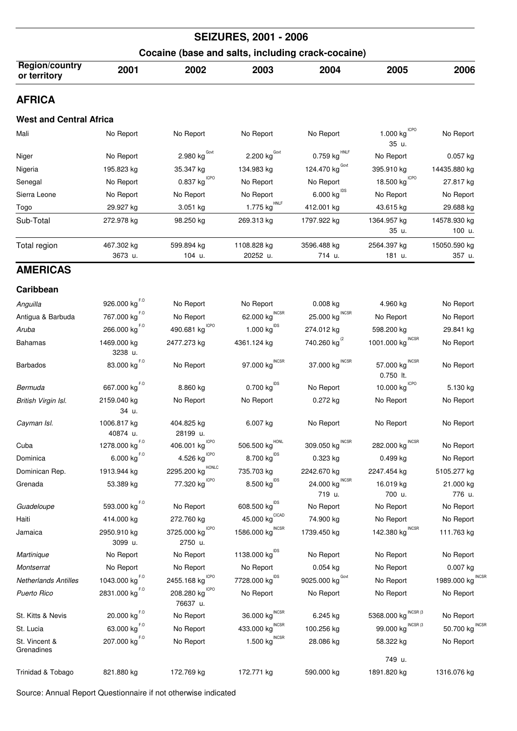| <b>SEIZURES, 2001 - 2006</b>                      |                                          |                                                      |                                         |                                       |                                                  |                        |  |  |
|---------------------------------------------------|------------------------------------------|------------------------------------------------------|-----------------------------------------|---------------------------------------|--------------------------------------------------|------------------------|--|--|
| Cocaine (base and salts, including crack-cocaine) |                                          |                                                      |                                         |                                       |                                                  |                        |  |  |
| <b>Region/country</b><br>or territory             | 2001                                     | 2002                                                 | 2003                                    | 2004                                  | 2005                                             | 2006                   |  |  |
| <b>AFRICA</b>                                     |                                          |                                                      |                                         |                                       |                                                  |                        |  |  |
| <b>West and Central Africa</b>                    |                                          |                                                      |                                         |                                       |                                                  |                        |  |  |
| Mali                                              | No Report                                | No Report                                            | No Report                               | No Report                             | $1.000$ $\mathrm{kg}^{\mathrm{\,ICPO}}$<br>35 u. | No Report              |  |  |
| Niger                                             | No Report                                | 2.980 $\text{kg}^{\text{Govt}}$                      | 2.200 $\text{kg}^{\text{Govt}}$         | $0.759$ kg <sup>HNLF</sup>            | No Report                                        | 0.057 kg               |  |  |
| Nigeria                                           | 195.823 kg                               | 35.347 kg                                            | 134.983 kg                              | 124.470 kg Govt                       | 395.910 kg                                       | 14435.880 kg           |  |  |
| Senegal                                           | No Report                                | $0.837$ kg <sup>ICPO</sup>                           | No Report                               | No Report                             | <b>ICPO</b><br>18.500 kg                         | 27.817 kg              |  |  |
| Sierra Leone                                      | No Report                                | No Report                                            | No Report                               | 6.000 kg <sup>IDS</sup>               | No Report                                        | No Report              |  |  |
| Togo                                              | 29.927 kg                                | 3.051 kg                                             | $1.775$ kg <sup>HNLF</sup>              | 412.001 kg                            | 43.615 kg                                        | 29.688 kg              |  |  |
| Sub-Total                                         | 272.978 kg                               | 98.250 kg                                            | 269.313 kg                              | 1797.922 kg                           | 1364.957 kg<br>35 u.                             | 14578.930 kg<br>100 u. |  |  |
| Total region                                      | 467.302 kg<br>3673 u.                    | 599.894 kg<br>104 u.                                 | 1108.828 kg<br>20252 u.                 | 3596.488 kg<br>714 u.                 | 2564.397 kg<br>181 u.                            | 15050.590 kg<br>357 u. |  |  |
| <b>AMERICAS</b>                                   |                                          |                                                      |                                         |                                       |                                                  |                        |  |  |
| Caribbean                                         |                                          |                                                      |                                         |                                       |                                                  |                        |  |  |
| Anguilla                                          | 926.000 kg <sup>F.0</sup>                | No Report                                            | No Report                               | $0.008$ kg                            | 4.960 kg                                         | No Report              |  |  |
| Antigua & Barbuda                                 | 767.000 kg <sup>F.0</sup>                | No Report                                            | 62.000 $\text{kg}^{\text{INCSR}}$       | 25.000 $\text{kg}^{\text{INCSR}}$     | No Report                                        | No Report              |  |  |
| Aruba                                             | 266.000 $\text{kg}^{F.0}$                | 490.681 $kgICPO$                                     | 1.000 $\text{kg}^{\text{IDS}}$          | 274.012 kg                            | 598.200 kg                                       | 29.841 kg              |  |  |
| Bahamas                                           | 1469.000 kg<br>3238 u.                   | 2477.273 kg                                          | 4361.124 kg                             | 740.260 kg <sup>(2</sup>              | 1001.000 $\text{kg}^{\text{INCSR}}$              | No Report              |  |  |
| <b>Barbados</b>                                   | 83.000 $\text{kg}^{\text{F},\text{O}}$   | No Report                                            | 97.000 $\text{kg}^{\text{INCSR}}$       | 37.000 $\text{kg}^{\text{INCSR}}$     | <b>INCSR</b><br>57.000 kg<br>$0.750$ lt.         | No Report              |  |  |
| Bermuda                                           | 667.000 kg <sup>F.0</sup>                | 8.860 kg                                             | $0.700$ kg $^{1DS}$                     | No Report                             | 10.000 kg $C^{CPO}$                              | 5.130 kg               |  |  |
| British Virgin Isl.                               | 2159.040 kg<br>34 u.                     | No Report                                            | No Report                               | 0.272 kg                              | No Report                                        | No Report              |  |  |
| Cayman Isl.                                       | 1006.817 kg<br>40874 u.                  | 404.825 kg<br>28199 u.                               | 6.007 kg                                | No Report                             | No Report                                        | No Report              |  |  |
| Cuba                                              | 1278.000 $\text{kg}^{\text{F},\text{O}}$ | <b>ICPO</b><br>406.001 kg                            | $506.500$ $\mathrm{kg}^{\mathrm{HONL}}$ | 309.050 kg $^{\text{INCSR}}$          | <b>INCSR</b><br>282.000 kg                       | No Report              |  |  |
| Dominica                                          | $6.000$ $\text{kg}^{\text{F},\text{O}}$  | $4.526$ kg <sup>ICPO</sup>                           | 8.700 $\text{kg}^{\text{IDS}}$          | 0.323 kg                              | 0.499 kg                                         | No Report              |  |  |
| Dominican Rep.                                    | 1913.944 kg                              | HONLC<br>2295.200 kg                                 | 735.703 kg                              | 2242.670 kg                           | 2247.454 kg                                      | 5105.277 kg            |  |  |
| Grenada                                           | 53.389 kg                                | 77.320 $kg^{ICPO}$                                   | $8.500 \; \mathrm{kg}^{\text{IDS}}$     | 24.000 kg $^{\text{INCSR}}$<br>719 u. | 16.019 kg<br>700 u.                              | 21.000 kg<br>776 u.    |  |  |
| Guadeloupe                                        | 593.000 kg <sup>F.0</sup>                | No Report                                            | $608.500$ $\mathrm{kg}^\mathrm{IDS}$    | No Report                             | No Report                                        | No Report              |  |  |
| Haiti                                             | 414.000 kg                               | 272.760 kg                                           | $45.000 \ kg^\text{CICAD}$              | 74.900 kg                             | No Report                                        | No Report              |  |  |
| Jamaica                                           | 2950.910 kg<br>3099 u.                   | <b>ICPO</b><br>3725.000 kg<br>2750 u.                | 1586.000 $\text{kg}^{\text{INCSR}}$     | 1739.450 kg                           | 142.380 kg $^{\text{INCSR}}$                     | 111.763 kg             |  |  |
| Martinique                                        | No Report                                | No Report                                            | 1138.000 kg <sup>IDS</sup>              | No Report                             | No Report                                        | No Report              |  |  |
| Montserrat                                        | No Report                                | No Report                                            | No Report                               | 0.054 kg                              | No Report                                        | 0.007 kg               |  |  |
| <b>Netherlands Antilles</b>                       | 1043.000 kg <sup>F.0</sup>               | 2455.168 kg $^{ICPO}$                                | 7728.000 kg <sup>IDS</sup>              | 9025.000 kg Covt                      | No Report                                        | 1989.000 kg INCSR      |  |  |
| Puerto Rico                                       | 2831.000 kg $^{F.0}$                     | 208.280 $\text{kg}^{\text{\tiny{lCPO}}}$<br>76637 u. | No Report                               | No Report                             | No Report                                        | No Report              |  |  |
| St. Kitts & Nevis                                 | 20.000 $\text{kg}^{\text{F},\text{O}}$   | No Report                                            | <b>INCSR</b><br>36.000 kg               | 6.245 kg                              | 5368.000 kg $^{INCSR(3)}$                        | No Report              |  |  |
| St. Lucia                                         | 63.000 $kg^{F,0}$                        | No Report                                            | 433.000 $\text{kg}^{\text{INCSR}}$      | 100.256 kg                            | 99.000 $\text{kg}^{\text{NCSR}\left(3\right)}$   | 50.700 kg INCSR        |  |  |
| St. Vincent &<br>Grenadines                       | 207.000 kg <sup>F.0</sup>                | No Report                                            | 1.500 $\text{kg}^{\text{INCSR}}$        | 28.086 kg                             | 58.322 kg<br>749 u.                              | No Report              |  |  |

Trinidad & Tobago 821.880 kg 172.769 kg 172.771 kg 590.000 kg 1891.820 kg 1316.076 kg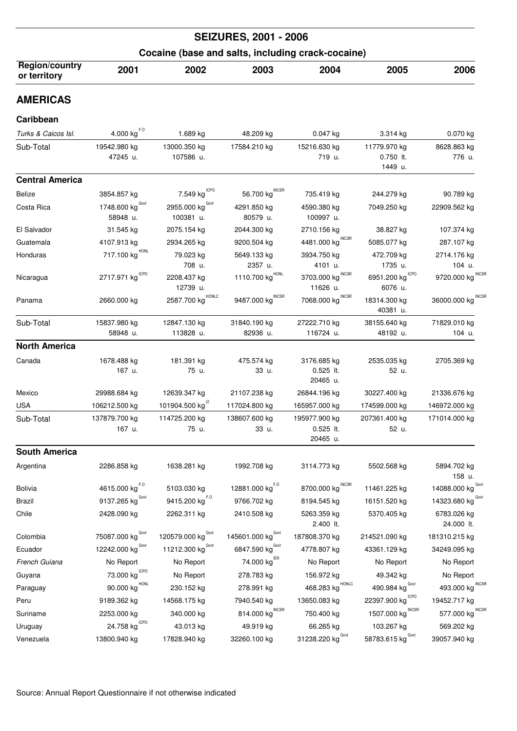|                                       | <b>SEIZURES, 2001 - 2006</b>        |                                                   |                                                   |                                                 |                                        |                                     |  |  |
|---------------------------------------|-------------------------------------|---------------------------------------------------|---------------------------------------------------|-------------------------------------------------|----------------------------------------|-------------------------------------|--|--|
|                                       |                                     | Cocaine (base and salts, including crack-cocaine) |                                                   |                                                 |                                        |                                     |  |  |
| <b>Region/country</b><br>or territory | 2001                                | 2002                                              | 2003                                              | 2004                                            | 2005                                   | 2006                                |  |  |
| <b>AMERICAS</b>                       |                                     |                                                   |                                                   |                                                 |                                        |                                     |  |  |
| Caribbean                             |                                     |                                                   |                                                   |                                                 |                                        |                                     |  |  |
| Turks & Caicos Isl.                   | $4.000$ kg <sup>F.O</sup>           | 1.689 kg                                          | 48.209 kg                                         | 0.047 kg                                        | 3.314 kg                               | 0.070 kg                            |  |  |
| Sub-Total                             | 19542.980 kg<br>47245 u.            | 13000.350 kg<br>107586 u.                         | 17584.210 kg                                      | 15216.630 kg<br>719 u.                          | 11779.970 kg<br>$0.750$ lt.<br>1449 u. | 8628.863 kg<br>776 u.               |  |  |
| <b>Central America</b>                |                                     |                                                   |                                                   |                                                 |                                        |                                     |  |  |
| <b>Belize</b>                         | 3854.857 kg                         | 7.549 $\mathrm{kg}^{\mathrm{ICPO}}$               | 56.700 $\text{kg}^{\text{INCSR}}$                 | 735.419 kg                                      | 244.279 kg                             | 90.789 kg                           |  |  |
| Costa Rica                            | 1748.600 kg Govt<br>58948 u.        | 2955.000 $\text{kg}^{\text{Govt}}$<br>100381 u.   | 4291.850 kg<br>80579 u.                           | 4590.380 kg<br>100997 u.                        | 7049.250 kg                            | 22909.562 kg                        |  |  |
| El Salvador                           | 31.545 kg                           | 2075.154 kg                                       | 2044.300 kg                                       | 2710.156 kg                                     | 38.827 kg                              | 107.374 kg                          |  |  |
| Guatemala                             | 4107.913 kg                         | 2934.265 kg                                       | 9200.504 kg                                       | 4481.000 kg                                     | 5085.077 kg                            | 287.107 kg                          |  |  |
| Honduras                              | 717.100 kg <sup>HONL</sup>          | 79.023 kg                                         | 5649.133 kg                                       | 3934.750 kg                                     | 472.709 kg                             | 2714.176 kg                         |  |  |
| Nicaragua                             | 2717.971 $\text{kg}^{\text{ICPO}}$  | 708 u.<br>2208.437 kg                             | 2357 u.<br>1110.700 $\mathrm{kg}^{\mathrm{HONL}}$ | 4101 u.<br><b>INCSR</b><br>3703.000 kg          | 1735 u.<br>6951.200 kg <sup>ICPO</sup> | 104 u.<br>9720.000 kg INCSR         |  |  |
| Panama                                | 2660.000 kg                         | 12739 u.<br>2587.700 kg <sup>HONLC</sup>          | 9487.000 kg <sup>INCSR</sup>                      | 11626 u.<br>7068.000 $\text{kg}^{\text{INCSR}}$ | 6076 u.<br>18314.300 kg<br>40381 u.    | 36000.000 kg INCSR                  |  |  |
| Sub-Total                             | 15837.980 kg                        | 12847.130 kg                                      | 31840.190 kg                                      | 27222.710 kg                                    | 38155.640 kg                           | 71829.010 kg                        |  |  |
|                                       | 58948 u.                            | 113828 u.                                         | 82936 u.                                          | 116724 u.                                       | 48192 u.                               | 104 u.                              |  |  |
| <b>North America</b>                  |                                     |                                                   |                                                   |                                                 |                                        |                                     |  |  |
| Canada                                | 1678.488 kg<br>167 u.               | 181.391 kg<br>75 u.                               | 475.574 kg<br>33 u.                               | 3176.685 kg<br>$0.525$ It.<br>20465 u.          | 2535.035 kg<br>52 u.                   | 2705.369 kg                         |  |  |
| Mexico                                | 29988.684 kg                        | 12639.347 kg                                      | 21107.238 kg                                      | 26844.196 kg                                    | 30227.400 kg                           | 21336.676 kg                        |  |  |
| <b>USA</b>                            | 106212.500 kg                       | 101904.500 kg <sup>(2</sup> )                     | 117024.800 kg                                     | 165957.000 kg                                   | 174599.000 kg                          | 146972.000 kg                       |  |  |
| Sub-Total                             | 137879.700 kg<br>167 u.             | 114725.200 kg<br>75 u.                            | 138607.600 kg<br>33 u.                            | 195977.900 kg<br>$0.525$ lt.<br>20465 u.        | 207361.400 kg<br>52 u.                 | 171014.000 kg                       |  |  |
| <b>South America</b>                  |                                     |                                                   |                                                   |                                                 |                                        |                                     |  |  |
| Argentina                             | 2286.858 kg                         | 1638.281 kg                                       | 1992.708 kg                                       | 3114.773 kg                                     | 5502.568 kg                            | 5894.702 kg<br>158 u.               |  |  |
| <b>Bolivia</b>                        | 4615.000 kg <sup>F.0</sup>          | 5103.030 kg                                       | 12881.000 $\text{kg}^{\text{F},\text{O}}$         | 8700.000 $\text{kg}^{\text{INCSR}}$             | 11461.225 kg                           | 14088.000 $\text{kg}^{\text{Govt}}$ |  |  |
| Brazil                                | 9137.265 kg Govt                    | 9415.200 kg <sup>F.0</sup>                        | 9766.702 kg                                       | 8194.545 kg                                     | 16151.520 kg                           | 14323.680 kg Govt                   |  |  |
| Chile                                 | 2428.090 kg                         | 2262.311 kg                                       | 2410.508 kg                                       | 5263.359 kg<br>2.400 lt.                        | 5370.405 kg                            | 6783.026 kg<br>24.000 lt.           |  |  |
| Colombia                              | 75087.000 kg Govt                   | 120579.000 kg Govt                                | 145601.000 kg <sup>Govt</sup>                     | 187808.370 kg                                   | 214521.090 kg                          | 181310.215 kg                       |  |  |
| Ecuador                               | 12242.000 $\text{kg}^{\text{Govt}}$ | 11212.300 $\text{kg}^{\text{Govt}}$               | 6847.590 kg <sup>Govt</sup>                       | 4778.807 kg                                     | 43361.129 kg                           | 34249.095 kg                        |  |  |
| French Guiana                         | No Report                           | No Report                                         | 74.000 kg <sup>IDS</sup>                          | No Report                                       | No Report                              | No Report                           |  |  |
| Guyana                                | 73.000 $\text{kg}^{\text{ICPO}}$    | No Report                                         | 278.783 kg                                        | 156.972 kg                                      | 49.342 kg                              | No Report                           |  |  |
| Paraguay                              | 90.000 kg HONL                      | 230.152 kg                                        | 278.991 kg                                        | 468.283 $kg$ <sup>HONLC</sup>                   | 490.984 kg Govt                        | 493.000 kg INCSR                    |  |  |
| Peru                                  | 9189.362 kg                         | 14568.175 kg                                      | 7940.540 kg                                       | 13650.083 kg                                    | 22397.900 kg                           | 19452.717 kg                        |  |  |
| Suriname                              | 2253.000 kg                         | 340.000 kg                                        | <b>INCSR</b><br>814.000 kg                        | 750.400 kg                                      | <b>INCSR</b><br>1507.000 kg            | <b>INCSF</b><br>577.000 kg          |  |  |
| Uruguay                               | 24.758 kg CPO                       | 43.013 kg                                         | 49.919 kg                                         | 66.265 kg                                       | 103.267 kg                             | 569.202 kg                          |  |  |
| Venezuela                             | 13800.940 kg                        | 17828.940 kg                                      | 32260.100 kg                                      | 31238.220 kg Govt                               | 58783.615 kg Govt                      | 39057.940 kg                        |  |  |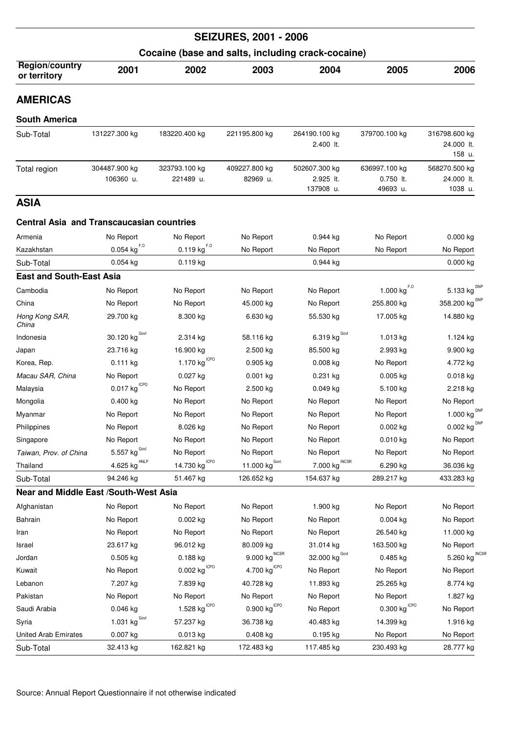|                                                   |                                  |                                         | <b>SEIZURES, 2001 - 2006</b>          |                                          |                                         |                                        |  |  |  |
|---------------------------------------------------|----------------------------------|-----------------------------------------|---------------------------------------|------------------------------------------|-----------------------------------------|----------------------------------------|--|--|--|
| Cocaine (base and salts, including crack-cocaine) |                                  |                                         |                                       |                                          |                                         |                                        |  |  |  |
| <b>Region/country</b><br>or territory             | 2001                             | 2002                                    | 2003                                  | 2004                                     | 2005                                    | 2006                                   |  |  |  |
| <b>AMERICAS</b>                                   |                                  |                                         |                                       |                                          |                                         |                                        |  |  |  |
| <b>South America</b>                              |                                  |                                         |                                       |                                          |                                         |                                        |  |  |  |
| Sub-Total                                         | 131227.300 kg                    | 183220.400 kg                           | 221195.800 kg                         | 264190.100 kg<br>2.400 lt.               | 379700.100 kg                           | 316798.600 kg<br>24.000 lt.<br>158 u.  |  |  |  |
| Total region                                      | 304487.900 kg<br>106360 u.       | 323793.100 kg<br>221489 u.              | 409227.800 kg<br>82969 u.             | 502607.300 kg<br>2.925 lt.<br>137908 u.  | 636997.100 kg<br>0.750 lt.<br>49693 u.  | 568270.500 kg<br>24.000 lt.<br>1038 u. |  |  |  |
| <b>ASIA</b>                                       |                                  |                                         |                                       |                                          |                                         |                                        |  |  |  |
| <b>Central Asia and Transcaucasian countries</b>  |                                  |                                         |                                       |                                          |                                         |                                        |  |  |  |
| Armenia                                           | No Report                        | No Report                               | No Report                             | 0.944 kg                                 | No Report                               | 0.000 kg                               |  |  |  |
| Kazakhstan                                        | $0.054 \text{ kg}^{F.0}$         | $0.119$ kg <sup>FO</sup>                | No Report                             | No Report                                | No Report                               | No Report                              |  |  |  |
| Sub-Total                                         | $0.054$ kg                       | $0.119$ kg                              |                                       | $0.944$ kg                               |                                         | 0.000 kg                               |  |  |  |
| <b>East and South-East Asia</b>                   |                                  |                                         |                                       |                                          |                                         |                                        |  |  |  |
| Cambodia                                          | No Report                        | No Report                               | No Report                             | No Report                                | $1.000$ $\text{kg}^{\text{F},\text{O}}$ | DNP<br>5.133 kg                        |  |  |  |
| China                                             | No Report                        | No Report                               | 45.000 kg                             | No Report                                | 255.800 kg                              | 358.200 $\text{kg}^{\text{DNP}}$       |  |  |  |
| Hong Kong SAR,<br>China                           | 29.700 kg                        | 8.300 kg                                | 6.630 kg                              | 55.530 kg                                | 17.005 kg                               | 14.880 kg                              |  |  |  |
| Indonesia                                         | 30.120 $\text{kg}^{\text{Govt}}$ | 2.314 kg                                | 58.116 kg                             | $6.319$ $\mathrm{kg}$ $^{\mathrm{Govt}}$ | 1.013 kg                                | 1.124 kg                               |  |  |  |
| Japan                                             | 23.716 kg                        | 16.900 kg                               | 2.500 kg                              | 85.500 kg                                | 2.993 kg                                | 9.900 kg                               |  |  |  |
| Korea, Rep.                                       | $0.111$ kg                       | $1.170$ kg <sup>ICPO</sup>              | $0.905$ kg                            | $0.008$ kg                               | No Report                               | 4.772 kg                               |  |  |  |
| Macau SAR, China                                  | No Report                        | $0.027$ kg                              | $0.001$ kg                            | $0.231$ kg                               | $0.005$ kg                              | $0.018$ kg                             |  |  |  |
| Malaysia                                          | $0.017$ kg <sup>ICPO</sup>       | No Report                               | 2.500 kg                              | $0.049$ kg                               | 5.100 kg                                | 2.218 kg                               |  |  |  |
| Mongolia                                          | 0.400 kg                         | No Report                               | No Report                             | No Report                                | No Report                               | No Report                              |  |  |  |
| Myanmar                                           | No Report                        | No Report                               | No Report                             | No Report                                | No Report                               | 1.000 $\text{kg}^{\text{DNP}}$         |  |  |  |
| Philippines                                       | No Report                        | 8.026 kg                                | No Report                             | No Report                                | 0.002 kg                                | $0.002$ kg $^{\text{DNP}}$             |  |  |  |
| Singapore                                         | No Report                        | No Report                               | No Report                             | No Report                                | $0.010$ kg                              | No Report                              |  |  |  |
| Taiwan, Prov. of China                            | 5.557 $kg^{\text{Govt}}$         | No Report                               | No Report                             | No Report                                | No Report                               | No Report                              |  |  |  |
| Thailand                                          | $4.625$ kg <sup>HNLP</sup>       | 14.730 kg <sup>ICPO</sup>               | 11.000 kg <sup>Govt.</sup>            | $7.000$ kg $^{\text{NCSR}}$              | 6.290 kg                                | 36.036 kg                              |  |  |  |
| Sub-Total                                         | 94.246 kg                        | 51.467 kg                               | 126.652 kg                            | 154.637 kg                               | 289.217 kg                              | 433.283 kg                             |  |  |  |
| Near and Middle East /South-West Asia             |                                  |                                         |                                       |                                          |                                         |                                        |  |  |  |
| Afghanistan                                       | No Report                        | No Report                               | No Report                             | 1.900 kg                                 | No Report                               | No Report                              |  |  |  |
| Bahrain                                           | No Report                        | 0.002 kg                                | No Report                             | No Report                                | 0.004 kg                                | No Report                              |  |  |  |
| Iran                                              | No Report                        | No Report                               | No Report                             | No Report                                | 26.540 kg                               | 11.000 kg                              |  |  |  |
| Israel                                            | 23.617 kg                        | 96.012 kg                               | 80.009 kg                             | 31.014 kg                                | 163.500 kg                              | No Report                              |  |  |  |
| Jordan                                            | $0.505$ kg                       | 0.188 kg                                | $9.000 \text{ kg}^{\text{INCSR}}$     | 32.000 $\text{kg}^{\text{Govt}}$         | 0.485 kg                                | 5.260 kg $^{\text{NCSR}}$              |  |  |  |
| Kuwait                                            | No Report                        | $0.002$ $\mathrm{kg}^{\mathrm{\,ICPO}}$ | $4.700$ $\mathrm{kg}^{\mathrm{ICPO}}$ | No Report                                | No Report                               | No Report                              |  |  |  |
| Lebanon                                           | 7.207 kg                         | 7.839 kg                                | 40.728 kg                             | 11.893 kg                                | 25.265 kg                               | 8.774 kg                               |  |  |  |
| Pakistan                                          | No Report                        | No Report                               | No Report                             | No Report                                | No Report                               | 1.827 kg                               |  |  |  |
| Saudi Arabia                                      | $0.046$ kg                       | $1.528$ kg <sup>ICPO</sup>              | 0.900 kg <sup>ICPO</sup>              | No Report                                | $0.300$ $\mathrm{kg}^{\mathrm{\,ICPO}}$ | No Report                              |  |  |  |
| Syria                                             | 1.031 $kg^{\text{Govt}}$         | 57.237 kg                               | 36.738 kg                             | 40.483 kg                                | 14.399 kg                               | 1.916 kg                               |  |  |  |
| <b>United Arab Emirates</b>                       | 0.007 kg                         | 0.013 kg                                | 0.408 kg                              | 0.195 kg                                 | No Report                               | No Report                              |  |  |  |
| Sub-Total                                         | 32.413 kg                        | 162.821 kg                              | 172.483 kg                            | 117.485 kg                               | 230.493 kg                              | 28.777 kg                              |  |  |  |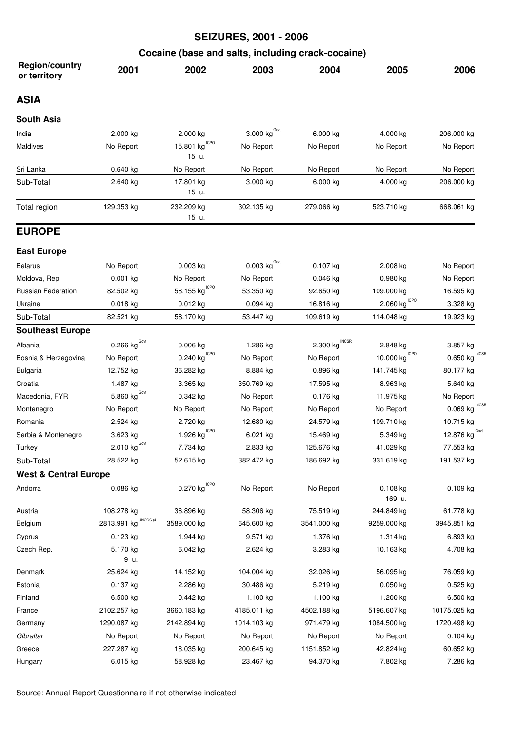| <b>SEIZURES, 2001 - 2006</b><br>Cocaine (base and salts, including crack-cocaine) |                                 |                            |                                   |                                 |                          |                          |  |  |
|-----------------------------------------------------------------------------------|---------------------------------|----------------------------|-----------------------------------|---------------------------------|--------------------------|--------------------------|--|--|
|                                                                                   |                                 |                            |                                   |                                 |                          |                          |  |  |
| ASIA                                                                              |                                 |                            |                                   |                                 |                          |                          |  |  |
| South Asia                                                                        |                                 |                            |                                   |                                 |                          |                          |  |  |
| India                                                                             | 2.000 kg                        | 2.000 kg                   | $3.000$ $\text{kg}^{\text{Govt}}$ | 6.000 kg                        | 4.000 kg                 | 206.000 kg               |  |  |
| Maldives                                                                          | No Report                       | 15.801 kg CPO<br>15 u.     | No Report                         | No Report                       | No Report                | No Report                |  |  |
| Sri Lanka                                                                         | $0.640$ kg                      | No Report                  | No Report                         | No Report                       | No Report                | No Report                |  |  |
| Sub-Total                                                                         | 2.640 kg                        | 17.801 kg<br>15 u.         | 3.000 kg                          | 6.000 kg                        | 4.000 kg                 | 206.000 kg               |  |  |
| Total region                                                                      | 129.353 kg                      | 232.209 kg<br>15 u.        | 302.135 kg                        | 279.066 kg                      | 523.710 kg               | 668.061 kg               |  |  |
| <b>EUROPE</b>                                                                     |                                 |                            |                                   |                                 |                          |                          |  |  |
| <b>East Europe</b>                                                                |                                 |                            |                                   |                                 |                          |                          |  |  |
| <b>Belarus</b>                                                                    | No Report                       | 0.003 kg                   | 0.003 $\text{kg}^{\text{Govt}}$   | 0.107 kg                        | 2.008 kg                 | No Report                |  |  |
| Moldova, Rep.                                                                     | $0.001$ kg                      | No Report                  | No Report                         | $0.046$ kg                      | $0.980$ kg               | No Report                |  |  |
| <b>Russian Federation</b>                                                         | 82.502 kg                       | 58.155 $kgICPO$            | 53.350 kg                         | 92.650 kg                       | 109.000 kg               | 16.595 kg                |  |  |
| Ukraine                                                                           | 0.018 kg                        | 0.012 kg                   | $0.094$ kg                        | 16.816 kg                       | <b>ICPO</b><br>2.060 kg  | 3.328 kg                 |  |  |
| Sub-Total                                                                         | 82.521 kg                       | 58.170 kg                  | 53.447 kg                         | 109.619 kg                      | 114.048 kg               | 19.923 kg                |  |  |
| <b>Southeast Europe</b>                                                           |                                 |                            |                                   |                                 |                          |                          |  |  |
| Albania                                                                           | $0.266$ kg <sup>Govt</sup>      | 0.006 kg                   | 1.286 kg                          | 2.300 $\text{kg}^{\text{NCSR}}$ | 2.848 kg                 | 3.857 kg                 |  |  |
| Bosnia & Herzegovina                                                              | No Report                       | $0.240$ kg <sup>ICPO</sup> | No Report                         | No Report                       | <b>ICPO</b><br>10.000 kg | <b>INCSF</b><br>0.650 kg |  |  |
| <b>Bulgaria</b>                                                                   | 12.752 kg                       | 36.282 kg                  | 8.884 kg                          | 0.896 kg                        | 141.745 kg               | 80.177 kg                |  |  |
| Croatia                                                                           | 1.487 kg                        | 3.365 kg                   | 350.769 kg                        | 17.595 kg                       | 8.963 kg                 | 5.640 kg                 |  |  |
| Macedonia, FYR                                                                    | 5.860 $\text{kg}^{\text{Govt}}$ | 0.342 kg                   | No Report                         | 0.176 kg                        | 11.975 kg                | No Report                |  |  |
| Montenegro                                                                        | No Report                       | No Report                  | No Report                         | No Report                       | No Report                | <b>INCSF</b><br>0.069 kg |  |  |
| Romania                                                                           | 2.524 kg                        | 2.720 kg                   | 12.680 kg                         | 24.579 kg                       | 109.710 kg               | 10.715 kg                |  |  |
| Serbia & Montenegro                                                               | 3.623 kg                        | 1.926 $kg^{ICPO}$          | 6.021 kg                          | 15.469 kg                       | 5.349 kg                 | 12.876 $kgGovt$          |  |  |
| Turkey                                                                            | $2.010$ kg <sup>Govt</sup>      | 7.734 kg                   | 2.833 kg                          | 125.676 kg                      | 41.029 kg                | 77.553 kg                |  |  |
| Sub-Total                                                                         | 28.522 kg                       | 52.615 kg                  | 382.472 kg                        | 186.692 kg                      | 331.619 kg               | 191.537 kg               |  |  |
| <b>West &amp; Central Europe</b>                                                  |                                 |                            |                                   |                                 |                          |                          |  |  |
| Andorra                                                                           | 0.086 kg                        | $0.270$ kg <sup>ICPO</sup> | No Report                         | No Report                       | 0.108 kg<br>169 u.       | $0.109$ kg               |  |  |
| Austria                                                                           | 108.278 kg                      | 36.896 kg                  | 58.306 kg                         | 75.519 kg                       | 244.849 kg               | 61.778 kg                |  |  |
| Belgium                                                                           | UNODC (4<br>2813.991 kg         | 3589.000 kg                | 645.600 kg                        | 3541.000 kg                     | 9259.000 kg              | 3945.851 kg              |  |  |
| Cyprus                                                                            | $0.123$ kg                      | 1.944 kg                   | 9.571 kg                          | 1.376 kg                        | 1.314 kg                 | 6.893 kg                 |  |  |
| Czech Rep.                                                                        | 5.170 kg<br>9 u.                | 6.042 kg                   | 2.624 kg                          | 3.283 kg                        | 10.163 kg                | 4.708 kg                 |  |  |
| Denmark                                                                           | 25.624 kg                       | 14.152 kg                  | 104.004 kg                        | 32.026 kg                       | 56.095 kg                | 76.059 kg                |  |  |
| Estonia                                                                           | $0.137$ kg                      | 2.286 kg                   | 30.486 kg                         | 5.219 kg                        | $0.050$ kg               | $0.525$ kg               |  |  |
| Finland                                                                           | 6.500 kg                        | 0.442 kg                   | 1.100 kg                          | 1.100 kg                        | 1.200 kg                 | 6.500 kg                 |  |  |
| France                                                                            | 2102.257 kg                     | 3660.183 kg                | 4185.011 kg                       | 4502.188 kg                     | 5196.607 kg              | 10175.025 kg             |  |  |
| Germany                                                                           | 1290.087 kg                     | 2142.894 kg                | 1014.103 kg                       | 971.479 kg                      | 1084.500 kg              | 1720.498 kg              |  |  |
| Gibraltar                                                                         | No Report                       | No Report                  | No Report                         | No Report                       | No Report                | 0.104 kg                 |  |  |
| Greece                                                                            | 227.287 kg                      | 18.035 kg                  | 200.645 kg                        | 1151.852 kg                     | 42.824 kg                | 60.652 kg                |  |  |
| Hungary                                                                           | 6.015 kg                        | 58.928 kg                  | 23.467 kg                         | 94.370 kg                       | 7.802 kg                 | 7.286 kg                 |  |  |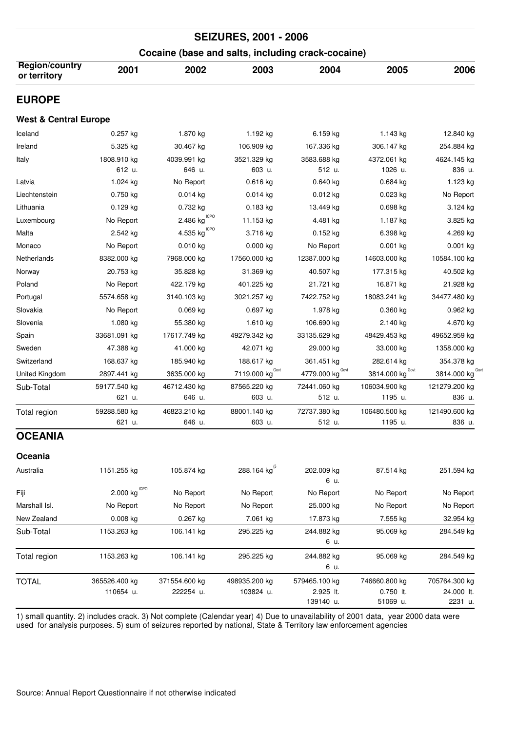| <b>SEIZURES, 2001 - 2006</b><br>Cocaine (base and salts, including crack-cocaine) |                                         |                                       |                            |                                         |                                        |                                        |  |  |  |
|-----------------------------------------------------------------------------------|-----------------------------------------|---------------------------------------|----------------------------|-----------------------------------------|----------------------------------------|----------------------------------------|--|--|--|
|                                                                                   |                                         |                                       |                            |                                         |                                        |                                        |  |  |  |
| <b>EUROPE</b>                                                                     |                                         |                                       |                            |                                         |                                        |                                        |  |  |  |
| <b>West &amp; Central Europe</b>                                                  |                                         |                                       |                            |                                         |                                        |                                        |  |  |  |
| Iceland                                                                           | $0.257$ kg                              | 1.870 kg                              | 1.192 kg                   | 6.159 kg                                | 1.143 kg                               | 12.840 kg                              |  |  |  |
| Ireland                                                                           | 5.325 kg                                | 30.467 kg                             | 106.909 kg                 | 167.336 kg                              | 306.147 kg                             | 254.884 kg                             |  |  |  |
| Italy                                                                             | 1808.910 kg<br>612 u.                   | 4039.991 kg<br>646 u.                 | 3521.329 kg<br>603 u.      | 3583.688 kg<br>512 u.                   | 4372.061 kg<br>1026 u.                 | 4624.145 kg<br>836 u.                  |  |  |  |
| Latvia                                                                            | 1.024 kg                                | No Report                             | 0.616 kg                   | $0.640$ kg                              | $0.684$ kg                             | 1.123 kg                               |  |  |  |
| Liechtenstein                                                                     | $0.750$ kg                              | $0.014$ kg                            | $0.014$ kg                 | $0.012$ kg                              | $0.023$ kg                             | No Report                              |  |  |  |
| Lithuania                                                                         | $0.129$ kg                              | 0.732 kg                              | $0.183$ kg                 | 13.449 kg                               | $0.698$ kg                             | 3.124 kg                               |  |  |  |
| Luxembourg                                                                        | No Report                               | $2.486$ $\mathrm{kg}^{\mathrm{ICPO}}$ | 11.153 kg                  | 4.481 kg                                | 1.187 kg                               | 3.825 kg                               |  |  |  |
| Malta                                                                             | 2.542 kg                                | <b>ICPO</b><br>4.535 kg               | 3.716 kg                   | $0.152$ kg                              | 6.398 kg                               | 4.269 kg                               |  |  |  |
| Monaco                                                                            | No Report                               | 0.010 kg                              | $0.000$ kg                 | No Report                               | $0.001$ kg                             | $0.001$ kg                             |  |  |  |
| Netherlands                                                                       | 8382.000 kg                             | 7968.000 kg                           | 17560.000 kg               | 12387.000 kg                            | 14603.000 kg                           | 10584.100 kg                           |  |  |  |
| Norway                                                                            | 20.753 kg                               | 35.828 kg                             | 31.369 kg                  | 40.507 kg                               | 177.315 kg                             | 40.502 kg                              |  |  |  |
| Poland                                                                            | No Report                               | 422.179 kg                            | 401.225 kg                 | 21.721 kg                               | 16.871 kg                              | 21.928 kg                              |  |  |  |
| Portugal                                                                          | 5574.658 kg                             | 3140.103 kg                           | 3021.257 kg                | 7422.752 kg                             | 18083.241 kg                           | 34477.480 kg                           |  |  |  |
| Slovakia                                                                          | No Report                               | 0.069 kg                              | 0.697 kg                   | 1.978 kg                                | $0.360$ kg                             | $0.962$ kg                             |  |  |  |
| Slovenia                                                                          | 1.080 kg                                | 55.380 kg                             | 1.610 kg                   | 106.690 kg                              | 2.140 kg                               | 4.670 kg                               |  |  |  |
| Spain                                                                             | 33681.091 kg                            | 17617.749 kg                          | 49279.342 kg               | 33135.629 kg                            | 48429.453 kg                           | 49652.959 kg                           |  |  |  |
| Sweden                                                                            | 47.388 kg                               | 41.000 kg                             | 42.071 kg                  | 29.000 kg                               | 33.000 kg                              | 1358.000 kg                            |  |  |  |
| Switzerland                                                                       | 168.637 kg                              | 185.940 kg                            | 188.617 kg                 | 361.451 kg                              | 282.614 kg                             | 354.378 kg                             |  |  |  |
| United Kingdom                                                                    | 2897.441 kg                             | 3635.000 kg                           | Govt<br>7119.000 kg        | Govt<br>4779.000 kg                     | Govt<br>3814.000 kg                    | 3814.000 kg                            |  |  |  |
| Sub-Total                                                                         | 59177.540 kg                            | 46712.430 kg                          | 87565.220 kg               | 72441.060 kg                            | 106034.900 kg                          | 121279.200 kg                          |  |  |  |
|                                                                                   | 621 u.                                  | 646 u.                                | 603 u.                     | 512 u.                                  | 1195 u.                                | 836 u.                                 |  |  |  |
| Total region                                                                      | 59288.580 kg                            | 46823.210 kg                          | 88001.140 kg               | 72737.380 kg                            | 106480.500 kg                          | 121490.600 kg                          |  |  |  |
|                                                                                   | 621 u.                                  | 646 u.                                | 603 u.                     | 512 u.                                  | 1195 u.                                | 836 u.                                 |  |  |  |
| <b>OCEANIA</b>                                                                    |                                         |                                       |                            |                                         |                                        |                                        |  |  |  |
| Oceania                                                                           |                                         |                                       |                            |                                         |                                        |                                        |  |  |  |
| Australia                                                                         | 1151.255 kg                             | 105.874 kg                            | 288.164 kg <sup>(5</sup>   | 202.009 kg<br>6 u.                      | 87.514 kg                              | 251.594 kg                             |  |  |  |
| Fiji                                                                              | $2.000$ $\mathrm{kg}^{\mathrm{\,ICPO}}$ | No Report                             | No Report                  | No Report                               | No Report                              | No Report                              |  |  |  |
| Marshall Isl.                                                                     | No Report                               | No Report                             | No Report                  | 25.000 kg                               | No Report                              | No Report                              |  |  |  |
| New Zealand                                                                       | $0.008$ kg                              | 0.267 kg                              | 7.061 kg                   | 17.873 kg                               | 7.555 kg                               | 32.954 kg                              |  |  |  |
| Sub-Total                                                                         | 1153.263 kg                             | 106.141 kg                            | 295.225 kg                 | 244.882 kg<br>6 u.                      | 95.069 kg                              | 284.549 kg                             |  |  |  |
| Total region                                                                      | 1153.263 kg                             | 106.141 kg                            | 295.225 kg                 | 244.882 kg<br>6 u.                      | 95.069 kg                              | 284.549 kg                             |  |  |  |
| <b>TOTAL</b>                                                                      | 365526.400 kg<br>110654 u.              | 371554.600 kg<br>222254 u.            | 498935.200 kg<br>103824 u. | 579465.100 kg<br>2.925 lt.<br>139140 u. | 746660.800 kg<br>0.750 lt.<br>51069 u. | 705764.300 kg<br>24.000 lt.<br>2231 u. |  |  |  |

1) small quantity. 2) includes crack. 3) Not complete (Calendar year) 4) Due to unavailability of 2001 data, year 2000 data were used for analysis purposes. 5) sum of seizures reported by national, State & Territory law enforcement agencies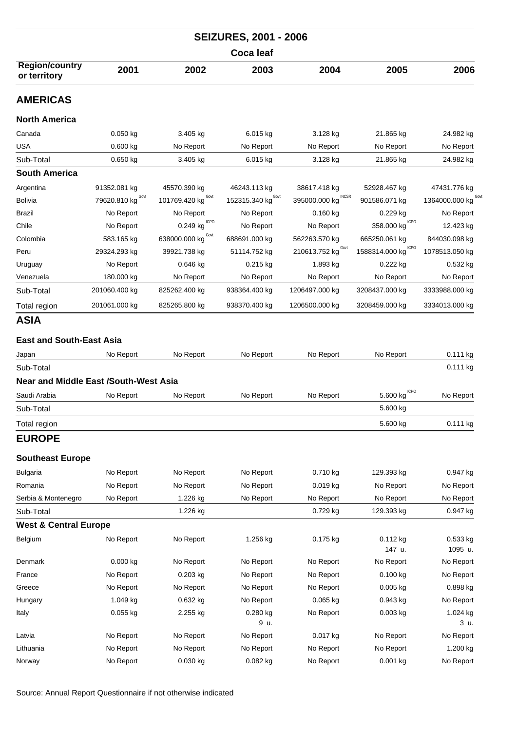|                                              |                   |                       | <b>SEIZURES, 2001 - 2006</b>         |                                |                                           |                     |  |
|----------------------------------------------|-------------------|-----------------------|--------------------------------------|--------------------------------|-------------------------------------------|---------------------|--|
| <b>Coca leaf</b>                             |                   |                       |                                      |                                |                                           |                     |  |
| <b>Region/country</b><br>or territory        | 2001              | 2002                  | 2003                                 | 2004                           | 2005                                      | 2006                |  |
| <b>AMERICAS</b>                              |                   |                       |                                      |                                |                                           |                     |  |
| <b>North America</b>                         |                   |                       |                                      |                                |                                           |                     |  |
| Canada                                       | $0.050$ kg        | 3.405 kg              | 6.015 kg                             | 3.128 kg                       | 21.865 kg                                 | 24.982 kg           |  |
| USA                                          | 0.600 kg          | No Report             | No Report                            | No Report                      | No Report                                 | No Report           |  |
| Sub-Total                                    | $0.650$ kg        | 3.405 kg              | 6.015 kg                             | 3.128 kg                       | 21.865 kg                                 | 24.982 kg           |  |
| <b>South America</b>                         |                   |                       |                                      |                                |                                           |                     |  |
| Argentina                                    | 91352.081 kg      | 45570.390 kg          | 46243.113 kg                         | 38617.418 kg                   | 52928.467 kg                              | 47431.776 kg        |  |
| <b>Bolivia</b>                               | 79620.810 kg Govt | Govt<br>101769.420 kg | 152315.340 $\text{kg}^{\text{Govt}}$ | 395000.000 kg                  | 901586.071 kg                             | 1364000.000 kg      |  |
| Brazil                                       | No Report         | No Report             | No Report                            | $0.160$ kg                     | $0.229$ kg                                | No Report           |  |
| Chile                                        | No Report         | ICPO<br>0.249 kg      | No Report                            | No Report                      | $358.000$ $\text{kg}^{\text{\tiny ICPO}}$ | 12.423 kg           |  |
| Colombia                                     | 583.165 kg        | Govt<br>638000.000 kg | 688691.000 kg                        | 562263.570 kg                  | 665250.061 kg                             | 844030.098 kg       |  |
| Peru                                         | 29324.293 kg      | 39921.738 kg          | 51114.752 kg                         | 210613.752 kg $^{\text{Gout}}$ | 1588314.000 kg CPO                        | 1078513.050 kg      |  |
| Uruguay                                      | No Report         | $0.646$ kg            | $0.215$ kg                           | 1.893 kg                       | 0.222 kg                                  | $0.532$ kg          |  |
| Venezuela                                    | 180.000 kg        | No Report             | No Report                            | No Report                      | No Report                                 | No Report           |  |
| Sub-Total                                    | 201060.400 kg     | 825262.400 kg         | 938364.400 kg                        | 1206497.000 kg                 | 3208437.000 kg                            | 3333988.000 kg      |  |
| Total region                                 | 201061.000 kg     | 825265.800 kg         | 938370.400 kg                        | 1206500.000 kg                 | 3208459.000 kg                            | 3334013.000 kg      |  |
| ASIA                                         |                   |                       |                                      |                                |                                           |                     |  |
| <b>East and South-East Asia</b>              |                   |                       |                                      |                                |                                           |                     |  |
|                                              | No Report         | No Report             | No Report                            | No Report                      | No Report                                 | $0.111$ kg          |  |
| Japan<br>Sub-Total                           |                   |                       |                                      |                                |                                           | $0.111$ kg          |  |
| <b>Near and Middle East /South-West Asia</b> |                   |                       |                                      |                                |                                           |                     |  |
| Saudi Arabia                                 |                   |                       |                                      |                                | <b>ICPO</b>                               |                     |  |
| Sub-Total                                    | No Report         | No Report             | No Report                            | No Report                      | 5.600 kg<br>5.600 kg                      | No Report           |  |
|                                              |                   |                       |                                      |                                |                                           |                     |  |
| Total region                                 |                   |                       |                                      |                                | 5.600 kg                                  | 0.111 kg            |  |
| <b>EUROPE</b>                                |                   |                       |                                      |                                |                                           |                     |  |
| <b>Southeast Europe</b>                      |                   |                       |                                      |                                |                                           |                     |  |
| <b>Bulgaria</b>                              | No Report         | No Report             | No Report                            | 0.710 kg                       | 129.393 kg                                | 0.947 kg            |  |
| Romania                                      | No Report         | No Report             | No Report                            | 0.019 kg                       | No Report                                 | No Report           |  |
| Serbia & Montenegro                          | No Report         | 1.226 kg              | No Report                            | No Report                      | No Report                                 | No Report           |  |
| Sub-Total                                    |                   | 1.226 kg              |                                      | 0.729 kg                       | 129.393 kg                                | 0.947 kg            |  |
| <b>West &amp; Central Europe</b>             |                   |                       |                                      |                                |                                           |                     |  |
| Belgium                                      | No Report         | No Report             | 1.256 kg                             | 0.175 kg                       | 0.112 kg<br>147 u.                        | 0.533 kg<br>1095 u. |  |
| Denmark                                      | 0.000 kg          | No Report             | No Report                            | No Report                      | No Report                                 | No Report           |  |
| France                                       | No Report         | 0.203 kg              | No Report                            | No Report                      | 0.100 kg                                  | No Report           |  |
| Greece                                       | No Report         | No Report             | No Report                            | No Report                      | 0.005 kg                                  | 0.898 kg            |  |
| Hungary                                      | 1.049 kg          | 0.632 kg              | No Report                            | 0.065 kg                       | 0.943 kg                                  | No Report           |  |
| Italy                                        | $0.055$ kg        | 2.255 kg              | 0.280 kg<br>9 u.                     | No Report                      | 0.003 kg                                  | 1.024 kg<br>3 u.    |  |
| Latvia                                       | No Report         | No Report             | No Report                            | 0.017 kg                       | No Report                                 | No Report           |  |
| Lithuania                                    | No Report         | No Report             | No Report                            | No Report                      | No Report                                 | 1.200 kg            |  |
| Norway                                       | No Report         | 0.030 kg              | 0.082 kg                             | No Report                      | 0.001 kg                                  | No Report           |  |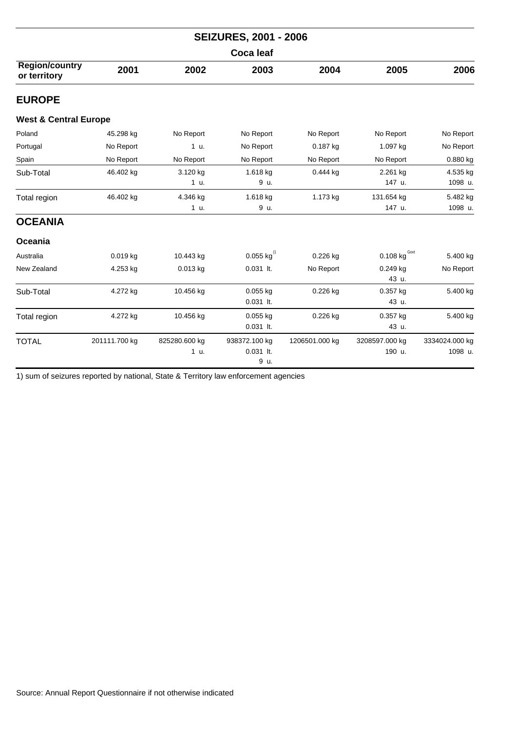| <b>SEIZURES, 2001 - 2006</b>          |               |               |                            |                |                                 |                |  |  |
|---------------------------------------|---------------|---------------|----------------------------|----------------|---------------------------------|----------------|--|--|
| <b>Coca leaf</b>                      |               |               |                            |                |                                 |                |  |  |
| <b>Region/country</b><br>or territory | 2001          | 2002          | 2003                       | 2004           | 2005                            | 2006           |  |  |
| <b>EUROPE</b>                         |               |               |                            |                |                                 |                |  |  |
| <b>West &amp; Central Europe</b>      |               |               |                            |                |                                 |                |  |  |
| Poland                                | 45.298 kg     | No Report     | No Report                  | No Report      | No Report                       | No Report      |  |  |
| Portugal                              | No Report     | 1 u.          | No Report                  | 0.187 kg       | 1.097 kg                        | No Report      |  |  |
| Spain                                 | No Report     | No Report     | No Report                  | No Report      | No Report                       | 0.880 kg       |  |  |
| Sub-Total                             | 46.402 kg     | 3.120 kg      | 1.618 kg                   | $0.444$ kg     | 2.261 kg                        | 4.535 kg       |  |  |
|                                       |               | 1 u.          | 9 u.                       |                | 147 u.                          | 1098 u.        |  |  |
| Total region                          | 46.402 kg     | 4.346 kg      | 1.618 kg                   | 1.173 kg       | 131.654 kg                      | 5.482 kg       |  |  |
|                                       |               | 1 u.          | 9 u.                       |                | 147 u.                          | 1098 u.        |  |  |
| <b>OCEANIA</b>                        |               |               |                            |                |                                 |                |  |  |
| Oceania                               |               |               |                            |                |                                 |                |  |  |
| Australia                             | $0.019$ kg    | 10.443 kg     | $0.055$ kg <sup>(1</sup> ) | 0.226 kg       | 0.108 $\text{kg}^{\text{Govt}}$ | 5.400 kg       |  |  |
| New Zealand                           | 4.253 kg      | 0.013 kg      | $0.031$ lt.                | No Report      | 0.249 kg                        | No Report      |  |  |
|                                       |               |               |                            |                | 43 u.                           |                |  |  |
| Sub-Total                             | 4.272 kg      | 10.456 kg     | $0.055$ kg                 | $0.226$ kg     | 0.357 kg                        | 5.400 kg       |  |  |
|                                       |               |               | $0.031$ lt.                |                | 43 u.                           |                |  |  |
| Total region                          | 4.272 kg      | 10.456 kg     | 0.055 kg                   | 0.226 kg       | 0.357 kg                        | 5.400 kg       |  |  |
|                                       |               |               | $0.031$ lt.                |                | 43 u.                           |                |  |  |
| <b>TOTAL</b>                          | 201111.700 kg | 825280.600 kg | 938372.100 kg              | 1206501.000 kg | 3208597.000 kg                  | 3334024.000 kg |  |  |
|                                       |               | 1 u.          | $0.031$ lt.                |                | 190 u.                          | 1098 u.        |  |  |
|                                       |               |               | 9 u.                       |                |                                 |                |  |  |

1) sum of seizures reported by national, State & Territory law enforcement agencies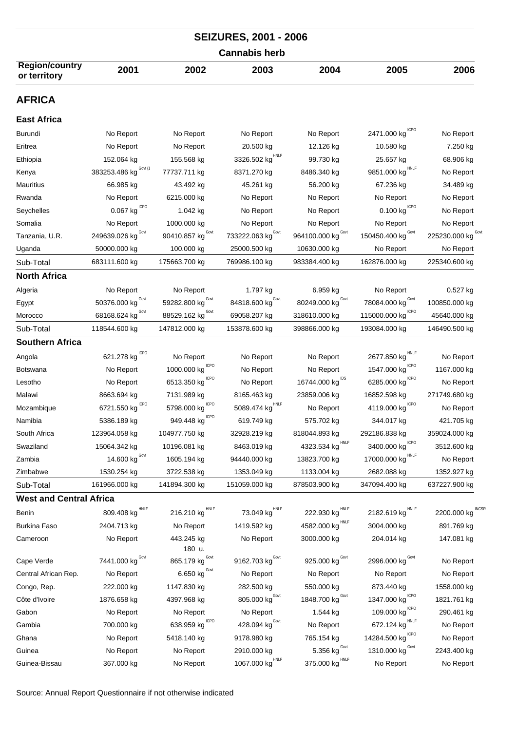| <b>SEIZURES, 2001 - 2006</b>          |                                     |                                   |                                    |                                      |                                                 |                    |  |  |
|---------------------------------------|-------------------------------------|-----------------------------------|------------------------------------|--------------------------------------|-------------------------------------------------|--------------------|--|--|
| <b>Cannabis herb</b>                  |                                     |                                   |                                    |                                      |                                                 |                    |  |  |
| <b>Region/country</b><br>or territory | 2001                                | 2002                              | 2003                               | 2004                                 | 2005                                            | 2006               |  |  |
| <b>AFRICA</b>                         |                                     |                                   |                                    |                                      |                                                 |                    |  |  |
| <b>East Africa</b>                    |                                     |                                   |                                    |                                      |                                                 |                    |  |  |
| <b>Burundi</b>                        | No Report                           | No Report                         | No Report                          | No Report                            | 2471.000 kg CPO                                 | No Report          |  |  |
| Eritrea                               | No Report                           | No Report                         | 20.500 kg                          | 12.126 kg                            | 10.580 kg                                       | 7.250 kg           |  |  |
| Ethiopia                              | 152.064 kg                          | 155.568 kg                        | 3326.502 $\text{kg}^{\text{HNLF}}$ | 99.730 kg                            | 25.657 kg                                       | 68.906 kg          |  |  |
| Kenya                                 | Govt (1<br>383253.486 kg            | 77737.711 kg                      | 8371.270 kg                        | 8486.340 kg                          | HNLF<br>9851.000 kg                             | No Report          |  |  |
| Mauritius                             | 66.985 kg                           | 43.492 kg                         | 45.261 kg                          | 56.200 kg                            | 67.236 kg                                       | 34.489 kg          |  |  |
| Rwanda                                | No Report                           | 6215.000 kg                       | No Report                          | No Report                            | No Report                                       | No Report          |  |  |
| Seychelles                            | $0.067$ kg $10P0$                   | 1.042 kg                          | No Report                          | No Report                            | $0.100$ $\text{kg}^{\text{\,\scriptsize ICPO}}$ | No Report          |  |  |
| Somalia                               | No Report                           | 1000.000 kg                       | No Report                          | No Report                            | No Report                                       | No Report          |  |  |
| Tanzania, U.R.                        | 249639.026 kg Govt                  | 90410.857 kg $^{\text{Govt}}$     | 733222.063 kg Govt                 | 964100.000 $\text{kg}^{\text{Gout}}$ | 150450.400 kg $^{Govt}$                         | 225230.000 kg Covt |  |  |
| Uganda                                | 50000.000 kg                        | 100.000 kg                        | 25000.500 kg                       | 10630.000 kg                         | No Report                                       | No Report          |  |  |
| Sub-Total                             | 683111.600 kg                       | 175663.700 kg                     | 769986.100 kg                      | 983384.400 kg                        | 162876.000 kg                                   | 225340.600 kg      |  |  |
| <b>North Africa</b>                   |                                     |                                   |                                    |                                      |                                                 |                    |  |  |
| Algeria                               | No Report                           | No Report                         | 1.797 kg                           | 6.959 kg                             | No Report                                       | $0.527$ kg         |  |  |
| Egypt                                 | Govt<br>50376.000 kg                | Govt<br>59282.800 kg              | Govt<br>84818.600 kg               | 80249.000 kg $^{\text{Gout}}$        | Govt<br>78084.000 kg                            | 100850.000 kg      |  |  |
| Morocco                               | Govt<br>68168.624 kg                | Govt<br>88529.162 kg              | 69058.207 kg                       | 318610.000 kg                        | <b>ICPO</b><br>115000.000 kg                    | 45640.000 kg       |  |  |
| Sub-Total                             | 118544.600 kg                       | 147812.000 kg                     | 153878.600 kg                      | 398866.000 kg                        | 193084.000 kg                                   | 146490.500 kg      |  |  |
| <b>Southern Africa</b>                |                                     |                                   |                                    |                                      |                                                 |                    |  |  |
| Angola                                | 621.278 kg $^{ICPO}$                | No Report                         | No Report                          | No Report                            | 2677.850 kg HNLF                                | No Report          |  |  |
| <b>Botswana</b>                       | No Report                           | ICPO<br>1000.000 kg               | No Report                          | No Report                            | ICPO<br>1547.000 kg                             | 1167.000 kg        |  |  |
| Lesotho                               | No Report                           | 6513.350 kg                       | No Report                          | 16744.000 $\text{kg}^{\text{IDS}}$   | <b>ICPO</b><br>6285.000 kg                      | No Report          |  |  |
| Malawi                                | 8663.694 kg                         | 7131.989 kg                       | 8165.463 kg                        | 23859.006 kg                         | 16852.598 kg                                    | 271749.680 kg      |  |  |
| Mozambique                            | <b>ICPO</b><br>6721.550 kg          | <b>ICPO</b><br>5798.000 kg        | <b>HNLF</b><br>5089.474 kg         | No Report                            | <b>ICPO</b><br>4119.000 kg                      | No Report          |  |  |
| Namibia                               | 5386.189 kg                         | ICPO<br>949.448 kg                | 619.749 kg                         | 575.702 kg                           | 344.017 kg                                      | 421.705 kg         |  |  |
| South Africa                          | 123964.058 kg                       | 104977.750 kg                     | 32928.219 kg                       | 818044.893 kg                        | 292186.838 kg                                   | 359024.000 kg      |  |  |
| Swaziland                             | 15064.342 kg                        | 10196.081 kg                      | 8463.019 kg                        | 4323.534 $\text{kg}^{\text{HNLF}}$   | 3400.000 $\text{kg}^{\text{\tiny{lCPO}}}$       | 3512.600 kg        |  |  |
| Zambia                                | 14.600 kg $^{Govt}$                 | 1605.194 kg                       | 94440.000 kg                       | 13823.700 kg                         | 17000.000 kg                                    | No Report          |  |  |
| Zimbabwe                              | 1530.254 kg                         | 3722.538 kg                       | 1353.049 kg                        | 1133.004 kg                          | 2682.088 kg                                     | 1352.927 kg        |  |  |
| Sub-Total                             | 161966.000 kg                       | 141894.300 kg                     | 151059.000 kg                      | 878503.900 kg                        | 347094.400 kg                                   | 637227.900 kg      |  |  |
| <b>West and Central Africa</b>        |                                     |                                   |                                    |                                      |                                                 |                    |  |  |
| Benin                                 | $809.408$ $\text{kg}^{\text{HNLF}}$ | 216.210 kg $^{\text{\tiny HNLF}}$ | 73.049 $\text{kg}^{\text{HNLF}}$   | 222.930 kg $^{\text{HNLF}}$          | 2182.619 kg HNLF                                | 2200.000 kg INCSR  |  |  |
| Burkina Faso                          | 2404.713 kg                         | No Report                         | 1419.592 kg                        | 4582.000 kg HNLF                     | 3004.000 kg                                     | 891.769 kg         |  |  |
| Cameroon                              | No Report                           | 443.245 kg                        | No Report                          | 3000.000 kg                          | 204.014 kg                                      | 147.081 kg         |  |  |
|                                       |                                     | 180 u.                            |                                    |                                      |                                                 |                    |  |  |
| Cape Verde                            | 7441.000 kg Govt                    | 865.179 kg $^{Govt}$              | 9162.703 $kgGovt$                  | 925.000 $\text{kg}^{\text{Govt}}$    | 2996.000 kg Govt                                | No Report          |  |  |
| Central African Rep.                  | No Report                           | 6.650 $\text{kg}^{\text{Govt}}$   | No Report                          | No Report                            | No Report                                       | No Report          |  |  |
| Congo, Rep.                           | 222.000 kg                          | 1147.830 kg                       | 282.500 kg                         | 550.000 kg                           | 873.440 kg                                      | 1558.000 kg        |  |  |
| Côte d'Ivoire                         | 1876.658 kg                         | 4397.968 kg                       | 805.000 $\text{kg}^{\text{Govt}}$  | 1848.700 $\text{kg}^{\text{Govt}}$   | ICPO<br>1347.000 kg                             | 1821.761 kg        |  |  |
| Gabon                                 | No Report                           | No Report                         | No Report                          | 1.544 kg                             | 109.000 $\text{kg}^{\text{\tiny{lCPO}}}$        | 290.461 kg         |  |  |
| Gambia                                | 700.000 kg                          | 638.959 kg $^{ICPO}$              | 428.094 kg Govt                    | No Report                            | 672.124 kg HNLF                                 | No Report          |  |  |
| Ghana                                 | No Report                           | 5418.140 kg                       | 9178.980 kg                        | 765.154 kg                           | 14284.500 kg CPO                                | No Report          |  |  |
| Guinea                                | No Report                           | No Report                         | 2910.000 kg                        | 5.356 $kg^{\text{Govt}}$             | 1310.000 kg $^{Govt}$                           | 2243.400 kg        |  |  |
| Guinea-Bissau                         | 367.000 kg                          | No Report                         | 1067.000 $\text{kg}^{\text{HNLF}}$ | 375.000 $\text{kg}^{\text{HNLF}}$    | No Report                                       | No Report          |  |  |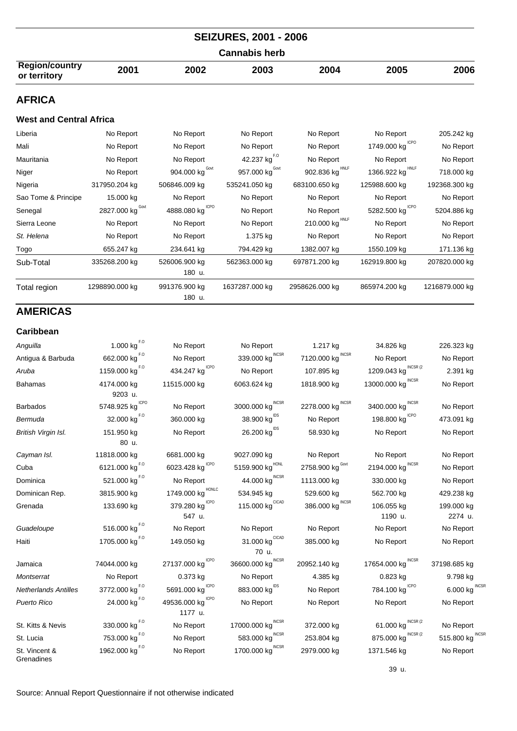| <b>Cannabis herb</b>                  |      |      |      |      |      |      |  |  |
|---------------------------------------|------|------|------|------|------|------|--|--|
| <b>Region/country</b><br>or territory | 2001 | 2002 | 2003 | 2004 | 2005 | 2006 |  |  |
| <b>AFRICA</b>                         |      |      |      |      |      |      |  |  |

## **West and Central Africa**

| Liberia             | No Report        | No Report                  | No Report                  | No Report                  | No Report                   | 205.242 kg     |
|---------------------|------------------|----------------------------|----------------------------|----------------------------|-----------------------------|----------------|
| Mali                | No Report        | No Report                  | No Report                  | No Report                  | 1749.000 kg <sup>ICPO</sup> | No Report      |
| Mauritania          | No Report        | No Report                  | 42.237 kg <sup>F.0</sup>   | No Report                  | No Report                   | No Report      |
| Niger               | No Report        | 904.000 kg <sup>Govt</sup> | 957.000 kg <sup>Govt</sup> | 902.836 kg <sup>HNLF</sup> | 1366.922 kg                 | 718.000 kg     |
| Nigeria             | 317950.204 kg    | 506846.009 kg              | 535241.050 kg              | 683100.650 kg              | 125988.600 kg               | 192368.300 kg  |
| Sao Tome & Principe | 15.000 kg        | No Report                  | No Report                  | No Report                  | No Report                   | No Report      |
| Senegal             | 2827.000 kg Govt | 4888.080 kg CPO            | No Report                  | No Report                  | 5282.500 kg <sup>ICPO</sup> | 5204.886 kg    |
| Sierra Leone        | No Report        | No Report                  | No Report                  | 210.000 kg <sup>HNLF</sup> | No Report                   | No Report      |
| St. Helena          | No Report        | No Report                  | 1.375 kg                   | No Report                  | No Report                   | No Report      |
| Togo                | 655.247 kg       | 234.641 kg                 | 794.429 kg                 | 1382.007 kg                | 1550.109 kg                 | 171.136 kg     |
| Sub-Total           | 335268.200 kg    | 526006.900 kg<br>180 u.    | 562363.000 kg              | 697871.200 kg              | 162919.800 kg               | 207820.000 kg  |
| Total region        | 1298890.000 kg   | 991376.900 kg<br>180 u.    | 1637287.000 kg             | 2958626.000 kg             | 865974.200 kg               | 1216879.000 kg |

## **AMERICAS**

| <b>Caribbean</b>            |                                         |                                           |                                         |                               |                                   |                            |
|-----------------------------|-----------------------------------------|-------------------------------------------|-----------------------------------------|-------------------------------|-----------------------------------|----------------------------|
| Anguilla                    | 1.000 $\text{kg}^{\text{F},\text{O}}$   | No Report                                 | No Report                               | 1.217 kg                      | 34.826 kg                         | 226.323 kg                 |
| Antigua & Barbuda           | 662.000 kg <sup>F.0</sup>               | No Report                                 | 339.000 kg $^{\text{INCSR}}$            | 7120.000 kg $^{\text{INCSR}}$ | No Report                         | No Report                  |
| Aruba                       | 1159.000 kg $^{F,0}$                    | 434.247 $\text{kg}^{\text{ICPO}}$         | No Report                               | 107.895 kg                    | 1209.043 kg $^{INCSR(2)}$         | 2.391 kg                   |
| <b>Bahamas</b>              | 4174.000 kg<br>9203 u.                  | 11515.000 kg                              | 6063.624 kg                             | 1818.900 kg                   | 13000.000 kg                      | No Report                  |
| <b>Barbados</b>             | 5748.925 kg $^{ICPO}$                   | No Report                                 | <b>INCSR</b><br>3000.000 kg             | 2278.000 kg $^{\text{INCSR}}$ | 3400.000 kg                       | No Report                  |
| Bermuda                     | 32.000 kg <sup>F.0</sup>                | 360.000 kg                                | 38.900 kg <sup>IDS</sup>                | No Report                     | 198.800 $\text{kg}^{\text{ICPO}}$ | 473.091 kg                 |
| British Virgin Isl.         | 151.950 kg<br>80 u.                     | No Report                                 | 26.200 kg <sup>IDS</sup>                | 58.930 kg                     | No Report                         | No Report                  |
| Cayman Isl.                 | 11818.000 kg                            | 6681.000 kg                               | 9027.090 kg                             | No Report                     | No Report                         | No Report                  |
| Cuba                        | 6121.000 kg <sup>F.0</sup>              | 6023.428 kg $^{ICPO}$                     | $5159.900$ $\text{kg}^{\text{HONL}}$    | 2758.900 kg $^{\text{Gout}}$  | 2194.000 kg $^{\text{INCSR}}$     | No Report                  |
| Dominica                    | 521.000 kg <sup>F.0</sup>               | No Report                                 | 44.000 $\text{kg}^{\text{INCSR}}$       | 1113.000 kg                   | 330.000 kg                        | No Report                  |
| Dominican Rep.              | 3815.900 kg                             | 1749.000 kg HONLC                         | 534.945 kg                              | 529.600 kg                    | 562.700 kg                        | 429.238 kg                 |
| Grenada                     | 133.690 kg                              | 379.280 $kg^{\text{ICPO}}$<br>547 u.      | 115.000 $\text{kg}^{\text{CICAD}}$      | 386.000 kg $^{\text{INCSR}}$  | 106.055 kg<br>1190 u.             | 199.000 kg<br>2274 u.      |
| Guadeloupe                  | 516.000 kg <sup>F.0</sup>               | No Report                                 | No Report                               | No Report                     | No Report                         | No Report                  |
| Haiti                       | 1705.000 kg <sup>F.0</sup>              | 149.050 kg                                | 31.000 kg <sup>CICAD</sup>              | 385.000 kg                    | No Report                         | No Report                  |
| Jamaica                     | 74044.000 kg                            | 27137.000 kg                              | 70 u.<br>36600.000 kg $^{\text{INCSR}}$ | 20952.140 kg                  | 17654.000 kg INCSR                | 37198.685 kg               |
| Montserrat                  | No Report                               | 0.373 kg                                  | No Report                               | 4.385 kg                      | 0.823 kg                          | 9.798 kg                   |
| <b>Netherlands Antilles</b> | 3772.000 kg $^{F.0}$                    | 5691.000 $\text{kg}^{\text{\tiny{lCPO}}}$ | 883.000 kg IDS                          | No Report                     | 784.100 kg <sup>ICPO</sup>        | $6.000$ kg $^{INCSE}$      |
| <b>Puerto Rico</b>          | 24.000 $\text{kg}^{\text{F},\text{O}}$  | 49536.000 kg CPO<br>1177 u.               | No Report                               | No Report                     | No Report                         | No Report                  |
| St. Kitts & Nevis           | 330.000 $\text{kg}^{\text{F},\text{O}}$ | No Report                                 | 17000.000 $\text{kg}^{\text{INCSR}}$    | 372.000 kg                    | 61.000 kg INCSR (2                | No Report                  |
| St. Lucia                   | 753.000 $\text{kg}^{F,0}$               | No Report                                 | 583.000 $\text{kg}^{\text{INCSR}}$      | 253.804 kg                    | 875.000 kg $^{INCSR(2)}$          | <b>INCSF</b><br>515.800 kg |
| St. Vincent &<br>Grenadines | 1962.000 kg <sup>F.0</sup>              | No Report                                 | 1700.000 kg <sup>INCSR</sup>            | 2979.000 kg                   | 1371.546 kg                       | No Report                  |

39 u.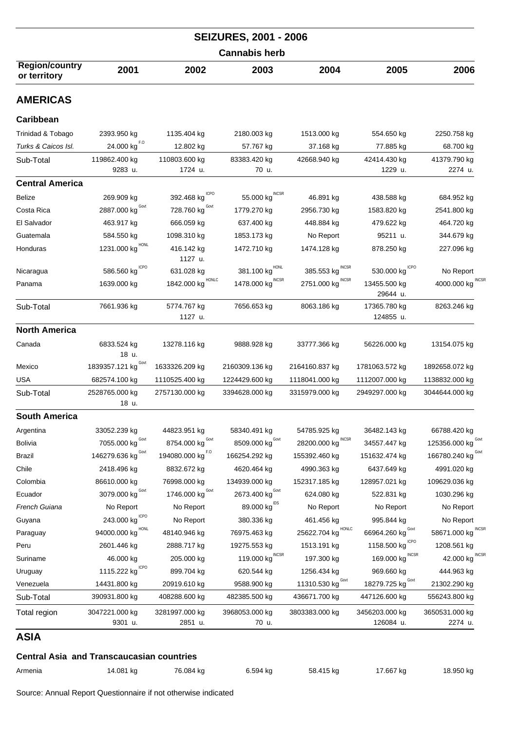|                                                  |                              |                           | <b>SEIZURES, 2001 - 2006</b>        |                              |                             |                             |  |
|--------------------------------------------------|------------------------------|---------------------------|-------------------------------------|------------------------------|-----------------------------|-----------------------------|--|
|                                                  |                              | <b>Cannabis herb</b>      |                                     |                              |                             |                             |  |
| <b>Region/country</b><br>or territory            | 2001                         | 2002                      | 2003                                | 2004                         | 2005                        | 2006                        |  |
| <b>AMERICAS</b>                                  |                              |                           |                                     |                              |                             |                             |  |
| Caribbean                                        |                              |                           |                                     |                              |                             |                             |  |
| Trinidad & Tobago                                | 2393.950 kg                  | 1135.404 kg               | 2180.003 kg                         | 1513.000 kg                  | 554.650 kg                  | 2250.758 kg                 |  |
| Turks & Caicos Isl.                              | 24.000 kg <sup>F.0</sup>     | 12.802 kg                 | 57.767 kg                           | 37.168 kg                    | 77.885 kg                   | 68.700 kg                   |  |
| Sub-Total                                        | 119862.400 kg<br>9283 u.     | 110803.600 kg<br>1724 u.  | 83383.420 kg<br>70 u.               | 42668.940 kg                 | 42414.430 kg<br>1229 u.     | 41379.790 kg<br>2274 u.     |  |
| <b>Central America</b>                           |                              |                           |                                     |                              |                             |                             |  |
| Belize                                           | 269.909 kg                   | 392.468 kg                | 55.000 kg                           | 46.891 kg                    | 438.588 kg                  | 684.952 kg                  |  |
| Costa Rica                                       | Govt<br>2887.000 kg          | 728.760 $kgGovt$          | 1779.270 kg                         | 2956.730 kg                  | 1583.820 kg                 | 2541.800 kg                 |  |
| El Salvador                                      | 463.917 kg                   | 666.059 kg                | 637.400 kg                          | 448.884 kg                   | 479.622 kg                  | 464.720 kg                  |  |
| Guatemala                                        | 584.550 kg                   | 1098.310 kg               | 1853.173 kg                         | No Report                    | 95211 u.                    | 344.679 kg                  |  |
| Honduras                                         | 1231.000 kg $^{HONL}$        | 416.142 kg<br>1127 u.     | 1472.710 kg                         | 1474.128 kg                  | 878.250 kg                  | 227.096 kg                  |  |
| Nicaragua                                        | 586.560 kg $^{ICPO}$         | 631.028 kg                | 381.100 kg                          | 385.553 kg                   | 530.000 kg                  | No Report                   |  |
| Panama                                           | 1639.000 kg                  | HONLC<br>1842.000 kg      | 1478.000 $\text{kg}^{\text{INCSR}}$ | INCSR<br>2751.000 kg         | 13455.500 kg<br>29644 u.    | <b>INCSF</b><br>4000.000 kg |  |
| Sub-Total                                        | 7661.936 kg                  | 5774.767 kg<br>1127 u.    | 7656.653 kg                         | 8063.186 kg                  | 17365.780 kg<br>124855 u.   | 8263.246 kg                 |  |
| <b>North America</b>                             |                              |                           |                                     |                              |                             |                             |  |
| Canada                                           | 6833.524 kg<br>18 u.         | 13278.116 kg              | 9888.928 kg                         | 33777.366 kg                 | 56226.000 kg                | 13154.075 kg                |  |
| Mexico                                           | Govt<br>1839357.121 kg       | 1633326.209 kg            | 2160309.136 kg                      | 2164160.837 kg               | 1781063.572 kg              | 1892658.072 kg              |  |
| <b>USA</b>                                       | 682574.100 kg                | 1110525.400 kg            | 1224429.600 kg                      | 1118041.000 kg               | 1112007.000 kg              | 1138832.000 kg              |  |
| Sub-Total                                        | 2528765.000 kg<br>18 u.      | 2757130.000 kg            | 3394628.000 kg                      | 3315979.000 kg               | 2949297.000 kg              | 3044644.000 kg              |  |
| <b>South America</b>                             |                              |                           |                                     |                              |                             |                             |  |
| Argentina                                        | 33052.239 kg                 | 44823.951 kg              | 58340.491 kg                        | 54785.925 kg                 | 36482.143 kg                | 66788.420 kg                |  |
| <b>Bolivia</b>                                   | Govt<br>7055.000 kg          | Govt<br>8754.000 kg       | Govt<br>8509.000 kg                 | <b>INCSR</b><br>28200.000 kg | 34557.447 kg                | Govt<br>125356.000 kg       |  |
| Brazil                                           | Govt<br>146279.636 kg        | F.O<br>194080.000 kg      | 166254.292 kg                       | 155392.460 kg                | 151632.474 kg               | 166780.240 kg Govt          |  |
| Chile                                            | 2418.496 kg                  | 8832.672 kg               | 4620.464 kg                         | 4990.363 kg                  | 6437.649 kg                 | 4991.020 kg                 |  |
| Colombia                                         | 86610.000 kg                 | 76998.000 kg              | 134939.000 kg                       | 152317.185 kg                | 128957.021 kg               | 109629.036 kg               |  |
| Ecuador                                          | 3079.000 kg Govt             | Govt<br>1746.000 kg       | Govt<br>2673.400 kg                 | 624.080 kg                   | 522.831 kg                  | 1030.296 kg                 |  |
| French Guiana                                    | No Report                    | No Report                 | $89.000$ $\text{kg}^{\text{IDS}}$   | No Report                    | No Report                   | No Report                   |  |
| Guyana                                           | 243.000 kg <sup>ICPO</sup>   | No Report                 | 380.336 kg                          | 461.456 kg                   | 995.844 kg                  | No Report                   |  |
| Paraguay                                         | 94000.000 kg HONL            | 48140.946 kg              | 76975.463 kg                        | HONLC<br>25622.704 kg        | Govt<br>66964.260 kg        | INCSF<br>58671.000 kg       |  |
| Peru                                             | 2601.446 kg                  | 2888.717 kg               | 19275.553 kg                        | 1513.191 kg                  | <b>ICPO</b><br>1158.500 kg  | 1208.561 kg                 |  |
| Suriname                                         | 46.000 kg                    | 205.000 kg                | <b>INCSR</b><br>119.000 kg          | 197.300 kg                   | <b>INCSR</b><br>169.000 kg  | <b>INCSF</b><br>42.000 kg   |  |
| Uruguay                                          | 1115.222 kg $^{\text{ICPO}}$ | 899.704 kg                | 620.544 kg                          | 1256.434 kg                  | 969.660 kg                  | 444.963 kg                  |  |
| Venezuela                                        | 14431.800 kg                 | 20919.610 kg              | 9588.900 kg                         | 11310.530 kg Govt            | Govt<br>18279.725 kg        | 21302.290 kg                |  |
| Sub-Total                                        | 390931.800 kg                | 408288.600 kg             | 482385.500 kg                       | 436671.700 kg                | 447126.600 kg               | 556243.800 kg               |  |
| Total region                                     | 3047221.000 kg<br>9301 u.    | 3281997.000 kg<br>2851 u. | 3968053.000 kg<br>70 u.             | 3803383.000 kg               | 3456203.000 kg<br>126084 u. | 3650531.000 kg<br>2274 u.   |  |
| <b>ASIA</b>                                      |                              |                           |                                     |                              |                             |                             |  |
| <b>Central Asia and Transcaucasian countries</b> |                              |                           |                                     |                              |                             |                             |  |

Armenia 14.081 kg 76.084 kg 6.594 kg 58.415 kg 17.667 kg 18.950 kg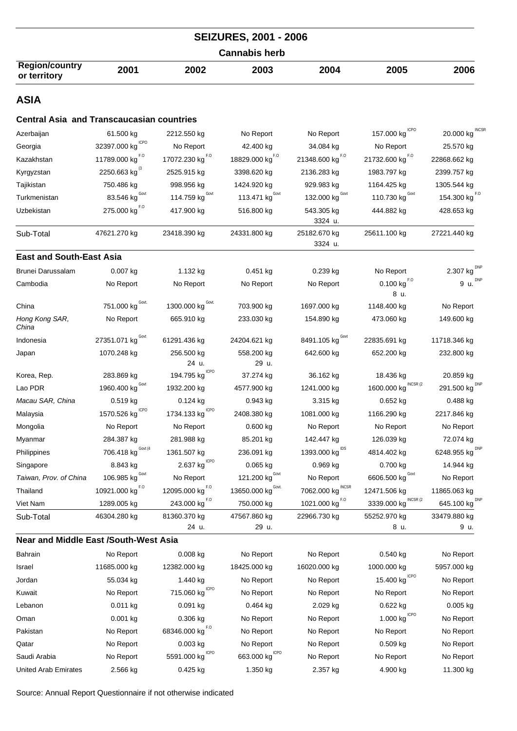|                                                  |                           |                                        | <b>SEIZURES, 2001 - 2006</b>             |                                   |                                                 |                           |
|--------------------------------------------------|---------------------------|----------------------------------------|------------------------------------------|-----------------------------------|-------------------------------------------------|---------------------------|
| <b>Cannabis herb</b>                             |                           |                                        |                                          |                                   |                                                 |                           |
| <b>Region/country</b><br>or territory            | 2001                      | 2002                                   | 2003                                     | 2004                              | 2005                                            | 2006                      |
| <b>ASIA</b>                                      |                           |                                        |                                          |                                   |                                                 |                           |
| <b>Central Asia and Transcaucasian countries</b> |                           |                                        |                                          |                                   |                                                 |                           |
| Azerbaijan                                       | 61.500 kg                 | 2212.550 kg                            | No Report                                | No Report                         | 157.000 kg CPO                                  | 20.000 kg INCSR           |
| Georgia                                          | 32397.000 kg $^{ICPO}$    | No Report                              | 42.400 kg                                | 34.084 kg                         | No Report                                       | 25.570 kg                 |
| Kazakhstan                                       | 11789.000 kg $^{F,0}$     | 17072.230 kg $^{F,0}$                  | 18829.000 $\text{kg}^{F.0}$              | 21348.600 kg $^{F, O}$            | 21732.600 kg $^{F.0}$                           | 22868.662 kg              |
| Kyrgyzstan                                       | 2250.663 kg $^{8}$        | 2525.915 kg                            | 3398.620 kg                              | 2136.283 kg                       | 1983.797 kg                                     | 2399.757 kg               |
| Tajikistan                                       | 750.486 kg                | 998.956 kg                             | 1424.920 kg                              | 929.983 kg                        | 1164.425 kg                                     | 1305.544 kg               |
| Turkmenistan                                     | Govt<br>83.546 kg         | 114.759 $kgGovt$                       | 113.471 $\text{kg}^{\text{Govt}}$        | 132.000 $\text{kg}^{\text{Gout}}$ | 110.730 $kgGovt$                                | 154.300 kg $^{F,0}$       |
| Uzbekistan                                       | 275.000 kg <sup>F.0</sup> | 417.900 kg                             | 516.800 kg                               | 543.305 kg<br>3324 u.             | 444.882 kg                                      | 428.653 kg                |
| Sub-Total                                        | 47621.270 kg              | 23418.390 kg                           | 24331.800 kg                             | 25182.670 kg<br>3324 u.           | 25611.100 kg                                    | 27221.440 kg              |
| <b>East and South-East Asia</b>                  |                           |                                        |                                          |                                   |                                                 |                           |
| Brunei Darussalam                                | $0.007$ kg                | 1.132 kg                               | 0.451 kg                                 | 0.239 kg                          | No Report                                       | 2.307 kg $^{DNP}$         |
| Cambodia                                         | No Report                 | No Report                              | No Report                                | No Report                         | $0.100$ $\text{kg}^{\text{F},\text{O}}$<br>8 u. | 9 u. $DNP$                |
| China                                            | 751.000 kg Govt.          | 1300.000 kg Govt.                      | 703.900 kg                               | 1697.000 kg                       | 1148.400 kg                                     | No Report                 |
| Hong Kong SAR,<br>China                          | No Report                 | 665.910 kg                             | 233.030 kg                               | 154.890 kg                        | 473.060 kg                                      | 149.600 kg                |
| Indonesia                                        | 27351.071 kg Govt         | 61291.436 kg                           | 24204.621 kg                             | 8491.105 kg Govt                  | 22835.691 kg                                    | 11718.346 kg              |
| Japan                                            | 1070.248 kg               | 256.500 kg                             | 558.200 kg                               | 642.600 kg                        | 652.200 kg                                      | 232.800 kg                |
|                                                  |                           | 24 u.<br>ICPO                          | 29 u.                                    |                                   |                                                 |                           |
| Korea, Rep.                                      | 283.869 kg<br>Govt        | 194.795 kg                             | 37.274 kg                                | 36.162 kg                         | 18.436 kg<br>INCSR (2                           | 20.859 kg<br><b>DNP</b>   |
| Lao PDR                                          | 1960.400 kg               | 1932.200 kg                            | 4577.900 kg                              | 1241.000 kg                       | 1600.000 kg                                     | 291.500 kg                |
| Macau SAR, China                                 | $0.519$ kg<br><b>ICPO</b> | 0.124 kg<br><b>ICPO</b>                | $0.943$ kg                               | 3.315 kg                          | $0.652$ kg                                      | $0.488$ kg                |
| Malaysia                                         | 1570.526 kg               | 1734.133 kg                            | 2408.380 kg                              | 1081.000 kg                       | 1166.290 kg                                     | 2217.846 kg               |
| Mongolia                                         | No Report                 | No Report                              | 0.600 kg                                 | No Report                         | No Report                                       | No Report                 |
| Myanmar                                          | 284.387 kg<br>Govt (4     | 281.988 kg                             | 85.201 kg                                | 142.447 kg                        | 126.039 kg                                      | 72.074 kg                 |
| Philippines                                      | 706.418 kg                | 1361.507 kg                            | 236.091 kg                               | 1393.000 $\text{kg}^{\text{IDS}}$ | 4814.402 kg                                     | 6248.955 kg DNP           |
| Singapore                                        | 8.843 kg<br>Govt          | 2.637 $\text{kg}^{\text{\tiny{ICPO}}}$ | 0.065 kg                                 | 0.969 kg                          | 0.700 kg<br>Govt                                | 14.944 kg                 |
| Taiwan, Prov. of China                           | 106.985 kg                | No Report                              | 121.200 $\text{kg}^{\text{Govt}}$        | No Report<br><b>INCSR</b>         | 6606.500 kg                                     | No Report                 |
| Thailand                                         | 10921.000 kg $^{F,0}$     | 12095.000 kg $^{F,0}$                  | 13650.000 $kg^{\text{Govt}}$             | 7062.000 kg                       | 12471.506 kg<br>INCSR <sub>(2</sub>             | 11865.063 kg              |
| Viet Nam                                         | 1289.005 kg               | 243.000 kg <sup>F.0</sup>              | 750.000 kg                               | 1021.000 kg <sup>F.0</sup>        | 3339.000 kg                                     | 645.100 kg <sup>DNP</sup> |
| Sub-Total                                        | 46304.280 kg              | 81360.370 kg<br>24 u.                  | 47567.860 kg<br>29 u.                    | 22966.730 kg                      | 55252.970 kg<br>8 u.                            | 33479.880 kg<br>9 u.      |
| <b>Near and Middle East /South-West Asia</b>     |                           |                                        |                                          |                                   |                                                 |                           |
| Bahrain                                          | No Report                 | 0.008 kg                               | No Report                                | No Report                         | $0.540$ kg                                      | No Report                 |
| Israel                                           | 11685.000 kg              | 12382.000 kg                           | 18425.000 kg                             | 16020.000 kg                      | 1000.000 kg                                     | 5957.000 kg               |
| Jordan                                           | 55.034 kg                 | 1.440 kg                               | No Report                                | No Report                         | 15.400 $\text{kg}^{\text{ICPO}}$                | No Report                 |
| Kuwait                                           | No Report                 | 715.060 $\text{kg}^{\text{ICPO}}$      | No Report                                | No Report                         | No Report                                       | No Report                 |
| Lebanon                                          | $0.011$ kg                | 0.091 kg                               | $0.464$ kg                               | 2.029 kg                          | 0.622 kg                                        | 0.005 kg                  |
| Oman                                             | $0.001$ kg                | $0.306$ kg                             | No Report                                | No Report                         | 1.000 $kg^{\text{ICPO}}$                        | No Report                 |
| Pakistan                                         | No Report                 | 68346.000 kg $^{F, O}$                 | No Report                                | No Report                         | No Report                                       | No Report                 |
| Qatar                                            | No Report                 | 0.003 kg                               | No Report                                | No Report                         | $0.509$ kg                                      | No Report                 |
| Saudi Arabia                                     | No Report                 | 5591.000 kg CPO                        | 663.000 $\text{kg}^{\text{\tiny{lCPO}}}$ | No Report                         | No Report                                       | No Report                 |
| <b>United Arab Emirates</b>                      | 2.566 kg                  | 0.425 kg                               | 1.350 kg                                 | 2.357 kg                          | 4.900 kg                                        | 11.300 kg                 |
|                                                  |                           |                                        |                                          |                                   |                                                 |                           |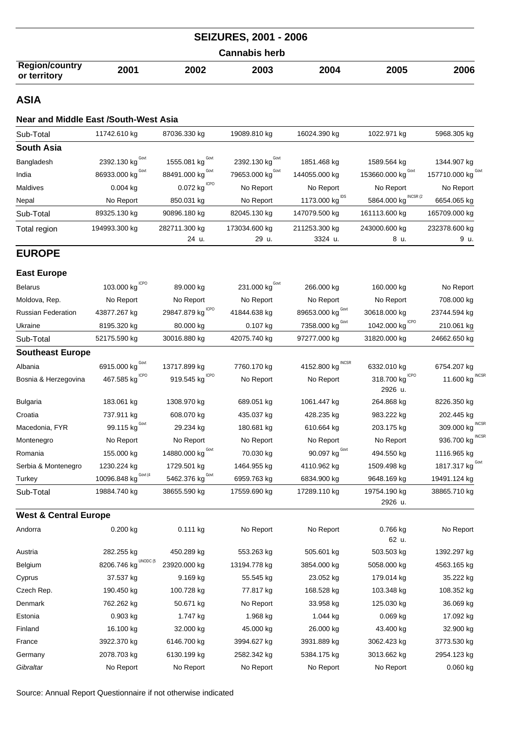|                                       |      |      | <b>SEIZURES, 2001 - 2006</b> |      |      |      |
|---------------------------------------|------|------|------------------------------|------|------|------|
|                                       |      |      | <b>Cannabis herb</b>         |      |      |      |
| <b>Region/country</b><br>or territory | 2001 | 2002 | 2003                         | 2004 | 2005 | 2006 |

#### **ASIA**

#### **Near and Middle East /South-West Asia**

| Sub-Total    | 11742.610 kg      | 87036.330 kg                    | 19089.810 kg                 | 16024.390 kg               | 1022.971 kg          | 5968.305 kg        |
|--------------|-------------------|---------------------------------|------------------------------|----------------------------|----------------------|--------------------|
| South Asia   |                   |                                 |                              |                            |                      |                    |
| Bangladesh   | 2392.130 kg Covt  | 1555.081 kg $G_{\text{ovt}}$    | 2392.130 kg <sup>Govt</sup>  | 1851.468 kg                | 1589.564 kg          | 1344.907 kg        |
| India        | 86933.000 kg Govt | 88491.000 kg $^{\mathtt{Govt}}$ | 79653.000 kg <sup>Govt</sup> | 144055.000 kg              | 153660.000 kg Covt   | 157710.000 kg Covi |
| Maldives     | $0.004$ kg        | 0.072 kg $^{ICPO}$              | No Report                    | No Report                  | No Report            | No Report          |
| Nepal        | No Report         | 850.031 kg                      | No Report                    | 1173.000 kg <sup>IDS</sup> | 5864.000 kg INCSR (2 | 6654.065 kg        |
| Sub-Total    | 89325.130 kg      | 90896.180 kg                    | 82045.130 kg                 | 147079.500 kg              | 161113.600 kg        | 165709.000 kg      |
| Total region | 194993.300 kg     | 282711.300 kg                   | 173034.600 kg                | 211253.300 kg              | 243000.600 kg        | 232378.600 kg      |
|              |                   | 24 u.                           | 29 u.                        | 3324 u.                    | 8 u.                 | 9 u.               |
|              |                   |                                 |                              |                            |                      |                    |

## **EUROPE**

### **East Europe**

| <b>Belarus</b>                   | <b>ICPO</b><br>103.000 kg | 89.000 kg                     | 231.000 $\text{kg}^{\text{Govt}}$ | 266.000 kg                       | 160.000 kg                    | No Report                  |
|----------------------------------|---------------------------|-------------------------------|-----------------------------------|----------------------------------|-------------------------------|----------------------------|
| Moldova, Rep.                    | No Report                 | No Report                     | No Report                         | No Report                        | No Report                     | 708.000 kg                 |
| <b>Russian Federation</b>        | 43877.267 kg              | 29847.879 kg CPO              | 41844.638 kg                      | 89653.000 kg Govt                | 30618.000 kg                  | 23744.594 kg               |
| Ukraine                          | 8195.320 kg               | 80.000 kg                     | 0.107 kg                          | Govt<br>7358.000 kg              | 1042.000 kg <sup>ICPO</sup>   | 210.061 kg                 |
| Sub-Total                        | 52175.590 kg              | 30016.880 kg                  | 42075.740 kg                      | 97277.000 kg                     | 31820.000 kg                  | 24662.650 kg               |
| <b>Southeast Europe</b>          |                           |                               |                                   |                                  |                               |                            |
| Albania                          | 6915.000 kg               | 13717.899 kg                  | 7760.170 kg                       | 4152.800 kg                      | 6332.010 kg                   | 6754.207 kg                |
| Bosnia & Herzegovina             | ICPO<br>467.585 kg        | <b>ICPO</b><br>919.545 kg     | No Report                         | No Report                        | ICPO<br>318.700 kg<br>2926 u. | <b>INCSR</b><br>11.600 kg  |
| <b>Bulgaria</b>                  | 183.061 kg                | 1308.970 kg                   | 689.051 kg                        | 1061.447 kg                      | 264.868 kg                    | 8226.350 kg                |
| Croatia                          | 737.911 kg                | 608.070 kg                    | 435.037 kg                        | 428.235 kg                       | 983.222 kg                    | 202.445 kg                 |
| Macedonia, FYR                   | 99.115 $kg^{\text{Govt}}$ | 29.234 kg                     | 180.681 kg                        | 610.664 kg                       | 203.175 kg                    | <b>INCSR</b><br>309.000 kg |
| Montenegro                       | No Report                 | No Report                     | No Report                         | No Report                        | No Report                     | 936.700 kg                 |
| Romania                          | 155.000 kg                | 14880.000 kg $^{\text{Gout}}$ | 70.030 kg                         | 90.097 $\text{kg}^{\text{Govt}}$ | 494.550 kg                    | 1116.965 kg                |
| Serbia & Montenegro              | 1230.224 kg               | 1729.501 kg                   | 1464.955 kg                       | 4110.962 kg                      | 1509.498 kg                   | 1817.317 kg Govt           |
| Turkey                           | 10096.848 kg Covt (4      | 5462.376 kg Govt              | 6959.763 kg                       | 6834.900 kg                      | 9648.169 kg                   | 19491.124 kg               |
| Sub-Total                        | 19884.740 kg              | 38655.590 kg                  | 17559.690 kg                      | 17289.110 kg                     | 19754.190 kg<br>2926 u.       | 38865.710 kg               |
| <b>West &amp; Central Europe</b> |                           |                               |                                   |                                  |                               |                            |
| Andorra                          | $0.200$ kg                | $0.111$ kg                    | No Report                         | No Report                        | 0.766 kg<br>62 u.             | No Report                  |
| Austria                          | 282.255 kg                | 450.289 kg                    | 553.263 kg                        | 505.601 kg                       | 503.503 kg                    | 1392.297 kg                |
| Belgium                          | UNODC (5<br>8206.746 kg   | 23920.000 kg                  | 13194.778 kg                      | 3854.000 kg                      | 5058.000 kg                   | 4563.165 kg                |
| Cyprus                           | 37.537 kg                 | 9.169 kg                      | 55.545 kg                         | 23.052 kg                        | 179.014 kg                    | 35.222 kg                  |
| Czech Rep.                       | 190.450 kg                | 100.728 kg                    | 77.817 kg                         | 168.528 kg                       | 103.348 kg                    | 108.352 kg                 |
| Denmark                          | 762.262 kg                | 50.671 kg                     | No Report                         | 33.958 kg                        | 125.030 kg                    | 36.069 kg                  |
| Estonia                          | 0.903 kg                  | 1.747 kg                      | 1.968 kg                          | 1.044 kg                         | $0.069$ kg                    | 17.092 kg                  |
| Finland                          | 16.100 kg                 | 32.000 kg                     | 45.000 kg                         | 26.000 kg                        | 43.400 kg                     | 32.900 kg                  |
| France                           | 3922.370 kg               | 6146.700 kg                   | 3994.627 kg                       | 3931.889 kg                      | 3062.423 kg                   | 3773.530 kg                |
| Germany                          | 2078.703 kg               | 6130.199 kg                   | 2582.342 kg                       | 5384.175 kg                      | 3013.662 kg                   | 2954.123 kg                |
| Gibraltar                        | No Report                 | No Report                     | No Report                         | No Report                        | No Report                     | $0.060$ kg                 |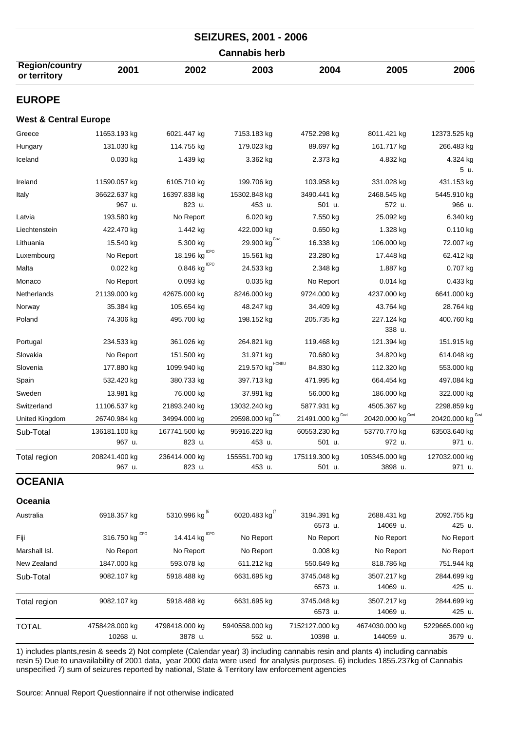| <b>SEIZURES, 2001 - 2006</b>          |                            |                                       |                                  |                            |                             |                           |  |
|---------------------------------------|----------------------------|---------------------------------------|----------------------------------|----------------------------|-----------------------------|---------------------------|--|
| <b>Cannabis herb</b>                  |                            |                                       |                                  |                            |                             |                           |  |
| <b>Region/country</b><br>or territory | 2001                       | 2002                                  | 2003                             | 2004                       | 2005                        | 2006                      |  |
| <b>EUROPE</b>                         |                            |                                       |                                  |                            |                             |                           |  |
| <b>West &amp; Central Europe</b>      |                            |                                       |                                  |                            |                             |                           |  |
| Greece                                | 11653.193 kg               | 6021.447 kg                           | 7153.183 kg                      | 4752.298 kg                | 8011.421 kg                 | 12373.525 kg              |  |
| Hungary                               | 131.030 kg                 | 114.755 kg                            | 179.023 kg                       | 89.697 kg                  | 161.717 kg                  | 266.483 kg                |  |
| Iceland                               | $0.030$ kg                 | 1.439 kg                              | 3.362 kg                         | 2.373 kg                   | 4.832 kg                    | 4.324 kg<br>5 u.          |  |
| Ireland                               | 11590.057 kg               | 6105.710 kg                           | 199.706 kg                       | 103.958 kg                 | 331.028 kg                  | 431.153 kg                |  |
| Italy                                 | 36622.637 kg<br>967 u.     | 16397.838 kg<br>823 u.                | 15302.848 kg<br>453 u.           | 3490.441 kg<br>501 u.      | 2468.545 kg<br>572 u.       | 5445.910 kg<br>966 u.     |  |
| Latvia                                | 193.580 kg                 | No Report                             | 6.020 kg                         | 7.550 kg                   | 25.092 kg                   | 6.340 kg                  |  |
| Liechtenstein                         | 422.470 kg                 | 1.442 kg                              | 422.000 kg                       | $0.650$ kg                 | 1.328 kg                    | $0.110$ kg                |  |
| Lithuania                             | 15.540 kg                  | 5.300 kg                              | 29.900 $\text{kg}^{\text{Govt}}$ | 16.338 kg                  | 106.000 kg                  | 72.007 kg                 |  |
| Luxembourg                            | No Report                  | 18.196 $kg^{ICPO}$                    | 15.561 kg                        | 23.280 kg                  | 17.448 kg                   | 62.412 kg                 |  |
| Malta                                 | $0.022$ kg                 | $0.846$ $\mathrm{kg}^{\mathrm{ICPO}}$ | 24.533 kg                        | 2.348 kg                   | 1.887 kg                    | 0.707 kg                  |  |
| Monaco                                | No Report                  | 0.093 kg                              | $0.035$ kg                       | No Report                  | $0.014$ kg                  | 0.433 kg                  |  |
| Netherlands                           | 21139.000 kg               | 42675.000 kg                          | 8246.000 kg                      | 9724.000 kg                | 4237.000 kg                 | 6641.000 kg               |  |
| Norway                                | 35.384 kg                  | 105.654 kg                            | 48.247 kg                        | 34.409 kg                  | 43.764 kg                   | 28.764 kg                 |  |
| Poland                                | 74.306 kg                  | 495.700 kg                            | 198.152 kg                       | 205.735 kg                 | 227.124 kg<br>338 u.        | 400.760 kg                |  |
| Portugal                              | 234.533 kg                 | 361.026 kg                            | 264.821 kg                       | 119.468 kg                 | 121.394 kg                  | 151.915 kg                |  |
| Slovakia                              | No Report                  | 151.500 kg                            | 31.971 kg                        | 70.680 kg                  | 34.820 kg                   | 614.048 kg                |  |
| Slovenia                              | 177.880 kg                 | 1099.940 kg                           | HONEU<br>219.570 kg              | 84.830 kg                  | 112.320 kg                  | 553.000 kg                |  |
| Spain                                 | 532.420 kg                 | 380.733 kg                            | 397.713 kg                       | 471.995 kg                 | 664.454 kg                  | 497.084 kg                |  |
| Sweden                                | 13.981 kg                  | 76.000 kg                             | 37.991 kg                        | 56.000 kg                  | 186.000 kg                  | 322.000 kg                |  |
| Switzerland                           | 11106.537 kg               | 21893.240 kg                          | 13032.240 kg                     | 5877.931 kg                | 4505.367 kg                 | 2298.859 kg               |  |
| United Kingdom                        | 26740.984 kg               | 34994.000 kg                          | 29598.000 kg <sup>Govt</sup>     | 21491.000 kg Covt          | 20420.000 kg Covt           | 20420.000 kg Cov.         |  |
| Sub-Total                             | 136181.100 kg<br>967 u.    | 167741.500 kg<br>823 u.               | 95916.220 kg<br>453 u.           | 60553.230 kg<br>501 u.     | 53770.770 kg<br>972 u.      | 63503.640 kg<br>971 u.    |  |
| Total region                          | 208241.400 kg<br>967 u.    | 236414.000 kg<br>823 u.               | 155551.700 kg<br>453 u.          | 175119.300 kg<br>501 u.    | 105345.000 kg<br>3898 u.    | 127032.000 kg<br>971 u.   |  |
| <b>OCEANIA</b>                        |                            |                                       |                                  |                            |                             |                           |  |
| Oceania                               |                            |                                       |                                  |                            |                             |                           |  |
| Australia                             | 6918.357 kg                | 5310.996 kg <sup>(6</sup>             | 6020.483 $kg''$                  | 3194.391 kg<br>6573 u.     | 2688.431 kg<br>14069 u.     | 2092.755 kg<br>425 u.     |  |
| Fiji                                  | 316.750 $kg^{\text{ICPO}}$ | 14.414 $kgICPO$                       | No Report                        | No Report                  | No Report                   | No Report                 |  |
| Marshall Isl.                         | No Report                  | No Report                             | No Report                        | $0.008$ kg                 | No Report                   | No Report                 |  |
| New Zealand                           | 1847.000 kg                | 593.078 kg                            | 611.212 kg                       | 550.649 kg                 | 818.786 kg                  | 751.944 kg                |  |
| Sub-Total                             | 9082.107 kg                | 5918.488 kg                           | 6631.695 kg                      | 3745.048 kg<br>6573 u.     | 3507.217 kg<br>14069 u.     | 2844.699 kg<br>425 u.     |  |
| Total region                          | 9082.107 kg                | 5918.488 kg                           | 6631.695 kg                      | 3745.048 kg<br>6573 u.     | 3507.217 kg<br>14069 u.     | 2844.699 kg<br>425 u.     |  |
| <b>TOTAL</b>                          | 4758428.000 kg<br>10268 u. | 4798418.000 kg<br>3878 u.             | 5940558.000 kg<br>552 u.         | 7152127.000 kg<br>10398 u. | 4674030.000 kg<br>144059 u. | 5229665.000 kg<br>3679 u. |  |
|                                       |                            |                                       |                                  |                            |                             |                           |  |

1) includes plants,resin & seeds 2) Not complete (Calendar year) 3) including cannabis resin and plants 4) including cannabis resin 5) Due to unavailability of 2001 data, year 2000 data were used for analysis purposes. 6) includes 1855.237kg of Cannabis unspecified 7) sum of seizures reported by national, State & Territory law enforcement agencies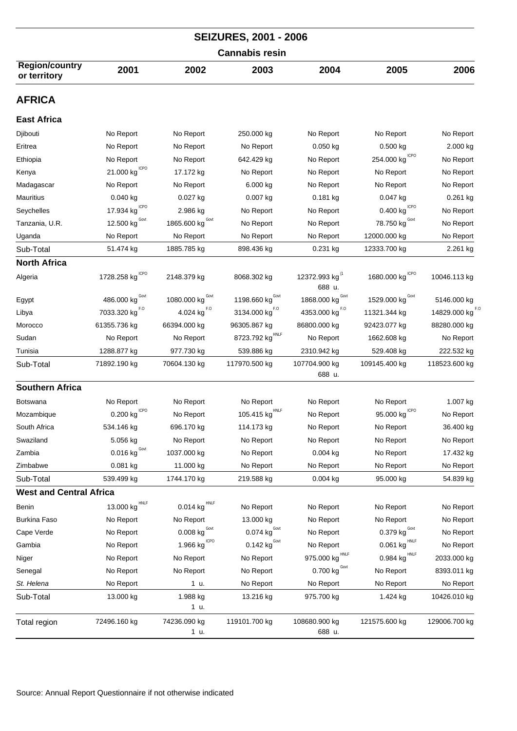| <b>SEIZURES, 2001 - 2006</b>          |                                        |                                       |                                 |                                      |                                         |                             |  |  |
|---------------------------------------|----------------------------------------|---------------------------------------|---------------------------------|--------------------------------------|-----------------------------------------|-----------------------------|--|--|
| <b>Cannabis resin</b>                 |                                        |                                       |                                 |                                      |                                         |                             |  |  |
| <b>Region/country</b><br>or territory | 2001                                   | 2002                                  | 2003                            | 2004                                 | 2005                                    | 2006                        |  |  |
| <b>AFRICA</b>                         |                                        |                                       |                                 |                                      |                                         |                             |  |  |
| <b>East Africa</b>                    |                                        |                                       |                                 |                                      |                                         |                             |  |  |
| Djibouti                              | No Report                              | No Report                             | 250.000 kg                      | No Report                            | No Report                               | No Report                   |  |  |
| Eritrea                               | No Report                              | No Report                             | No Report                       | $0.050$ kg                           | $0.500$ kg                              | 2.000 kg                    |  |  |
| Ethiopia                              | No Report                              | No Report                             | 642.429 kg                      | No Report                            | <b>ICPO</b><br>254.000 kg               | No Report                   |  |  |
| Kenya                                 | 21.000 $\text{kg}^{\text{ICPO}}$       | 17.172 kg                             | No Report                       | No Report                            | No Report                               | No Report                   |  |  |
| Madagascar                            | No Report                              | No Report                             | 6.000 kg                        | No Report                            | No Report                               | No Report                   |  |  |
| <b>Mauritius</b>                      | 0.040 kg                               | $0.027$ kg                            | $0.007$ kg                      | $0.181$ kg                           | $0.047$ kg                              | $0.261$ kg                  |  |  |
| Seychelles                            | 17.934 $kgICPO$                        | 2.986 kg                              | No Report                       | No Report                            | $0.400$ $\mathrm{kg}^{\mathrm{\,ICPO}}$ | No Report                   |  |  |
| Tanzania, U.R.                        | 12.500 $\text{kg}^{\text{Govt}}$       | Govt<br>1865.600 kg                   | No Report                       | No Report                            | 78.750 kg                               | No Report                   |  |  |
| Uganda                                | No Report                              | No Report                             | No Report                       | No Report                            | 12000.000 kg                            | No Report                   |  |  |
| Sub-Total                             | 51.474 kg                              | 1885.785 kg                           | 898.436 kg                      | $0.231$ kg                           | 12333.700 kg                            | 2.261 kg                    |  |  |
| <b>North Africa</b>                   |                                        |                                       |                                 |                                      |                                         |                             |  |  |
| Algeria                               | 1728.258 kg $^{ICPO}$                  | 2148.379 kg                           | 8068.302 kg                     | 12372.993 kg <sup>(1</sup><br>688 u. | 1680.000 kg CPO                         | 10046.113 kg                |  |  |
| Egypt                                 | 486.000 kg Govt                        | 1080.000 $\text{kg}^{\text{Govt}}$    | 1198.660 kg <sup>Govt</sup>     | 1868.000 $\text{kg}^{\text{Gout}}$   | 1529.000 kg Govt                        | 5146.000 kg                 |  |  |
| Libya                                 | 7033.320 kg <sup>F.0</sup>             | 4.024 $\text{kg}^{\text{F},\text{O}}$ | 3134.000 kg <sup>F.0</sup>      | 4353.000 kg <sup>F.0</sup>           | 11321.344 kg                            | 14829.000 kg <sup>F.C</sup> |  |  |
| Morocco                               | 61355.736 kg                           | 66394.000 kg                          | 96305.867 kg                    | 86800.000 kg                         | 92423.077 kg                            | 88280.000 kg                |  |  |
| Sudan                                 | No Report                              | No Report                             | 8723.792 kg <sup>HNLF</sup>     | No Report                            | 1662.608 kg                             | No Report                   |  |  |
| Tunisia                               | 1288.877 kg                            | 977.730 kg                            | 539.886 kg                      | 2310.942 kg                          | 529.408 kg                              | 222.532 kg                  |  |  |
| Sub-Total                             | 71892.190 kg                           | 70604.130 kg                          | 117970.500 kg                   | 107704.900 kg<br>688 u.              | 109145.400 kg                           | 118523.600 kg               |  |  |
| <b>Southern Africa</b>                |                                        |                                       |                                 |                                      |                                         |                             |  |  |
| <b>Botswana</b>                       | No Report                              | No Report                             | No Report                       | No Report                            | No Report                               | 1.007 kg                    |  |  |
| Mozambique                            | $0.200$ kg $^{^{\mid\text{CPO}\mid} }$ | No Report                             | HNLF<br>105.415 kg              | No Report                            | 95.000 kg $^{ICPO}$                     | No Report                   |  |  |
| South Africa                          | 534.146 kg                             | 696.170 kg                            | 114.173 kg                      | No Report                            | No Report                               | 36.400 kg                   |  |  |
| Swaziland                             | 5.056 kg                               | No Report                             | No Report                       | No Report                            | No Report                               | No Report                   |  |  |
| Zambia                                | 0.016 $\text{kg}^{\text{Govt}}$        | 1037.000 kg                           | No Report                       | 0.004 kg                             | No Report                               | 17.432 kg                   |  |  |
| Zimbabwe                              | 0.081 kg                               | 11.000 kg                             | No Report                       | No Report                            | No Report                               | No Report                   |  |  |
| Sub-Total                             | 539.499 kg                             | 1744.170 kg                           | 219.588 kg                      | $0.004$ kg                           | 95.000 kg                               | 54.839 kg                   |  |  |
| <b>West and Central Africa</b>        |                                        |                                       |                                 |                                      |                                         |                             |  |  |
| Benin                                 | 13.000 kg $^{\text{HNLF}}$             | $0.014$ kg $^{HNLF}$                  | No Report                       | No Report                            | No Report                               | No Report                   |  |  |
| <b>Burkina Faso</b>                   | No Report                              | No Report                             | 13.000 kg                       | No Report                            | No Report                               | No Report                   |  |  |
| Cape Verde                            | No Report                              | 0.008 $\text{kg}^{\,\text{Govt}}$     | 0.074 $\text{kg}^{\text{Govt}}$ | No Report                            | 0.379 $\text{kg}^{\text{Govt}}$         | No Report                   |  |  |
| Gambia                                | No Report                              | 1.966 kg CPO                          | $0.142$ kg <sup>Govt</sup>      | No Report                            | $0.061$ kg $^{HNLF}$                    | No Report                   |  |  |
| Niger                                 | No Report                              | No Report                             | No Report                       | 975.000 $\text{kg}^{\text{HNLF}}$    | 0.984 kg HNLF                           | 2033.000 kg                 |  |  |
| Senegal                               | No Report                              | No Report                             | No Report                       | 0.700 $\text{kg}^{\text{Govt}}$      | No Report                               | 8393.011 kg                 |  |  |
| St. Helena                            | No Report                              | 1 u.                                  | No Report                       | No Report                            | No Report                               | No Report                   |  |  |
| Sub-Total                             | 13.000 kg                              | 1.988 kg<br>1 u.                      | 13.216 kg                       | 975.700 kg                           | 1.424 kg                                | 10426.010 kg                |  |  |
| Total region                          | 72496.160 kg                           | 74236.090 kg<br>1 u.                  | 119101.700 kg                   | 108680.900 kg<br>688 u.              | 121575.600 kg                           | 129006.700 kg               |  |  |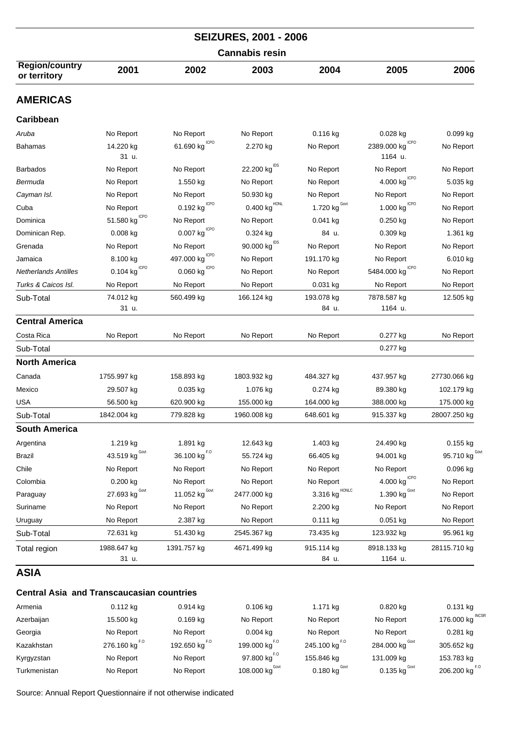| <b>SEIZURES, 2001 - 2006</b><br><b>Cannabis resin</b> |                                  |                                                 |                                       |                                 |                                 |                                  |  |  |
|-------------------------------------------------------|----------------------------------|-------------------------------------------------|---------------------------------------|---------------------------------|---------------------------------|----------------------------------|--|--|
|                                                       |                                  |                                                 |                                       |                                 |                                 |                                  |  |  |
| <b>AMERICAS</b>                                       |                                  |                                                 |                                       |                                 |                                 |                                  |  |  |
| Caribbean                                             |                                  |                                                 |                                       |                                 |                                 |                                  |  |  |
| Aruba                                                 | No Report                        | No Report                                       | No Report                             | 0.116 kg                        | 0.028 kg                        | 0.099 kg                         |  |  |
| Bahamas                                               | 14.220 kg<br>31 u.               | 61.690 $kg^{ICPO}$                              | 2.270 kg                              | No Report                       | ICPO<br>2389.000 kg<br>1164 u.  | No Report                        |  |  |
| <b>Barbados</b>                                       | No Report                        | No Report                                       | 22.200 kg <sup>IDS</sup>              | No Report                       | No Report                       | No Report                        |  |  |
| Bermuda                                               | No Report                        | 1.550 kg                                        | No Report                             | No Report                       | $4.000$ $kgICPO$                | 5.035 kg                         |  |  |
| Cayman Isl.                                           | No Report                        | No Report                                       | 50.930 kg                             | No Report                       | No Report                       | No Report                        |  |  |
| Cuba                                                  | No Report                        | <b>ICPO</b><br>0.192 kg                         | $0.400$ $\mathrm{kg}^{\mathrm{HONL}}$ | 1.720 $\text{kg}^{\text{Govt}}$ | $1.000$ kg $^{\mathrm{ICPO}}$   | No Report                        |  |  |
| Dominica                                              | 51.580 $kg^{\text{ICPO}}$        | No Report                                       | No Report                             | $0.041$ kg                      | $0.250$ kg                      | No Report                        |  |  |
| Dominican Rep.                                        | $0.008$ kg                       | $0.007$ $\text{kg}^{\text{\,\scriptsize ICPO}}$ | 0.324 kg                              | 84 u.                           | $0.309$ kg                      | 1.361 kg                         |  |  |
| Grenada                                               | No Report                        | No Report                                       | $90.000$ $\mathrm{kg}^\text{IDS}$     | No Report                       | No Report                       | No Report                        |  |  |
| Jamaica                                               | 8.100 kg                         | 497.000 kg CPO                                  | No Report                             | 191.170 kg                      | No Report                       | 6.010 kg                         |  |  |
| <b>Netherlands Antilles</b>                           | $0.104$ kg <sup>ICPO</sup>       | $0.060$ kg $\overline{^{ICPO}}$                 | No Report                             | No Report                       | 5484.000 kg CPO                 | No Report                        |  |  |
| Turks & Caicos Isl.                                   | No Report                        | No Report                                       | No Report                             | 0.031 kg                        | No Report                       | No Report                        |  |  |
| Sub-Total                                             | 74.012 kg<br>31 u.               | 560.499 kg                                      | 166.124 kg                            | 193.078 kg<br>84 u.             | 7878.587 kg<br>1164 u.          | 12.505 kg                        |  |  |
| <b>Central America</b>                                |                                  |                                                 |                                       |                                 |                                 |                                  |  |  |
| Costa Rica                                            | No Report                        | No Report                                       | No Report                             | No Report                       | 0.277 kg                        | No Report                        |  |  |
| Sub-Total                                             |                                  |                                                 |                                       |                                 | 0.277 kg                        |                                  |  |  |
| <b>North America</b>                                  |                                  |                                                 |                                       |                                 |                                 |                                  |  |  |
| Canada                                                | 1755.997 kg                      | 158.893 kg                                      | 1803.932 kg                           | 484.327 kg                      | 437.957 kg                      | 27730.066 kg                     |  |  |
| Mexico                                                | 29.507 kg                        | 0.035 kg                                        | 1.076 kg                              | 0.274 kg                        | 89.380 kg                       | 102.179 kg                       |  |  |
| <b>USA</b>                                            | 56.500 kg                        | 620.900 kg                                      | 155.000 kg                            | 164.000 kg                      | 388.000 kg                      | 175.000 kg                       |  |  |
| Sub-Total                                             | 1842.004 kg                      | 779.828 kg                                      | 1960.008 kg                           | 648.601 kg                      | 915.337 kg                      | 28007.250 kg                     |  |  |
| <b>South America</b>                                  |                                  |                                                 |                                       |                                 |                                 |                                  |  |  |
| Argentina                                             | 1.219 kg                         | 1.891 kg                                        | 12.643 kg                             | 1.403 kg                        | 24.490 kg                       | 0.155 kg                         |  |  |
| <b>Brazil</b>                                         | 43.519 $\text{kg}^{\text{Govt}}$ | 36.100 $\text{kg}^{F.0}$                        | 55.724 kg                             | 66.405 kg                       | 94.001 kg                       | 95.710 $\text{kg}^{\text{Govt}}$ |  |  |
| Chile                                                 | No Report                        | No Report                                       | No Report                             | No Report                       | No Report                       | 0.096 kg                         |  |  |
| Colombia                                              | $0.200$ kg                       | No Report                                       | No Report                             | No Report                       | $4.000$ kg $^{\mathrm{ICPO}}$   | No Report                        |  |  |
| Paraguay                                              | 27.693 kg $^{\text{Gout}}$       | 11.052 $\text{kg}^{\text{Govt}}$                | 2477.000 kg                           | HONLC<br>3.316 kg               | 1.390 $\text{kg}^{\text{Govt}}$ | No Report                        |  |  |
| Suriname                                              | No Report                        | No Report                                       | No Report                             | 2.200 kg                        | No Report                       | No Report                        |  |  |
| Uruguay                                               | No Report                        | 2.387 kg                                        | No Report                             | $0.111$ kg                      | 0.051 kg                        | No Report                        |  |  |
| Sub-Total                                             | 72.631 kg                        | 51.430 kg                                       | 2545.367 kg                           | 73.435 kg                       | 123.932 kg                      | 95.961 kg                        |  |  |
| Total region                                          | 1988.647 kg<br>31 u.             | 1391.757 kg                                     | 4671.499 kg                           | 915.114 kg<br>84 u.             | 8918.133 kg<br>1164 u.          | 28115.710 kg                     |  |  |
| <b>ASIA</b>                                           |                                  |                                                 |                                       |                                 |                                 |                                  |  |  |

#### **Central Asia and Transcaucasian countries**

| Armenia      | $0.112$ kg                | $0.914$ kg                | $0.106$ kg                | 1.171 kg                   | 0.820 kg                   | $0.131$ kg                |
|--------------|---------------------------|---------------------------|---------------------------|----------------------------|----------------------------|---------------------------|
| Azerbaijan   | 15.500 kg                 | $0.169$ kg                | No Report                 | No Report                  | No Report                  | 176.000 kg INCSR          |
| Georgia      | No Report                 | No Report                 | $0.004$ kg                | No Report                  | No Report                  | $0.281$ kg                |
| Kazakhstan   | 276.160 kg <sup>F.0</sup> | 192.650 kg <sup>F.0</sup> | 199.000 kg <sup>F.0</sup> | 245.100 kg <sup>F.0</sup>  | 284.000 kg <sup>Govt</sup> | 305.652 kg                |
| Kyrgyzstan   | No Report                 | No Report                 | 97.800 kg $^{F,0}$        | 155.846 kg                 | 131.009 kg                 | 153.783 kg                |
| Turkmenistan | No Report                 | No Report                 | 108.000 kg $^{Govt}$      | $0.180$ kg <sup>Govt</sup> | $0.135$ kg $\text{Gov}$ t  | 206.200 kg <sup>F.0</sup> |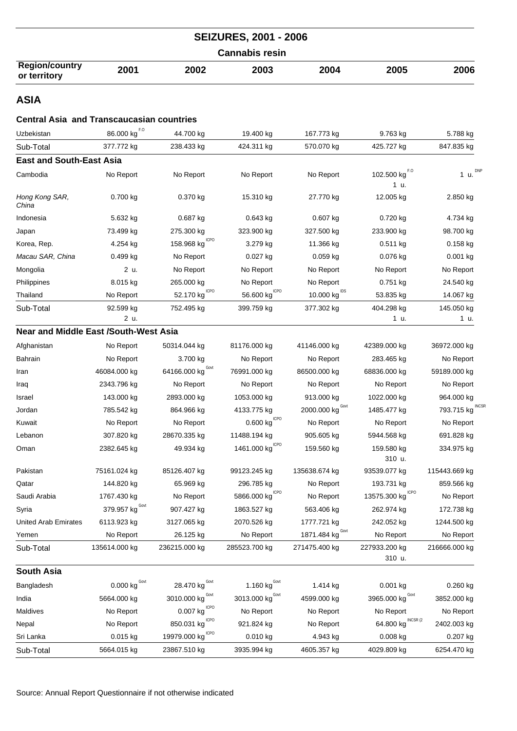|                                       |      |      | <b>SEIZURES, 2001 - 2006</b> |      |      |      |
|---------------------------------------|------|------|------------------------------|------|------|------|
|                                       |      |      | <b>Cannabis resin</b>        |      |      |      |
| <b>Region/country</b><br>or territory | 2001 | 2002 | 2003                         | 2004 | 2005 | 2006 |

## **Central Asia and Transcaucasian countries**

| Uzbekistan                                   | F.O<br>86.000 kg                | 44.700 kg                              | 19.400 kg                                            | 167.773 kg                         | 9.763 kg                            | 5.788 kg                   |
|----------------------------------------------|---------------------------------|----------------------------------------|------------------------------------------------------|------------------------------------|-------------------------------------|----------------------------|
| Sub-Total                                    | 377.772 kg                      | 238.433 kg                             | 424.311 kg                                           | 570.070 kg                         | 425.727 kg                          | 847.835 kg                 |
| <b>East and South-East Asia</b>              |                                 |                                        |                                                      |                                    |                                     |                            |
| Cambodia                                     | No Report                       | No Report                              | No Report                                            | No Report                          | 102.500 kg $^{F.0}$<br>1 u.         | 1 u. $^{DNP}$              |
| Hong Kong SAR,<br>China                      | 0.700 kg                        | 0.370 kg                               | 15.310 kg                                            | 27.770 kg                          | 12.005 kg                           | 2.850 kg                   |
| Indonesia                                    | 5.632 kg                        | 0.687 kg                               | $0.643$ kg                                           | 0.607 kg                           | 0.720 kg                            | 4.734 kg                   |
| Japan                                        | 73.499 kg                       | 275.300 kg                             | 323.900 kg                                           | 327.500 kg                         | 233.900 kg                          | 98.700 kg                  |
| Korea, Rep.                                  | 4.254 kg                        | <b>ICPO</b><br>158.968 kg              | 3.279 kg                                             | 11.366 kg                          | $0.511$ kg                          | $0.158$ kg                 |
| Macau SAR, China                             | $0.499$ kg                      | No Report                              | $0.027$ kg                                           | $0.059$ kg                         | $0.076$ kg                          | $0.001$ kg                 |
| Mongolia                                     | 2 u.                            | No Report                              | No Report                                            | No Report                          | No Report                           | No Report                  |
| Philippines                                  | 8.015 kg                        | 265.000 kg                             | No Report                                            | No Report                          | 0.751 kg                            | 24.540 kg                  |
| Thailand                                     | No Report                       | 52.170 kg <sup>ICPO</sup>              | $\underline{\hspace{1cm}}$ 56.600 kg <sup>ICPO</sup> | $10.000$ kg <sup>IDS</sup>         | 53.835 kg                           | 14.067 kg                  |
| Sub-Total                                    | 92.599 kg<br>2 u.               | 752.495 kg                             | 399.759 kg                                           | 377.302 kg                         | 404.298 kg<br>1 u.                  | 145.050 kg<br>1 u.         |
| <b>Near and Middle East /South-West Asia</b> |                                 |                                        |                                                      |                                    |                                     |                            |
| Afghanistan                                  | No Report                       | 50314.044 kg                           | 81176.000 kg                                         | 41146.000 kg                       | 42389.000 kg                        | 36972.000 kg               |
| Bahrain                                      | No Report                       | 3.700 kg                               | No Report                                            | No Report                          | 283.465 kg                          | No Report                  |
| Iran                                         | 46084.000 kg                    | 64166.000 kg                           | 76991.000 kg                                         | 86500.000 kg                       | 68836.000 kg                        | 59189.000 kg               |
| Iraq                                         | 2343.796 kg                     | No Report                              | No Report                                            | No Report                          | No Report                           | No Report                  |
| Israel                                       | 143.000 kg                      | 2893.000 kg                            | 1053.000 kg                                          | 913.000 kg                         | 1022.000 kg                         | 964.000 kg                 |
| Jordan                                       | 785.542 kg                      | 864.966 kg                             | 4133.775 kg                                          | 2000.000 $\text{kg}^{\text{Govt}}$ | 1485.477 kg                         | <b>INCSF</b><br>793.715 kg |
| Kuwait                                       | No Report                       | No Report                              | $0.600$ $\text{kg}^{\text{\tiny{lCPO}}}$             | No Report                          | No Report                           | No Report                  |
| Lebanon                                      | 307.820 kg                      | 28670.335 kg                           | 11488.194 kg                                         | 905.605 kg                         | 5944.568 kg                         | 691.828 kg                 |
| Oman                                         | 2382.645 kg                     | 49.934 kg                              | 1461.000 kg <sup>ICPO</sup>                          | 159.560 kg                         | 159.580 kg<br>310 u.                | 334.975 kg                 |
| Pakistan                                     | 75161.024 kg                    | 85126.407 kg                           | 99123.245 kg                                         | 135638.674 kg                      | 93539.077 kg                        | 115443.669 kg              |
| Qatar                                        | 144.820 kg                      | 65.969 kg                              | 296.785 kg                                           | No Report                          | 193.731 kg                          | 859.566 kg                 |
| Saudi Arabia                                 | 1767.430 kg                     | No Report                              | 5866.000 kg <sup>ICPO</sup>                          | No Report                          | 13575.300 $\text{kg}^{\text{ICPO}}$ | No Report                  |
| Syria                                        | Govt<br>379.957 kg              | 907.427 kg                             | 1863.527 kg                                          | 563.406 kg                         | 262.974 kg                          | 172.738 kg                 |
| <b>United Arab Emirates</b>                  | 6113.923 kg                     | 3127.065 kg                            | 2070.526 kg                                          | 1777.721 kg                        | 242.052 kg                          | 1244.500 kg                |
| Yemen                                        | No Report                       | 26.125 kg                              | No Report                                            | 1871.484 kg Govt                   | No Report                           | No Report                  |
| Sub-Total                                    | 135614.000 kg                   | 236215.000 kg                          | 285523.700 kg                                        | 271475.400 kg                      | 227933.200 kg<br>310 u.             | 216666.000 kg              |
| <b>South Asia</b>                            |                                 |                                        |                                                      |                                    |                                     |                            |
| Bangladesh                                   | 0.000 $\text{kg}^{\text{Govt}}$ | 28.470 kg                              | 1.160 $kgGovt$                                       | 1.414 kg                           | $0.001$ kg                          | $0.260$ kg                 |
| India                                        | 5664.000 kg                     | Govt<br>3010.000 kg                    | 3013.000 $\text{kg}^{\text{Govt}}$                   | 4599.000 kg                        | Govt<br>3965.000 kg                 | 3852.000 kg                |
| Maldives                                     | No Report                       | ICPO<br>0.007 kg                       | No Report                                            | No Report                          | No Report                           | No Report                  |
| Nepal                                        | No Report                       | 850.031 $\text{kg}^{\text{\tiny LPO}}$ | 921.824 kg                                           | No Report                          | 64.800 kg $^{INCSR(2)}$             | 2402.003 kg                |
| Sri Lanka                                    | $0.015$ kg                      | 19979.000 kg <sup>ICPO</sup>           | 0.010 kg                                             | 4.943 kg                           | 0.008 kg                            | 0.207 kg                   |
| Sub-Total                                    | 5664.015 kg                     | 23867.510 kg                           | 3935.994 kg                                          | 4605.357 kg                        | 4029.809 kg                         | 6254.470 kg                |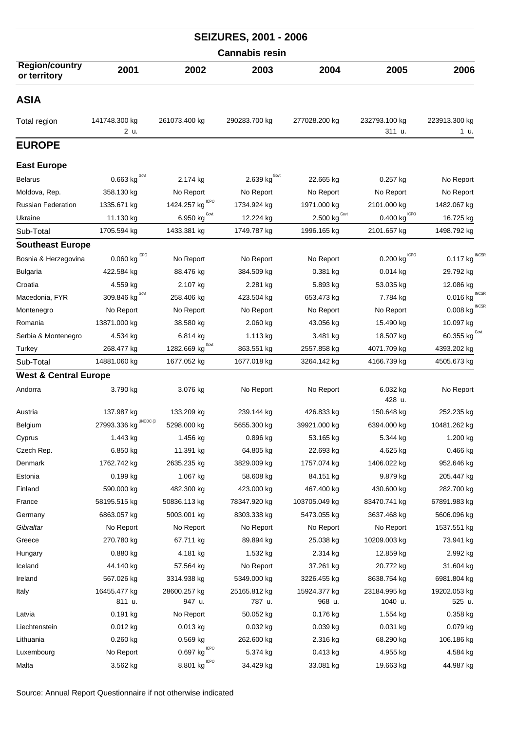| <b>SEIZURES, 2001 - 2006</b>          |                          |                                               |                          |                            |                            |                          |  |  |  |
|---------------------------------------|--------------------------|-----------------------------------------------|--------------------------|----------------------------|----------------------------|--------------------------|--|--|--|
|                                       |                          |                                               | <b>Cannabis resin</b>    |                            |                            |                          |  |  |  |
| <b>Region/country</b><br>or territory | 2001                     | 2002                                          | 2003                     | 2004                       | 2005                       | 2006                     |  |  |  |
| ASIA                                  |                          |                                               |                          |                            |                            |                          |  |  |  |
| Total region                          | 141748.300 kg<br>2 u.    | 261073.400 kg                                 | 290283.700 kg            | 277028.200 kg              | 232793.100 kg<br>311 u.    | 223913.300 kg<br>1 u.    |  |  |  |
| <b>EUROPE</b>                         |                          |                                               |                          |                            |                            |                          |  |  |  |
| <b>East Europe</b>                    |                          |                                               |                          |                            |                            |                          |  |  |  |
| <b>Belarus</b>                        | Govt<br>0.663 kg         | 2.174 kg                                      | 2.639 kg <sup>Govt</sup> | 22.665 kg                  | $0.257$ kg                 | No Report                |  |  |  |
| Moldova, Rep.                         | 358.130 kg               | No Report                                     | No Report                | No Report                  | No Report                  | No Report                |  |  |  |
| <b>Russian Federation</b>             | 1335.671 kg              | <b>ICPO</b><br>1424.257 kg                    | 1734.924 kg              | 1971.000 kg                | 2101.000 kg                | 1482.067 kg              |  |  |  |
| Ukraine                               | 11.130 kg                | $\underbrace{6.950 \text{ kg}}^{\text{Govt}}$ | 12.224 kg                | $2.500$ kg <sup>Govt</sup> | $0.400$ kg <sup>ICPO</sup> | 16.725 kg                |  |  |  |
| Sub-Total                             | 1705.594 kg              | 1433.381 kg                                   | 1749.787 kg              | 1996.165 kg                | 2101.657 kg                | 1498.792 kg              |  |  |  |
| <b>Southeast Europe</b>               |                          |                                               |                          |                            |                            |                          |  |  |  |
| Bosnia & Herzegovina                  | 0.060 kg                 | No Report                                     | No Report                | No Report                  | 0.200 kg                   | <b>INCSF</b><br>0.117 kg |  |  |  |
| <b>Bulgaria</b>                       | 422.584 kg               | 88.476 kg                                     | 384.509 kg               | $0.381$ kg                 | $0.014$ kg                 | 29.792 kg                |  |  |  |
| Croatia                               | 4.559 kg                 | 2.107 kg                                      | 2.281 kg                 | 5.893 kg                   | 53.035 kg                  | 12.086 kg                |  |  |  |
| Macedonia, FYR                        | Govt<br>309.846 kg       | 258.406 kg                                    | 423.504 kg               | 653.473 kg                 | 7.784 kg                   | <b>INCSF</b><br>0.016 kg |  |  |  |
| Montenegro                            | No Report                | No Report                                     | No Report                | No Report                  | No Report                  | $0.008$ kg INCSR         |  |  |  |
| Romania                               | 13871.000 kg             | 38.580 kg                                     | 2.060 kg                 | 43.056 kg                  | 15.490 kg                  | 10.097 kg                |  |  |  |
| Serbia & Montenegro                   | 4.534 kg                 | 6.814 kg                                      | 1.113 kg                 | 3.481 kg                   | 18.507 kg                  | 60.355 $kgGovt$          |  |  |  |
| Turkey                                | 268.477 kg               | 1282.669 kg Govt                              | 863.551 kg               | 2557.858 kg                | 4071.709 kg                | 4393.202 kg              |  |  |  |
| Sub-Total                             | 14881.060 kg             | 1677.052 kg                                   | 1677.018 kg              | 3264.142 kg                | 4166.739 kg                | 4505.673 kg              |  |  |  |
| <b>West &amp; Central Europe</b>      |                          |                                               |                          |                            |                            |                          |  |  |  |
| Andorra                               | 3.790 kg                 | 3.076 kg                                      | No Report                | No Report                  | 6.032 kg<br>428 u.         | No Report                |  |  |  |
| Austria                               | 137.987 kg               | 133.209 kg                                    | 239.144 kg               | 426.833 kg                 | 150.648 kg                 | 252.235 kg               |  |  |  |
| Belgium                               | UNODC (3<br>27993.336 kg | 5298.000 kg                                   | 5655.300 kg              | 39921.000 kg               | 6394.000 kg                | 10481.262 kg             |  |  |  |
| Cyprus                                | 1.443 kg                 | 1.456 kg                                      | 0.896 kg                 | 53.165 kg                  | 5.344 kg                   | 1.200 kg                 |  |  |  |
| Czech Rep.                            | 6.850 kg                 | 11.391 kg                                     | 64.805 kg                | 22.693 kg                  | 4.625 kg                   | 0.466 kg                 |  |  |  |
| Denmark                               | 1762.742 kg              | 2635.235 kg                                   | 3829.009 kg              | 1757.074 kg                | 1406.022 kg                | 952.646 kg               |  |  |  |
| Estonia                               | 0.199 kg                 | 1.067 kg                                      | 58.608 kg                | 84.151 kg                  | 9.879 kg                   | 205.447 kg               |  |  |  |
| Finland                               | 590.000 kg               | 482.300 kg                                    | 423.000 kg               | 467.400 kg                 | 430.600 kg                 | 282.700 kg               |  |  |  |
| France                                | 58195.515 kg             | 50836.113 kg                                  | 78347.920 kg             | 103705.049 kg              | 83470.741 kg               | 67891.983 kg             |  |  |  |
| Germany                               | 6863.057 kg              | 5003.001 kg                                   | 8303.338 kg              | 5473.055 kg                | 3637.468 kg                | 5606.096 kg              |  |  |  |
| Gibraltar                             | No Report                | No Report                                     | No Report                | No Report                  | No Report                  | 1537.551 kg              |  |  |  |
| Greece                                | 270.780 kg               | 67.711 kg                                     | 89.894 kg                | 25.038 kg                  | 10209.003 kg               | 73.941 kg                |  |  |  |
| Hungary                               | $0.880$ kg               | 4.181 kg                                      | 1.532 kg                 | 2.314 kg                   | 12.859 kg                  | 2.992 kg                 |  |  |  |
| Iceland                               | 44.140 kg                | 57.564 kg                                     | No Report                | 37.261 kg                  | 20.772 kg                  | 31.604 kg                |  |  |  |
| Ireland                               | 567.026 kg               | 3314.938 kg                                   | 5349.000 kg              | 3226.455 kg                | 8638.754 kg                | 6981.804 kg              |  |  |  |
| Italy                                 | 16455.477 kg             | 28600.257 kg                                  | 25165.812 kg             | 15924.377 kg               | 23184.995 kg               | 19202.053 kg             |  |  |  |
|                                       | 811 u.                   | 947 u.                                        | 787 u.                   | 968 u.                     | 1040 u.                    | 525 u.                   |  |  |  |
| Latvia                                | $0.191$ kg               | No Report                                     | 50.052 kg                | 0.176 kg                   | 1.554 kg                   | $0.358$ kg               |  |  |  |
| Liechtenstein                         | $0.012$ kg               | $0.013$ kg                                    | $0.032$ kg               | $0.039$ kg                 | 0.031 kg                   | 0.079 kg                 |  |  |  |
| Lithuania                             | $0.260$ kg               | $0.569$ kg                                    | 262.600 kg               | 2.316 kg                   | 68.290 kg                  | 106.186 kg               |  |  |  |
| Luxembourg                            | No Report                | $0.697$ $\mathrm{kg}^{\mathrm{\,ICPO}}$       | 5.374 kg                 | $0.413$ kg                 | 4.955 kg                   | 4.584 kg                 |  |  |  |
| Malta                                 | 3.562 kg                 | 8.801 $\text{kg}^{\text{\tiny ICPO}}$         | 34.429 kg                | 33.081 kg                  | 19.663 kg                  | 44.987 kg                |  |  |  |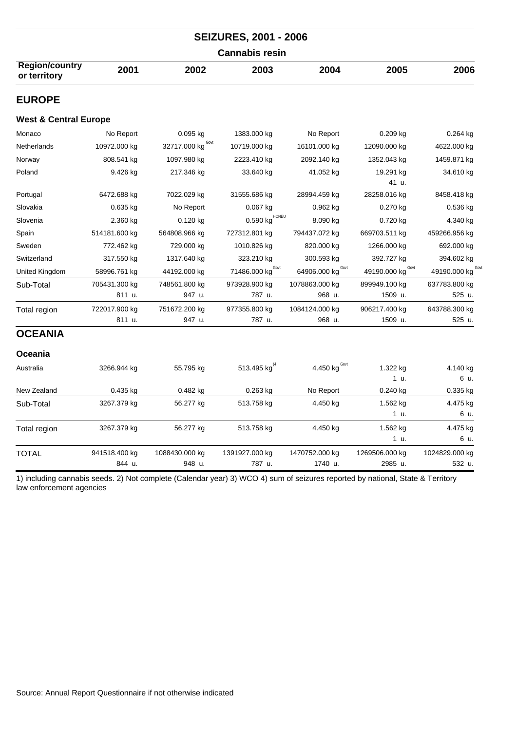|                                       |               |                      | <b>SEIZURES, 2001 - 2006</b> |                      |                    |                  |  |  |
|---------------------------------------|---------------|----------------------|------------------------------|----------------------|--------------------|------------------|--|--|
| <b>Cannabis resin</b>                 |               |                      |                              |                      |                    |                  |  |  |
| <b>Region/country</b><br>or territory | 2001          | 2002                 | 2003                         | 2004                 | 2005               | 2006             |  |  |
| <b>EUROPE</b>                         |               |                      |                              |                      |                    |                  |  |  |
| <b>West &amp; Central Europe</b>      |               |                      |                              |                      |                    |                  |  |  |
| Monaco                                | No Report     | 0.095 kg             | 1383.000 kg                  | No Report            | $0.209$ kg         | $0.264$ kg       |  |  |
| Netherlands                           | 10972.000 kg  | Govt<br>32717.000 kg | 10719.000 kg                 | 16101.000 kg         | 12090.000 kg       | 4622.000 kg      |  |  |
| Norway                                | 808.541 kg    | 1097.980 kg          | 2223.410 kg                  | 2092.140 kg          | 1352.043 kg        | 1459.871 kg      |  |  |
| Poland                                | 9.426 kg      | 217.346 kg           | 33.640 kg                    | 41.052 kg            | 19.291 kg<br>41 u. | 34.610 kg        |  |  |
| Portugal                              | 6472.688 kg   | 7022.029 kg          | 31555.686 kg                 | 28994.459 kg         | 28258.016 kg       | 8458.418 kg      |  |  |
| Slovakia                              | $0.635$ kg    | No Report            | $0.067$ kg                   | $0.962$ kg           | 0.270 kg           | $0.536$ kg       |  |  |
| Slovenia                              | 2.360 kg      | $0.120$ kg           | HONEU<br>0.590 kg            | 8.090 kg             | $0.720$ kg         | 4.340 kg         |  |  |
| Spain                                 | 514181.600 kg | 564808.966 kg        | 727312.801 kg                | 794437.072 kg        | 669703.511 kg      | 459266.956 kg    |  |  |
| Sweden                                | 772.462 kg    | 729.000 kg           | 1010.826 kg                  | 820.000 kg           | 1266.000 kg        | 692.000 kg       |  |  |
| Switzerland                           | 317.550 kg    | 1317.640 kg          | 323.210 kg                   | 300.593 kg           | 392.727 kg         | 394.602 kg       |  |  |
| United Kingdom                        | 58996.761 kg  | 44192.000 kg         | 71486.000 kg <sup>Govt</sup> | Govt<br>64906.000 kg | 49190.000 kg       | 49190.000 kg     |  |  |
| Sub-Total                             | 705431.300 kg | 748561.800 kg        | 973928.900 kg                | 1078863.000 kg       | 899949.100 kg      | 637783.800 kg    |  |  |
|                                       | 811 u.        | 947 u.               | 787 u.                       | 968 u.               | 1509 u.            | 525 u.           |  |  |
| Total region                          | 722017.900 kg | 751672.200 kg        | 977355.800 kg                | 1084124.000 kg       | 906217.400 kg      | 643788.300 kg    |  |  |
|                                       | 811 u.        | 947 u.               | 787 u.                       | 968 u.               | 1509 u.            | 525 u.           |  |  |
| <b>OCEANIA</b>                        |               |                      |                              |                      |                    |                  |  |  |
| Oceania                               |               |                      |                              |                      |                    |                  |  |  |
| Australia                             | 3266.944 kg   | 55.795 kg            | 513.495 kg                   | 4.450 $kgGovt$       | 1.322 kg<br>1 u.   | 4.140 kg<br>6 u. |  |  |
| New Zealand                           | 0.435 kg      | $0.482$ kg           | 0.263 kg                     | No Report            | $0.240$ kg         | 0.335 kg         |  |  |
| Sub-Total                             | 3267.379 kg   | 56.277 kg            | 513.758 kg                   | 4.450 kg             | 1.562 kg           | 4.475 kg         |  |  |
|                                       |               |                      |                              |                      | 1 u.               | 6 u.             |  |  |
| Total region                          | 3267.379 kg   | 56.277 kg            | 513.758 kg                   | 4.450 kg             | 1.562 kg<br>1 u.   | 4.475 kg<br>6 u. |  |  |
| <b>TOTAL</b>                          | 941518.400 kg | 1088430.000 kg       | 1391927.000 kg               | 1470752.000 kg       | 1269506.000 kg     | 1024829.000 kg   |  |  |
|                                       | 844 u.        | 948 u.               | 787 u.                       | 1740 u.              | 2985 u.            | 532 u.           |  |  |

1) including cannabis seeds. 2) Not complete (Calendar year) 3) WCO 4) sum of seizures reported by national, State & Territory law enforcement agencies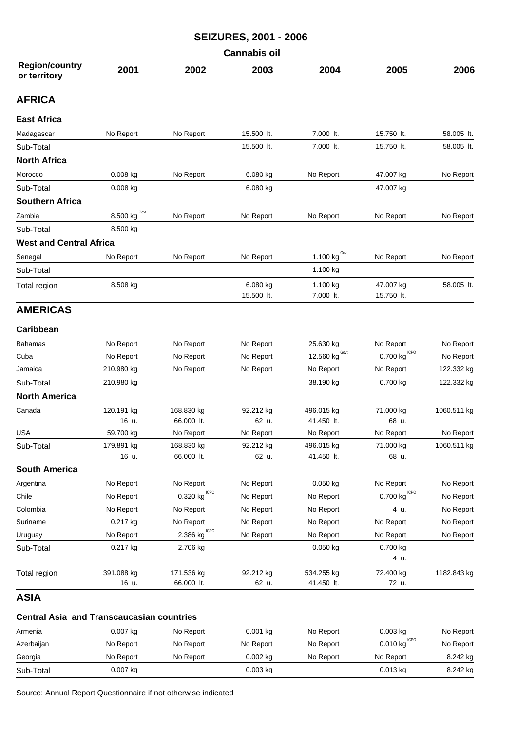| <b>SEIZURES, 2001 - 2006</b>                     |                      |                                       |            |                            |                         |             |  |  |
|--------------------------------------------------|----------------------|---------------------------------------|------------|----------------------------|-------------------------|-------------|--|--|
|                                                  | <b>Cannabis oil</b>  |                                       |            |                            |                         |             |  |  |
| <b>Region/country</b><br>or territory            | 2001                 | 2002                                  | 2003       | 2004                       | 2005                    | 2006        |  |  |
| <b>AFRICA</b>                                    |                      |                                       |            |                            |                         |             |  |  |
| East Africa                                      |                      |                                       |            |                            |                         |             |  |  |
| Madagascar                                       | No Report            | No Report                             | 15.500 lt. | 7.000 lt.                  | 15.750 lt.              | 58.005 lt.  |  |  |
| Sub-Total                                        |                      |                                       | 15.500 lt. | 7.000 lt.                  | 15.750 lt.              | 58.005 lt.  |  |  |
| <b>North Africa</b>                              |                      |                                       |            |                            |                         |             |  |  |
| Morocco                                          | 0.008 kg             | No Report                             | 6.080 kg   | No Report                  | 47.007 kg               | No Report   |  |  |
| Sub-Total                                        | 0.008 kg             |                                       | 6.080 kg   |                            | 47.007 kg               |             |  |  |
| Southern Africa                                  |                      |                                       |            |                            |                         |             |  |  |
| Zambia                                           | $8.500$ kg $^{Govt}$ | No Report                             | No Report  | No Report                  | No Report               | No Report   |  |  |
| Sub-Total                                        | 8.500 kg             |                                       |            |                            |                         |             |  |  |
| <b>West and Central Africa</b>                   |                      |                                       |            |                            |                         |             |  |  |
| Senegal                                          | No Report            | No Report                             | No Report  | $1.100$ kg <sup>Govt</sup> | No Report               | No Report   |  |  |
| Sub-Total                                        |                      |                                       |            | 1.100 kg                   |                         |             |  |  |
| Total region                                     | 8.508 kg             |                                       | 6.080 kg   | 1.100 kg                   | 47.007 kg               | 58.005 lt.  |  |  |
|                                                  |                      |                                       | 15.500 lt. | 7.000 lt.                  | 15.750 lt.              |             |  |  |
| <b>AMERICAS</b>                                  |                      |                                       |            |                            |                         |             |  |  |
| Caribbean                                        |                      |                                       |            |                            |                         |             |  |  |
| Bahamas                                          | No Report            | No Report                             | No Report  | 25.630 kg                  | No Report               | No Report   |  |  |
| Cuba                                             | No Report            | No Report                             | No Report  | Govt<br>12.560 kg          | <b>ICPO</b><br>0.700 kg | No Report   |  |  |
| Jamaica                                          | 210.980 kg           | No Report                             | No Report  | No Report                  | No Report               | 122.332 kg  |  |  |
| Sub-Total                                        | 210.980 kg           |                                       |            | 38.190 kg                  | 0.700 kg                | 122.332 kg  |  |  |
| North America                                    |                      |                                       |            |                            |                         |             |  |  |
| Canada                                           | 120.191 kg           | 168.830 kg                            | 92.212 kg  | 496.015 kg                 | 71.000 kg               | 1060.511 kg |  |  |
|                                                  | 16 u.                | 66.000 lt.                            | 62 u.      | 41.450 lt.                 | 68 u.                   |             |  |  |
| USA                                              | 59.700 kg            | No Report                             | No Report  | No Report                  | No Report               | No Report   |  |  |
| Sub-Total                                        | 179.891 kg           | 168.830 kg                            | 92.212 kg  | 496.015 kg                 | 71.000 kg               | 1060.511 kg |  |  |
|                                                  | 16 u.                | 66.000 lt.                            | 62 u.      | 41.450 lt.                 | 68 u.                   |             |  |  |
| <b>South America</b>                             |                      |                                       |            |                            |                         |             |  |  |
| Argentina                                        | No Report            | No Report                             | No Report  | 0.050 kg                   | No Report               | No Report   |  |  |
| Chile                                            | No Report            | 0.320 $\text{kg}^{\text{\tiny ICPO}}$ | No Report  | No Report                  | $0.700$ kg $^{ICPO}$    | No Report   |  |  |
| Colombia                                         | No Report            | No Report                             | No Report  | No Report                  | 4 u.                    | No Report   |  |  |
| Suriname                                         | 0.217 kg             | No Report                             | No Report  | No Report                  | No Report               | No Report   |  |  |
| Uruguay                                          | No Report            | <b>ICPO</b><br>2.386 kg               | No Report  | No Report                  | No Report               | No Report   |  |  |
| Sub-Total                                        | 0.217 kg             | 2.706 kg                              |            | $0.050$ kg                 | 0.700 kg<br>4 u.        |             |  |  |
| Total region                                     | 391.088 kg           | 171.536 kg                            | 92.212 kg  | 534.255 kg                 | 72.400 kg               | 1182.843 kg |  |  |
| ASIA                                             | 16 u.                | 66.000 lt.                            | 62 u.      | 41.450 lt.                 | 72 u.                   |             |  |  |
|                                                  |                      |                                       |            |                            |                         |             |  |  |
| <b>Central Asia and Transcaucasian countries</b> |                      |                                       |            |                            |                         |             |  |  |
| Armenia                                          | 0.007 kg             | No Report                             | 0.001 kg   | No Report                  | $0.003$ kg              | No Report   |  |  |

ICPO Azerbaijan No Report No Report No Report No Report 0.010 kg No Report Georgia No Report No Report 0.002 kg No Report No Report 8.242 kg Sub-Total 0.007 kg 0.003 kg 0.013 kg 8.242 kg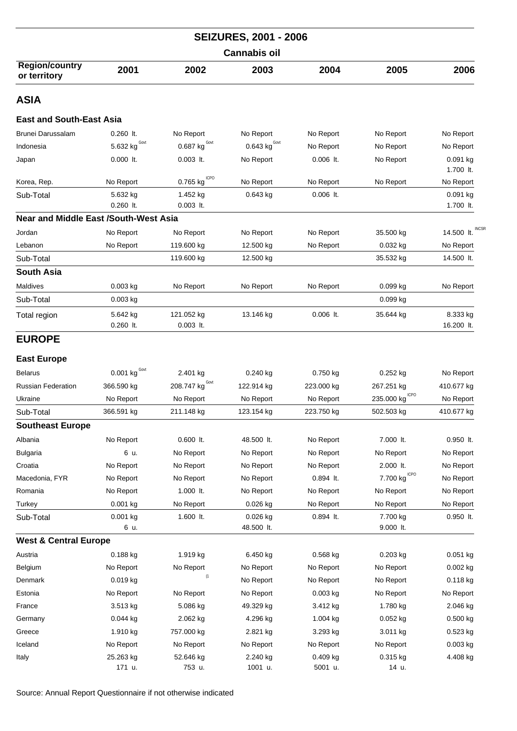|                                              |                            |                                 | <b>SEIZURES, 2001 - 2006</b>    |                       |                           |                            |  |  |
|----------------------------------------------|----------------------------|---------------------------------|---------------------------------|-----------------------|---------------------------|----------------------------|--|--|
| <b>Cannabis oil</b>                          |                            |                                 |                                 |                       |                           |                            |  |  |
| <b>Region/country</b><br>or territory        | 2001                       | 2002                            | 2003                            | 2004                  | 2005                      | 2006                       |  |  |
| <b>ASIA</b>                                  |                            |                                 |                                 |                       |                           |                            |  |  |
| <b>East and South-East Asia</b>              |                            |                                 |                                 |                       |                           |                            |  |  |
| Brunei Darussalam                            | $0.260$ lt.                | No Report                       | No Report                       | No Report             | No Report                 | No Report                  |  |  |
| Indonesia                                    | 5.632 kg $^{\text{Govt}}$  | 0.687 $\text{kg}^{\text{Govt}}$ | 0.643 $\text{kg}^{\text{Govt}}$ | No Report             | No Report                 | No Report                  |  |  |
| Japan                                        | $0.000$ lt.                | $0.003$ lt.                     | No Report                       | $0.006$ lt.           | No Report                 | $0.091$ kg<br>1.700 lt.    |  |  |
| Korea, Rep.                                  | No Report                  | <b>ICPO</b><br>0.765 kg         | No Report                       | No Report             | No Report                 | No Report                  |  |  |
| Sub-Total                                    | 5.632 kg<br>$0.260$ It.    | 1.452 kg<br>$0.003$ lt.         | $0.643$ kg                      | $0.006$ lt.           |                           | $0.091$ kg<br>1.700 lt.    |  |  |
| <b>Near and Middle East /South-West Asia</b> |                            |                                 |                                 |                       |                           |                            |  |  |
| Jordan                                       | No Report                  | No Report                       | No Report                       | No Report             | 35.500 kg                 | <b>INCSF</b><br>14.500 lt. |  |  |
| Lebanon                                      | No Report                  | 119.600 kg                      | 12.500 kg                       | No Report             | 0.032 kg                  | No Report                  |  |  |
| Sub-Total                                    |                            | 119.600 kg                      | 12.500 kg                       |                       | 35.532 kg                 | 14.500 lt.                 |  |  |
| <b>South Asia</b>                            |                            |                                 |                                 |                       |                           |                            |  |  |
| Maldives                                     | $0.003$ kg                 | No Report                       | No Report                       | No Report             | 0.099 kg                  | No Report                  |  |  |
| Sub-Total                                    | $0.003$ kg                 |                                 |                                 |                       | 0.099 kg                  |                            |  |  |
| Total region                                 | 5.642 kg<br>$0.260$ It.    | 121.052 kg<br>$0.003$ lt.       | 13.146 kg                       | $0.006$ It.           | 35.644 kg                 | 8.333 kg<br>16.200 lt.     |  |  |
| <b>EUROPE</b>                                |                            |                                 |                                 |                       |                           |                            |  |  |
| <b>East Europe</b>                           |                            |                                 |                                 |                       |                           |                            |  |  |
| <b>Belarus</b>                               | $0.001$ kg <sup>Govt</sup> | 2.401 kg                        | $0.240$ kg                      | $0.750$ kg            | $0.252$ kg                | No Report                  |  |  |
| Russian Federation                           | 366.590 kg                 | 208.747 $kgGovt$                | 122.914 kg                      | 223.000 kg            | 267.251 kg                | 410.677 kg                 |  |  |
| Ukraine                                      | No Report                  | No Report                       | No Report                       | No Report             | <b>ICPO</b><br>235.000 kg | No Report                  |  |  |
| Sub-Total                                    | 366.591 kg                 | 211.148 kg                      | 123.154 kg                      | 223.750 kg            | 502.503 kg                | 410.677 kg                 |  |  |
| <b>Southeast Europe</b>                      |                            |                                 |                                 |                       |                           |                            |  |  |
| Albania                                      | No Report                  | $0.600$ lt.                     | 48.500 lt.                      | No Report             | 7.000 lt.                 | 0.950 lt.                  |  |  |
| <b>Bulgaria</b>                              | 6 u.                       | No Report                       | No Report                       | No Report             | No Report                 | No Report                  |  |  |
| Croatia                                      | No Report                  | No Report                       | No Report                       | No Report             | 2.000 lt.                 | No Report                  |  |  |
| Macedonia, FYR                               | No Report                  | No Report                       | No Report                       | 0.894 lt.             | <b>ICPO</b><br>7.700 kg   | No Report                  |  |  |
| Romania                                      | No Report                  | 1.000 lt.                       | No Report                       | No Report             | No Report                 | No Report                  |  |  |
| Turkey                                       | 0.001 kg                   | No Report                       | 0.026 kg                        | No Report             | No Report                 | No Report                  |  |  |
| Sub-Total                                    | 0.001 kg<br>6 u.           | 1.600 lt.                       | 0.026 kg<br>48.500 lt.          | 0.894 lt.             | 7.700 kg<br>9.000 lt.     | $0.950$ lt.                |  |  |
| <b>West &amp; Central Europe</b>             |                            |                                 |                                 |                       |                           |                            |  |  |
| Austria                                      | 0.188 kg                   | 1.919 kg                        | 6.450 kg                        | 0.568 kg              | 0.203 kg                  | 0.051 kg                   |  |  |
| Belgium                                      | No Report                  | No Report                       | No Report                       | No Report             | No Report                 | $0.002$ kg                 |  |  |
| Denmark                                      | $0.019$ kg                 | (1)                             | No Report                       | No Report             | No Report                 | $0.118$ kg                 |  |  |
| Estonia                                      | No Report                  | No Report                       | No Report                       | $0.003$ kg            | No Report                 | No Report                  |  |  |
| France                                       | 3.513 kg                   | 5.086 kg                        | 49.329 kg                       | 3.412 kg              | 1.780 kg                  | 2.046 kg                   |  |  |
| Germany                                      | $0.044$ kg                 | 2.062 kg                        | 4.296 kg                        | 1.004 kg              | 0.052 kg                  | 0.500 kg                   |  |  |
| Greece                                       | 1.910 kg                   | 757.000 kg                      | 2.821 kg                        | 3.293 kg              | 3.011 kg                  | 0.523 kg                   |  |  |
| Iceland                                      | No Report                  | No Report                       | No Report                       | No Report             | No Report                 | $0.003$ kg                 |  |  |
| Italy                                        | 25.263 kg<br>171 u.        | 52.646 kg<br>753 u.             | 2.240 kg<br>1001 u.             | $0.409$ kg<br>5001 u. | 0.315 kg<br>14 u.         | 4.408 kg                   |  |  |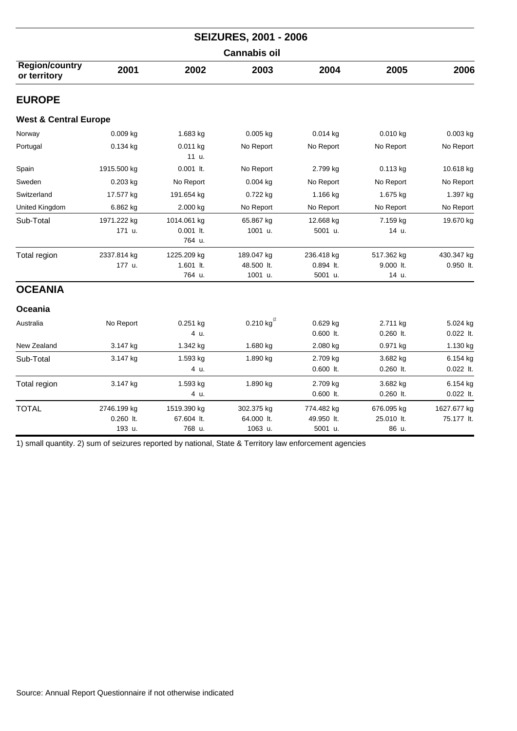|                                       | <b>SEIZURES, 2001 - 2006</b>         |                                      |                                     |                                      |                                   |                           |  |  |
|---------------------------------------|--------------------------------------|--------------------------------------|-------------------------------------|--------------------------------------|-----------------------------------|---------------------------|--|--|
|                                       |                                      |                                      | <b>Cannabis oil</b>                 |                                      |                                   |                           |  |  |
| <b>Region/country</b><br>or territory | 2001                                 | 2002                                 | 2003                                | 2004                                 | 2005                              | 2006                      |  |  |
| <b>EUROPE</b>                         |                                      |                                      |                                     |                                      |                                   |                           |  |  |
| <b>West &amp; Central Europe</b>      |                                      |                                      |                                     |                                      |                                   |                           |  |  |
| Norway                                | $0.009$ kg                           | 1.683 kg                             | $0.005$ kg                          | 0.014 kg                             | $0.010$ kg                        | 0.003 kg                  |  |  |
| Portugal                              | $0.134$ kg                           | 0.011 kg<br>11 u.                    | No Report                           | No Report                            | No Report                         | No Report                 |  |  |
| Spain                                 | 1915.500 kg                          | $0.001$ lt.                          | No Report                           | 2.799 kg                             | 0.113 kg                          | 10.618 kg                 |  |  |
| Sweden                                | $0.203$ kg                           | No Report                            | $0.004$ kg                          | No Report                            | No Report                         | No Report                 |  |  |
| Switzerland                           | 17.577 kg                            | 191.654 kg                           | 0.722 kg                            | 1.166 kg                             | 1.675 kg                          | 1.397 kg                  |  |  |
| United Kingdom                        | 6.862 kg                             | 2.000 kg                             | No Report                           | No Report                            | No Report                         | No Report                 |  |  |
| Sub-Total                             | 1971.222 kg<br>171 u.                | 1014.061 kg<br>$0.001$ lt.<br>764 u. | 65.867 kg<br>1001 u.                | 12.668 kg<br>5001 u.                 | 7.159 kg<br>14 u.                 | 19.670 kg                 |  |  |
| Total region                          | 2337.814 kg<br>177 u.                | 1225.209 kg<br>1.601 lt.<br>764 u.   | 189.047 kg<br>48.500 lt.<br>1001 u. | 236.418 kg<br>$0.894$ lt.<br>5001 u. | 517.362 kg<br>9.000 lt.<br>14 u.  | 430.347 kg<br>$0.950$ lt. |  |  |
| <b>OCEANIA</b>                        |                                      |                                      |                                     |                                      |                                   |                           |  |  |
| Oceania                               |                                      |                                      |                                     |                                      |                                   |                           |  |  |
| Australia                             | No Report                            | 0.251 kg<br>4 u.                     | 0.210 kg $^{(2)}$                   | 0.629 kg<br>0.600 lt.                | 2.711 kg<br>$0.260$ lt.           | 5.024 kg<br>0.022 lt.     |  |  |
| New Zealand                           | 3.147 kg                             | 1.342 kg                             | 1.680 kg                            | 2.080 kg                             | 0.971 kg                          | 1.130 kg                  |  |  |
| Sub-Total                             | 3.147 kg                             | 1.593 kg<br>4 u.                     | 1.890 kg                            | 2.709 kg<br>$0.600$ lt.              | 3.682 kg<br>$0.260$ It.           | 6.154 kg<br>$0.022$ lt.   |  |  |
| Total region                          | 3.147 kg                             | 1.593 kg<br>4 u.                     | 1.890 kg                            | 2.709 kg<br>$0.600$ lt.              | 3.682 kg<br>$0.260$ lt.           | 6.154 kg<br>$0.022$ lt.   |  |  |
| <b>TOTAL</b>                          | 2746.199 kg<br>$0.260$ lt.<br>193 u. | 1519.390 kg<br>67.604 lt.<br>768 u.  | 302.375 kg<br>64.000 lt.<br>1063 u. | 774.482 kg<br>49.950 lt.<br>5001 u.  | 676.095 kg<br>25.010 lt.<br>86 u. | 1627.677 kg<br>75.177 lt. |  |  |

1) small quantity. 2) sum of seizures reported by national, State & Territory law enforcement agencies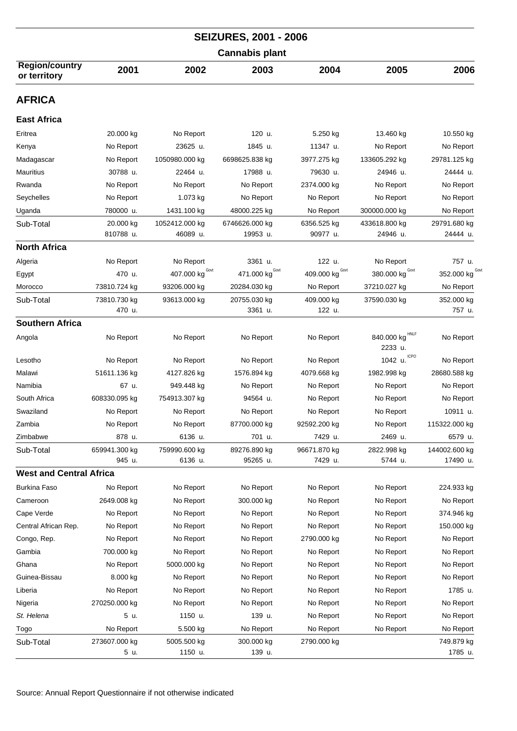| <b>SEIZURES, 2001 - 2006</b>          |                         |                            |                            |                         |                               |                           |  |  |  |
|---------------------------------------|-------------------------|----------------------------|----------------------------|-------------------------|-------------------------------|---------------------------|--|--|--|
|                                       | <b>Cannabis plant</b>   |                            |                            |                         |                               |                           |  |  |  |
| <b>Region/country</b><br>or territory | 2001                    | 2002                       | 2003                       | 2004                    | 2005                          | 2006                      |  |  |  |
| <b>AFRICA</b>                         |                         |                            |                            |                         |                               |                           |  |  |  |
| <b>East Africa</b>                    |                         |                            |                            |                         |                               |                           |  |  |  |
| Eritrea                               | 20.000 kg               | No Report                  | 120 u.                     | 5.250 kg                | 13.460 kg                     | 10.550 kg                 |  |  |  |
| Kenya                                 | No Report               | 23625 u.                   | 1845 u.                    | 11347 u.                | No Report                     | No Report                 |  |  |  |
| Madagascar                            | No Report               | 1050980.000 kg             | 6698625.838 kg             | 3977.275 kg             | 133605.292 kg                 | 29781.125 kg              |  |  |  |
| <b>Mauritius</b>                      | 30788 u.                | 22464 u.                   | 17988 u.                   | 79630 u.                | 24946 u.                      | 24444 u.                  |  |  |  |
| Rwanda                                | No Report               | No Report                  | No Report                  | 2374.000 kg             | No Report                     | No Report                 |  |  |  |
| Seychelles                            | No Report               | 1.073 kg                   | No Report                  | No Report               | No Report                     | No Report                 |  |  |  |
| Uganda                                | 780000 u.               | 1431.100 kg                | 48000.225 kg               | No Report               | 300000.000 kg                 | No Report                 |  |  |  |
| Sub-Total                             | 20.000 kg<br>810788 u.  | 1052412.000 kg<br>46089 u. | 6746626.000 kg<br>19953 u. | 6356.525 kg<br>90977 u. | 433618.800 kg<br>24946 u.     | 29791.680 kg<br>24444 u.  |  |  |  |
| <b>North Africa</b>                   |                         |                            |                            |                         |                               |                           |  |  |  |
| Algeria                               | No Report               | No Report                  | 3361 u.                    | 122 u.                  | No Report                     | 757 u.                    |  |  |  |
| Egypt                                 | 470 u.                  | Govt<br>407.000 kg         | Govt<br>471.000 kg         | Govt<br>409.000 kg      | Govt<br>380.000 kg            | 352.000 kg COVI           |  |  |  |
| Morocco                               | 73810.724 kg            | 93206.000 kg               | 20284.030 kg               | No Report               | 37210.027 kg                  | No Report                 |  |  |  |
| Sub-Total                             | 73810.730 kg<br>470 u.  | 93613.000 kg               | 20755.030 kg<br>3361 u.    | 409.000 kg<br>122 u.    | 37590.030 kg                  | 352.000 kg<br>757 u.      |  |  |  |
| <b>Southern Africa</b>                |                         |                            |                            |                         |                               |                           |  |  |  |
| Angola                                | No Report               | No Report                  | No Report                  | No Report               | HNLF<br>840.000 kg<br>2233 u. | No Report                 |  |  |  |
| Lesotho                               | No Report               | No Report                  | No Report                  | No Report               | <b>ICPO</b><br>1042 u.        | No Report                 |  |  |  |
| Malawi                                | 51611.136 kg            | 4127.826 kg                | 1576.894 kg                | 4079.668 kg             | 1982.998 kg                   | 28680.588 kg              |  |  |  |
| Namibia                               | 67 u.                   | 949.448 kg                 | No Report                  | No Report               | No Report                     | No Report                 |  |  |  |
| South Africa                          | 608330.095 kg           | 754913.307 kg              | 94564 u.                   | No Report               | No Report                     | No Report                 |  |  |  |
| Swaziland                             | No Report               | No Report                  | No Report                  | No Report               | No Report                     | 10911 u.                  |  |  |  |
| Zambia                                | No Report               | No Report                  | 87700.000 kg               | 92592.200 kg            | No Report                     | 115322.000 kg             |  |  |  |
| Zimbabwe                              | 878 u.                  | 6136 u.                    | 701 u.                     | 7429 u.                 | 2469 u.                       | 6579 u.                   |  |  |  |
| Sub-Total                             | 659941.300 kg<br>945 u. | 759990.600 kg<br>6136 u.   | 89276.890 kg<br>95265 u.   | 96671.870 kg<br>7429 u. | 2822.998 kg<br>5744 u.        | 144002.600 kg<br>17490 u. |  |  |  |
| <b>West and Central Africa</b>        |                         |                            |                            |                         |                               |                           |  |  |  |
| <b>Burkina Faso</b>                   | No Report               | No Report                  | No Report                  | No Report               | No Report                     | 224.933 kg                |  |  |  |
| Cameroon                              | 2649.008 kg             | No Report                  | 300.000 kg                 | No Report               | No Report                     | No Report                 |  |  |  |
| Cape Verde                            | No Report               | No Report                  | No Report                  | No Report               | No Report                     | 374.946 kg                |  |  |  |
| Central African Rep.                  | No Report               | No Report                  | No Report                  | No Report               | No Report                     | 150.000 kg                |  |  |  |
| Congo, Rep.                           | No Report               | No Report                  | No Report                  | 2790.000 kg             | No Report                     | No Report                 |  |  |  |
| Gambia                                | 700.000 kg              | No Report                  | No Report                  | No Report               | No Report                     | No Report                 |  |  |  |
| Ghana                                 | No Report               | 5000.000 kg                | No Report                  | No Report               | No Report                     | No Report                 |  |  |  |
| Guinea-Bissau                         | 8.000 kg                | No Report                  | No Report                  | No Report               | No Report                     | No Report                 |  |  |  |
| Liberia                               | No Report               | No Report                  | No Report                  | No Report               | No Report                     | 1785 u.                   |  |  |  |
| Nigeria                               | 270250.000 kg           | No Report                  | No Report                  | No Report               | No Report                     | No Report                 |  |  |  |
| St. Helena                            | 5 u.                    | 1150 u.                    | 139 u.                     | No Report               | No Report                     | No Report                 |  |  |  |
| Togo                                  | No Report               | 5.500 kg                   | No Report                  | No Report               | No Report                     | No Report                 |  |  |  |
| Sub-Total                             | 273607.000 kg<br>5 u.   | 5005.500 kg<br>1150 u.     | 300.000 kg<br>139 u.       | 2790.000 kg             |                               | 749.879 kg<br>1785 u.     |  |  |  |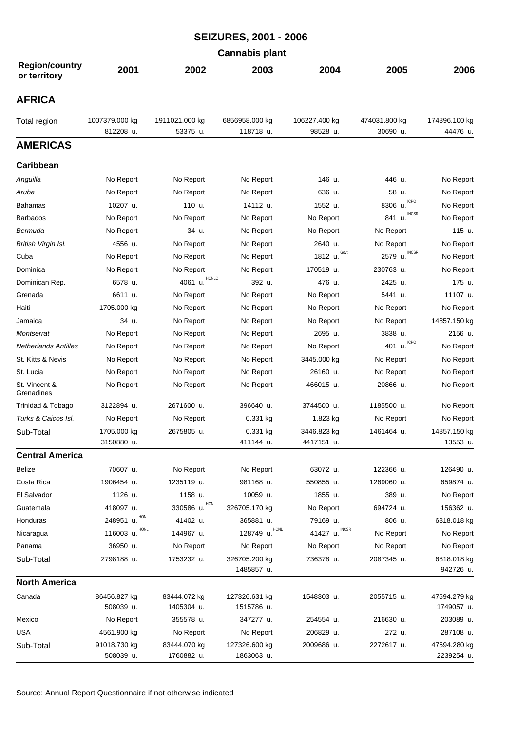|                                       |                             |                            | <b>SEIZURES, 2001 - 2006</b> |                           |                           |                            |  |  |
|---------------------------------------|-----------------------------|----------------------------|------------------------------|---------------------------|---------------------------|----------------------------|--|--|
|                                       | <b>Cannabis plant</b>       |                            |                              |                           |                           |                            |  |  |
| <b>Region/country</b><br>or territory | 2001                        | 2002                       | 2003                         | 2004                      | 2005                      | 2006                       |  |  |
| <b>AFRICA</b>                         |                             |                            |                              |                           |                           |                            |  |  |
| Total region                          | 1007379.000 kg<br>812208 u. | 1911021.000 kg<br>53375 u. | 6856958.000 kg<br>118718 u.  | 106227.400 kg<br>98528 u. | 474031.800 kg<br>30690 u. | 174896.100 kg<br>44476 u.  |  |  |
| <b>AMERICAS</b>                       |                             |                            |                              |                           |                           |                            |  |  |
| Caribbean                             |                             |                            |                              |                           |                           |                            |  |  |
| Anguilla                              | No Report                   | No Report                  | No Report                    | 146 u.                    | 446 u.                    | No Report                  |  |  |
| Aruba                                 | No Report                   | No Report                  | No Report                    | 636 u.                    | 58 u.                     | No Report                  |  |  |
| <b>Bahamas</b>                        | 10207 u.                    | 110 u.                     | 14112 u.                     | 1552 u.                   | <b>ICPO</b><br>8306 u.    | No Report                  |  |  |
| <b>Barbados</b>                       | No Report                   | No Report                  | No Report                    | No Report                 | <b>INCSR</b><br>841 u.    | No Report                  |  |  |
| Bermuda                               | No Report                   | 34 u.                      | No Report                    | No Report                 | No Report                 | 115 u.                     |  |  |
| British Virgin Isl.                   | 4556 u.                     | No Report                  | No Report                    | 2640 u.                   | No Report                 | No Report                  |  |  |
| Cuba                                  | No Report                   | No Report                  | No Report                    | Govt<br>1812 u.           | <b>INCSR</b><br>2579 u.   | No Report                  |  |  |
| Dominica                              | No Report                   | No Report                  | No Report                    | 170519 u.                 | 230763 u.                 | No Report                  |  |  |
| Dominican Rep.                        | 6578 u.                     | HONLC<br>4061 u.           | 392 u.                       | 476 u.                    | 2425 u.                   | 175 u.                     |  |  |
| Grenada                               | 6611 u.                     | No Report                  | No Report                    | No Report                 | 5441 u.                   | 11107 u.                   |  |  |
| Haiti                                 | 1705.000 kg                 | No Report                  | No Report                    | No Report                 | No Report                 | No Report                  |  |  |
| Jamaica                               | 34 u.                       | No Report                  | No Report                    |                           | No Report                 |                            |  |  |
| Montserrat                            | No Report                   |                            |                              | No Report<br>2695 u.      | 3838 u.                   | 14857.150 kg<br>2156 u.    |  |  |
|                                       |                             | No Report                  | No Report                    |                           | <b>ICPO</b>               |                            |  |  |
| <b>Netherlands Antilles</b>           | No Report                   | No Report                  | No Report                    | No Report                 | 401 u.                    | No Report                  |  |  |
| St. Kitts & Nevis                     | No Report                   | No Report                  | No Report                    | 3445.000 kg               | No Report                 | No Report                  |  |  |
| St. Lucia                             | No Report                   | No Report                  | No Report                    | 26160 u.                  | No Report                 | No Report                  |  |  |
| St. Vincent &<br>Grenadines           | No Report                   | No Report                  | No Report                    | 466015 u.                 | 20866 u.                  | No Report                  |  |  |
| Trinidad & Tobago                     | 3122894 u.                  | 2671600 u.                 | 396640 u.                    | 3744500 u.                | 1185500 u.                | No Report                  |  |  |
| Turks & Caicos Isl.                   | No Report                   | No Report                  | 0.331 kg                     | 1.823 kg                  | No Report                 | No Report                  |  |  |
| Sub-Total                             | 1705.000 kg<br>3150880 u.   | 2675805 u.                 | 0.331 kg<br>411144 u.        | 3446.823 kg<br>4417151 u. | 1461464 u.                | 14857.150 kg<br>13553 u.   |  |  |
| <b>Central America</b>                |                             |                            |                              |                           |                           |                            |  |  |
| Belize                                | 70607 u.                    | No Report                  | No Report                    | 63072 u.                  | 122366 u.                 | 126490 u.                  |  |  |
| Costa Rica                            | 1906454 u.                  | 1235119 u.                 | 981168 u.                    | 550855 u.                 | 1269060 u.                | 659874 u.                  |  |  |
| El Salvador                           | 1126 u.                     | 1158 u.                    | 10059 u.                     | 1855 u.                   | 389 u.                    | No Report                  |  |  |
| Guatemala                             | 418097 u.                   | 330586 u. HONL             | 326705.170 kg                | No Report                 | 694724 u.                 | 156362 u.                  |  |  |
| Honduras                              | 248951 u. HONL              | 41402 u.                   | 365881 u.                    | 79169 u.                  | 806 u.                    | 6818.018 kg                |  |  |
| Nicaragua                             | 116003 u. HONL              | 144967 u.                  | 128749 u. HONL               | 41427 u. INCSR            | No Report                 | No Report                  |  |  |
| Panama                                | 36950 u.                    | No Report                  | No Report                    | No Report                 | No Report                 | No Report                  |  |  |
| Sub-Total                             | 2798188 u.                  | 1753232 u.                 | 326705.200 kg<br>1485857 u.  | 736378 u.                 | 2087345 u.                | 6818.018 kg<br>942726 u.   |  |  |
| <b>North America</b>                  |                             |                            |                              |                           |                           |                            |  |  |
| Canada                                | 86456.827 kg                | 83444.072 kg               | 127326.631 kg                | 1548303 u.                | 2055715 u.                | 47594.279 kg               |  |  |
|                                       | 508039 u.                   | 1405304 u.                 | 1515786 u.                   |                           |                           | 1749057 u.                 |  |  |
| Mexico                                | No Report                   | 355578 u.                  | 347277 u.                    | 254554 u.                 | 216630 u.                 | 203089 u.                  |  |  |
| <b>USA</b>                            | 4561.900 kg                 | No Report                  | No Report                    | 206829 u.                 | 272 u.                    | 287108 u.                  |  |  |
| Sub-Total                             | 91018.730 kg<br>508039 u.   | 83444.070 kg<br>1760882 u. | 127326.600 kg<br>1863063 u.  | 2009686 u.                | 2272617 u.                | 47594.280 kg<br>2239254 u. |  |  |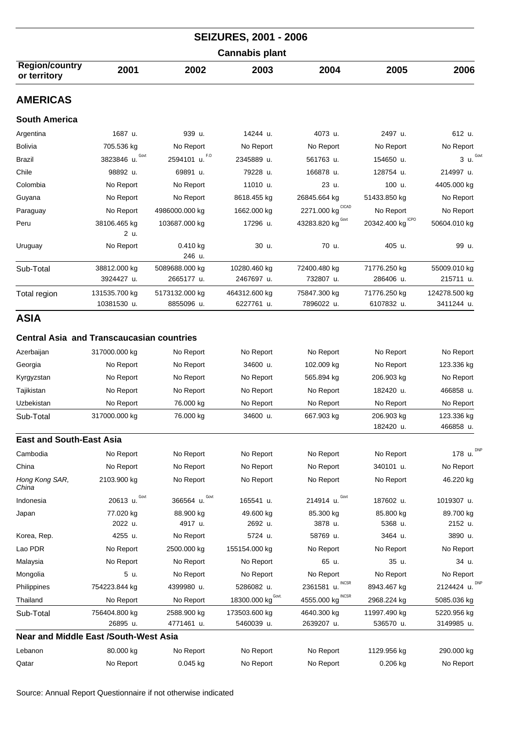| <b>SEIZURES, 2001 - 2006</b>                                   |                              |                              |                                 |                              |                            |                             |  |  |
|----------------------------------------------------------------|------------------------------|------------------------------|---------------------------------|------------------------------|----------------------------|-----------------------------|--|--|
| <b>Cannabis plant</b>                                          |                              |                              |                                 |                              |                            |                             |  |  |
| <b>Region/country</b><br>or territory                          | 2001                         | 2002                         | 2003                            | 2004                         | 2005                       | 2006                        |  |  |
| <b>AMERICAS</b>                                                |                              |                              |                                 |                              |                            |                             |  |  |
| <b>South America</b>                                           |                              |                              |                                 |                              |                            |                             |  |  |
| Argentina                                                      | 1687 u.                      | 939 u.                       | 14244 u.                        | 4073 u.                      | 2497 u.                    | 612 u.                      |  |  |
| <b>Bolivia</b>                                                 | 705.536 kg                   | No Report                    | No Report                       | No Report                    | No Report                  | No Report                   |  |  |
| Brazil                                                         | Govt<br>3823846 u.           | F.O<br>2594101 u.            | 2345889 u.                      | 561763 u.                    | 154650 u.                  | 3 u. <sup>Govt</sup>        |  |  |
| Chile                                                          | 98892 u.                     | 69891 u.                     | 79228 u.                        | 166878 u.                    | 128754 u.                  | 214997 u.                   |  |  |
| Colombia                                                       | No Report                    | No Report                    | 11010 u.                        | 23 u.                        | 100 u.                     | 4405.000 kg                 |  |  |
| Guyana                                                         | No Report                    | No Report                    | 8618.455 kg                     | 26845.664 kg                 | 51433.850 kg               | No Report                   |  |  |
| Paraguay                                                       | No Report                    | 4986000.000 kg               | 1662.000 kg                     | 2271.000 $kg^{\text{CICAD}}$ | No Report                  | No Report                   |  |  |
| Peru                                                           | 38106.465 kg<br>2 u.         | 103687.000 kg                | 17296 u.                        | 43283.820 kg Govt            | 20342.400 kg CPO           | 50604.010 kg                |  |  |
| Uruguay                                                        | No Report                    | 0.410 kg<br>246 u.           | 30 u.                           | 70 u.                        | 405 u.                     | 99 u.                       |  |  |
| Sub-Total                                                      | 38812.000 kg<br>3924427 u.   | 5089688.000 kg<br>2665177 u. | 10280.460 kg<br>2467697 u.      | 72400.480 kg<br>732807 u.    | 71776.250 kg<br>286406 u.  | 55009.010 kg<br>215711 u.   |  |  |
| Total region                                                   | 131535.700 kg<br>10381530 u. | 5173132.000 kg<br>8855096 u. | 464312.600 kg<br>6227761 u.     | 75847.300 kg<br>7896022 u.   | 71776.250 kg<br>6107832 u. | 124278.500 kg<br>3411244 u. |  |  |
| <b>ASIA</b>                                                    |                              |                              |                                 |                              |                            |                             |  |  |
| <b>Central Asia and Transcaucasian countries</b><br>Azerbaijan | 317000.000 kg                | No Report                    | No Report                       | No Report                    | No Report                  | No Report                   |  |  |
| Georgia                                                        | No Report                    | No Report                    | 34600 u.                        | 102.009 kg                   | No Report                  | 123.336 kg                  |  |  |
| Kyrgyzstan                                                     | No Report                    | No Report                    | No Report                       | 565.894 kg                   | 206.903 kg                 | No Report                   |  |  |
| Tajikistan                                                     | No Report                    | No Report                    | No Report                       | No Report                    | 182420 u.                  | 466858 u.                   |  |  |
| Uzbekistan                                                     | No Report                    | 76.000 kg                    | No Report                       | No Report                    | No Report                  | No Report                   |  |  |
| Sub-Total                                                      | 317000.000 kg                | 76.000 kg                    | 34600 u.                        | 667.903 kg                   | 206.903 kg<br>182420 u.    | 123.336 kg<br>466858 u.     |  |  |
| <b>East and South-East Asia</b>                                |                              |                              |                                 |                              |                            |                             |  |  |
| Cambodia                                                       | No Report                    | No Report                    | No Report                       | No Report                    | No Report                  | <b>DNP</b><br>178 u.        |  |  |
| China                                                          | No Report                    | No Report                    | No Report                       | No Report                    | 340101 u.                  | No Report                   |  |  |
| Hong Kong SAR,<br>China                                        | 2103.900 kg                  | No Report                    | No Report                       | No Report                    | No Report                  | 46.220 kg                   |  |  |
| Indonesia                                                      | Govt<br>20613 u.             | Govt<br>366564 u.            | 165541 u.                       | 214914 u. Govt               | 187602 u.                  | 1019307 u.                  |  |  |
| Japan                                                          | 77.020 kg<br>2022 u.         | 88.900 kg<br>4917 u.         | 49.600 kg<br>2692 u.            | 85.300 kg<br>3878 u.         | 85.800 kg<br>5368 u.       | 89.700 kg<br>2152 u.        |  |  |
| Korea, Rep.                                                    | 4255 u.                      | No Report                    | 5724 u.                         | 58769 u.                     | 3464 u.                    | 3890 u.                     |  |  |
| Lao PDR                                                        | No Report                    | 2500.000 kg                  | 155154.000 kg                   | No Report                    | No Report                  | No Report                   |  |  |
| Malaysia                                                       | No Report                    | No Report                    | No Report                       | 65 u.                        | 35 u.                      | 34 u.                       |  |  |
| Mongolia                                                       | 5 u.                         | No Report                    | No Report                       | No Report                    | No Report                  | No Report                   |  |  |
| Philippines                                                    | 754223.844 kg                | 4399980 u.                   | 5286082 u.                      | INCSR<br>2361581 u.          | 8943.467 kg                | DNP<br>2124424 u.           |  |  |
| Thailand                                                       | No Report                    | No Report                    | $18300.000$ kg <sup>Govt.</sup> | 4555.000 kg INCSR            | 2968.224 kg                | 5085.036 kg                 |  |  |
| Sub-Total                                                      | 756404.800 kg<br>26895 u.    | 2588.900 kg<br>4771461 u.    | 173503.600 kg<br>5460039 u.     | 4640.300 kg<br>2639207 u.    | 11997.490 kg<br>536570 u.  | 5220.956 kg<br>3149985 u.   |  |  |
| <b>Near and Middle East /South-West Asia</b>                   |                              |                              |                                 |                              |                            |                             |  |  |
| Lebanon                                                        | 80.000 kg                    | No Report                    | No Report                       | No Report                    | 1129.956 kg                | 290.000 kg                  |  |  |
| Qatar                                                          | No Report                    | 0.045 kg                     | No Report                       | No Report                    | 0.206 kg                   | No Report                   |  |  |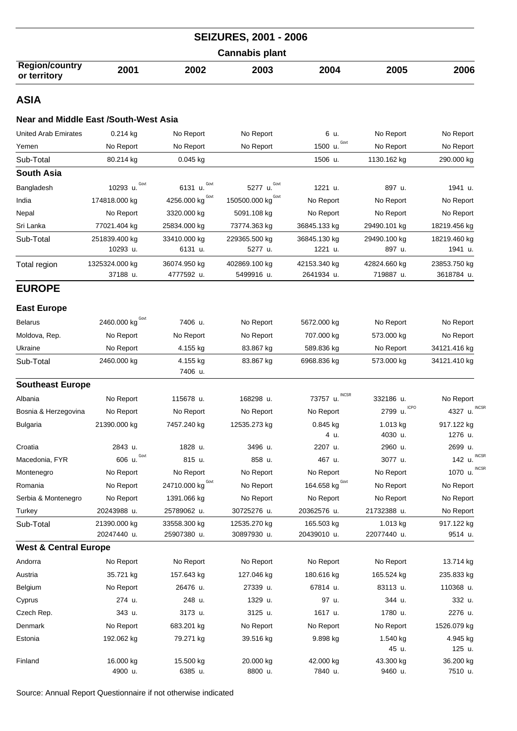|                                       |      |      | <b>SEIZURES, 2001 - 2006</b> |      |      |      |
|---------------------------------------|------|------|------------------------------|------|------|------|
|                                       |      |      | <b>Cannabis plant</b>        |      |      |      |
| <b>Region/country</b><br>or territory | 2001 | 2002 | 2003                         | 2004 | 2005 | 2006 |
| <b>ACIA</b>                           |      |      |                              |      |      |      |

#### **Near and Middle East /South-West Asia**

| <b>United Arab Emirates</b>      | $0.214$ kg                  | No Report                   | No Report                   | 6 u.                       | No Report                 | No Report                  |
|----------------------------------|-----------------------------|-----------------------------|-----------------------------|----------------------------|---------------------------|----------------------------|
| Yemen                            | No Report                   | No Report                   | No Report                   | Govt<br>1500 u.            | No Report                 | No Report                  |
| Sub-Total                        | 80.214 kg                   | $0.045$ kg                  |                             | 1506 u.                    | 1130.162 kg               | 290.000 kg                 |
| South Asia                       |                             |                             |                             |                            |                           |                            |
| Bangladesh                       | Govt<br>10293 u.            | Govt<br>6131 u.             | Govt<br>5277 u.             | 1221 u.                    | 897 u.                    | 1941 u.                    |
| India                            | 174818.000 kg               | Govt<br>4256.000 kg         | 150500.000 kg               | No Report                  | No Report                 | No Report                  |
| Nepal                            | No Report                   | 3320.000 kg                 | 5091.108 kg                 | No Report                  | No Report                 | No Report                  |
| Sri Lanka                        | 77021.404 kg                | 25834.000 kg                | 73774.363 kg                | 36845.133 kg               | 29490.101 kg              | 18219.456 kg               |
| Sub-Total                        | 251839.400 kg               | 33410.000 kg                | 229365.500 kg               | 36845.130 kg               | 29490.100 kg              | 18219.460 kg               |
|                                  | 10293 u.                    | 6131 u.                     | 5277 u.                     | 1221 u.                    | 897 u.                    | 1941 u.                    |
| Total region                     | 1325324.000 kg<br>37188 u.  | 36074.950 kg<br>4777592 u.  | 402869.100 kg<br>5499916 u. | 42153.340 kg<br>2641934 u. | 42824.660 kg<br>719887 u. | 23853.750 kg<br>3618784 u. |
| <b>EUROPE</b>                    |                             |                             |                             |                            |                           |                            |
| <b>East Europe</b>               |                             |                             |                             |                            |                           |                            |
| <b>Belarus</b>                   | Govt<br>2460.000 kg         | 7406 u.                     | No Report                   | 5672.000 kg                | No Report                 | No Report                  |
| Moldova, Rep.                    | No Report                   | No Report                   | No Report                   | 707.000 kg                 | 573.000 kg                | No Report                  |
| Ukraine                          | No Report                   | 4.155 kg                    | 83.867 kg                   | 589.836 kg                 | No Report                 | 34121.416 kg               |
| Sub-Total                        | 2460.000 kg                 | 4.155 kg<br>7406 u.         | 83.867 kg                   | 6968.836 kg                | 573.000 kg                | 34121.410 kg               |
| <b>Southeast Europe</b>          |                             |                             |                             |                            |                           |                            |
| Albania                          | No Report                   | 115678 u.                   | 168298 u.                   | <b>INCSR</b><br>73757 u.   | 332186 u.                 | No Report                  |
| Bosnia & Herzegovina             | No Report                   | No Report                   | No Report                   | No Report                  | <b>ICPO</b><br>2799 u.    | <b>INCSF</b><br>4327 u.    |
| Bulgaria                         | 21390.000 kg                | 7457.240 kg                 | 12535.273 kg                | 0.845 kg<br>4 u.           | 1.013 kg<br>4030 u.       | 917.122 kg<br>1276 u.      |
| Croatia                          | 2843 u.                     | 1828 u.                     | 3496 u.                     | 2207 u.                    | 2960 u.                   | 2699 u.                    |
| Macedonia, FYR                   | Govt<br>606 u.              | 815 u.                      | 858 u.                      | 467 u.                     | 3077 u.                   | <b>INCSF</b><br>142 u.     |
| Montenegro                       | No Report                   | No Report                   | No Report                   | No Report                  | No Report                 | INCSF<br>1070 u.           |
| Romania                          | No Report                   | 24710.000 kg Covt           | No Report                   | 164.658 kg $^{Govt}$       | No Report                 | No Report                  |
| Serbia & Montenegro              | No Report                   | 1391.066 kg                 | No Report                   | No Report                  | No Report                 | No Report                  |
| Turkey                           | 20243988 u.                 | 25789062 u.                 | 30725276 u.                 | 20362576 u.                | 21732388 u.               | No Report                  |
| Sub-Total                        | 21390.000 kg<br>20247440 u. | 33558.300 kg<br>25907380 u. | 12535.270 kg<br>30897930 u. | 165.503 kg<br>20439010 u.  | 1.013 kg<br>22077440 u.   | 917.122 kg<br>9514 u.      |
| <b>West &amp; Central Europe</b> |                             |                             |                             |                            |                           |                            |
| Andorra                          | No Report                   | No Report                   | No Report                   | No Report                  | No Report                 | 13.714 kg                  |
| Austria                          | 35.721 kg                   | 157.643 kg                  | 127.046 kg                  | 180.616 kg                 | 165.524 kg                | 235.833 kg                 |
| Belgium                          | No Report                   | 26476 u.                    | 27339 u.                    | 67814 u.                   | 83113 u.                  | 110368 u.                  |
| Cyprus                           | 274 u.                      | 248 u.                      | 1329 u.                     | 97 u.                      | 344 u.                    | 332 u.                     |
| Czech Rep.                       | 343 u.                      | 3173 u.                     | 3125 u.                     | 1617 u.                    | 1780 u.                   | 2276 u.                    |
| Denmark                          | No Report                   | 683.201 kg                  | No Report                   | No Report                  | No Report                 | 1526.079 kg                |
| Estonia                          | 192.062 kg                  | 79.271 kg                   | 39.516 kg                   | 9.898 kg                   | 1.540 kg<br>45 u.         | 4.945 kg<br>125 u.         |
| Finland                          | 16.000 kg<br>4900 u.        | 15.500 kg<br>6385 u.        | 20.000 kg<br>8800 u.        | 42.000 kg<br>7840 u.       | 43.300 kg<br>9460 u.      | 36.200 kg<br>7510 u.       |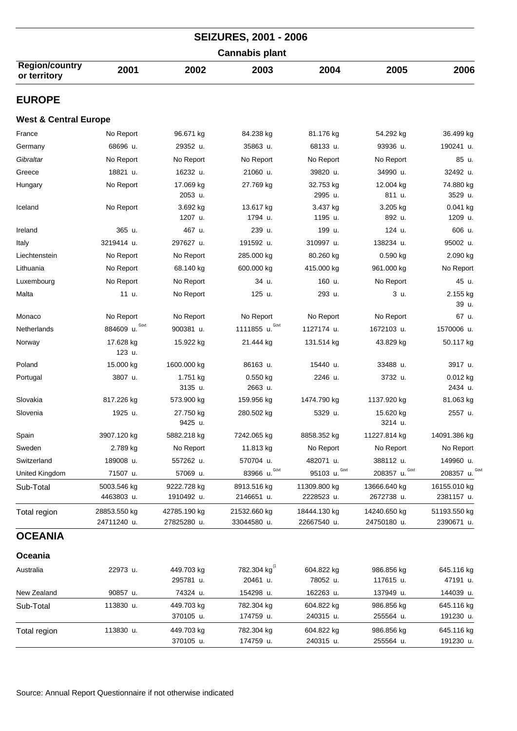| <b>SEIZURES, 2001 - 2006</b>          |                             |                             |                             |                             |                             |                            |  |  |  |
|---------------------------------------|-----------------------------|-----------------------------|-----------------------------|-----------------------------|-----------------------------|----------------------------|--|--|--|
| <b>Cannabis plant</b>                 |                             |                             |                             |                             |                             |                            |  |  |  |
| <b>Region/country</b><br>or territory | 2001                        | 2002                        | 2003                        | 2004                        | 2005                        | 2006                       |  |  |  |
| <b>EUROPE</b>                         |                             |                             |                             |                             |                             |                            |  |  |  |
| <b>West &amp; Central Europe</b>      |                             |                             |                             |                             |                             |                            |  |  |  |
| France                                | No Report                   | 96.671 kg                   | 84.238 kg                   | 81.176 kg                   | 54.292 kg                   | 36.499 kg                  |  |  |  |
| Germany                               | 68696 u.                    | 29352 u.                    | 35863 u.                    | 68133 u.                    | 93936 u.                    | 190241 u.                  |  |  |  |
| Gibraltar                             | No Report                   | No Report                   | No Report                   | No Report                   | No Report                   | 85 u.                      |  |  |  |
| Greece                                | 18821 u.                    | 16232 u.                    | 21060 u.                    | 39820 u.                    | 34990 u.                    | 32492 u.                   |  |  |  |
| Hungary                               | No Report                   | 17.069 kg<br>2053 u.        | 27.769 kg                   | 32.753 kg<br>2995 u.        | 12.004 kg<br>811 u.         | 74.880 kg<br>3529 u.       |  |  |  |
| Iceland                               | No Report                   | 3.692 kg<br>1207 u.         | 13.617 kg<br>1794 u.        | 3.437 kg<br>1195 u.         | 3.205 kg<br>892 u.          | $0.041$ kg<br>1209 u.      |  |  |  |
| Ireland                               | 365 u.                      | 467 u.                      | 239 u.                      | 199 u.                      | 124 u.                      | 606 u.                     |  |  |  |
| Italy                                 | 3219414 u.                  | 297627 u.                   | 191592 u.                   | 310997 u.                   | 138234 u.                   | 95002 u.                   |  |  |  |
| Liechtenstein                         | No Report                   | No Report                   | 285.000 kg                  | 80.260 kg                   | $0.590$ kg                  | 2.090 kg                   |  |  |  |
| Lithuania                             | No Report                   | 68.140 kg                   | 600.000 kg                  | 415.000 kg                  | 961.000 kg                  | No Report                  |  |  |  |
| Luxembourg                            | No Report                   | No Report                   | 34 u.                       | 160 u.                      | No Report                   | 45 u.                      |  |  |  |
| Malta                                 | 11 u.                       | No Report                   | 125 u.                      | 293 u.                      | 3 u.                        | 2.155 kg<br>39 u.          |  |  |  |
| Monaco                                | No Report                   | No Report                   | No Report                   | No Report                   | No Report                   | 67 u.                      |  |  |  |
| Netherlands                           | 884609 u. Govt              | 900381 u.                   | 1111855 u. Govt             | 1127174 u.                  | 1672103 u.                  | 1570006 u.                 |  |  |  |
| Norway                                | 17.628 kg<br>123 u.         | 15.922 kg                   | 21.444 kg                   | 131.514 kg                  | 43.829 kg                   | 50.117 kg                  |  |  |  |
| Poland                                | 15.000 kg                   | 1600.000 kg                 | 86163 u.                    | 15440 u.                    | 33488 u.                    | 3917 u.                    |  |  |  |
| Portugal                              | 3807 u.                     | 1.751 kg<br>3135 u.         | $0.550$ kg<br>2663 u.       | 2246 u.                     | 3732 u.                     | $0.012$ kg<br>2434 u.      |  |  |  |
| Slovakia                              | 817.226 kg                  | 573.900 kg                  | 159.956 kg                  | 1474.790 kg                 | 1137.920 kg                 | 81.063 kg                  |  |  |  |
| Slovenia                              | 1925 u.                     | 27.750 kg<br>9425 u.        | 280.502 kg                  | 5329 u.                     | 15.620 kg<br>3214 u.        | 2557 u.                    |  |  |  |
| Spain                                 | 3907.120 kg                 | 5882.218 kg                 | 7242.065 kg                 | 8858.352 kg                 | 11227.814 kg                | 14091.386 kg               |  |  |  |
| Sweden                                | 2.789 kg                    | No Report                   | 11.813 kg                   | No Report                   | No Report                   | No Report                  |  |  |  |
| Switzerland                           | 189008 u.                   | 557262 u.                   | 570704 u.                   | 482071 u.                   | 388112 u.                   | 149960 u.                  |  |  |  |
| United Kingdom                        | 71507 u.                    | 57069 u.                    | 83966 u. Govt               | Govt<br>95103 u.            | 208357 u. Govt              | 208357 u. Govt             |  |  |  |
| Sub-Total                             | 5003.546 kg<br>4463803 u.   | 9222.728 kg<br>1910492 u.   | 8913.516 kg<br>2146651 u.   | 11309.800 kg<br>2228523 u.  | 13666.640 kg<br>2672738 u.  | 16155.010 kg<br>2381157 u. |  |  |  |
| Total region                          | 28853.550 kg<br>24711240 u. | 42785.190 kg<br>27825280 u. | 21532.660 kg<br>33044580 u. | 18444.130 kg<br>22667540 u. | 14240.650 kg<br>24750180 u. | 51193.550 kg<br>2390671 u. |  |  |  |
| <b>OCEANIA</b>                        |                             |                             |                             |                             |                             |                            |  |  |  |
| Oceania                               |                             |                             |                             |                             |                             |                            |  |  |  |
| Australia                             | 22973 u.                    | 449.703 kg                  | 782.304 kg <sup>(1</sup>    | 604.822 kg                  | 986.856 kg                  | 645.116 kg                 |  |  |  |
| New Zealand                           | 90857 u.                    | 295781 u.<br>74324 u.       | 20461 u.<br>154298 u.       | 78052 u.<br>162263 u.       | 117615 u.<br>137949 u.      | 47191 u.<br>144039 u.      |  |  |  |
|                                       | 113830 u.                   | 449.703 kg                  | 782.304 kg                  | 604.822 kg                  | 986.856 kg                  | 645.116 kg                 |  |  |  |
| Sub-Total                             |                             | 370105 u.                   | 174759 u.                   | 240315 u.                   | 255564 u.                   | 191230 u.                  |  |  |  |
| Total region                          | 113830 u.                   | 449.703 kg<br>370105 u.     | 782.304 kg<br>174759 u.     | 604.822 kg<br>240315 u.     | 986.856 kg<br>255564 u.     | 645.116 kg<br>191230 u.    |  |  |  |
|                                       |                             |                             |                             |                             |                             |                            |  |  |  |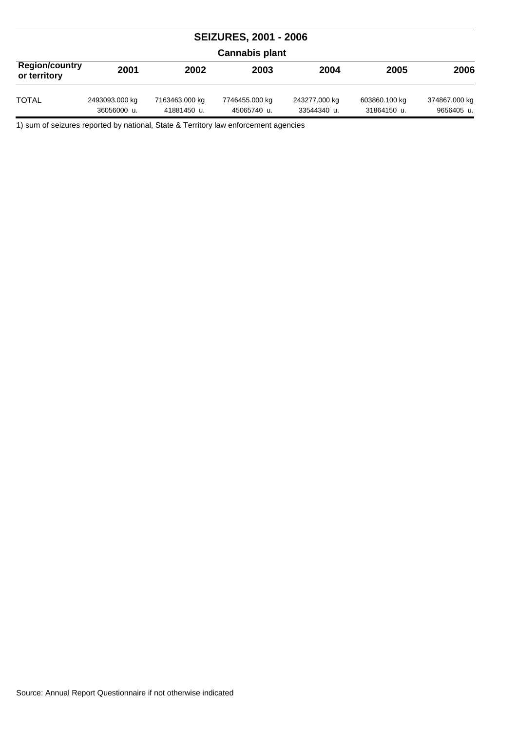| <b>SEIZURES, 2001 - 2006</b>          |                               |                               |                               |                              |                              |                             |  |  |
|---------------------------------------|-------------------------------|-------------------------------|-------------------------------|------------------------------|------------------------------|-----------------------------|--|--|
| <b>Cannabis plant</b>                 |                               |                               |                               |                              |                              |                             |  |  |
| <b>Region/country</b><br>or territory | 2001                          | 2002                          | 2003                          | 2004                         | 2005                         | 2006                        |  |  |
| <b>TOTAL</b>                          | 2493093.000 kg<br>36056000 u. | 7163463.000 kg<br>41881450 u. | 7746455.000 kg<br>45065740 u. | 243277.000 kg<br>33544340 u. | 603860.100 kg<br>31864150 u. | 374867.000 kg<br>9656405 u. |  |  |

1) sum of seizures reported by national, State & Territory law enforcement agencies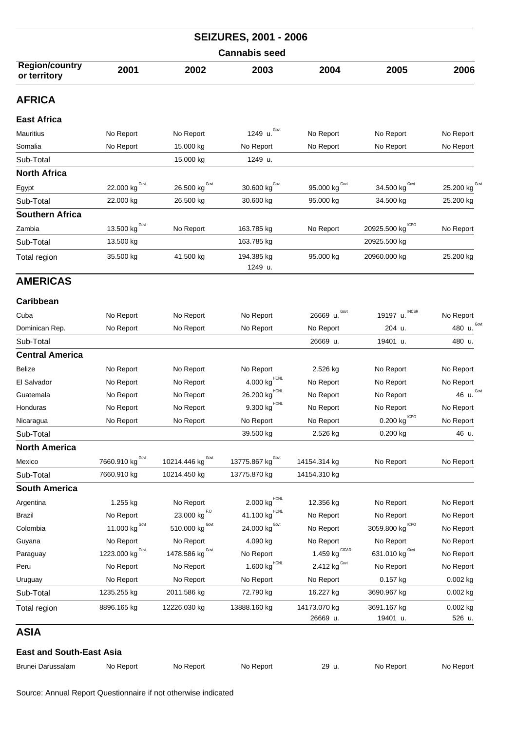|                                       |                                         |                                          | <b>SEIZURES, 2001 - 2006</b>           |                                 |                             |                           |  |  |
|---------------------------------------|-----------------------------------------|------------------------------------------|----------------------------------------|---------------------------------|-----------------------------|---------------------------|--|--|
| <b>Cannabis seed</b>                  |                                         |                                          |                                        |                                 |                             |                           |  |  |
| <b>Region/country</b><br>or territory | 2001                                    | 2002                                     | 2003                                   | 2004                            | 2005                        | 2006                      |  |  |
| <b>AFRICA</b>                         |                                         |                                          |                                        |                                 |                             |                           |  |  |
| <b>East Africa</b>                    |                                         |                                          |                                        |                                 |                             |                           |  |  |
| Mauritius                             | No Report                               | No Report                                | 1249 u. Govt                           | No Report                       | No Report                   | No Report                 |  |  |
| Somalia                               | No Report                               | 15.000 kg                                | No Report                              | No Report                       | No Report                   | No Report                 |  |  |
| Sub-Total                             |                                         | 15.000 kg                                | 1249 u.                                |                                 |                             |                           |  |  |
| <b>North Africa</b>                   |                                         |                                          |                                        |                                 |                             |                           |  |  |
| Egypt                                 | $22.000$ kg <sup>Govt</sup>             | 26.500 kg <sup>Govt</sup>                | 30.600 kg <sup>Govt</sup>              | 95.000 kg Govt                  | 34.500 kg <sup>Govt</sup>   | 25.200 kg <sup>Govt</sup> |  |  |
| Sub-Total                             | 22.000 kg                               | 26.500 kg                                | 30.600 kg                              | 95.000 kg                       | 34.500 kg                   | 25.200 kg                 |  |  |
| <b>Southern Africa</b>                |                                         |                                          |                                        |                                 |                             |                           |  |  |
| Zambia                                | $\underline{13.500}$ kg <sup>Govt</sup> | No Report                                | 163.785 kg                             | No Report                       | <b>ICPO</b><br>20925.500 kg | No Report                 |  |  |
| Sub-Total                             | 13.500 kg                               |                                          | 163.785 kg                             |                                 | 20925.500 kg                |                           |  |  |
|                                       |                                         |                                          |                                        |                                 |                             |                           |  |  |
| Total region                          | 35.500 kg                               | 41.500 kg                                | 194.385 kg<br>1249 u.                  | 95.000 kg                       | 20960.000 kg                | 25.200 kg                 |  |  |
| <b>AMERICAS</b>                       |                                         |                                          |                                        |                                 |                             |                           |  |  |
| Caribbean                             |                                         |                                          |                                        |                                 |                             |                           |  |  |
| Cuba                                  | No Report                               | No Report                                | No Report                              | 26669 u.                        | 19197 u.                    | No Report                 |  |  |
| Dominican Rep.                        | No Report                               | No Report                                | No Report                              | No Report                       | 204 u.                      | Govt<br>480 u.            |  |  |
| Sub-Total                             |                                         |                                          |                                        | 26669 u.                        | 19401 u.                    | 480 u.                    |  |  |
| <b>Central America</b>                |                                         |                                          |                                        |                                 |                             |                           |  |  |
| <b>Belize</b>                         | No Report                               | No Report                                | No Report                              | 2.526 kg                        | No Report                   | No Report                 |  |  |
| El Salvador                           | No Report                               | No Report                                | $4.000$ $\text{kg}^{\text{HONL}}$      | No Report                       | No Report                   | No Report                 |  |  |
| Guatemala                             | No Report                               | No Report                                | $26.200$ $\mathrm{kg}^{\mathrm{HONL}}$ | No Report                       | No Report                   | 46 u. Govt                |  |  |
| Honduras                              | No Report                               | No Report                                | $9.300 \; \text{kg}^{\text{HONL}}$     | No Report                       | No Report                   | No Report                 |  |  |
| Nicaragua                             | No Report                               | No Report                                | No Report                              | No Report                       | $0.200$ kg <sup>ICPO</sup>  | No Report                 |  |  |
| Sub-Total                             |                                         |                                          | 39.500 kg                              | 2.526 kg                        | $0.200$ kg                  | 46 u.                     |  |  |
| <b>North America</b>                  |                                         |                                          |                                        |                                 |                             |                           |  |  |
| Mexico                                | 7660.910 kg Govt                        | Govt<br>10214.446 kg                     | 13775.867 kg <sup>Govt</sup>           | 14154.314 kg                    | No Report                   | No Report                 |  |  |
| Sub-Total                             | 7660.910 kg                             | 10214.450 kg                             | 13775.870 kg                           | 14154.310 kg                    |                             |                           |  |  |
| <b>South America</b>                  |                                         |                                          |                                        |                                 |                             |                           |  |  |
| Argentina                             | 1.255 kg                                | No Report                                | 2.000 kg                               | 12.356 kg                       | No Report                   | No Report                 |  |  |
| <b>Brazil</b>                         | No Report                               | $23.000$ $\text{kg}^{\text{F},\text{O}}$ | $41.100 kg$ <sup>HONL</sup>            | No Report                       | No Report                   | No Report                 |  |  |
| Colombia                              | 11.000 kg $^{Govt}$                     | 510.000 kg Govt                          | 24.000 kg <sup>Govt</sup>              | No Report                       | 3059.800 kg CPO             | No Report                 |  |  |
| Guyana                                | No Report                               | No Report                                | 4.090 kg                               | No Report                       | No Report                   | No Report                 |  |  |
| Paraguay                              | 1223.000 kg Govt                        | Govt<br>1478.586 kg                      | No Report                              | 1.459 $kg^{\text{CICAD}}$       | 631.010 kg Govt             | No Report                 |  |  |
| Peru                                  | No Report                               | No Report                                | 1.600 $\text{kg}^{\text{HONL}}$        | 2.412 $\text{kg}^{\text{Govt}}$ | No Report                   | No Report                 |  |  |
| Uruguay                               | No Report                               | No Report                                | No Report                              | No Report                       | 0.157 kg                    | 0.002 kg                  |  |  |
| Sub-Total                             | 1235.255 kg                             | 2011.586 kg                              | 72.790 kg                              | 16.227 kg                       | 3690.967 kg                 | $0.002$ kg                |  |  |
| Total region                          | 8896.165 kg                             | 12226.030 kg                             | 13888.160 kg                           | 14173.070 kg<br>26669 u.        | 3691.167 kg<br>19401 u.     | $0.002$ kg<br>526 u.      |  |  |
| ASIA                                  |                                         |                                          |                                        |                                 |                             |                           |  |  |
| <b>East and South-East Asia</b>       |                                         |                                          |                                        |                                 |                             |                           |  |  |
| Brunei Darussalam                     | No Report                               | No Report                                | No Report                              | 29 u.                           | No Report                   | No Report                 |  |  |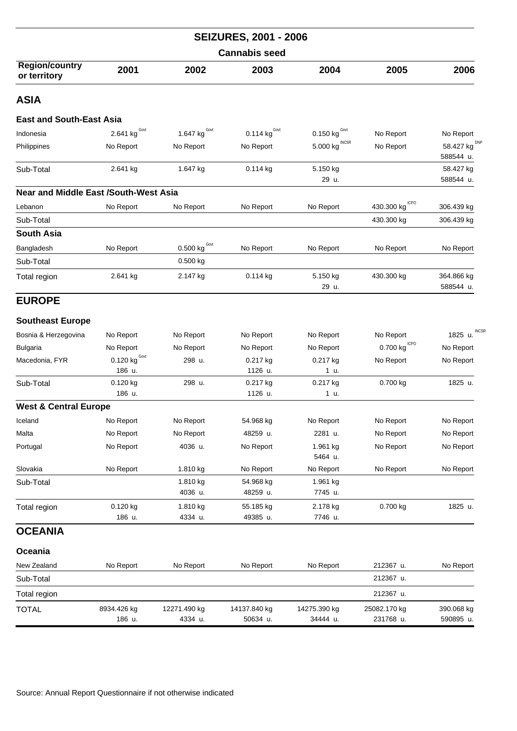| <b>SEIZURES, 2001 - 2006</b>                 |                                 |                                                   |                          |                                   |                            |                                 |  |  |
|----------------------------------------------|---------------------------------|---------------------------------------------------|--------------------------|-----------------------------------|----------------------------|---------------------------------|--|--|
| <b>Cannabis seed</b>                         |                                 |                                                   |                          |                                   |                            |                                 |  |  |
| <b>Region/country</b><br>or territory        | 2001                            | 2002                                              | 2003                     | 2004                              | 2005                       | 2006                            |  |  |
| <b>ASIA</b>                                  |                                 |                                                   |                          |                                   |                            |                                 |  |  |
| <b>East and South-East Asia</b>              |                                 |                                                   |                          |                                   |                            |                                 |  |  |
| Indonesia                                    | 2.641 kg $^{Govt}$              | 1.647 $\text{kg}^{\text{Govt}}$                   | 0.114 $kgGovt$           | 0.150 $\text{kg}^{\,\text{Govt}}$ | No Report                  | No Report                       |  |  |
| Philippines                                  | No Report                       | No Report                                         | No Report                | 5.000 kg INCSR                    | No Report                  | 58.427 kg $^{DNP}$<br>588544 u. |  |  |
| Sub-Total                                    | 2.641 kg                        | 1.647 kg                                          | 0.114 kg                 | 5.150 kg<br>29 u.                 |                            | 58.427 kg<br>588544 u.          |  |  |
| <b>Near and Middle East /South-West Asia</b> |                                 |                                                   |                          |                                   |                            |                                 |  |  |
| Lebanon                                      | No Report                       | No Report                                         | No Report                | No Report                         | 430.300 kg <sup>ICPO</sup> | 306.439 kg                      |  |  |
| Sub-Total                                    |                                 |                                                   |                          |                                   | 430.300 kg                 | 306.439 kg                      |  |  |
| <b>South Asia</b>                            |                                 |                                                   |                          |                                   |                            |                                 |  |  |
| Bangladesh                                   | No Report                       | $\underline{0.500}$ kg $\overset{\text{Govt}}{ }$ | No Report                | No Report                         | No Report                  | No Report                       |  |  |
| Sub-Total                                    |                                 | $0.500$ kg                                        |                          |                                   |                            |                                 |  |  |
| Total region                                 | 2.641 kg                        | 2.147 kg                                          | 0.114 kg                 | 5.150 kg<br>29 u.                 | 430.300 kg                 | 364.866 kg<br>588544 u.         |  |  |
| <b>EUROPE</b>                                |                                 |                                                   |                          |                                   |                            |                                 |  |  |
| <b>Southeast Europe</b>                      |                                 |                                                   |                          |                                   |                            |                                 |  |  |
| Bosnia & Herzegovina                         | No Report                       | No Report                                         | No Report                | No Report                         | No Report                  | <b>INCSF</b><br>1825 u.         |  |  |
| <b>Bulgaria</b>                              | No Report                       | No Report                                         | No Report                | No Report                         | $0.700$ kg $^{ICPO}$       | No Report                       |  |  |
| Macedonia, FYR                               | 0.120 $\text{kg}^{\text{Govt}}$ | 298 u.                                            | 0.217 kg                 | 0.217 kg                          | No Report                  | No Report                       |  |  |
|                                              | 186 u.                          |                                                   | 1126 u.                  | 1 u.                              |                            |                                 |  |  |
| Sub-Total                                    | $0.120$ kg<br>186 u.            | 298 u.                                            | 0.217 kg<br>1126 u.      | 0.217 kg<br>1 u.                  | 0.700 kg                   | 1825 u.                         |  |  |
| <b>West &amp; Central Europe</b>             |                                 |                                                   |                          |                                   |                            |                                 |  |  |
| Iceland                                      | No Report                       | No Report                                         | 54.968 kg                | No Report                         | No Report                  | No Report                       |  |  |
| Malta                                        | No Report                       | No Report                                         | 48259 u.                 | 2281 u.                           | No Report                  | No Report                       |  |  |
| Portugal                                     | No Report                       | 4036 u.                                           | No Report                | 1.961 kg<br>5464 u.               | No Report                  | No Report                       |  |  |
| Slovakia                                     | No Report                       | 1.810 kg                                          | No Report                | No Report                         | No Report                  | No Report                       |  |  |
| Sub-Total                                    |                                 | 1.810 kg<br>4036 u.                               | 54.968 kg<br>48259 u.    | 1.961 kg<br>7745 u.               |                            |                                 |  |  |
| Total region                                 | 0.120 kg<br>186 u.              | 1.810 kg<br>4334 u.                               | 55.185 kg<br>49385 u.    | 2.178 kg<br>7746 u.               | 0.700 kg                   | 1825 u.                         |  |  |
| <b>OCEANIA</b>                               |                                 |                                                   |                          |                                   |                            |                                 |  |  |
| Oceania                                      |                                 |                                                   |                          |                                   |                            |                                 |  |  |
| New Zealand                                  | No Report                       | No Report                                         | No Report                | No Report                         | 212367 u.                  | No Report                       |  |  |
| Sub-Total                                    |                                 |                                                   |                          |                                   | 212367 u.                  |                                 |  |  |
| Total region                                 |                                 |                                                   |                          |                                   | 212367 u.                  |                                 |  |  |
| <b>TOTAL</b>                                 | 8934.426 kg<br>186 u.           | 12271.490 kg<br>4334 u.                           | 14137.840 kg<br>50634 u. | 14275.390 kg<br>34444 u.          | 25082.170 kg<br>231768 u.  | 390.068 kg<br>590895 u.         |  |  |
|                                              |                                 |                                                   |                          |                                   |                            |                                 |  |  |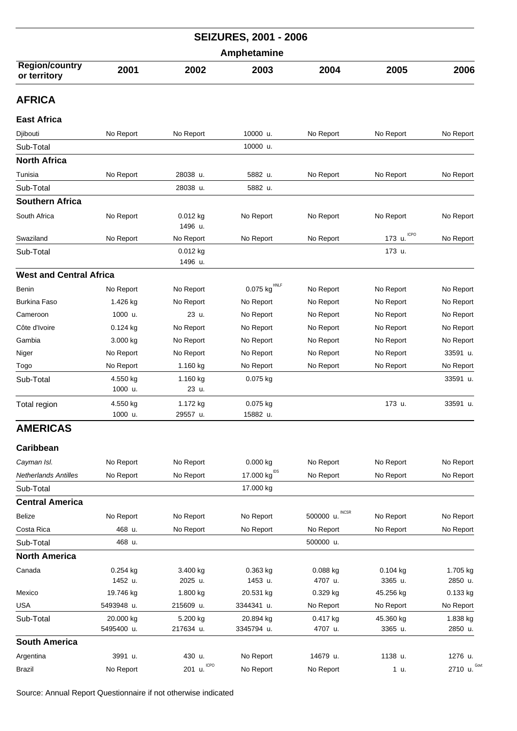|                                       |                     |                       | <b>SEIZURES, 2001 - 2006</b> |                           |                       |                |  |  |  |
|---------------------------------------|---------------------|-----------------------|------------------------------|---------------------------|-----------------------|----------------|--|--|--|
|                                       | Amphetamine         |                       |                              |                           |                       |                |  |  |  |
| <b>Region/country</b><br>or territory | 2001                | 2002                  | 2003                         | 2004                      | 2005                  | 2006           |  |  |  |
| <b>AFRICA</b>                         |                     |                       |                              |                           |                       |                |  |  |  |
| <b>East Africa</b>                    |                     |                       |                              |                           |                       |                |  |  |  |
| Djibouti                              | No Report           | No Report             | 10000 u.                     | No Report                 | No Report             | No Report      |  |  |  |
| Sub-Total                             |                     |                       | 10000 u.                     |                           |                       |                |  |  |  |
| <b>North Africa</b>                   |                     |                       |                              |                           |                       |                |  |  |  |
| Tunisia                               | No Report           | 28038 u.              | 5882 u.                      | No Report                 | No Report             | No Report      |  |  |  |
| Sub-Total                             |                     | 28038 u.              | 5882 u.                      |                           |                       |                |  |  |  |
| <b>Southern Africa</b>                |                     |                       |                              |                           |                       |                |  |  |  |
| South Africa                          | No Report           | $0.012$ kg<br>1496 u. | No Report                    | No Report                 | No Report             | No Report      |  |  |  |
| Swaziland                             | No Report           | No Report             | No Report                    | No Report                 | <b>ICPO</b><br>173 u. | No Report      |  |  |  |
| Sub-Total                             |                     | 0.012 kg<br>1496 u.   |                              |                           | 173 u.                |                |  |  |  |
| <b>West and Central Africa</b>        |                     |                       |                              |                           |                       |                |  |  |  |
| <b>Benin</b>                          | No Report           | No Report             | 0.075 kg                     | No Report                 | No Report             | No Report      |  |  |  |
| <b>Burkina Faso</b>                   | 1.426 kg            | No Report             | No Report                    | No Report                 | No Report             | No Report      |  |  |  |
| Cameroon                              | 1000 u.             | 23 u.                 | No Report                    | No Report                 | No Report             | No Report      |  |  |  |
| Côte d'Ivoire                         | $0.124$ kg          | No Report             | No Report                    | No Report                 | No Report             | No Report      |  |  |  |
| Gambia                                | 3.000 kg            | No Report             | No Report                    | No Report                 | No Report             | No Report      |  |  |  |
| Niger                                 | No Report           | No Report             | No Report                    | No Report                 | No Report             | 33591 u.       |  |  |  |
| Togo                                  | No Report           | 1.160 kg              | No Report                    | No Report                 | No Report             | No Report      |  |  |  |
| Sub-Total                             | 4.550 kg<br>1000 u. | 1.160 kg<br>23 u.     | 0.075 kg                     |                           |                       | 33591 u.       |  |  |  |
| Total region                          | 4.550 kg<br>1000 u. | 1.172 kg<br>29557 u.  | 0.075 kg<br>15882 u.         |                           | 173 u.                | 33591 u.       |  |  |  |
| <b>AMERICAS</b>                       |                     |                       |                              |                           |                       |                |  |  |  |
| Caribbean                             |                     |                       |                              |                           |                       |                |  |  |  |
| Cayman Isl.                           | No Report           | No Report             | 0.000 kg                     | No Report                 | No Report             | No Report      |  |  |  |
| <b>Netherlands Antilles</b>           | No Report           | No Report             | 17.000 kg <sup>IDS</sup>     | No Report                 | No Report             | No Report      |  |  |  |
| Sub-Total                             |                     |                       | 17.000 kg                    |                           |                       |                |  |  |  |
| <b>Central America</b>                |                     |                       |                              |                           |                       |                |  |  |  |
| <b>Belize</b>                         | No Report           | No Report             | No Report                    | <b>INCSR</b><br>500000 u. | No Report             | No Report      |  |  |  |
| Costa Rica                            | 468 u.              | No Report             | No Report                    | No Report                 | No Report             | No Report      |  |  |  |
| Sub-Total                             | 468 u.              |                       |                              | 500000 u.                 |                       |                |  |  |  |
| <b>North America</b>                  |                     |                       |                              |                           |                       |                |  |  |  |
| Canada                                | 0.254 kg            | 3.400 kg              | 0.363 kg                     | 0.088 kg                  | 0.104 kg              | 1.705 kg       |  |  |  |
|                                       | 1452 u.             | 2025 u.               | 1453 u.                      | 4707 u.                   | 3365 u.               | 2850 u.        |  |  |  |
| Mexico                                | 19.746 kg           | 1.800 kg              | 20.531 kg                    | 0.329 kg                  | 45.256 kg             | $0.133$ kg     |  |  |  |
| USA                                   | 5493948 u.          | 215609 u.             | 3344341 u.                   | No Report                 | No Report             | No Report      |  |  |  |
| Sub-Total                             | 20.000 kg           | 5.200 kg              | 20.894 kg                    | 0.417 kg                  | 45.360 kg             | 1.838 kg       |  |  |  |
|                                       | 5495400 u.          | 217634 u.             | 3345794 u.                   | 4707 u.                   | 3365 u.               | 2850 u.        |  |  |  |
| <b>South America</b>                  |                     |                       |                              |                           |                       |                |  |  |  |
| Argentina                             | 3991 u.             | 430 u.<br><b>ICPO</b> | No Report                    | 14679 u.                  | 1138 u.               | 1276 u.<br>Gov |  |  |  |
| <b>Brazil</b>                         | No Report           | 201 u.                | No Report                    | No Report                 | 1 u.                  | 2710 u.        |  |  |  |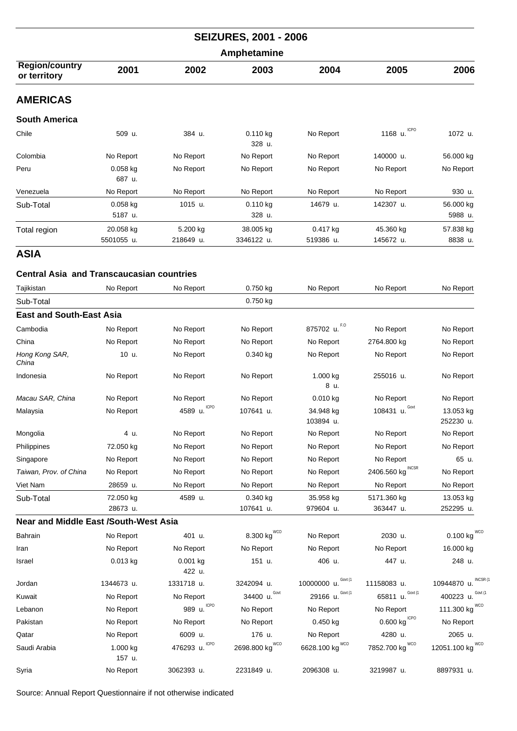| <b>SEIZURES, 2001 - 2006</b><br>Amphetamine |                         |                       |                         |                         |                        |                      |  |  |
|---------------------------------------------|-------------------------|-----------------------|-------------------------|-------------------------|------------------------|----------------------|--|--|
|                                             |                         |                       |                         |                         |                        |                      |  |  |
| <b>AMERICAS</b>                             |                         |                       |                         |                         |                        |                      |  |  |
| <b>South America</b>                        |                         |                       |                         |                         |                        |                      |  |  |
| Chile                                       | 509 u.                  | 384 u.                | 0.110 kg<br>328 u.      | No Report               | <b>ICPO</b><br>1168 u. | 1072 u.              |  |  |
| Colombia                                    | No Report               | No Report             | No Report               | No Report               | 140000 u.              | 56.000 kg            |  |  |
| Peru                                        | $0.058$ kg<br>687 u.    | No Report             | No Report               | No Report               | No Report              | No Report            |  |  |
| Venezuela                                   | No Report               | No Report             | No Report               | No Report               | No Report              | 930 u.               |  |  |
| Sub-Total                                   | $0.058$ kg<br>5187 u.   | 1015 u.               | $0.110$ kg<br>328 u.    | 14679 u.                | 142307 u.              | 56.000 kg<br>5988 u. |  |  |
| Total region                                | 20.058 kg<br>5501055 u. | 5.200 kg<br>218649 u. | 38.005 kg<br>3346122 u. | $0.417$ kg<br>519386 u. | 45.360 kg<br>145672 u. | 57.838 kg<br>8838 u. |  |  |

## **Central Asia and Transcaucasian countries**

| Tajikistan                                   | No Report             | No Report          | 0.750 kg                  | No Report              | No Report                     | No Report                |
|----------------------------------------------|-----------------------|--------------------|---------------------------|------------------------|-------------------------------|--------------------------|
| Sub-Total                                    |                       |                    | 0.750 kg                  |                        |                               |                          |
| <b>East and South-East Asia</b>              |                       |                    |                           |                        |                               |                          |
| Cambodia                                     | No Report             | No Report          | No Report                 | 875702 u. F.O          | No Report                     | No Report                |
| China                                        | No Report             | No Report          | No Report                 | No Report              | 2764.800 kg                   | No Report                |
| Hong Kong SAR,<br>China                      | 10 u.                 | No Report          | 0.340 kg                  | No Report              | No Report                     | No Report                |
| Indonesia                                    | No Report             | No Report          | No Report                 | 1.000 kg<br>8 u.       | 255016 u.                     | No Report                |
| Macau SAR, China                             | No Report             | No Report          | No Report                 | $0.010$ kg             | No Report                     | No Report                |
| Malaysia                                     | No Report             | 4589 u. ICPO       | 107641 u.                 | 34.948 kg<br>103894 u. | 108431 u. $Govt$              | 13.053 kg<br>252230 u.   |
| Mongolia                                     | 4 u.                  | No Report          | No Report                 | No Report              | No Report                     | No Report                |
| Philippines                                  | 72.050 kg             | No Report          | No Report                 | No Report              | No Report                     | No Report                |
| Singapore                                    | No Report             | No Report          | No Report                 | No Report              | No Report                     | 65 u.                    |
| Taiwan, Prov. of China                       | No Report             | No Report          | No Report                 | No Report              | 2406.560 kg $^{\text{INCSR}}$ | No Report                |
| Viet Nam                                     | 28659 u.              | No Report          | No Report                 | No Report              | No Report                     | No Report                |
| Sub-Total                                    | 72.050 kg<br>28673 u. | 4589 u.            | 0.340 kg<br>107641 u.     | 35.958 kg<br>979604 u. | 5171.360 kg<br>363447 u.      | 13.053 kg<br>252295 u.   |
| <b>Near and Middle East /South-West Asia</b> |                       |                    |                           |                        |                               |                          |
| Bahrain                                      | No Report             | 401 u.             | <b>WCO</b><br>8.300 kg    | No Report              | 2030 u.                       | <b>WCO</b><br>0.100 kg   |
| Iran                                         | No Report             | No Report          | No Report                 | No Report              | No Report                     | 16.000 kg                |
| Israel                                       | $0.013$ kg            | 0.001 kg<br>422 u. | 151 u.                    | 406 u.                 | 447 u.                        | 248 u.                   |
| Jordan                                       | 1344673 u.            | 1331718 u.         | 3242094 u.                | Govt (1<br>10000000 u. | 11158083 u.                   | INCSR (<br>10944870 u.   |
| Kuwait                                       | No Report             | No Report          | Govt<br>34400 u.          | Govt (1<br>29166 u.    | Govt (1<br>65811 u.           | Govt (1<br>400223 u.     |
| Lebanon                                      | No Report             | 989 u. ICPO        | No Report                 | No Report              | No Report                     | <b>WCO</b><br>111.300 kg |
| Pakistan                                     | No Report             | No Report          | No Report                 | $0.450$ kg             | <b>ICPO</b><br>0.600 kg       | No Report                |
| Qatar                                        | No Report             | 6009 u.            | 176 u.                    | No Report              | 4280 u.                       | 2065 u.                  |
| Saudi Arabia                                 | 1.000 kg<br>157 u.    | ICPO<br>476293 u.  | <b>WCO</b><br>2698.800 kg | WCO<br>6628.100 kg     | WCO<br>7852.700 kg            | WCO<br>12051.100 kg      |
| Syria                                        | No Report             | 3062393 u.         | 2231849 u.                | 2096308 u.             | 3219987 u.                    | 8897931 u.               |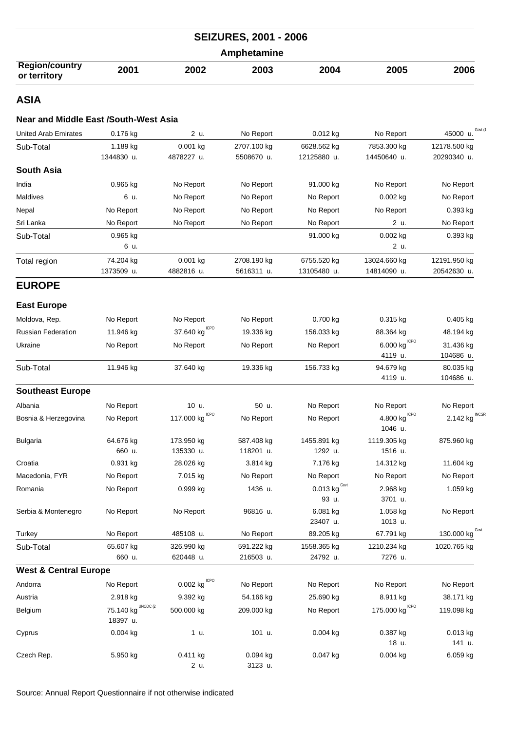|                                       |      |      | <b>SEIZURES, 2001 - 2006</b> |      |      |      |
|---------------------------------------|------|------|------------------------------|------|------|------|
|                                       |      |      | Amphetamine                  |      |      |      |
| <b>Region/country</b><br>or territory | 2001 | 2002 | 2003                         | 2004 | 2005 | 2006 |

## **Near and Middle East /South-West Asia**

| United Arab Emirates | 0.176 kg   | 2 u.       | No Report   | $0.012$ kg  | No Report    | Govt (<br>45000 u. |
|----------------------|------------|------------|-------------|-------------|--------------|--------------------|
| Sub-Total            | 1.189 kg   | $0.001$ kg | 2707.100 kg | 6628.562 kg | 7853.300 kg  | 12178.500 kg       |
|                      | 1344830 u. | 4878227 u. | 5508670 u.  | 12125880 u. | 14450640 u.  | 20290340 u.        |
| <b>South Asia</b>    |            |            |             |             |              |                    |
| India                | 0.965 kg   | No Report  | No Report   | 91.000 kg   | No Report    | No Report          |
| <b>Maldives</b>      | 6 u.       | No Report  | No Report   | No Report   | $0.002$ kg   | No Report          |
| Nepal                | No Report  | No Report  | No Report   | No Report   | No Report    | 0.393 kg           |
| Sri Lanka            | No Report  | No Report  | No Report   | No Report   | 2 u.         | No Report          |
| Sub-Total            | $0.965$ kg |            |             | 91.000 kg   | $0.002$ kg   | 0.393 kg           |
|                      | 6 u.       |            |             |             | 2 u.         |                    |
| Total region         | 74.204 kg  | $0.001$ kg | 2708.190 kg | 6755.520 kg | 13024.660 kg | 12191.950 kg       |
|                      | 1373509 u. | 4882816 u. | 5616311 u.  | 13105480 u. | 14814090 u.  | 20542630 u.        |
| <b>EUROPE</b>        |            |            |             |             |              |                    |

# **East Europe**

| Moldova, Rep.                    | No Report                      | No Report                        | No Report  | 0.700 kg                        | 0.315 kg                                | $0.405$ kg                 |
|----------------------------------|--------------------------------|----------------------------------|------------|---------------------------------|-----------------------------------------|----------------------------|
| <b>Russian Federation</b>        | 11.946 kg                      | 37.640 $\text{kg}^{\text{ICPO}}$ | 19.336 kg  | 156.033 kg                      | 88.364 kg                               | 48.194 kg                  |
| Ukraine                          | No Report                      | No Report                        | No Report  | No Report                       | $6.000$ $\text{kg}^{\text{\tiny ICPO}}$ | 31.436 kg                  |
|                                  |                                |                                  |            |                                 | 4119 u.                                 | 104686 u.                  |
| Sub-Total                        | 11.946 kg                      | 37.640 kg                        | 19.336 kg  | 156.733 kg                      | 94.679 kg                               | 80.035 kg                  |
|                                  |                                |                                  |            |                                 | 4119 u.                                 | 104686 u.                  |
| <b>Southeast Europe</b>          |                                |                                  |            |                                 |                                         |                            |
| Albania                          | No Report                      | 10 u.                            | 50 u.      | No Report                       | No Report                               | No Report                  |
| Bosnia & Herzegovina             | No Report                      | 117.000 kg $^{ICPO}$             | No Report  | No Report                       | $4.800$ $\mathrm{kg}^{\mathrm{\,ICPO}}$ | 2.142 kg $^{\text{INCSR}}$ |
|                                  |                                |                                  |            |                                 | 1046 u.                                 |                            |
| <b>Bulgaria</b>                  | 64.676 kg                      | 173.950 kg                       | 587.408 kg | 1455.891 kg                     | 1119.305 kg                             | 875.960 kg                 |
|                                  | 660 u.                         | 135330 u.                        | 118201 u.  | 1292 u.                         | 1516 u.                                 |                            |
| Croatia                          | 0.931 kg                       | 28.026 kg                        | 3.814 kg   | 7.176 kg                        | 14.312 kg                               | 11.604 kg                  |
| Macedonia, FYR                   | No Report                      | 7.015 kg                         | No Report  | No Report                       | No Report                               | No Report                  |
| Romania                          | No Report                      | 0.999 kg                         | 1436 u.    | 0.013 $\text{kg}^{\text{Gout}}$ | 2.968 kg                                | 1.059 kg                   |
|                                  |                                |                                  |            | 93 u.                           | 3701 u.                                 |                            |
| Serbia & Montenegro              | No Report                      | No Report                        | 96816 u.   | 6.081 kg                        | 1.058 kg                                | No Report                  |
|                                  |                                |                                  |            | 23407 u.                        | 1013 u.                                 |                            |
| Turkey                           | No Report                      | 485108 u.                        | No Report  | 89.205 kg                       | 67.791 kg                               | 130.000 kg Govt            |
| Sub-Total                        | 65.607 kg                      | 326.990 kg                       | 591.222 kg | 1558.365 kg                     | 1210.234 kg                             | 1020.765 kg                |
|                                  | 660 u.                         | 620448 u.                        | 216503 u.  | 24792 u.                        | 7276 u.                                 |                            |
| <b>West &amp; Central Europe</b> |                                |                                  |            |                                 |                                         |                            |
| Andorra                          | No Report                      | $0.002$ kg $^{\rm ICPO}$         | No Report  | No Report                       | No Report                               | No Report                  |
| Austria                          | 2.918 kg                       | 9.392 kg                         | 54.166 kg  | 25.690 kg                       | 8.911 kg                                | 38.171 kg                  |
| Belgium                          | 75.140 $kg^{\text{UNODC (2)}}$ | 500.000 kg                       | 209.000 kg | No Report                       | 175.000 kg $^{ICPO}$                    | 119.098 kg                 |
|                                  | 18397 u.                       |                                  |            |                                 |                                         |                            |
| Cyprus                           | $0.004$ kg                     | 1 u.                             | 101 u.     | $0.004$ kg                      | 0.387 kg                                | 0.013 kg                   |
|                                  |                                |                                  |            |                                 | 18 u.                                   | 141 u.                     |
| Czech Rep.                       | 5.950 kg                       | $0.411$ kg                       | $0.094$ kg | $0.047$ kg                      | $0.004$ kg                              | 6.059 kg                   |
|                                  |                                | 2 u.                             | 3123 u.    |                                 |                                         |                            |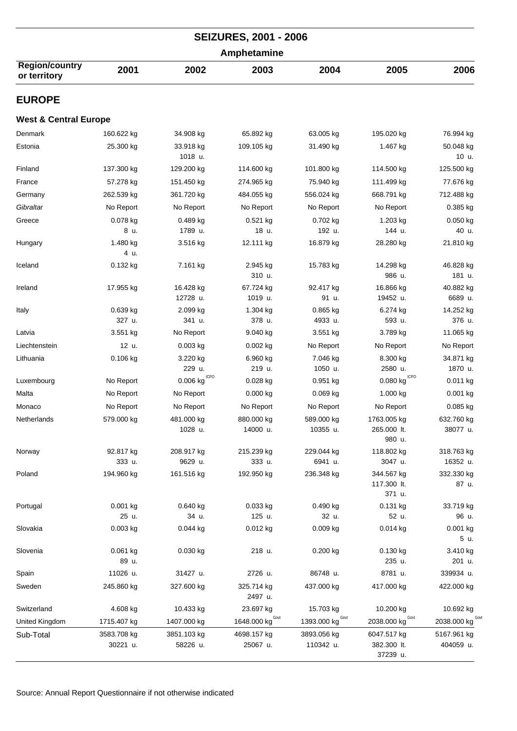|                                       |                         |                         | <b>SEIZURES, 2001 - 2006</b> |                          |                                         |                          |  |  |
|---------------------------------------|-------------------------|-------------------------|------------------------------|--------------------------|-----------------------------------------|--------------------------|--|--|
| Amphetamine                           |                         |                         |                              |                          |                                         |                          |  |  |
| <b>Region/country</b><br>or territory | 2001                    | 2002                    | 2003                         | 2004                     | 2005                                    | 2006                     |  |  |
| <b>EUROPE</b>                         |                         |                         |                              |                          |                                         |                          |  |  |
| <b>West &amp; Central Europe</b>      |                         |                         |                              |                          |                                         |                          |  |  |
| Denmark                               | 160.622 kg              | 34.908 kg               | 65.892 kg                    | 63.005 kg                | 195.020 kg                              | 76.994 kg                |  |  |
| Estonia                               | 25.300 kg               | 33.918 kg<br>1018 u.    | 109.105 kg                   | 31.490 kg                | 1.467 kg                                | 50.048 kg<br>10 u.       |  |  |
| Finland                               | 137.300 kg              | 129.200 kg              | 114.600 kg                   | 101.800 kg               | 114.500 kg                              | 125.500 kg               |  |  |
| France                                | 57.278 kg               | 151.450 kg              | 274.965 kg                   | 75.940 kg                | 111.499 kg                              | 77.676 kg                |  |  |
| Germany                               | 262.539 kg              | 361.720 kg              | 484.055 kg                   | 556.024 kg               | 668.791 kg                              | 712.488 kg               |  |  |
| Gibraltar                             | No Report               | No Report               | No Report                    | No Report                | No Report                               | $0.385$ kg               |  |  |
| Greece                                | 0.078 kg                | 0.489 kg                | 0.521 kg                     | 0.702 kg                 | 1.203 kg                                | 0.050 kg                 |  |  |
|                                       | 8 u.                    | 1789 u.                 | 18 u.                        | 192 u.                   | 144 u.                                  | 40 u.                    |  |  |
| Hungary                               | 1.480 kg<br>4 u.        | 3.516 kg                | 12.111 kg                    | 16.879 kg                | 28.280 kg                               | 21.810 kg                |  |  |
| Iceland                               | 0.132 kg                | 7.161 kg                | 2.945 kg<br>310 u.           | 15.783 kg                | 14.298 kg<br>986 u.                     | 46.828 kg<br>181 u.      |  |  |
| Ireland                               | 17.955 kg               | 16.428 kg               | 67.724 kg                    | 92.417 kg                | 16.866 kg                               | 40.882 kg                |  |  |
|                                       |                         | 12728 u.                | 1019 u.                      | 91 u.                    | 19452 u.                                | 6689 u.                  |  |  |
| Italy                                 | 0.639 kg<br>327 u.      | 2.099 kg<br>341 u.      | 1.304 kg<br>378 u.           | $0.865$ kg<br>4933 u.    | 6.274 kg<br>593 u.                      | 14.252 kg<br>376 u.      |  |  |
| Latvia                                | 3.551 kg                | No Report               | 9.040 kg                     | 3.551 kg                 | 3.789 kg                                | 11.065 kg                |  |  |
| Liechtenstein                         | 12 u.                   | $0.003$ kg              | $0.002$ kg                   | No Report                | No Report                               | No Report                |  |  |
| Lithuania                             | $0.106$ kg              | 3.220 kg<br>229 u.      | 6.960 kg<br>219 u.           | 7.046 kg<br>1050 u.      | 8.300 kg<br>2580 u.                     | 34.871 kg<br>1870 u.     |  |  |
| Luxembourg                            | No Report               | $0.006$ kg $^{ICPO}$    | $0.028$ kg                   | 0.951 kg                 | $0.080$ $\mathrm{kg}^{\mathrm{\,ICPO}}$ | $0.011$ kg               |  |  |
| Malta                                 | No Report               | No Report               | 0.000 kg                     | 0.069 kg                 | 1.000 kg                                | $0.001$ kg               |  |  |
| Monaco                                | No Report               | No Report               | No Report                    | No Report                | No Report                               | $0.085$ kg               |  |  |
| Netherlands                           | 579.000 kg              | 481.000 kg<br>1028 u.   | 880.000 kg<br>14000 u.       | 589.000 kg<br>10355 u.   | 1763.005 kg<br>265.000 lt.<br>980 u.    | 632.760 kg<br>38077 u.   |  |  |
| Norway                                | 92.817 kg<br>333 u.     | 208.917 kg<br>9629 u.   | 215.239 kg<br>333 u.         | 229.044 kg<br>6941 u.    | 118.802 kg<br>3047 u.                   | 318.763 kg<br>16352 u.   |  |  |
| Poland                                | 194.960 kg              | 161.516 kg              | 192.950 kg                   | 236.348 kg               | 344.567 kg<br>117.300 lt.<br>371 u.     | 332.330 kg<br>87 u.      |  |  |
| Portugal                              | 0.001 kg<br>25 u.       | 0.640 kg<br>34 u.       | $0.033$ kg<br>125 u.         | 0.490 kg<br>32 u.        | 0.131 kg<br>52 u.                       | 33.719 kg<br>96 u.       |  |  |
| Slovakia                              | $0.003$ kg              | $0.044$ kg              | $0.012$ kg                   | $0.009$ kg               | $0.014$ kg                              | 0.001 kg<br>5 u.         |  |  |
| Slovenia                              | $0.061$ kg<br>89 u.     | $0.030$ kg              | 218 u.                       | $0.200$ kg               | 0.130 kg<br>235 u.                      | 3.410 kg<br>201 u.       |  |  |
| Spain                                 | 11026 u.                | 31427 u.                | 2726 u.                      | 86748 u.                 | 8781 u.                                 | 339934 u.                |  |  |
| Sweden                                | 245.860 kg              | 327.600 kg              | 325.714 kg<br>2497 u.        | 437.000 kg               | 417.000 kg                              | 422.000 kg               |  |  |
| Switzerland                           | 4.608 kg                | 10.433 kg               | 23.697 kg                    | 15.703 kg                | 10.200 kg                               | 10.692 kg                |  |  |
| United Kingdom                        | 1715.407 kg             | 1407.000 kg             | 1648.000 kg <sup>Govt</sup>  | 1393.000 kg Govt         | 2038.000 kg Govt                        | 2038.000 kg COVI         |  |  |
| Sub-Total                             | 3583.708 kg<br>30221 u. | 3851.103 kg<br>58226 u. | 4698.157 kg<br>25067 u.      | 3893.056 kg<br>110342 u. | 6047.517 kg<br>382.300 lt.<br>37239 u.  | 5167.961 kg<br>404059 u. |  |  |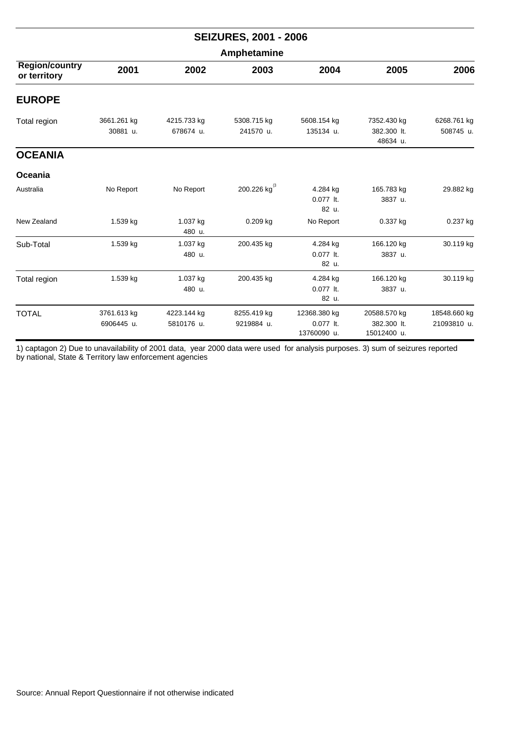| <b>SEIZURES, 2001 - 2006</b><br>Amphetamine |                           |                           |                           |                                          |                                            |                             |  |  |  |
|---------------------------------------------|---------------------------|---------------------------|---------------------------|------------------------------------------|--------------------------------------------|-----------------------------|--|--|--|
|                                             |                           |                           |                           |                                          |                                            |                             |  |  |  |
| <b>EUROPE</b>                               |                           |                           |                           |                                          |                                            |                             |  |  |  |
| Total region                                | 3661.261 kg<br>30881 u.   | 4215.733 kg<br>678674 u.  | 5308.715 kg<br>241570 u.  | 5608.154 kg<br>135134 u.                 | 7352.430 kg<br>382.300 lt.<br>48634 u.     | 6268.761 kg<br>508745 u.    |  |  |  |
| <b>OCEANIA</b>                              |                           |                           |                           |                                          |                                            |                             |  |  |  |
| Oceania                                     |                           |                           |                           |                                          |                                            |                             |  |  |  |
| Australia                                   | No Report                 | No Report                 | 200.226 kg $^{(3)}$       | 4.284 kg<br>0.077 lt.<br>82 u.           | 165.783 kg<br>3837 u.                      | 29.882 kg                   |  |  |  |
| New Zealand                                 | 1.539 kg                  | 1.037 kg<br>480 u.        | $0.209$ kg                | No Report                                | 0.337 kg                                   | 0.237 kg                    |  |  |  |
| Sub-Total                                   | 1.539 kg                  | 1.037 kg<br>480 u.        | 200.435 kg                | 4.284 kg<br>0.077 lt.<br>82 u.           | 166.120 kg<br>3837 u.                      | 30.119 kg                   |  |  |  |
| Total region                                | 1.539 kg                  | 1.037 kg<br>480 u.        | 200.435 kg                | 4.284 kg<br>0.077 lt.<br>82 u.           | 166.120 kg<br>3837 u.                      | 30.119 kg                   |  |  |  |
| <b>TOTAL</b>                                | 3761.613 kg<br>6906445 u. | 4223.144 kg<br>5810176 u. | 8255.419 kg<br>9219884 u. | 12368.380 kg<br>0.077 lt.<br>13760090 u. | 20588.570 kg<br>382.300 lt.<br>15012400 u. | 18548.660 kg<br>21093810 u. |  |  |  |

1) captagon 2) Due to unavailability of 2001 data, year 2000 data were used for analysis purposes. 3) sum of seizures reported by national, State & Territory law enforcement agencies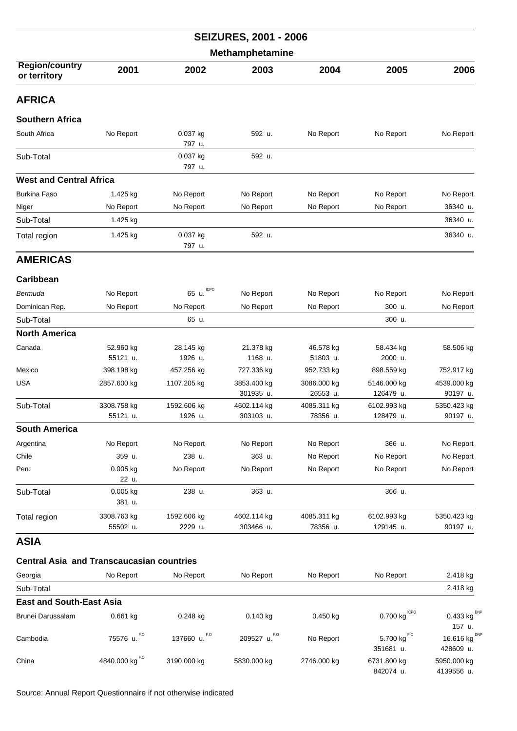|                                                  |                         |                        | <b>SEIZURES, 2001 - 2006</b> |                         |                                 |                           |  |  |
|--------------------------------------------------|-------------------------|------------------------|------------------------------|-------------------------|---------------------------------|---------------------------|--|--|
| <b>Methamphetamine</b>                           |                         |                        |                              |                         |                                 |                           |  |  |
| <b>Region/country</b><br>or territory            | 2001                    | 2002                   | 2003                         | 2004                    | 2005                            | 2006                      |  |  |
| <b>AFRICA</b>                                    |                         |                        |                              |                         |                                 |                           |  |  |
| <b>Southern Africa</b>                           |                         |                        |                              |                         |                                 |                           |  |  |
| South Africa                                     | No Report               | 0.037 kg<br>797 u.     | 592 u.                       | No Report               | No Report                       | No Report                 |  |  |
| Sub-Total                                        |                         | 0.037 kg<br>797 u.     | 592 u.                       |                         |                                 |                           |  |  |
| <b>West and Central Africa</b>                   |                         |                        |                              |                         |                                 |                           |  |  |
| <b>Burkina Faso</b>                              | 1.425 kg                | No Report              | No Report                    | No Report               | No Report                       | No Report                 |  |  |
| Niger                                            | No Report               | No Report              | No Report                    | No Report               | No Report                       | 36340 u.                  |  |  |
| Sub-Total                                        | 1.425 kg                |                        |                              |                         |                                 | 36340 u.                  |  |  |
| Total region                                     | 1.425 kg                | 0.037 kg<br>797 u.     | 592 u.                       |                         |                                 | 36340 u.                  |  |  |
| <b>AMERICAS</b>                                  |                         |                        |                              |                         |                                 |                           |  |  |
| Caribbean                                        |                         |                        |                              |                         |                                 |                           |  |  |
| Bermuda                                          | No Report               | <b>ICPO</b><br>65 u.   | No Report                    | No Report               | No Report                       | No Report                 |  |  |
| Dominican Rep.                                   | No Report               | No Report              | No Report                    | No Report               | 300 u.                          | No Report                 |  |  |
| Sub-Total                                        |                         | 65 u.                  |                              |                         | 300 u.                          |                           |  |  |
| <b>North America</b>                             |                         |                        |                              |                         |                                 |                           |  |  |
| Canada                                           | 52.960 kg               | 28.145 kg              | 21.378 kg                    | 46.578 kg               | 58.434 kg                       | 58.506 kg                 |  |  |
|                                                  | 55121 u.                | 1926 u.                | 1168 u.                      | 51803 u.                | 2000 u.                         |                           |  |  |
| Mexico                                           | 398.198 kg              | 457.256 kg             | 727.336 kg                   | 952.733 kg              | 898.559 kg                      | 752.917 kg                |  |  |
| USA                                              | 2857.600 kg             | 1107.205 kg            | 3853.400 kg<br>301935 u.     | 3086.000 kg<br>26553 u. | 5146.000 kg<br>126479 u.        | 4539.000 kg<br>90197 u.   |  |  |
| Sub-Total                                        | 3308.758 kg             | 1592.606 kg            | 4602.114 kg                  | 4085.311 kg             | 6102.993 kg                     | 5350.423 kg               |  |  |
|                                                  | 55121 u.                | 1926 u.                | 303103 u.                    | 78356 u.                | 128479 u.                       | 90197 u.                  |  |  |
| <b>South America</b>                             |                         |                        |                              |                         |                                 |                           |  |  |
| Argentina                                        | No Report               | No Report              | No Report                    | No Report               | 366 u.                          | No Report                 |  |  |
| Chile                                            | 359 u.                  | 238 u.                 | 363 u.                       | No Report               | No Report                       | No Report                 |  |  |
| Peru                                             | 0.005 kg<br>22 u.       | No Report              | No Report                    | No Report               | No Report                       | No Report                 |  |  |
| Sub-Total                                        | $0.005$ kg<br>381 u.    | 238 u.                 | 363 u.                       |                         | 366 u.                          |                           |  |  |
| Total region                                     | 3308.763 kg<br>55502 u. | 1592.606 kg<br>2229 u. | 4602.114 kg<br>303466 u.     | 4085.311 kg<br>78356 u. | 6102.993 kg<br>129145 u.        | 5350.423 kg<br>90197 u.   |  |  |
| ASIA                                             |                         |                        |                              |                         |                                 |                           |  |  |
| <b>Central Asia and Transcaucasian countries</b> |                         |                        |                              |                         |                                 |                           |  |  |
| Georgia                                          | No Report               | No Report              | No Report                    | No Report               | No Report                       | 2.418 kg                  |  |  |
| Sub-Total                                        |                         |                        |                              |                         |                                 | 2.418 kg                  |  |  |
| <b>East and South-East Asia</b>                  |                         |                        |                              |                         |                                 |                           |  |  |
| Brunei Darussalam                                | 0.661 kg                | 0.248 kg               | 0.140 kg                     | 0.450 kg                | 0.700 $\text{kg}^{\text{ICPO}}$ | $0.433$ kg <sup>DNF</sup> |  |  |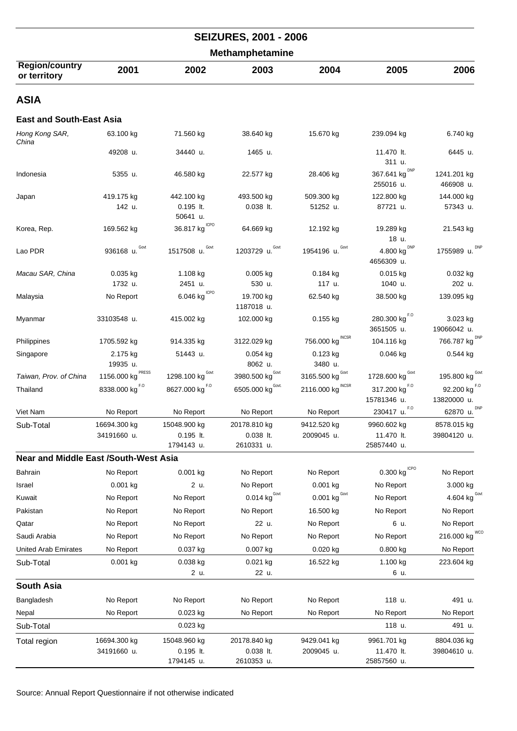|                                              |                       |                                         | <b>SEIZURES, 2001 - 2006</b>    |                                 |                                              |                                         |
|----------------------------------------------|-----------------------|-----------------------------------------|---------------------------------|---------------------------------|----------------------------------------------|-----------------------------------------|
|                                              |                       |                                         | <b>Methamphetamine</b>          |                                 |                                              |                                         |
| <b>Region/country</b><br>or territory        | 2001                  | 2002                                    | 2003                            | 2004                            | 2005                                         | 2006                                    |
| <b>ASIA</b>                                  |                       |                                         |                                 |                                 |                                              |                                         |
| <b>East and South-East Asia</b>              |                       |                                         |                                 |                                 |                                              |                                         |
| Hong Kong SAR,<br>China                      | 63.100 kg             | 71.560 kg                               | 38.640 kg                       | 15.670 kg                       | 239.094 kg                                   | 6.740 kg                                |
|                                              | 49208 u.              | 34440 u.                                | 1465 u.                         |                                 | 11.470 lt.<br>311 u.                         | 6445 u.                                 |
| Indonesia                                    | 5355 u.               | 46.580 kg                               | 22.577 kg                       | 28.406 kg                       | 367.641 kg DNP<br>255016 u.                  | 1241.201 kg<br>466908 u.                |
| Japan                                        | 419.175 kg            | 442.100 kg                              | 493.500 kg                      | 509.300 kg                      | 122.800 kg                                   | 144.000 kg                              |
|                                              | 142 u.                | $0.195$ It.<br>50641 u.                 | $0.038$ It.                     | 51252 u.                        | 87721 u.                                     | 57343 u.                                |
| Korea, Rep.                                  | 169.562 kg            | 36.817 kg $^{ICPO}$                     | 64.669 kg                       | 12.192 kg                       | 19.289 kg<br>18 u.                           | 21.543 kg                               |
| Lao PDR                                      | 936168 u. Govt        | 1517508 u. Govt                         | 1203729 u. Govt                 | 1954196 u. Govt                 | 4.800 $\text{kg}^{\text{DNP}}$<br>4656309 u. | 1755989 u. DNP                          |
| Macau SAR, China                             | $0.035$ kg<br>1732 u. | 1.108 kg<br>2451 u.                     | $0.005$ kg<br>530 u.            | $0.184$ kg<br>117 u.            | $0.015$ kg<br>1040 u.                        | $0.032$ kg<br>202 u.                    |
| Malaysia                                     | No Report             | $6.046$ $\mathrm{kg}^{\mathrm{\,ICPO}}$ | 19.700 kg<br>1187018 u.         | 62.540 kg                       | 38.500 kg                                    | 139.095 kg                              |
| Myanmar                                      | 33103548 u.           | 415.002 kg                              | 102.000 kg                      | $0.155$ kg                      | 280.300 $\text{kg}^{F.0}$<br>3651505 u.      | 3.023 kg<br>19066042 u.                 |
| Philippines                                  | 1705.592 kg           | 914.335 kg                              | 3122.029 kg                     | INCSR<br>756.000 kg             | 104.116 kg                                   | 766.787 kg <sup>DNP</sup>               |
| Singapore                                    | 2.175 kg              | 51443 u.                                | $0.054$ kg                      | 0.123 kg                        | $0.046$ kg                                   | $0.544$ kg                              |
|                                              | 19935 u.              |                                         | 8062 u.                         | 3480 u.                         |                                              |                                         |
| Taiwan, Prov. of China                       | PRESS<br>1156.000 kg  | 1298.100 $\text{kg}^{\text{Govt}}$      | 3980.500 kg <sup>Govt</sup>     | 3165.500 $kgGovt$               | 1728.600 kg                                  | 195.800 kg $^{Govt}$                    |
| Thailand                                     | 8338.000 kg $^{F, O}$ | 8627.000 kg <sup>F.0</sup>              | 6505.000 kg Govt.               | 2116.000 kg $^{\text{INCSR}}$   | 317.200 kg <sup>F.0</sup><br>15781346 u.     | 92.200 $\text{kg}^{F.0}$<br>13820000 u. |
| Viet Nam                                     | No Report             | No Report                               | No Report                       | No Report                       | $230417$ u. F.O                              | <b>DNP</b><br>62870 u.                  |
| Sub-Total                                    | 16694.300 kg          | 15048.900 kg                            | 20178.810 kg                    | 9412.520 kg                     | 9960.602 kg                                  | 8578.015 kg                             |
|                                              | 34191660 u.           | 0.195 lt.<br>1794143 u.                 | $0.038$ lt.<br>2610331 u.       | 2009045 u.                      | 11.470 lt.<br>25857440 u.                    | 39804120 u.                             |
| <b>Near and Middle East /South-West Asia</b> |                       |                                         |                                 |                                 |                                              |                                         |
| Bahrain                                      | No Report             | 0.001 kg                                | No Report                       | No Report                       | $0.300$ $\mathrm{kg}$ $^{\mathrm{ICPO}}$     | No Report                               |
| Israel                                       | $0.001$ kg            | 2 u.                                    | No Report                       | $0.001$ kg                      | No Report                                    | 3.000 kg                                |
| Kuwait                                       | No Report             | No Report                               | 0.014 $\text{kg}^{\text{Govt}}$ | 0.001 $\text{kg}^{\text{Govt}}$ | No Report                                    | 4.604 kg $\mathrm{^{Gout}}$             |
| Pakistan                                     | No Report             | No Report                               | No Report                       | 16.500 kg                       | No Report                                    | No Report                               |
| Qatar                                        | No Report             | No Report                               | 22 u.                           | No Report                       | 6 u.                                         | No Report                               |
| Saudi Arabia                                 | No Report             | No Report                               | No Report                       | No Report                       | No Report                                    | 216.000 kg WCO                          |
| <b>United Arab Emirates</b>                  | No Report             | 0.037 kg                                | 0.007 kg                        | $0.020$ kg                      | $0.800$ kg                                   | No Report                               |
| Sub-Total                                    | $0.001$ kg            | 0.038 kg<br>2 u.                        | 0.021 kg<br>22 u.               | 16.522 kg                       | 1.100 kg<br>6 u.                             | 223.604 kg                              |
| <b>South Asia</b>                            |                       |                                         |                                 |                                 |                                              |                                         |
| Bangladesh                                   | No Report             | No Report                               | No Report                       | No Report                       | 118 u.                                       | 491 u.                                  |
| Nepal                                        | No Report             | $0.023$ kg                              | No Report                       | No Report                       | No Report                                    | No Report                               |
| Sub-Total                                    |                       | $0.023$ kg                              |                                 |                                 | 118 u.                                       | 491 u.                                  |
| Total region                                 | 16694.300 kg          | 15048.960 kg                            | 20178.840 kg                    | 9429.041 kg                     | 9961.701 kg                                  | 8804.036 kg                             |
|                                              | 34191660 u.           | $0.195$ lt.<br>1794145 u.               | $0.038$ lt.<br>2610353 u.       | 2009045 u.                      | 11.470 lt.<br>25857560 u.                    | 39804610 u.                             |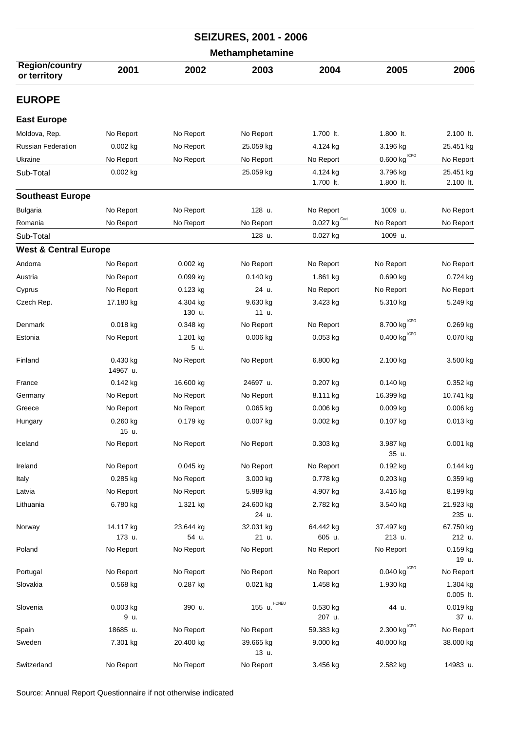| <b>SEIZURES, 2001 - 2006</b>          |                      |                    |                           |                                  |                                                    |                         |  |
|---------------------------------------|----------------------|--------------------|---------------------------|----------------------------------|----------------------------------------------------|-------------------------|--|
|                                       |                      |                    | <b>Methamphetamine</b>    |                                  |                                                    |                         |  |
| <b>Region/country</b><br>or territory | 2001                 | 2002               | 2003                      | 2004                             | 2005                                               | 2006                    |  |
| <b>EUROPE</b>                         |                      |                    |                           |                                  |                                                    |                         |  |
| <b>East Europe</b>                    |                      |                    |                           |                                  |                                                    |                         |  |
| Moldova, Rep.                         | No Report            | No Report          | No Report                 | 1.700 lt.                        | 1.800 lt.                                          | 2.100 lt.               |  |
| <b>Russian Federation</b>             | $0.002$ kg           | No Report          | 25.059 kg                 | 4.124 kg                         | 3.196 kg                                           | 25.451 kg               |  |
| Ukraine                               | No Report            | No Report          | No Report                 | No Report                        | $\underline{0.600}$ kg $\stackrel{\text{ICPO}}{ }$ | No Report               |  |
| Sub-Total                             | 0.002 kg             |                    | 25.059 kg                 | 4.124 kg                         | 3.796 kg                                           | 25.451 kg               |  |
|                                       |                      |                    |                           | 1.700 lt.                        | 1.800 lt.                                          | 2.100 lt.               |  |
| <b>Southeast Europe</b>               |                      |                    |                           |                                  |                                                    |                         |  |
| <b>Bulgaria</b>                       | No Report            | No Report          | 128 u.                    | No Report                        | 1009 u.                                            | No Report               |  |
| Romania                               | No Report            | No Report          | No Report                 | $\underline{0.027}$ kg $^{Gout}$ | No Report                                          | No Report               |  |
| Sub-Total                             |                      |                    | 128 u.                    | 0.027 kg                         | 1009 u.                                            |                         |  |
| <b>West &amp; Central Europe</b>      |                      |                    |                           |                                  |                                                    |                         |  |
| Andorra                               | No Report            | 0.002 kg           | No Report                 | No Report                        | No Report                                          | No Report               |  |
| Austria                               | No Report            | $0.099$ kg         | $0.140$ kg                | 1.861 kg                         | $0.690$ kg                                         | 0.724 kg                |  |
| Cyprus                                | No Report            | $0.123$ kg         | 24 u.                     | No Report                        | No Report                                          | No Report               |  |
| Czech Rep.                            | 17.180 kg            | 4.304 kg<br>130 u. | 9.630 kg<br>11 u.         | 3.423 kg                         | 5.310 kg                                           | 5.249 kg                |  |
| Denmark                               | $0.018$ kg           | $0.348$ kg         | No Report                 | No Report                        | 8.700 kg CPO                                       | 0.269 kg                |  |
| Estonia                               | No Report            | 1.201 kg<br>5 u.   | $0.006$ kg                | $0.053$ kg                       | $0.400$ $\mathrm{kg}^{\mathrm{\,ICPO}}$            | 0.070 kg                |  |
| Finland                               | 0.430 kg<br>14967 u. | No Report          | No Report                 | 6.800 kg                         | 2.100 kg                                           | 3.500 kg                |  |
| France                                | 0.142 kg             | 16.600 kg          | 24697 u.                  | 0.207 kg                         | 0.140 kg                                           | 0.352 kg                |  |
| Germany                               | No Report            | No Report          | No Report                 | 8.111 kg                         | 16.399 kg                                          | 10.741 kg               |  |
| Greece                                | No Report            | No Report          | $0.065$ kg                | 0.006 kg                         | 0.009 kg                                           | 0.006 kg                |  |
| Hungary                               | 0.260 kg<br>15 u.    | 0.179 kg           | 0.007 kg                  | 0.002 kg                         | 0.107 kg                                           | 0.013 kg                |  |
| Iceland                               | No Report            | No Report          | No Report                 | 0.303 kg                         | 3.987 kg<br>35 u.                                  | 0.001 kg                |  |
| Ireland                               | No Report            | 0.045 kg           | No Report                 | No Report                        | $0.192$ kg                                         | 0.144 kg                |  |
| Italy                                 | $0.285$ kg           | No Report          | 3.000 kg                  | 0.778 kg                         | $0.203$ kg                                         | 0.359 kg                |  |
| Latvia                                | No Report            | No Report          | 5.989 kg                  | 4.907 kg                         | 3.416 kg                                           | 8.199 kg                |  |
| Lithuania                             | 6.780 kg             | 1.321 kg           | 24.600 kg<br>24 u.        | 2.782 kg                         | 3.540 kg                                           | 21.923 kg<br>235 u.     |  |
| Norway                                | 14.117 kg            | 23.644 kg          | 32.031 kg                 | 64.442 kg                        | 37.497 kg                                          | 67.750 kg               |  |
|                                       | 173 u.               | 54 u.              | 21 u.                     | 605 u.                           | 213 u.                                             | 212 u.                  |  |
| Poland                                | No Report            | No Report          | No Report                 | No Report                        | No Report                                          | 0.159 kg<br>19 u.       |  |
| Portugal                              | No Report            | No Report          | No Report                 | No Report                        | $0.040$ kg $^{\mathrm{ICPO}}$                      | No Report               |  |
| Slovakia                              | 0.568 kg             | 0.287 kg           | $0.021$ kg                | 1.458 kg                         | 1.930 kg                                           | 1.304 kg<br>$0.005$ lt. |  |
| Slovenia                              | 0.003 kg<br>9 u.     | 390 u.             | 155 $u.$ <sup>HONEU</sup> | 0.530 kg<br>207 u.               | 44 u.                                              | 0.019 kg<br>37 u.       |  |
| Spain                                 | 18685 u.             | No Report          | No Report                 | 59.383 kg                        | $2.300$ kg $^{\mathrm{ICPO}}$                      | No Report               |  |
| Sweden                                | 7.301 kg             | 20.400 kg          | 39.665 kg<br>13 u.        | 9.000 kg                         | 40.000 kg                                          | 38.000 kg               |  |
| Switzerland                           | No Report            | No Report          | No Report                 | 3.456 kg                         | 2.582 kg                                           | 14983 u.                |  |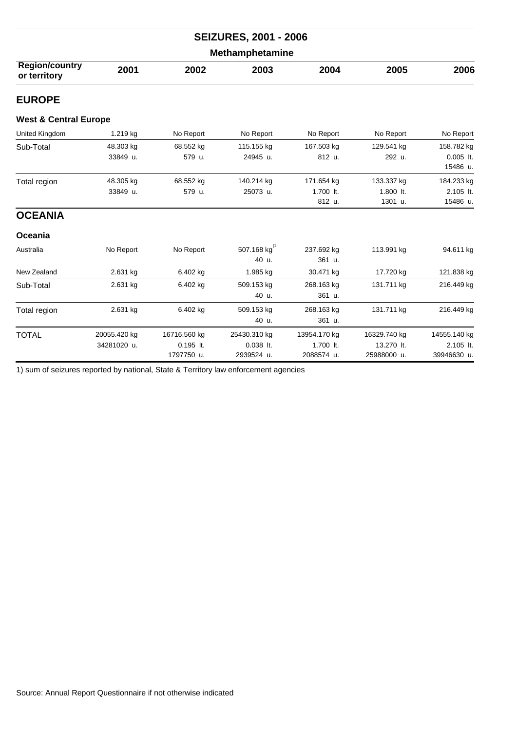| <b>SEIZURES, 2001 - 2006</b><br><b>Methamphetamine</b> |              |              |                            |              |              |                         |  |  |
|--------------------------------------------------------|--------------|--------------|----------------------------|--------------|--------------|-------------------------|--|--|
|                                                        |              |              |                            |              |              |                         |  |  |
| <b>EUROPE</b>                                          |              |              |                            |              |              |                         |  |  |
| <b>West &amp; Central Europe</b>                       |              |              |                            |              |              |                         |  |  |
| United Kingdom                                         | 1.219 kg     | No Report    | No Report                  | No Report    | No Report    | No Report               |  |  |
| Sub-Total                                              | 48.303 kg    | 68.552 kg    | 115.155 kg                 | 167.503 kg   | 129.541 kg   | 158.782 kg              |  |  |
|                                                        | 33849 u.     | 579 u.       | 24945 u.                   | 812 u.       | 292 u.       | $0.005$ lt.<br>15486 u. |  |  |
| Total region                                           | 48.305 kg    | 68.552 kg    | 140.214 kg                 | 171.654 kg   | 133.337 kg   | 184.233 kg              |  |  |
|                                                        | 33849 u.     | 579 u.       | 25073 u.                   | 1.700 lt.    | 1.800 lt.    | 2.105 lt.               |  |  |
|                                                        |              |              |                            | 812 u.       | 1301 u.      | 15486 u.                |  |  |
| <b>OCEANIA</b>                                         |              |              |                            |              |              |                         |  |  |
| Oceania                                                |              |              |                            |              |              |                         |  |  |
| Australia                                              | No Report    | No Report    | 507.168 kg <sup>(1</sup> ) | 237.692 kg   | 113.991 kg   | 94.611 kg               |  |  |
|                                                        |              |              | 40 u.                      | 361 u.       |              |                         |  |  |
| New Zealand                                            | 2.631 kg     | 6.402 kg     | 1.985 kg                   | 30.471 kg    | 17.720 kg    | 121.838 kg              |  |  |
| Sub-Total                                              | 2.631 kg     | 6.402 kg     | 509.153 kg                 | 268.163 kg   | 131.711 kg   | 216.449 kg              |  |  |
|                                                        |              |              | 40 u.                      | 361 u.       |              |                         |  |  |
| Total region                                           | 2.631 kg     | 6.402 kg     | 509.153 kg                 | 268.163 kg   | 131.711 kg   | 216.449 kg              |  |  |
|                                                        |              |              | 40 u.                      | 361 u.       |              |                         |  |  |
| <b>TOTAL</b>                                           | 20055.420 kg | 16716.560 kg | 25430.310 kg               | 13954.170 kg | 16329.740 kg | 14555.140 kg            |  |  |
|                                                        | 34281020 u.  | $0.195$ lt.  | $0.038$ lt.                | 1.700 lt.    | 13.270 lt.   | 2.105 lt.               |  |  |
|                                                        |              | 1797750 u.   | 2939524 u.                 | 2088574 u.   | 25988000 u.  | 39946630 u.             |  |  |

1) sum of seizures reported by national, State & Territory law enforcement agencies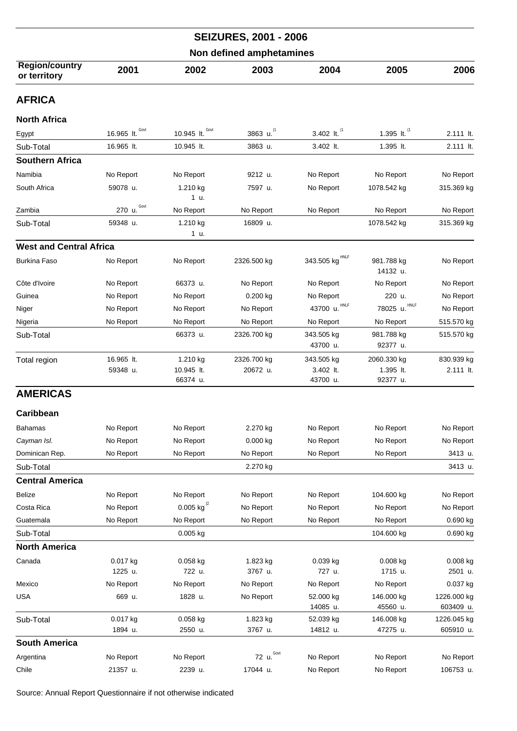| <b>SEIZURES, 2001 - 2006</b>          |                          |                                    |                         |                                     |                                      |                          |  |  |
|---------------------------------------|--------------------------|------------------------------------|-------------------------|-------------------------------------|--------------------------------------|--------------------------|--|--|
|                                       | Non defined amphetamines |                                    |                         |                                     |                                      |                          |  |  |
| <b>Region/country</b><br>or territory | 2001                     | 2002                               | 2003                    | 2004                                | 2005                                 | 2006                     |  |  |
| <b>AFRICA</b>                         |                          |                                    |                         |                                     |                                      |                          |  |  |
| <b>North Africa</b>                   |                          |                                    |                         |                                     |                                      |                          |  |  |
| Egypt                                 | 16.965 It. Govt          | 10.945 It. Govt                    | 3863 u. (1              | 3.402 lt. <sup>(1</sup> )           | 1.395 lt. $^{(1)}$                   | 2.111 lt.                |  |  |
| Sub-Total                             | 16.965 lt.               | 10.945 lt.                         | 3863 u.                 | 3.402 lt.                           | 1.395 lt.                            | 2.111 lt.                |  |  |
| <b>Southern Africa</b>                |                          |                                    |                         |                                     |                                      |                          |  |  |
| Namibia                               | No Report                | No Report                          | 9212 u.                 | No Report                           | No Report                            | No Report                |  |  |
| South Africa                          | 59078 u.                 | 1.210 kg<br>1 u.                   | 7597 u.                 | No Report                           | 1078.542 kg                          | 315.369 kg               |  |  |
| Zambia                                | Govt<br>270 u.           | No Report                          | No Report               | No Report                           | No Report                            | No Report                |  |  |
| Sub-Total                             | 59348 u.                 | 1.210 kg<br>1 u.                   | 16809 u.                |                                     | 1078.542 kg                          | 315.369 kg               |  |  |
| <b>West and Central Africa</b>        |                          |                                    |                         |                                     |                                      |                          |  |  |
| <b>Burkina Faso</b>                   | No Report                | No Report                          | 2326.500 kg             | 343.505 kg $^{\text{HNLF}}$         | 981.788 kg<br>14132 u.               | No Report                |  |  |
| Côte d'Ivoire                         | No Report                | 66373 u.                           | No Report               | No Report                           | No Report                            | No Report                |  |  |
| Guinea                                | No Report                | No Report                          | 0.200 kg                | No Report                           | 220 u.                               | No Report                |  |  |
| Niger                                 | No Report                | No Report                          | No Report               | 43700 u. HNLF                       | HNLF<br>78025 u.                     | No Report                |  |  |
| Nigeria                               | No Report                | No Report                          | No Report               | No Report                           | No Report                            | 515.570 kg               |  |  |
| Sub-Total                             |                          | 66373 u.                           | 2326.700 kg             | 343.505 kg<br>43700 u.              | 981.788 kg<br>92377 u.               | 515.570 kg               |  |  |
| Total region                          | 16.965 lt.<br>59348 u.   | 1.210 kg<br>10.945 lt.<br>66374 u. | 2326.700 kg<br>20672 u. | 343.505 kg<br>3.402 lt.<br>43700 u. | 2060.330 kg<br>1.395 lt.<br>92377 u. | 830.939 kg<br>2.111 lt.  |  |  |
| <b>AMERICAS</b>                       |                          |                                    |                         |                                     |                                      |                          |  |  |
| Caribbean                             |                          |                                    |                         |                                     |                                      |                          |  |  |
| Bahamas                               | No Report                | No Report                          | 2.270 kg                | No Report                           | No Report                            | No Report                |  |  |
| Cayman Isl.                           | No Report                | No Report                          | 0.000 kg                | No Report                           | No Report                            | No Report                |  |  |
| Dominican Rep.                        | No Report                | No Report                          | No Report               | No Report                           | No Report                            | 3413 u.                  |  |  |
| Sub-Total                             |                          |                                    | 2.270 kg                |                                     |                                      | 3413 u.                  |  |  |
| <b>Central America</b>                |                          |                                    |                         |                                     |                                      |                          |  |  |
| Belize                                | No Report                | No Report                          | No Report               | No Report                           | 104.600 kg                           | No Report                |  |  |
| Costa Rica                            | No Report                | 0.005 kg $^{(2)}$                  | No Report               | No Report                           | No Report                            | No Report                |  |  |
| Guatemala                             | No Report                | No Report                          | No Report               | No Report                           | No Report                            | 0.690 kg                 |  |  |
| Sub-Total                             |                          | 0.005 kg                           |                         |                                     | 104.600 kg                           | 0.690 kg                 |  |  |
| <b>North America</b>                  |                          |                                    |                         |                                     |                                      |                          |  |  |
| Canada                                | 0.017 kg                 | $0.058$ kg                         | 1.823 kg                | 0.039 kg                            | $0.008$ kg                           | 0.008 kg                 |  |  |
|                                       | 1225 u.                  | 722 u.                             | 3767 u.                 | 727 u.                              | 1715 u.                              | 2501 u.                  |  |  |
| Mexico                                | No Report                | No Report                          | No Report               | No Report                           | No Report                            | 0.037 kg                 |  |  |
| <b>USA</b>                            | 669 u.                   | 1828 u.                            | No Report               | 52.000 kg<br>14085 u.               | 146.000 kg<br>45560 u.               | 1226.000 kg<br>603409 u. |  |  |
| Sub-Total                             | 0.017 kg                 | 0.058 kg                           | 1.823 kg                | 52.039 kg                           | 146.008 kg                           | 1226.045 kg              |  |  |
|                                       | 1894 u.                  | 2550 u.                            | 3767 u.                 | 14812 u.                            | 47275 u.                             | 605910 u.                |  |  |
| <b>South America</b>                  |                          |                                    |                         |                                     |                                      |                          |  |  |
| Argentina                             | No Report                | No Report                          | 72 u. Govt              | No Report                           | No Report                            | No Report                |  |  |
| Chile                                 | 21357 u.                 | 2239 u.                            | 17044 u.                | No Report                           | No Report                            | 106753 u.                |  |  |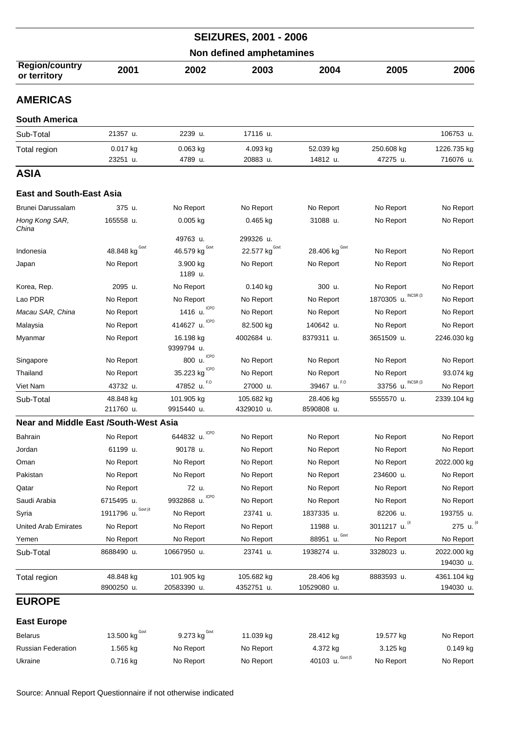| <b>SEIZURES, 2001 - 2006</b><br>Non defined amphetamines |                         |                                              |                                        |                          |                        |                          |  |
|----------------------------------------------------------|-------------------------|----------------------------------------------|----------------------------------------|--------------------------|------------------------|--------------------------|--|
|                                                          |                         |                                              |                                        |                          |                        |                          |  |
| <b>AMERICAS</b>                                          |                         |                                              |                                        |                          |                        |                          |  |
| <b>South America</b>                                     |                         |                                              |                                        |                          |                        |                          |  |
| Sub-Total                                                | 21357 u.                | 2239 u.                                      | 17116 u.                               |                          |                        | 106753 u.                |  |
| Total region                                             | 0.017 kg                | $0.063$ kg                                   | 4.093 kg                               | 52.039 kg                | 250.608 kg             | 1226.735 kg              |  |
|                                                          | 23251 u.                | 4789 u.                                      | 20883 u.                               | 14812 u.                 | 47275 u.               | 716076 u.                |  |
| ASIA                                                     |                         |                                              |                                        |                          |                        |                          |  |
| <b>East and South-East Asia</b>                          |                         |                                              |                                        |                          |                        |                          |  |
| Brunei Darussalam                                        | 375 u.                  | No Report                                    | No Report                              | No Report                | No Report              | No Report                |  |
| Hong Kong SAR,                                           | 165558 u.               | $0.005$ kg                                   | $0.465$ kg                             | 31088 u.                 | No Report              | No Report                |  |
| China                                                    |                         |                                              |                                        |                          |                        |                          |  |
| Indonesia                                                | 48.848 kg $^{Govt}$     | 49763 u.<br>46.579 $\text{kg}^{\text{Govt}}$ | 299326 u.<br>22.577 kg <sup>Govt</sup> | 28.406 kg $^{Govt}$      |                        |                          |  |
|                                                          | No Report               | 3.900 kg                                     | No Report                              | No Report                | No Report<br>No Report | No Report<br>No Report   |  |
| Japan                                                    |                         | 1189 u.                                      |                                        |                          |                        |                          |  |
| Korea, Rep.                                              | 2095 u.                 | No Report                                    | 0.140 kg                               | 300 u.                   | No Report              | No Report                |  |
| Lao PDR                                                  | No Report               | No Report                                    | No Report                              | No Report                | 1870305 u. INCSR (3    | No Report                |  |
| Macau SAR, China                                         | No Report               | 1416 u. CPO                                  | No Report                              | No Report                | No Report              | No Report                |  |
| Malaysia                                                 | No Report               | <b>ICPO</b><br>414627 u.                     | 82.500 kg                              | 140642 u.                | No Report              | No Report                |  |
| Myanmar                                                  | No Report               | 16.198 kg<br>9399794 u.                      | 4002684 u.                             | 8379311 u.               | 3651509 u.             | 2246.030 kg              |  |
| Singapore                                                | No Report               | 800 u. CPO                                   | No Report                              | No Report                | No Report              | No Report                |  |
| Thailand                                                 | No Report               | <b>ICPO</b><br>35.223 kg                     | No Report                              | No Report                | No Report              | 93.074 kg                |  |
| Viet Nam                                                 | 43732 u.                | F.O<br>47852 u.                              | 27000 u.                               | 39467 u. F.O             | INCSR (3<br>33756 u.   | No Report                |  |
| Sub-Total                                                | 48.848 kg               | 101.905 kg                                   | 105.682 kg                             | 28.406 kg                | 5555570 u.             | 2339.104 kg              |  |
|                                                          | 211760 u.               | 9915440 u.                                   | 4329010 u.                             | 8590808 u.               |                        |                          |  |
| <b>Near and Middle East /South-West Asia</b>             |                         |                                              |                                        |                          |                        |                          |  |
| Bahrain                                                  | No Report               | ICPO<br>644832 u.                            | No Report                              | No Report                | No Report              | No Report                |  |
| Jordan                                                   | 61199 u.                | 90178 u.                                     | No Report                              | No Report                | No Report              | No Report                |  |
| Oman                                                     | No Report               | No Report                                    | No Report                              | No Report                | No Report              | 2022.000 kg              |  |
| Pakistan                                                 | No Report               | No Report                                    | No Report                              | No Report                | 234600 u.              | No Report                |  |
| Qatar                                                    | No Report               | 72 u.                                        | No Report                              | No Report                | No Report              | No Report                |  |
| Saudi Arabia                                             | 6715495 u.              | ICPO<br>9932868 u.                           | No Report                              | No Report                | No Report              | No Report                |  |
| Syria                                                    | Govt (4<br>1911796 u.   | No Report                                    | 23741 u.                               | 1837335 u.               | 82206 u.               | 193755 u.                |  |
| <b>United Arab Emirates</b>                              | No Report               | No Report                                    | No Report                              | 11988 u.                 | 3011217 u. (4          | 275 u.                   |  |
| Yemen                                                    | No Report               | No Report                                    | No Report                              | Govt<br>88951 u.         | No Report              | No Report                |  |
| Sub-Total                                                | 8688490 u.              | 10667950 u.                                  | 23741 u.                               | 1938274 u.               | 3328023 u.             | 2022.000 kg<br>194030 u. |  |
| Total region                                             | 48.848 kg<br>8900250 u. | 101.905 kg<br>20583390 u.                    | 105.682 kg<br>4352751 u.               | 28.406 kg<br>10529080 u. | 8883593 u.             | 4361.104 kg<br>194030 u. |  |
| <b>EUROPE</b>                                            |                         |                                              |                                        |                          |                        |                          |  |
| <b>East Europe</b>                                       |                         |                                              |                                        |                          |                        |                          |  |
| <b>Belarus</b>                                           | Govt<br>13.500 kg       | Govt<br>9.273 kg                             | 11.039 kg                              | 28.412 kg                | 19.577 kg              | No Report                |  |
| <b>Russian Federation</b>                                | 1.565 kg                | No Report                                    | No Report                              | 4.372 kg                 | 3.125 kg               | 0.149 kg                 |  |
| Ukraine                                                  | 0.716 kg                | No Report                                    | No Report                              | 40103 u. Govt (5         | No Report              | No Report                |  |
|                                                          |                         |                                              |                                        |                          |                        |                          |  |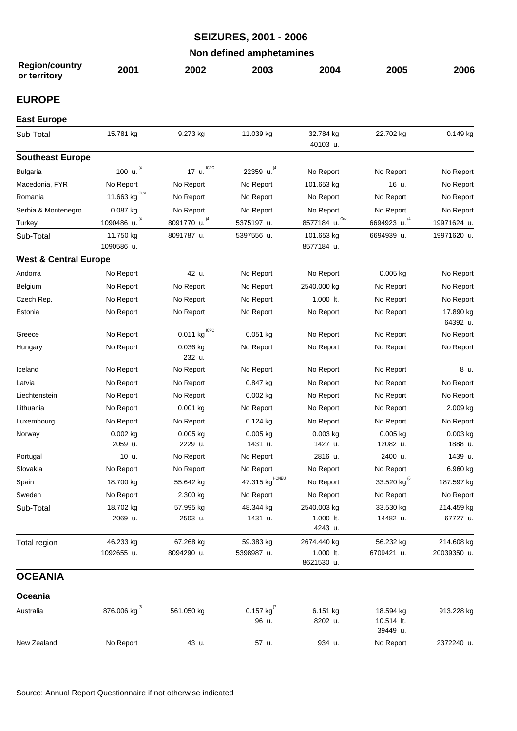| <b>SEIZURES, 2001 - 2006</b><br>Non defined amphetamines |                          |                         |                            |                                        |                                     |                           |  |  |
|----------------------------------------------------------|--------------------------|-------------------------|----------------------------|----------------------------------------|-------------------------------------|---------------------------|--|--|
|                                                          |                          |                         |                            |                                        |                                     |                           |  |  |
| <b>EUROPE</b>                                            |                          |                         |                            |                                        |                                     |                           |  |  |
| <b>East Europe</b>                                       |                          |                         |                            |                                        |                                     |                           |  |  |
| Sub-Total                                                | 15.781 kg                | 9.273 kg                | 11.039 kg                  | 32.784 kg<br>40103 u.                  | 22.702 kg                           | 0.149 kg                  |  |  |
| <b>Southeast Europe</b>                                  |                          |                         |                            |                                        |                                     |                           |  |  |
| <b>Bulgaria</b>                                          | 100 u. (4                | <b>ICPO</b><br>17 u.    | 22359 u. 4                 | No Report                              | No Report                           | No Report                 |  |  |
| Macedonia, FYR                                           | No Report                | No Report               | No Report                  | 101.653 kg                             | 16 u.                               | No Report                 |  |  |
| Romania                                                  | 11.663 $kgGovt$          | No Report               | No Report                  | No Report                              | No Report                           | No Report                 |  |  |
| Serbia & Montenegro                                      | 0.087 kg                 | No Report               | No Report                  | No Report                              | No Report                           | No Report                 |  |  |
| Turkey                                                   | 1090486 u. (4            | 8091770 u. (4           | 5375197 u.                 | Govt<br>8577184 u.                     | 6694923 u. (4                       | 19971624 u.               |  |  |
| Sub-Total                                                | 11.750 kg<br>1090586 u.  | 8091787 u.              | 5397556 u.                 | 101.653 kg<br>8577184 u.               | 6694939 u.                          | 19971620 u.               |  |  |
| <b>West &amp; Central Europe</b>                         |                          |                         |                            |                                        |                                     |                           |  |  |
| Andorra                                                  | No Report                | 42 u.                   | No Report                  | No Report                              | $0.005$ kg                          | No Report                 |  |  |
| Belgium                                                  | No Report                | No Report               | No Report                  | 2540.000 kg                            | No Report                           | No Report                 |  |  |
| Czech Rep.                                               | No Report                | No Report               | No Report                  | 1.000 lt.                              | No Report                           | No Report                 |  |  |
| Estonia                                                  | No Report                | No Report               | No Report                  | No Report                              | No Report                           | 17.890 kg<br>64392 u.     |  |  |
| Greece                                                   | No Report                | <b>ICPO</b><br>0.011 kg | $0.051$ kg                 | No Report                              | No Report                           | No Report                 |  |  |
| Hungary                                                  | No Report                | 0.036 kg<br>232 u.      | No Report                  | No Report                              | No Report                           | No Report                 |  |  |
| Iceland                                                  | No Report                | No Report               | No Report                  | No Report                              | No Report                           | 8 u.                      |  |  |
| Latvia                                                   | No Report                | No Report               | 0.847 kg                   | No Report                              | No Report                           | No Report                 |  |  |
| Liechtenstein                                            | No Report                | No Report               | $0.002$ kg                 | No Report                              | No Report                           | No Report                 |  |  |
| Lithuania                                                | No Report                | 0.001 kg                | No Report                  | No Report                              | No Report                           | 2.009 kg                  |  |  |
| Luxembourg                                               | No Report                | No Report               | 0.124 kg                   | No Report                              | No Report                           | No Report                 |  |  |
| Norway                                                   | $0.002$ kg               | $0.005$ kg              | 0.005 kg                   | $0.003$ kg                             | 0.005 kg                            | 0.003 kg                  |  |  |
|                                                          | 2059 u.                  | 2229 u.                 | 1431 u.                    | 1427 u.                                | 12082 u.                            | 1888 u.                   |  |  |
| Portugal                                                 | 10 u.                    | No Report               | No Report                  | 2816 u.                                | 2400 u.                             | 1439 u.                   |  |  |
| Slovakia                                                 | No Report                | No Report               | No Report                  | No Report                              | No Report                           | 6.960 kg                  |  |  |
| Spain                                                    | 18.700 kg                | 55.642 kg               | 47.315 kg <sup>HONEU</sup> | No Report                              | 33.520 kg <sup>(6</sup>             | 187.597 kg                |  |  |
| Sweden                                                   | No Report                | 2.300 kg                | No Report                  | No Report                              | No Report                           | No Report                 |  |  |
| Sub-Total                                                | 18.702 kg<br>2069 u.     | 57.995 kg<br>2503 u.    | 48.344 kg<br>1431 u.       | 2540.003 kg<br>1.000 lt.<br>4243 u.    | 33.530 kg<br>14482 u.               | 214.459 kg<br>67727 u.    |  |  |
| Total region                                             | 46.233 kg<br>1092655 u.  | 67.268 kg<br>8094290 u. | 59.383 kg<br>5398987 u.    | 2674.440 kg<br>1.000 lt.<br>8621530 u. | 56.232 kg<br>6709421 u.             | 214.608 kg<br>20039350 u. |  |  |
| <b>OCEANIA</b>                                           |                          |                         |                            |                                        |                                     |                           |  |  |
| Oceania                                                  |                          |                         |                            |                                        |                                     |                           |  |  |
| Australia                                                | 876.006 kg <sup>(5</sup> | 561.050 kg              | 0.157 kg $^{(7)}$<br>96 u. | 6.151 kg<br>8202 u.                    | 18.594 kg<br>10.514 lt.<br>39449 u. | 913.228 kg                |  |  |
| New Zealand                                              | No Report                | 43 u.                   | 57 u.                      | 934 u.                                 | No Report                           | 2372240 u.                |  |  |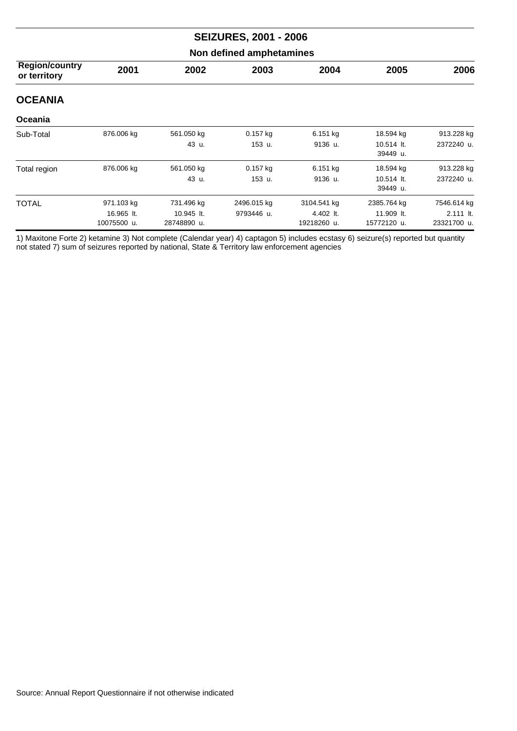| <b>SEIZURES, 2001 - 2006</b>          |                                         |                                         |                           |                                         |                                          |                                         |  |  |  |
|---------------------------------------|-----------------------------------------|-----------------------------------------|---------------------------|-----------------------------------------|------------------------------------------|-----------------------------------------|--|--|--|
| Non defined amphetamines              |                                         |                                         |                           |                                         |                                          |                                         |  |  |  |
| <b>Region/country</b><br>or territory | 2001                                    | 2002                                    | 2003                      | 2004                                    | 2005                                     | 2006                                    |  |  |  |
| <b>OCEANIA</b>                        |                                         |                                         |                           |                                         |                                          |                                         |  |  |  |
| Oceania                               |                                         |                                         |                           |                                         |                                          |                                         |  |  |  |
| Sub-Total                             | 876.006 kg                              | 561.050 kg<br>43 u.                     | $0.157$ kg<br>153 u.      | 6.151 kg<br>9136 u.                     | 18.594 kg<br>10.514 lt.<br>39449 u.      | 913.228 kg<br>2372240 u.                |  |  |  |
| Total region                          | 876.006 kg                              | 561.050 kg<br>43 u.                     | $0.157$ kg<br>153 u.      | 6.151 kg<br>9136 u.                     | 18.594 kg<br>10.514 lt.<br>39449 u.      | 913.228 kg<br>2372240 u.                |  |  |  |
| <b>TOTAL</b>                          | 971.103 kg<br>16.965 lt.<br>10075500 u. | 731.496 kg<br>10.945 lt.<br>28748890 u. | 2496.015 kg<br>9793446 u. | 3104.541 kg<br>4.402 lt.<br>19218260 u. | 2385.764 kg<br>11.909 lt.<br>15772120 u. | 7546.614 kg<br>2.111 lt.<br>23321700 u. |  |  |  |

1) Maxitone Forte 2) ketamine 3) Not complete (Calendar year) 4) captagon 5) includes ecstasy 6) seizure(s) reported but quantity not stated 7) sum of seizures reported by national, State & Territory law enforcement agencies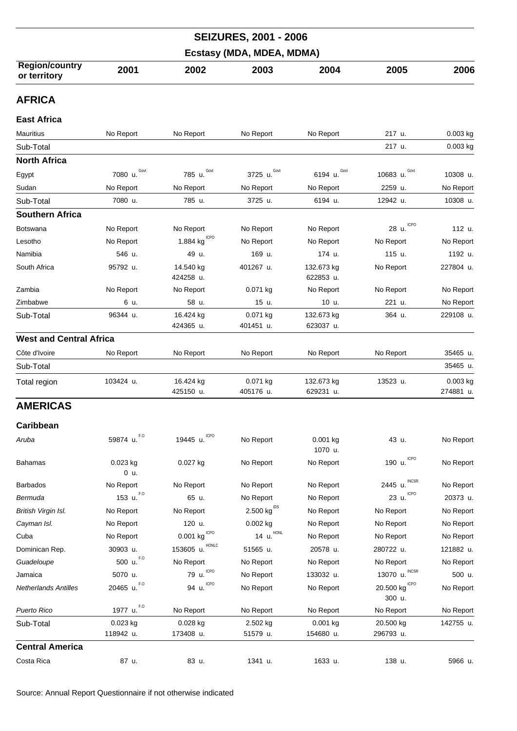|                                       |                        |                          | <b>SEIZURES, 2001 - 2006</b>       |                         |                               |                       |  |  |
|---------------------------------------|------------------------|--------------------------|------------------------------------|-------------------------|-------------------------------|-----------------------|--|--|
| Ecstasy (MDA, MDEA, MDMA)             |                        |                          |                                    |                         |                               |                       |  |  |
| <b>Region/country</b><br>or territory | 2001                   | 2002                     | 2003                               | 2004                    | 2005                          | 2006                  |  |  |
| <b>AFRICA</b>                         |                        |                          |                                    |                         |                               |                       |  |  |
| <b>East Africa</b>                    |                        |                          |                                    |                         |                               |                       |  |  |
| <b>Mauritius</b>                      | No Report              | No Report                | No Report                          | No Report               | 217 u.                        | 0.003 kg              |  |  |
| Sub-Total                             |                        |                          |                                    |                         | 217 u.                        | $0.003$ kg            |  |  |
| <b>North Africa</b>                   |                        |                          |                                    |                         |                               |                       |  |  |
| Egypt                                 | Govt<br>7080 u.        | Govt<br>785 u.           | Govt<br>3725 u.                    | 6194 u. Govt            | 10683 u. Govt                 | 10308 u.              |  |  |
| Sudan                                 | No Report              | No Report                | No Report                          | No Report               | 2259 u.                       | No Report             |  |  |
| Sub-Total                             | 7080 u.                | 785 u.                   | 3725 u.                            | 6194 u.                 | 12942 u.                      | 10308 u.              |  |  |
| <b>Southern Africa</b>                |                        |                          |                                    |                         |                               |                       |  |  |
| <b>Botswana</b>                       | No Report              | No Report                | No Report                          | No Report               | <b>ICPO</b><br>28 u.          | 112 u.                |  |  |
| Lesotho                               | No Report              | 1.884 $kg^{\text{ICPO}}$ | No Report                          | No Report               | No Report                     | No Report             |  |  |
| Namibia                               | 546 u.                 | 49 u.                    | 169 u.                             | 174 u.                  | 115 u.                        | 1192 u.               |  |  |
| South Africa                          | 95792 u.               | 14.540 kg<br>424258 u.   | 401267 u.                          | 132.673 kg<br>622853 u. | No Report                     | 227804 u.             |  |  |
| Zambia                                | No Report              | No Report                | 0.071 kg                           | No Report               | No Report                     | No Report             |  |  |
| Zimbabwe                              | 6 u.                   | 58 u.                    | 15 u.                              | 10 u.                   | 221 u.                        | No Report             |  |  |
| Sub-Total                             | 96344 u.               | 16.424 kg<br>424365 u.   | 0.071 kg<br>401451 u.              | 132.673 kg<br>623037 u. | 364 u.                        | 229108 u.             |  |  |
| <b>West and Central Africa</b>        |                        |                          |                                    |                         |                               |                       |  |  |
| Côte d'Ivoire                         | No Report              | No Report                | No Report                          | No Report               | No Report                     | 35465 u.              |  |  |
| Sub-Total                             |                        |                          |                                    |                         |                               | 35465 u.              |  |  |
| Total region                          | 103424 u.              | 16.424 kg<br>425150 u.   | 0.071 kg<br>405176 u.              | 132.673 kg<br>629231 u. | 13523 u.                      | 0.003 kg<br>274881 u. |  |  |
| <b>AMERICAS</b>                       |                        |                          |                                    |                         |                               |                       |  |  |
| Caribbean                             |                        |                          |                                    |                         |                               |                       |  |  |
| Aruba                                 | F.O<br>59874 u.        | <b>ICPO</b><br>19445 u.  | No Report                          | 0.001 kg<br>1070 u.     | 43 u.                         | No Report             |  |  |
| <b>Bahamas</b>                        | 0.023 kg<br>0 u.       | 0.027 kg                 | No Report                          | No Report               | 190 u. ICPO                   | No Report             |  |  |
| <b>Barbados</b>                       | No Report              | No Report                | No Report                          | No Report               | <b>INCSR</b><br>2445 u.       | No Report             |  |  |
| Bermuda                               | 153 u. $^{F,0}$        | 65 u.                    | No Report                          | No Report               | ICPO<br>23 u.                 | 20373 u.              |  |  |
| British Virgin Isl.                   | No Report              | No Report                | $2.500 \ \mathrm{kg}^\mathrm{IDS}$ | No Report               | No Report                     | No Report             |  |  |
| Cayman Isl.                           | No Report              | 120 u.                   | $0.002$ kg                         | No Report               | No Report                     | No Report             |  |  |
| Cuba                                  | No Report              | ICPO<br>0.001 kg         | 14 u. $^{\text{HONL}}$             | No Report               | No Report                     | No Report             |  |  |
| Dominican Rep.                        | 30903 u.               | HONLC<br>153605 u.       | 51565 u.                           | 20578 u.                | 280722 u.                     | 121882 u.             |  |  |
| Guadeloupe                            | 500 u. F.O             | No Report                | No Report                          | No Report               | No Report                     | No Report             |  |  |
| Jamaica                               | 5070 u.                | <b>ICPO</b><br>79 u.     | No Report                          | 133032 u.               | <b>INCSR</b><br>13070 u.      | 500 u.                |  |  |
| <b>Netherlands Antilles</b>           | 20465 u. $^{F,0}$      | ICPO<br>94 u.            | No Report                          | No Report               | 20.500 kg $^{ICPO}$<br>300 u. | No Report             |  |  |
| Puerto Rico                           | 1977 u. <sup>F.0</sup> | No Report                | No Report                          | No Report               | No Report                     | No Report             |  |  |
| Sub-Total                             | 0.023 kg<br>118942 u.  | 0.028 kg<br>173408 u.    | 2.502 kg<br>51579 u.               | 0.001 kg<br>154680 u.   | 20.500 kg<br>296793 u.        | 142755 u.             |  |  |
| <b>Central America</b>                |                        |                          |                                    |                         |                               |                       |  |  |
| Costa Rica                            | 87 u.                  | 83 u.                    | 1341 u.                            | 1633 u.                 | 138 u.                        | 5966 u.               |  |  |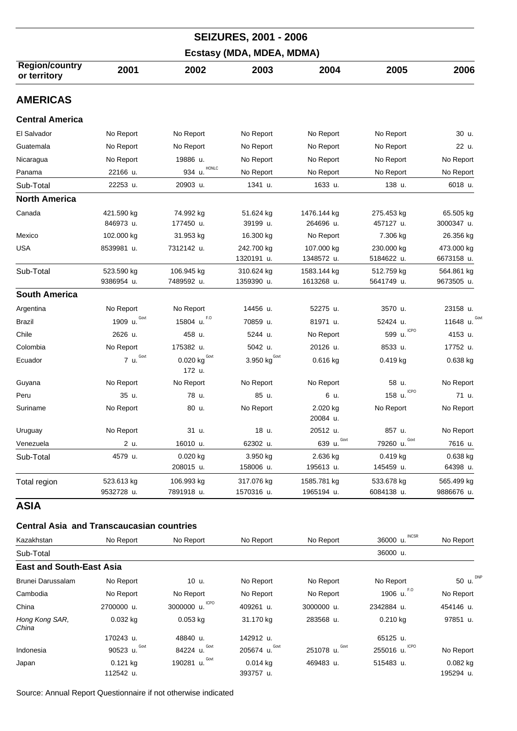|                                                  |                          |                                      | <b>SEIZURES, 2001 - 2006</b>    |                           |                          |                          |
|--------------------------------------------------|--------------------------|--------------------------------------|---------------------------------|---------------------------|--------------------------|--------------------------|
|                                                  |                          |                                      | Ecstasy (MDA, MDEA, MDMA)       |                           |                          |                          |
| <b>Region/country</b><br>or territory            | 2001                     | 2002                                 | 2003                            | 2004                      | 2005                     | 2006                     |
| <b>AMERICAS</b>                                  |                          |                                      |                                 |                           |                          |                          |
| <b>Central America</b>                           |                          |                                      |                                 |                           |                          |                          |
| El Salvador                                      | No Report                | No Report                            | No Report                       | No Report                 | No Report                | 30 u.                    |
| Guatemala                                        | No Report                | No Report                            | No Report                       | No Report                 | No Report                | 22 u.                    |
| Nicaragua                                        | No Report                | 19886 u.                             | No Report                       | No Report                 | No Report                | No Report                |
| Panama                                           | 22166 u.                 | HONLC<br>934 u.                      | No Report                       | No Report                 | No Report                | No Report                |
| Sub-Total                                        | 22253 u.                 | 20903 u.                             | 1341 u.                         | 1633 u.                   | 138 u.                   | 6018 u.                  |
| <b>North America</b>                             |                          |                                      |                                 |                           |                          |                          |
| Canada                                           | 421.590 kg<br>846973 u.  | 74.992 kg<br>177450 u.               | 51.624 kg<br>39199 u.           | 1476.144 kg<br>264696 u.  | 275.453 kg<br>457127 u.  | 65.505 kg<br>3000347 u.  |
| Mexico                                           | 102.000 kg               | 31.953 kg                            | 16.300 kg                       | No Report                 | 7.306 kg                 | 26.356 kg                |
| USA                                              | 8539981 u.               | 7312142 u.                           | 242.700 kg<br>1320191 u.        | 107.000 kg<br>1348572 u.  | 230.000 kg<br>5184622 u. | 473.000 kg<br>6673158 u. |
| Sub-Total                                        | 523.590 kg<br>9386954 u. | 106.945 kg<br>7489592 u.             | 310.624 kg<br>1359390 u.        | 1583.144 kg<br>1613268 u. | 512.759 kg<br>5641749 u. | 564.861 kg<br>9673505 u. |
| <b>South America</b>                             |                          |                                      |                                 |                           |                          |                          |
| Argentina                                        | No Report                | No Report                            | 14456 u.                        | 52275 u.                  | 3570 u.                  | 23158 u.                 |
| <b>Brazil</b>                                    | Govt<br>1909 u.          | F.O<br>15804 u.                      | 70859 u.                        | 81971 u.                  | 52424 u.                 | 11648 u. $600$           |
| Chile                                            | 2626 u.                  | 458 u.                               | 5244 u.                         | No Report                 | <b>ICPO</b><br>599 u.    | 4153 u.                  |
| Colombia                                         | No Report                | 175382 u.                            | 5042 u.                         | 20126 u.                  | 8533 u.                  | 17752 u.                 |
| Ecuador                                          | 7 $u.Govt$               | $0.020$ kg <sup>Govt</sup><br>172 u. | 3.950 $\text{kg}^{\text{Govt}}$ | 0.616 kg                  | 0.419 kg                 | 0.638 kg                 |
| Guyana                                           | No Report                | No Report                            | No Report                       | No Report                 | 58 u.                    | No Report                |
| Peru                                             | 35 u.                    | 78 u.                                | 85 u.                           | 6 u.                      | <b>ICPO</b><br>158 u.    | 71 u.                    |
| Suriname                                         | No Report                | 80 u.                                | No Report                       | 2.020 kg<br>20084 u.      | No Report                | No Report                |
| Uruguay                                          | No Report                | 31 u.                                | 18 u.                           | 20512 u.                  | 857 u.                   | No Report                |
| Venezuela                                        | 2 u.                     | 16010 u.                             | 62302 u.                        | Govt<br>639 u.            | Govt<br>79260 u.         | 7616 u.                  |
| Sub-Total                                        | 4579 u.                  | 0.020 kg<br>208015 u.                | 3.950 kg<br>158006 u.           | 2.636 kg<br>195613 u.     | $0.419$ kg<br>145459 u.  | 0.638 kg<br>64398 u.     |
| Total region                                     | 523.613 kg<br>9532728 u. | 106.993 kg<br>7891918 u.             | 317.076 kg<br>1570316 u.        | 1585.781 kg<br>1965194 u. | 533.678 kg<br>6084138 u. | 565.499 kg<br>9886676 u. |
| <b>ASIA</b>                                      |                          |                                      |                                 |                           |                          |                          |
| <b>Central Asia and Transcaucasian countries</b> |                          |                                      |                                 |                           |                          |                          |
| Kazakhstan                                       | No Report                | No Report                            | No Report                       | No Report                 | INCSR<br>36000 u.        | No Report                |
|                                                  |                          |                                      |                                 |                           | 20000                    |                          |

| Sub-Total                       |                  |                           | 36000 u.          |                   |                   |              |  |  |
|---------------------------------|------------------|---------------------------|-------------------|-------------------|-------------------|--------------|--|--|
| <b>East and South-East Asia</b> |                  |                           |                   |                   |                   |              |  |  |
| Brunei Darussalam               | No Report        | 10 u.                     | No Report         | No Report         | No Report         | DNP<br>50 u. |  |  |
| Cambodia                        | No Report        | No Report                 | No Report         | No Report         | F.O<br>1906 u.    | No Report    |  |  |
| China                           | 2700000 u.       | <b>ICPO</b><br>3000000 u. | 409261 u.         | 3000000 u.        | 2342884 u.        | 454146 u.    |  |  |
| Hong Kong SAR,<br>China         | $0.032$ kg       | $0.053$ kg                | 31.170 kg         | 283568 u.         | $0.210$ kg        | 97851 u.     |  |  |
|                                 | 170243 u.        | 48840 u.                  | 142912 u.         |                   | 65125 u.          |              |  |  |
| Indonesia                       | Govt<br>90523 u. | Govt<br>84224 u.          | Govt<br>205674 u. | Govt<br>251078 u. | ICPO<br>255016 u. | No Report    |  |  |
| Japan                           | $0.121$ kg       | Govt<br>190281 u.         | $0.014$ kg        | 469483 u.         | 515483 u.         | $0.082$ kg   |  |  |
|                                 | 112542 u.        |                           | 393757 u.         |                   |                   | 195294 u.    |  |  |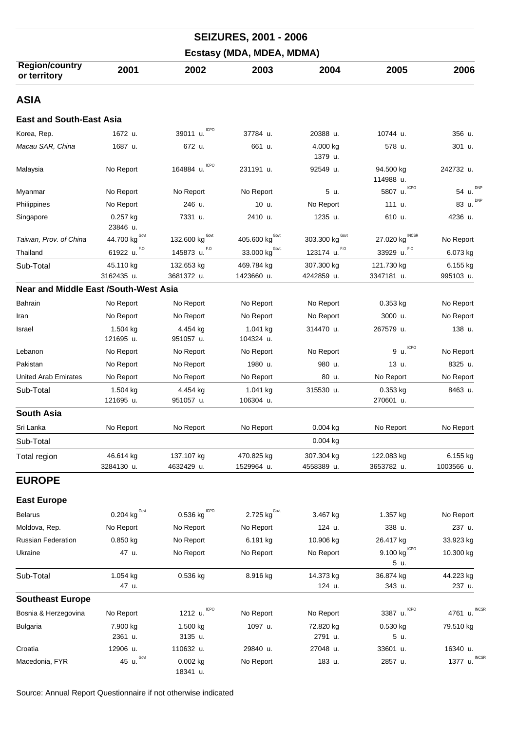|                                              |                         |                          | <b>SEIZURES, 2001 - 2006</b> |                          |                                 |                         |
|----------------------------------------------|-------------------------|--------------------------|------------------------------|--------------------------|---------------------------------|-------------------------|
|                                              |                         |                          | Ecstasy (MDA, MDEA, MDMA)    |                          |                                 |                         |
| <b>Region/country</b><br>or territory        | 2001                    | 2002                     | 2003                         | 2004                     | 2005                            | 2006                    |
| <b>ASIA</b>                                  |                         |                          |                              |                          |                                 |                         |
| <b>East and South-East Asia</b>              |                         |                          |                              |                          |                                 |                         |
| Korea, Rep.                                  | 1672 u.                 | 39011 u.                 | 37784 u.                     | 20388 u.                 | 10744 u.                        | 356 u.                  |
| Macau SAR, China                             | 1687 u.                 | 672 u.                   | 661 u.                       | 4.000 kg<br>1379 u.      | 578 u.                          | 301 u.                  |
| Malaysia                                     | No Report               | ICPO<br>164884 u.        | 231191 u.                    | 92549 u.                 | 94.500 kg<br>114988 u.          | 242732 u.               |
| Myanmar                                      | No Report               | No Report                | No Report                    | 5 u.                     | <b>ICPO</b><br>5807 u.          | <b>DNP</b><br>54 u.     |
| Philippines                                  | No Report               | 246 u.                   | 10 u.                        | No Report                | 111 u.                          | <b>DNP</b><br>83 u.     |
| Singapore                                    | 0.257 kg<br>23846 u.    | 7331 u.                  | 2410 u.                      | 1235 u.                  | 610 u.                          | 4236 u.                 |
| Taiwan, Prov. of China                       | Govt<br>44.700 kg       | Govt<br>132.600 kg       | Govt<br>405.600 kg           | Govt<br>303.300 kg       | <b>INCSR</b><br>27.020 kg       | No Report               |
| Thailand                                     | F.O<br>61922 u.         | F.O<br>145873 u.         | $33.000$ kg <sup>Govt.</sup> | F.O<br>123174 u.         | F.O<br>33929 u.                 | 6.073 kg                |
| Sub-Total                                    | 45.110 kg<br>3162435 u. | 132.653 kg<br>3681372 u. | 469.784 kg<br>1423660 u.     | 307.300 kg<br>4242859 u. | 121.730 kg<br>3347181 u.        | 6.155 kg<br>995103 u.   |
| <b>Near and Middle East /South-West Asia</b> |                         |                          |                              |                          |                                 |                         |
| Bahrain                                      | No Report               | No Report                | No Report                    | No Report                | $0.353$ kg                      | No Report               |
| Iran                                         | No Report               | No Report                | No Report                    | No Report                | 3000 u.                         | No Report               |
| Israel                                       | 1.504 kg<br>121695 u.   | 4.454 kg<br>951057 u.    | 1.041 kg<br>104324 u.        | 314470 u.                | 267579 u.                       | 138 u.                  |
| Lebanon                                      | No Report               | No Report                | No Report                    | No Report                | 9 u. ICPO                       | No Report               |
| Pakistan                                     | No Report               | No Report                | 1980 u.                      | 980 u.                   | 13 u.                           | 8325 u.                 |
| <b>United Arab Emirates</b>                  | No Report               | No Report                | No Report                    | 80 u.                    | No Report                       | No Report               |
| Sub-Total                                    | 1.504 kg<br>121695 u.   | 4.454 kg<br>951057 u.    | 1.041 kg<br>106304 u.        | 315530 u.                | 0.353 kg<br>270601 u.           | 8463 u.                 |
| <b>South Asia</b>                            |                         |                          |                              |                          |                                 |                         |
| Sri Lanka                                    | No Report               | No Report                | No Report                    | 0.004 kg                 | No Report                       | No Report               |
| Sub-Total                                    |                         |                          |                              | $0.004$ kg               |                                 |                         |
| Total region                                 | 46.614 kg<br>3284130 u. | 137.107 kg<br>4632429 u. | 470.825 kg<br>1529964 u.     | 307.304 kg<br>4558389 u. | 122.083 kg<br>3653782 u.        | 6.155 kg<br>1003566 u.  |
| <b>EUROPE</b>                                |                         |                          |                              |                          |                                 |                         |
| <b>East Europe</b>                           |                         |                          |                              |                          |                                 |                         |
| <b>Belarus</b>                               | 0.204 kg $^{Govt}$      | 0.536 kg $^{ICPO}$       | 2.725 kg <sup>Govt</sup>     | 3.467 kg                 | 1.357 kg                        | No Report               |
| Moldova, Rep.                                | No Report               | No Report                | No Report                    | 124 u.                   | 338 u.                          | 237 u.                  |
| <b>Russian Federation</b>                    | 0.850 kg                | No Report                | 6.191 kg                     | 10.906 kg                | 26.417 kg                       | 33.923 kg               |
| Ukraine                                      | 47 u.                   | No Report                | No Report                    | No Report                | <b>ICPO</b><br>9.100 kg<br>5 u. | 10.300 kg               |
| Sub-Total                                    | 1.054 kg<br>47 u.       | 0.536 kg                 | 8.916 kg                     | 14.373 kg<br>124 u.      | 36.874 kg<br>343 u.             | 44.223 kg<br>237 u.     |
| <b>Southeast Europe</b>                      |                         |                          |                              |                          |                                 |                         |
| Bosnia & Herzegovina                         | No Report               | ICPO<br>1212 u.          | No Report                    | No Report                | <b>ICPO</b><br>3387 u.          | <b>INCSF</b><br>4761 u. |
| <b>Bulgaria</b>                              | 7.900 kg<br>2361 u.     | 1.500 kg<br>3135 u.      | 1097 u.                      | 72.820 kg<br>2791 u.     | 0.530 kg<br>5 u.                | 79.510 kg               |
| Croatia                                      | 12906 u.                | 110632 u.                | 29840 u.                     | 27048 u.                 | 33601 u.                        | 16340 u.                |
| Macedonia, FYR                               | 45 u. Govt              | 0.002 kg<br>18341 u.     | No Report                    | 183 u.                   | 2857 u.                         | <b>INCSF</b><br>1377 u. |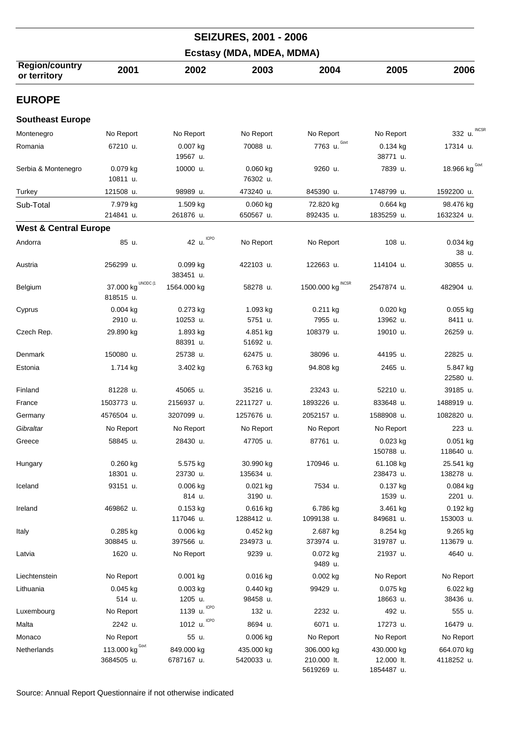|                                       |                                    |                          | <b>SEIZURES, 2001 - 2006</b> |                                         |                                        |                          |
|---------------------------------------|------------------------------------|--------------------------|------------------------------|-----------------------------------------|----------------------------------------|--------------------------|
|                                       |                                    |                          | Ecstasy (MDA, MDEA, MDMA)    |                                         |                                        |                          |
| <b>Region/country</b><br>or territory | 2001                               | 2002                     | 2003                         | 2004                                    | 2005                                   | 2006                     |
| <b>EUROPE</b>                         |                                    |                          |                              |                                         |                                        |                          |
| <b>Southeast Europe</b>               |                                    |                          |                              |                                         |                                        |                          |
| Montenegro                            | No Report                          | No Report                | No Report                    | No Report                               | No Report                              | <b>INCSR</b><br>332 u.   |
| Romania                               | 67210 u.                           | $0.007$ kg<br>19567 u.   | 70088 u.                     | 7763 $u.$ <sup>Govt</sup>               | 0.134 kg<br>38771 u.                   | 17314 u.                 |
| Serbia & Montenegro                   | $0.079$ kg<br>10811 u.             | 10000 u.                 | 0.060 kg<br>76302 u.         | 9260 u.                                 | 7839 u.                                | 18.966 kg $^{Govt}$      |
| Turkey                                | 121508 u.                          | 98989 u.                 | 473240 u.                    | 845390 u.                               | 1748799 u.                             | 1592200 u.               |
| Sub-Total                             | 7.979 kg<br>214841 u.              | 1.509 kg<br>261876 u.    | $0.060$ kg<br>650567 u.      | 72.820 kg<br>892435 u.                  | $0.664$ kg<br>1835259 u.               | 98.476 kg<br>1632324 u.  |
| <b>West &amp; Central Europe</b>      |                                    |                          |                              |                                         |                                        |                          |
| Andorra                               | 85 u.                              | <b>ICPO</b><br>42 u.     | No Report                    | No Report                               | 108 u.                                 | $0.034$ kg<br>38 u.      |
| Austria                               | 256299 u.                          | 0.099 kg<br>383451 u.    | 422103 u.                    | 122663 u.                               | 114104 u.                              | 30855 u.                 |
| Belgium                               | UNODC (1<br>37.000 kg<br>818515 u. | 1564.000 kg              | 58278 u.                     | 1500.000 kg $^{\text{INCSR}}$           | 2547874 u.                             | 482904 u.                |
| Cyprus                                | $0.004$ kg                         | 0.273 kg                 | 1.093 kg                     | 0.211 kg                                | 0.020 kg                               | $0.055$ kg               |
|                                       | 2910 u.                            | 10253 u.                 | 5751 u.                      | 7955 u.                                 | 13962 u.                               | 8411 u.                  |
| Czech Rep.                            | 29.890 kg                          | 1.893 kg<br>88391 u.     | 4.851 kg<br>51692 u.         | 108379 u.                               | 19010 u.                               | 26259 u.                 |
| Denmark                               | 150080 u.                          | 25738 u.                 | 62475 u.                     | 38096 u.                                | 44195 u.                               | 22825 u.                 |
| Estonia                               | 1.714 kg                           | 3.402 kg                 | 6.763 kg                     | 94.808 kg                               | 2465 u.                                | 5.847 kg<br>22580 u.     |
| Finland                               | 81228 u.                           | 45065 u.                 | 35216 u.                     | 23243 u.                                | 52210 u.                               | 39185 u.                 |
| France                                | 1503773 u.                         | 2156937 u.               | 2211727 u.                   | 1893226 u.                              | 833648 u.                              | 1488919 u.               |
| Germany                               | 4576504 u.                         | 3207099 u.               | 1257676 u.                   | 2052157 u.                              | 1588908 u.                             | 1082820 u.               |
| Gibraltar                             | No Report                          | No Report                | No Report                    | No Report                               | No Report                              | 223 u.                   |
| Greece                                | 58845 u.                           | 28430 u.                 | 47705 u.                     | 87761 u.                                | 0.023 kg<br>150788 u.                  | 0.051 kg<br>118640 u.    |
| Hungary                               | $0.260$ kg<br>18301 u.             | 5.575 kg<br>23730 u.     | 30.990 kg<br>135634 u.       | 170946 u.                               | 61.108 kg<br>238473 u.                 | 25.541 kg<br>138278 u.   |
| Iceland                               | 93151 u.                           | 0.006 kg<br>814 u.       | $0.021$ kg<br>3190 u.        | 7534 u.                                 | 0.137 kg<br>1539 u.                    | $0.084$ kg<br>2201 u.    |
| Ireland                               | 469862 u.                          | 0.153 kg<br>117046 u.    | 0.616 kg<br>1288412 u.       | 6.786 kg<br>1099138 u.                  | 3.461 kg<br>849681 u.                  | $0.192$ kg<br>153003 u.  |
| Italy                                 | 0.285 kg<br>308845 u.              | 0.006 kg<br>397566 u.    | 0.452 kg<br>234973 u.        | 2.687 kg<br>373974 u.                   | 8.254 kg<br>319787 u.                  | 9.265 kg<br>113679 u.    |
| Latvia                                | 1620 u.                            | No Report                | 9239 u.                      | 0.072 kg<br>9489 u.                     | 21937 u.                               | 4640 u.                  |
| Liechtenstein                         | No Report                          | $0.001$ kg               | $0.016$ kg                   | 0.002 kg                                | No Report                              | No Report                |
| Lithuania                             | $0.045$ kg                         | 0.003 kg                 | $0.440$ kg                   | 99429 u.                                | 0.075 kg                               | 6.022 kg                 |
|                                       | 514 u.                             | 1205 u.                  | 98458 u.                     |                                         | 18663 u.                               | 38436 u.                 |
| Luxembourg                            | No Report                          | 1139 u. ICPO             | 132 u.                       | 2232 u.                                 | 492 u.                                 | 555 u.                   |
| Malta                                 | 2242 u.                            | ICPO<br>1012 u.          | 8694 u.                      | 6071 u.                                 | 17273 u.                               | 16479 u.                 |
| Monaco                                | No Report                          | 55 u.                    | 0.006 kg                     | No Report                               | No Report                              | No Report                |
| Netherlands                           | Govt<br>113.000 kg<br>3684505 u.   | 849.000 kg<br>6787167 u. | 435.000 kg<br>5420033 u.     | 306.000 kg<br>210.000 lt.<br>5619269 u. | 430.000 kg<br>12.000 lt.<br>1854487 u. | 664.070 kg<br>4118252 u. |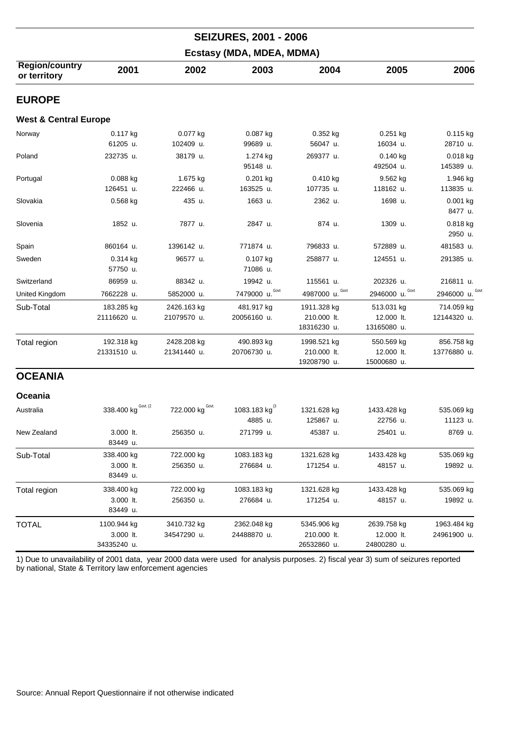| <b>SEIZURES, 2001 - 2006</b>          |                                         |                            |                                 |                                           |                                          |                            |  |  |  |
|---------------------------------------|-----------------------------------------|----------------------------|---------------------------------|-------------------------------------------|------------------------------------------|----------------------------|--|--|--|
|                                       |                                         |                            | Ecstasy (MDA, MDEA, MDMA)       |                                           |                                          |                            |  |  |  |
| <b>Region/country</b><br>or territory | 2001                                    | 2002                       | 2003                            | 2004                                      | 2005                                     | 2006                       |  |  |  |
| <b>EUROPE</b>                         |                                         |                            |                                 |                                           |                                          |                            |  |  |  |
| <b>West &amp; Central Europe</b>      |                                         |                            |                                 |                                           |                                          |                            |  |  |  |
| Norway                                | 0.117 kg<br>61205 u.                    | 0.077 kg<br>102409 u.      | 0.087 kg<br>99689 u.            | $0.352$ kg<br>56047 u.                    | $0.251$ kg<br>16034 u.                   | $0.115$ kg<br>28710 u.     |  |  |  |
| Poland                                | 232735 u.                               | 38179 u.                   | 1.274 kg<br>95148 u.            | 269377 u.                                 | $0.140$ kg<br>492504 u.                  | 0.018 kg<br>145389 u.      |  |  |  |
| Portugal                              | 0.088 kg<br>126451 u.                   | 1.675 kg<br>222466 u.      | $0.201$ kg<br>163525 u.         | $0.410$ kg<br>107735 u.                   | $9.562$ kg<br>118162 u.                  | 1.946 kg<br>113835 u.      |  |  |  |
| Slovakia                              | $0.568$ kg                              | 435 u.                     | 1663 u.                         | 2362 u.                                   | 1698 u.                                  | $0.001$ kg<br>8477 u.      |  |  |  |
| Slovenia                              | 1852 u.                                 | 7877 u.                    | 2847 u.                         | 874 u.                                    | 1309 u.                                  | 0.818 kg<br>2950 u.        |  |  |  |
| Spain                                 | 860164 u.                               | 1396142 u.                 | 771874 u.                       | 796833 u.                                 | 572889 u.                                | 481583 u.                  |  |  |  |
| Sweden                                | 0.314 kg<br>57750 u.                    | 96577 u.                   | 0.107 kg<br>71086 u.            | 258877 u.                                 | 124551 u.                                | 291385 u.                  |  |  |  |
| Switzerland                           | 86959 u.                                | 88342 u.                   | 19942 u.                        | 115561 u.                                 | 202326 u.                                | 216811 u.                  |  |  |  |
| United Kingdom                        | 7662228 u.                              | 5852000 u.                 | Govt<br>7479000 u.              | Govt<br>4987000 u.                        | Govt<br>2946000 u.                       | 2946000 u.                 |  |  |  |
| Sub-Total                             | 183.285 kg<br>21116620 u.               | 2426.163 kg<br>21079570 u. | 481.917 kg<br>20056160 u.       | 1911.328 kg<br>210.000 lt.<br>18316230 u. | 513.031 kg<br>12.000 lt.<br>13165080 u.  | 714.059 kg<br>12144320 u.  |  |  |  |
| Total region                          | 192.318 kg<br>21331510 u.               | 2428.208 kg<br>21341440 u. | 490.893 kg<br>20706730 u.       | 1998.521 kg<br>210.000 lt.<br>19208790 u. | 550.569 kg<br>12.000 lt.<br>15000680 u.  | 856.758 kg<br>13776880 u.  |  |  |  |
| <b>OCEANIA</b>                        |                                         |                            |                                 |                                           |                                          |                            |  |  |  |
| Oceania                               |                                         |                            |                                 |                                           |                                          |                            |  |  |  |
| Australia                             | 338.400 kg Govt. (2                     | 722.000 kg Govt.           | 1083.183 kg $^{(3)}$<br>4885 u. | 1321.628 kg<br>125867 u.                  | 1433.428 kg<br>22756 u.                  | 535.069 kg<br>11123 u.     |  |  |  |
| New Zealand                           | 3.000 lt.<br>83449 u.                   | 256350 u.                  | 271799 u.                       | 45387 u.                                  | 25401 u.                                 | 8769 u.                    |  |  |  |
| Sub-Total                             | 338.400 kg<br>3.000 lt.<br>83449 u.     | 722.000 kg<br>256350 u.    | 1083.183 kg<br>276684 u.        | 1321.628 kg<br>171254 u.                  | 1433.428 kg<br>48157 u.                  | 535.069 kg<br>19892 u.     |  |  |  |
| Total region                          | 338.400 kg<br>3.000 lt.<br>83449 u.     | 722.000 kg<br>256350 u.    | 1083.183 kg<br>276684 u.        | 1321.628 kg<br>171254 u.                  | 1433.428 kg<br>48157 u.                  | 535.069 kg<br>19892 u.     |  |  |  |
| <b>TOTAL</b>                          | 1100.944 kg<br>3.000 lt.<br>34335240 u. | 3410.732 kg<br>34547290 u. | 2362.048 kg<br>24488870 u.      | 5345.906 kg<br>210.000 lt.<br>26532860 u. | 2639.758 kg<br>12.000 lt.<br>24800280 u. | 1963.484 kg<br>24961900 u. |  |  |  |

1) Due to unavailability of 2001 data, year 2000 data were used for analysis purposes. 2) fiscal year 3) sum of seizures reported by national, State & Territory law enforcement agencies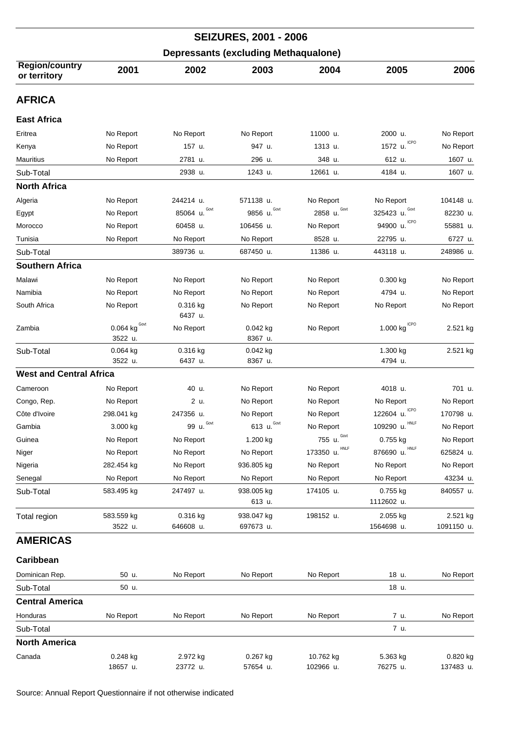| <b>SEIZURES, 2001 - 2006</b>          |                                            |                      |                                             |                          |                                        |                       |  |  |
|---------------------------------------|--------------------------------------------|----------------------|---------------------------------------------|--------------------------|----------------------------------------|-----------------------|--|--|
|                                       |                                            |                      | <b>Depressants (excluding Methaqualone)</b> |                          |                                        |                       |  |  |
| <b>Region/country</b><br>or territory | 2001                                       | 2002                 | 2003                                        | 2004                     | 2005                                   | 2006                  |  |  |
| <b>AFRICA</b>                         |                                            |                      |                                             |                          |                                        |                       |  |  |
| <b>East Africa</b>                    |                                            |                      |                                             |                          |                                        |                       |  |  |
| Eritrea                               | No Report                                  | No Report            | No Report                                   | 11000 u.                 | 2000 u.                                | No Report             |  |  |
| Kenya                                 | No Report                                  | 157 u.               | 947 u.                                      | 1313 u.                  | <b>ICPO</b><br>1572 u.                 | No Report             |  |  |
| <b>Mauritius</b>                      | No Report                                  | 2781 u.              | 296 u.                                      | 348 u.                   | 612 u.                                 | 1607 u.               |  |  |
| Sub-Total                             |                                            | 2938 u.              | 1243 u.                                     | 12661 u.                 | 4184 u.                                | 1607 u.               |  |  |
| <b>North Africa</b>                   |                                            |                      |                                             |                          |                                        |                       |  |  |
| Algeria                               | No Report                                  | 244214 u.            | 571138 u.                                   | No Report                | No Report                              | 104148 u.             |  |  |
| Egypt                                 | No Report                                  | Govt<br>85064 u.     | Govt<br>9856 u.                             | Govt<br>2858 u.          | Govt<br>325423 u.                      | 82230 u.              |  |  |
| Morocco                               | No Report                                  | 60458 u.             | 106456 u.                                   | No Report                | ICPO<br>94900 u.                       | 55881 u.              |  |  |
| Tunisia                               | No Report                                  | No Report            | No Report                                   | 8528 u.                  | 22795 u.                               | 6727 u.               |  |  |
| Sub-Total                             |                                            | 389736 u.            | 687450 u.                                   | 11386 u.                 | 443118 u.                              | 248986 u.             |  |  |
| <b>Southern Africa</b>                |                                            |                      |                                             |                          |                                        |                       |  |  |
| Malawi                                | No Report                                  | No Report            | No Report                                   | No Report                | $0.300$ kg                             | No Report             |  |  |
| Namibia                               | No Report                                  | No Report            | No Report                                   | No Report                | 4794 u.                                | No Report             |  |  |
| South Africa                          | No Report                                  | $0.316$ kg           | No Report                                   | No Report                | No Report                              | No Report             |  |  |
|                                       |                                            | 6437 u.              |                                             |                          |                                        |                       |  |  |
| Zambia                                | 0.064 $\text{kg}^{\text{Govt}}$<br>3522 u. | No Report            | $0.042$ kg<br>8367 u.                       | No Report                | 1.000 $\text{kg}^{\text{\tiny{ICPO}}}$ | 2.521 kg              |  |  |
| Sub-Total                             | 0.064 kg                                   | 0.316 kg             | 0.042 kg                                    |                          | 1.300 kg                               | 2.521 kg              |  |  |
|                                       | 3522 u.                                    | 6437 u.              | 8367 u.                                     |                          | 4794 u.                                |                       |  |  |
| <b>West and Central Africa</b>        |                                            |                      |                                             |                          |                                        |                       |  |  |
| Cameroon                              | No Report                                  | 40 u.                | No Report                                   | No Report                | 4018 u.                                | 701 u.                |  |  |
| Congo, Rep.                           | No Report                                  | 2 u.                 | No Report                                   | No Report                | No Report                              | No Report             |  |  |
| Côte d'Ivoire                         | 298.041 kg                                 | 247356 u.            | No Report                                   | No Report                | 122604 u. ICPO                         | 170798 u.             |  |  |
| Gambia                                | 3.000 kg                                   | Govt<br>99 u.        | Govt<br>613 u.                              | No Report                | <b>HNLF</b><br>109290 u.               | No Report             |  |  |
| Guinea                                | No Report                                  | No Report            | 1.200 kg                                    | Govt<br>755 u.           | 0.755 kg                               | No Report             |  |  |
| Niger                                 | No Report                                  | No Report            | No Report                                   | <b>HNLF</b><br>173350 u. | <b>HNLF</b><br>876690 u.               | 625824 u.             |  |  |
| Nigeria                               | 282.454 kg                                 | No Report            | 936.805 kg                                  | No Report                | No Report                              | No Report             |  |  |
| Senegal                               | No Report                                  | No Report            | No Report                                   | No Report                | No Report                              | 43234 u.              |  |  |
| Sub-Total                             | 583.495 kg                                 | 247497 u.            | 938.005 kg                                  | 174105 u.                | 0.755 kg                               | 840557 u.             |  |  |
|                                       |                                            |                      | 613 u.                                      |                          | 1112602 u.                             |                       |  |  |
| Total region                          | 583.559 kg                                 | 0.316 kg             | 938.047 kg                                  | 198152 u.                | 2.055 kg                               | 2.521 kg              |  |  |
|                                       | 3522 u.                                    | 646608 u.            | 697673 u.                                   |                          | 1564698 u.                             | 1091150 u.            |  |  |
| <b>AMERICAS</b>                       |                                            |                      |                                             |                          |                                        |                       |  |  |
| Caribbean                             |                                            |                      |                                             |                          |                                        |                       |  |  |
| Dominican Rep.                        | 50 u.                                      | No Report            | No Report                                   | No Report                | 18 u.                                  | No Report             |  |  |
| Sub-Total                             | 50 u.                                      |                      |                                             |                          | 18 u.                                  |                       |  |  |
| <b>Central America</b>                |                                            |                      |                                             |                          |                                        |                       |  |  |
| Honduras                              | No Report                                  | No Report            | No Report                                   | No Report                | 7 u.                                   | No Report             |  |  |
| Sub-Total                             |                                            |                      |                                             |                          | 7 u.                                   |                       |  |  |
| <b>North America</b>                  |                                            |                      |                                             |                          |                                        |                       |  |  |
| Canada                                | $0.248$ kg                                 |                      | $0.267$ kg                                  |                          |                                        |                       |  |  |
|                                       | 18657 u.                                   | 2.972 kg<br>23772 u. | 57654 u.                                    | 10.762 kg<br>102966 u.   | 5.363 kg<br>76275 u.                   | 0.820 kg<br>137483 u. |  |  |
|                                       |                                            |                      |                                             |                          |                                        |                       |  |  |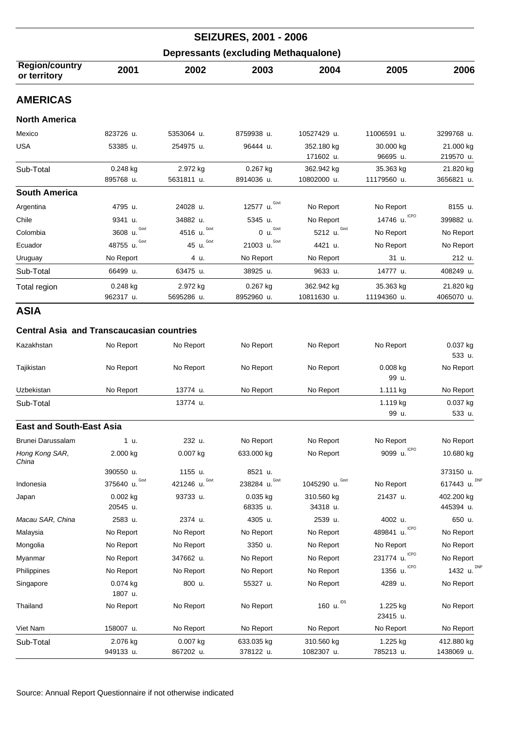| <b>SEIZURES, 2001 - 2006</b>                |                  |                 |                  |                         |                       |                        |  |  |
|---------------------------------------------|------------------|-----------------|------------------|-------------------------|-----------------------|------------------------|--|--|
| <b>Depressants (excluding Methaqualone)</b> |                  |                 |                  |                         |                       |                        |  |  |
| <b>Region/country</b><br>or territory       | 2001             | 2002            | 2003             | 2004                    | 2005                  | 2006                   |  |  |
| <b>AMERICAS</b>                             |                  |                 |                  |                         |                       |                        |  |  |
| <b>North America</b>                        |                  |                 |                  |                         |                       |                        |  |  |
| Mexico                                      | 823726 u.        | 5353064 u.      | 8759938 u.       | 10527429 u.             | 11006591 u.           | 3299768 u.             |  |  |
| <b>USA</b>                                  | 53385 u.         | 254975 u.       | 96444 u.         | 352.180 kg<br>171602 u. | 30.000 kg<br>96695 u. | 21.000 kg<br>219570 u. |  |  |
| Sub-Total                                   | $0.248$ kg       | 2.972 kg        | 0.267 kg         | 362.942 kg              | 35.363 kg             | 21.820 kg              |  |  |
|                                             | 895768 u.        | 5631811 u.      | 8914036 u.       | 10802000 u.             | 11179560 u.           | 3656821 u.             |  |  |
| <b>South America</b>                        |                  |                 |                  |                         |                       |                        |  |  |
| Argentina                                   | 4795 u.          | 24028 u.        | Govt<br>12577 u. | No Report               | No Report             | 8155 u.                |  |  |
| Chile                                       | 9341 u.          | 34882 u.        | 5345 u.          | No Report               | 14746 u. ICPO         | 399882 u.              |  |  |
| Colombia                                    | Govt<br>3608 u.  | Govt<br>4516 u. | Govt<br>0 u.     | Govt<br>5212 u.         | No Report             | No Report              |  |  |
| Ecuador                                     | Govt<br>48755 u. | Govt<br>45 u.   | Govt<br>21003 u. | 4421 u.                 | No Report             | No Report              |  |  |
| Uruguay                                     | No Report        | 4 u.            | No Report        | No Report               | 31 u.                 | 212 u.                 |  |  |
| Sub-Total                                   | 66499 u.         | 63475 u.        | 38925 u.         | 9633 u.                 | 14777 u.              | 408249 u.              |  |  |
| Total region                                | $0.248$ kg       | 2.972 kg        | $0.267$ kg       | 362.942 kg              | 35.363 kg             | 21.820 kg              |  |  |
|                                             | 962317 u.        | 5695286 u.      | 8952960 u.       | 10811630 u.             | 11194360 u.           | 4065070 u.             |  |  |

## **Central Asia and Transcaucasian countries**

| Kazakhstan                      | No Report | No Report  | No Report  | No Report | No Report              | $0.037$ kg<br>533 u. |
|---------------------------------|-----------|------------|------------|-----------|------------------------|----------------------|
| Tajikistan                      | No Report | No Report  | No Report  | No Report | $0.008$ kg<br>99 u.    | No Report            |
| Uzbekistan                      | No Report | 13774 u.   | No Report  | No Report | 1.111 $kg$             | No Report            |
| Sub-Total                       |           | 13774 u.   |            |           | 1.119 kg<br>99 u.      | 0.037 kg<br>533 u.   |
| <b>East and South-East Asia</b> |           |            |            |           |                        |                      |
| Brunei Darussalam               | 1 u.      | 232 u.     | No Report  | No Report | No Report              | No Report            |
| Hong Kong SAR,<br>China         | 2.000 kg  | $0.007$ kg | 633.000 kg | No Report | <b>ICPO</b><br>9099 u. | 10.680 kg            |
|                                 |           |            |            |           |                        |                      |

| China            |                     |                   |                   |                    |                          |                         |
|------------------|---------------------|-------------------|-------------------|--------------------|--------------------------|-------------------------|
|                  | 390550 u.           | 1155 u.           | 8521 u.           |                    |                          | 373150 u.               |
| Indonesia        | Govt<br>375640 u.   | Govt<br>421246 u. | Govt<br>238284 u. | Govt<br>1045290 u. | No Report                | <b>DNP</b><br>617443 u. |
| Japan            | 0.002 kg            | 93733 u.          | $0.035$ kg        | 310.560 kg         | 21437 u.                 | 402.200 kg              |
|                  | 20545 u.            |                   | 68335 u.          | 34318 u.           |                          | 445394 u.               |
| Macau SAR, China | 2583 u.             | 2374 u.           | 4305 u.           | 2539 u.            | 4002 u.                  | 650 u.                  |
| Malaysia         | No Report           | No Report         | No Report         | No Report          | ICPO<br>489841 u.        | No Report               |
| Mongolia         | No Report           | No Report         | 3350 u.           | No Report          | No Report                | No Report               |
| Myanmar          | No Report           | 347662 u.         | No Report         | No Report          | <b>ICPO</b><br>231774 u. | No Report               |
| Philippines      | No Report           | No Report         | No Report         | No Report          | <b>ICPO</b><br>1356 u.   | 1432 u. DNP             |
| Singapore        | 0.074 kg<br>1807 u. | 800 u.            | 55327 u.          | No Report          | 4289 u.                  | No Report               |
| Thailand         | No Report           | No Report         | No Report         | 160 $\mu$ . IDS    | 1.225 kg<br>23415 u.     | No Report               |
| Viet Nam         | 158007 u.           | No Report         | No Report         | No Report          | No Report                | No Report               |
| Sub-Total        | 2.076 kg            | 0.007 kg          | 633.035 kg        | 310.560 kg         | 1.225 kg                 | 412.880 kg              |
|                  | 949133 u.           | 867202 u.         | 378122 u.         | 1082307 u.         | 785213 u.                | 1438069 u.              |
|                  |                     |                   |                   |                    |                          |                         |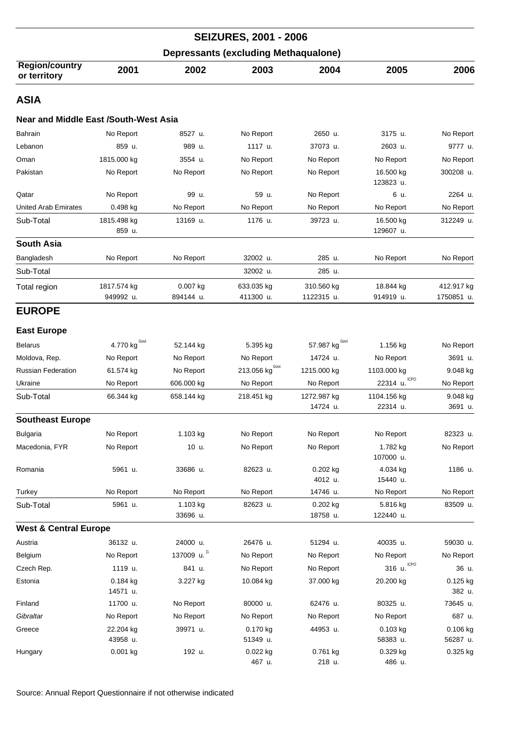| <b>SEIZURES, 2001 - 2006</b><br><b>Depressants (excluding Methaqualone)</b> |                                 |                       |                         |                                  |                         |                          |  |  |
|-----------------------------------------------------------------------------|---------------------------------|-----------------------|-------------------------|----------------------------------|-------------------------|--------------------------|--|--|
|                                                                             |                                 |                       |                         |                                  |                         |                          |  |  |
| ASIA                                                                        |                                 |                       |                         |                                  |                         |                          |  |  |
| <b>Near and Middle East /South-West Asia</b>                                |                                 |                       |                         |                                  |                         |                          |  |  |
| <b>Bahrain</b>                                                              | No Report                       | 8527 u.               | No Report               | 2650 u.                          | 3175 u.                 | No Report                |  |  |
| Lebanon                                                                     | 859 u.                          | 989 u.                | 1117 u.                 | 37073 u.                         | 2603 u.                 | 9777 u.                  |  |  |
| Oman                                                                        | 1815.000 kg                     | 3554 u.               | No Report               | No Report                        | No Report               | No Report                |  |  |
| Pakistan                                                                    | No Report                       | No Report             | No Report               | No Report                        | 16.500 kg<br>123823 u.  | 300208 u.                |  |  |
| Qatar                                                                       | No Report                       | 99 u.                 | 59 u.                   | No Report                        | 6 u.                    | 2264 u.                  |  |  |
| United Arab Emirates                                                        | 0.498 kg                        | No Report             | No Report               | No Report                        | No Report               | No Report                |  |  |
| Sub-Total                                                                   | 1815.498 kg<br>859 u.           | 13169 u.              | 1176 u.                 | 39723 u.                         | 16.500 kg<br>129607 u.  | 312249 u.                |  |  |
| <b>South Asia</b>                                                           |                                 |                       |                         |                                  |                         |                          |  |  |
| Bangladesh                                                                  | No Report                       | No Report             | 32002 u.                | 285 u.                           | No Report               | No Report                |  |  |
| Sub-Total                                                                   |                                 |                       | 32002 u.                | 285 u.                           |                         |                          |  |  |
| Total region                                                                | 1817.574 kg<br>949992 u.        | 0.007 kg<br>894144 u. | 633.035 kg<br>411300 u. | 310.560 kg<br>1122315 u.         | 18.844 kg<br>914919 u.  | 412.917 kg<br>1750851 u. |  |  |
| <b>EUROPE</b>                                                               |                                 |                       |                         |                                  |                         |                          |  |  |
| <b>East Europe</b>                                                          |                                 |                       |                         |                                  |                         |                          |  |  |
| <b>Belarus</b>                                                              | 4.770 $\text{kg}^{\text{Govt}}$ | 52.144 kg             | 5.395 kg                | 57.987 $\text{kg}^{\text{Gout}}$ | 1.156 kg                | No Report                |  |  |
| Moldova, Rep.                                                               | No Report                       | No Report             | No Report               | 14724 u.                         | No Report               | 3691 u.                  |  |  |
| <b>Russian Federation</b>                                                   | 61.574 kg                       | No Report             | 213.056 $kgGovt$        | 1215.000 kg                      | 1103.000 kg             | 9.048 kg                 |  |  |
| Ukraine                                                                     | No Report                       | 606.000 kg            | No Report               | No Report                        | $22314$ u.              | No Report                |  |  |
| Sub-Total                                                                   | 66.344 kg                       | 658.144 kg            | 218.451 kg              | 1272.987 kg<br>14724 u.          | 1104.156 kg<br>22314 u. | 9.048 kg<br>3691 u.      |  |  |
| <b>Southeast Europe</b>                                                     |                                 |                       |                         |                                  |                         |                          |  |  |
| <b>Bulgaria</b>                                                             | No Report                       | 1.103 kg              | No Report               | No Report                        | No Report               | 82323 u.                 |  |  |
| Macedonia, FYR                                                              | No Report                       | 10 u.                 | No Report               | No Report                        | 1.782 kg<br>107000 u.   | No Report                |  |  |
| Romania                                                                     | 5961 u.                         | 33686 u.              | 82623 u.                | 0.202 kg<br>4012 u.              | 4.034 kg<br>15440 u.    | 1186 u.                  |  |  |
| Turkey                                                                      | No Report                       | No Report             | No Report               | 14746 u.                         | No Report               | No Report                |  |  |
| Sub-Total                                                                   | 5961 u.                         | 1.103 kg<br>33696 u.  | 82623 u.                | 0.202 kg<br>18758 u.             | 5.816 kg<br>122440 u.   | 83509 u.                 |  |  |
| <b>West &amp; Central Europe</b>                                            |                                 |                       |                         |                                  |                         |                          |  |  |
| Austria                                                                     | 36132 u.                        | 24000 u.              | 26476 u.                | 51294 u.                         | 40035 u.                | 59030 u.                 |  |  |
| Belgium                                                                     | No Report                       | 137009 u.             | No Report               | No Report                        | No Report               | No Report                |  |  |
| Czech Rep.                                                                  | 1119 u.                         | 841 u.                | No Report               | No Report                        | <b>ICPO</b><br>316 u.   | 36 u.                    |  |  |
| Estonia                                                                     | $0.184$ kg<br>14571 u.          | 3.227 kg              | 10.084 kg               | 37.000 kg                        | 20.200 kg               | 0.125 kg<br>382 u.       |  |  |
| Finland                                                                     | 11700 u.                        | No Report             | 80000 u.                | 62476 u.                         | 80325 u.                | 73645 u.                 |  |  |
| Gibraltar                                                                   | No Report                       | No Report             | No Report               | No Report                        | No Report               | 687 u.                   |  |  |
| Greece                                                                      | 22.204 kg<br>43958 u.           | 39971 u.              | 0.170 kg<br>51349 u.    | 44953 u.                         | $0.103$ kg<br>58383 u.  | 0.106 kg<br>56287 u.     |  |  |
| Hungary                                                                     | 0.001 kg                        | 192 u.                | $0.022$ kg<br>467 u.    | 0.761 kg<br>218 u.               | 0.329 kg<br>486 u.      | 0.325 kg                 |  |  |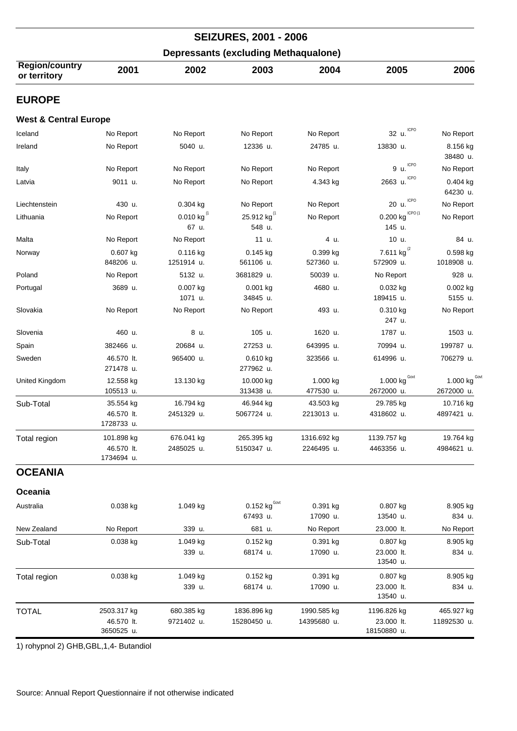|                                             |                                         |                                     | <b>SEIZURES, 2001 - 2006</b>           |                            |                                          |                                 |  |  |
|---------------------------------------------|-----------------------------------------|-------------------------------------|----------------------------------------|----------------------------|------------------------------------------|---------------------------------|--|--|
| <b>Depressants (excluding Methaqualone)</b> |                                         |                                     |                                        |                            |                                          |                                 |  |  |
| <b>Region/country</b><br>or territory       | 2001                                    | 2002                                | 2003                                   | 2004                       | 2005                                     | 2006                            |  |  |
| <b>EUROPE</b>                               |                                         |                                     |                                        |                            |                                          |                                 |  |  |
| <b>West &amp; Central Europe</b>            |                                         |                                     |                                        |                            |                                          |                                 |  |  |
| Iceland                                     | No Report                               | No Report                           | No Report                              | No Report                  | ICPO<br>32 u.                            | No Report                       |  |  |
| Ireland                                     | No Report                               | 5040 u.                             | 12336 u.                               | 24785 u.                   | 13830 u.                                 | 8.156 kg<br>38480 u.            |  |  |
| Italy                                       | No Report                               | No Report                           | No Report                              | No Report                  | <b>ICPO</b><br>9 u.                      | No Report                       |  |  |
| Latvia                                      | 9011 u.                                 | No Report                           | No Report                              | 4.343 kg                   | <b>ICPO</b><br>2663 u.                   | $0.404$ kg<br>64230 u.          |  |  |
| Liechtenstein                               | 430 u.                                  | 0.304 kg                            | No Report                              | No Report                  | <b>ICPO</b><br>20 u.                     | No Report                       |  |  |
| Lithuania                                   | No Report                               | $0.010$ kg <sup>(1</sup> )<br>67 u. | 25.912 kg <sup>(1</sup><br>548 u.      | No Report                  | ICPO <sub>(1</sub><br>0.200 kg<br>145 u. | No Report                       |  |  |
| Malta                                       | No Report                               | No Report                           | 11 u.                                  | 4 u.                       | 10 u.                                    | 84 u.                           |  |  |
| Norway                                      | 0.607 kg<br>848206 u.                   | 0.116 kg<br>1251914 u.              | $0.145$ kg<br>561106 u.                | 0.399 kg<br>527360 u.      | 7.611 kg $^{(2)}$<br>572909 u.           | 0.598 kg<br>1018908 u.          |  |  |
| Poland                                      | No Report                               | 5132 u.                             | 3681829 u.                             | 50039 u.                   | No Report                                | 928 u.                          |  |  |
| Portugal                                    | 3689 u.                                 | 0.007 kg<br>1071 u.                 | $0.001$ kg<br>34845 u.                 | 4680 u.                    | 0.032 kg<br>189415 u.                    | 0.002 kg<br>5155 u.             |  |  |
| Slovakia                                    | No Report                               | No Report                           | No Report                              | 493 u.                     | 0.310 kg<br>247 u.                       | No Report                       |  |  |
| Slovenia                                    | 460 u.                                  | 8 u.                                | 105 u.                                 | 1620 u.                    | 1787 u.                                  | 1503 u.                         |  |  |
| Spain                                       | 382466 u.                               | 20684 u.                            | 27253 u.                               | 643995 u.                  | 70994 u.                                 | 199787 u.                       |  |  |
| Sweden                                      | 46.570 lt.<br>271478 u.                 | 965400 u.                           | $0.610$ kg<br>277962 u.                | 323566 u.                  | 614996 u.                                | 706279 u.                       |  |  |
| United Kingdom                              | 12.558 kg<br>105513 u.                  | 13.130 kg                           | 10.000 kg<br>313438 u.                 | 1.000 kg<br>477530 u.      | Govt<br>1.000 kg<br>2672000 u.           | 1.000 kg $^{Gov}$<br>2672000 u. |  |  |
| Sub-Total                                   | 35.554 kg                               | 16.794 kg                           | 46.944 kg                              | 43.503 kg                  | 29.785 kg                                | 10.716 kg                       |  |  |
|                                             | 46.570 lt.<br>1728733 u.                | 2451329 u.                          | 5067724 u.                             | 2213013 u.                 | 4318602 u.                               | 4897421 u.                      |  |  |
| Total region                                | 101.898 kg<br>46.570 lt.<br>1734694 u.  | 676.041 kg<br>2485025 u.            | 265.395 kg<br>5150347 u.               | 1316.692 kg<br>2246495 u.  | 1139.757 kg<br>4463356 u.                | 19.764 kg<br>4984621 u.         |  |  |
| <b>OCEANIA</b>                              |                                         |                                     |                                        |                            |                                          |                                 |  |  |
| Oceania                                     |                                         |                                     |                                        |                            |                                          |                                 |  |  |
| Australia                                   | 0.038 kg                                | 1.049 kg                            | $0.152$ kg <sup>Govi</sup><br>67493 u. | 0.391 kg<br>17090 u.       | 0.807 kg<br>13540 u.                     | 8.905 kg<br>834 u.              |  |  |
| New Zealand                                 | No Report                               | 339 u.                              | 681 u.                                 | No Report                  | 23.000 lt.                               | No Report                       |  |  |
| Sub-Total                                   | 0.038 kg                                | 1.049 kg<br>339 u.                  | 0.152 kg<br>68174 u.                   | 0.391 kg<br>17090 u.       | 0.807 kg<br>23.000 lt.<br>13540 u.       | 8.905 kg<br>834 u.              |  |  |
| Total region                                | 0.038 kg                                | 1.049 kg<br>339 u.                  | 0.152 kg<br>68174 u.                   | 0.391 kg<br>17090 u.       | 0.807 kg<br>23.000 lt.<br>13540 u.       | 8.905 kg<br>834 u.              |  |  |
| <b>TOTAL</b>                                | 2503.317 kg<br>46.570 lt.<br>3650525 u. | 680.385 kg<br>9721402 u.            | 1836.896 kg<br>15280450 u.             | 1990.585 kg<br>14395680 u. | 1196.826 kg<br>23.000 lt.<br>18150880 u. | 465.927 kg<br>11892530 u.       |  |  |

1) rohypnol 2) GHB,GBL,1,4- Butandiol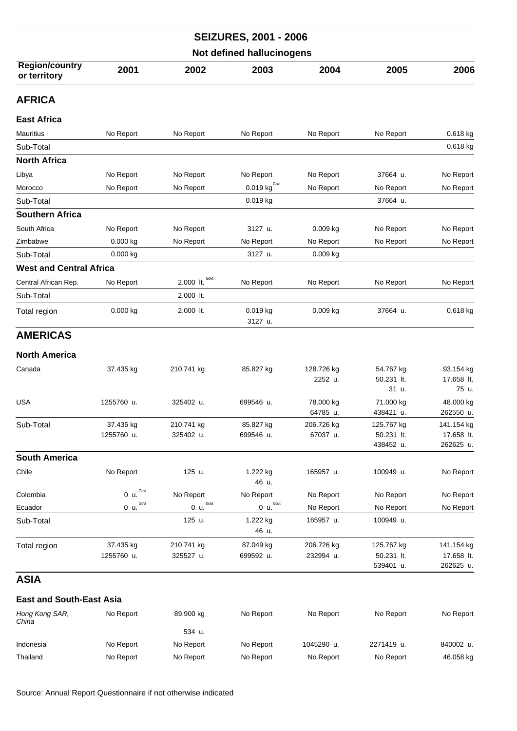| <b>SEIZURES, 2001 - 2006</b>          |                                                            |                   |                                  |                       |                         |                         |  |  |
|---------------------------------------|------------------------------------------------------------|-------------------|----------------------------------|-----------------------|-------------------------|-------------------------|--|--|
|                                       |                                                            |                   | <b>Not defined hallucinogens</b> |                       |                         |                         |  |  |
| <b>Region/country</b><br>or territory | 2001                                                       | 2002              | 2003                             | 2004                  | 2005                    | 2006                    |  |  |
| <b>AFRICA</b>                         |                                                            |                   |                                  |                       |                         |                         |  |  |
| <b>East Africa</b>                    |                                                            |                   |                                  |                       |                         |                         |  |  |
| <b>Mauritius</b>                      | No Report                                                  | No Report         | No Report                        | No Report             | No Report               | 0.618 kg                |  |  |
| Sub-Total                             |                                                            |                   |                                  |                       |                         | 0.618 kg                |  |  |
| <b>North Africa</b>                   |                                                            |                   |                                  |                       |                         |                         |  |  |
| Libya                                 | No Report                                                  | No Report         | No Report                        | No Report             | 37664 u.                | No Report               |  |  |
| Morocco                               | No Report                                                  | No Report         | $0.019$ kg <sup>Govt</sup>       | No Report             | No Report               | No Report               |  |  |
| Sub-Total                             |                                                            |                   | 0.019 kg                         |                       | 37664 u.                |                         |  |  |
| <b>Southern Africa</b>                |                                                            |                   |                                  |                       |                         |                         |  |  |
| South Africa                          | No Report                                                  | No Report         | 3127 u.                          | $0.009$ kg            | No Report               | No Report               |  |  |
| Zimbabwe                              | $0.000$ kg                                                 | No Report         | No Report                        | No Report             | No Report               | No Report               |  |  |
| Sub-Total                             | 0.000 kg                                                   |                   | 3127 u.                          | 0.009 kg              |                         |                         |  |  |
| <b>West and Central Africa</b>        |                                                            |                   |                                  |                       |                         |                         |  |  |
| Central African Rep.                  | No Report                                                  | Govt<br>2.000 lt. | No Report                        | No Report             | No Report               | No Report               |  |  |
| Sub-Total                             |                                                            | 2.000 lt.         |                                  |                       |                         |                         |  |  |
| Total region                          | 0.000 kg                                                   | 2.000 lt.         | 0.019 kg<br>3127 u.              | 0.009 kg              | 37664 u.                | 0.618 kg                |  |  |
| <b>AMERICAS</b>                       |                                                            |                   |                                  |                       |                         |                         |  |  |
|                                       |                                                            |                   |                                  |                       |                         |                         |  |  |
| <b>North America</b>                  |                                                            |                   |                                  |                       |                         |                         |  |  |
| Canada                                | 37.435 kg                                                  | 210.741 kg        | 85.827 kg                        | 128.726 kg<br>2252 u. | 54.767 kg<br>50.231 lt. | 93.154 kg<br>17.658 lt. |  |  |
|                                       |                                                            |                   |                                  |                       | 31 u.                   | 75 u.                   |  |  |
| <b>USA</b>                            | 1255760 u.                                                 | 325402 u.         | 699546 u.                        | 78.000 kg             | 71.000 kg               | 48.000 kg               |  |  |
|                                       |                                                            |                   |                                  | 64785 u.              | 438421 u.               | 262550 u.               |  |  |
| Sub-Total                             | 37.435 kg                                                  | 210.741 kg        | 85.827 kg                        | 206.726 kg            | 125.767 kg              | 141.154 kg              |  |  |
|                                       | 1255760 u.                                                 | 325402 u.         | 699546 u.                        | 67037 u.              | 50.231 lt.<br>438452 u. | 17.658 lt.<br>262625 u. |  |  |
| <b>South America</b>                  |                                                            |                   |                                  |                       |                         |                         |  |  |
| Chile                                 | No Report                                                  | 125 u.            | 1.222 kg                         | 165957 u.             | 100949 u.               | No Report               |  |  |
|                                       |                                                            |                   | 46 u.                            |                       |                         |                         |  |  |
| Colombia                              | Govt<br>0 u.                                               | No Report         | No Report                        | No Report             | No Report               | No Report               |  |  |
| Ecuador                               | $\underline{\overset{0}{0}}$ u. $\overset{\text{Govt}}{=}$ | Govt<br>0 u.      | Govt<br>0 u.                     | No Report             | No Report               | No Report               |  |  |
| Sub-Total                             |                                                            | 125 u.            | 1.222 kg<br>46 u.                | 165957 u.             | 100949 u.               |                         |  |  |
| Total region                          | 37.435 kg                                                  | 210.741 kg        | 87.049 kg                        | 206.726 kg            | 125.767 kg              | 141.154 kg              |  |  |
|                                       | 1255760 u.                                                 | 325527 u.         | 699592 u.                        | 232994 u.             | 50.231 lt.              | 17.658 lt.              |  |  |
|                                       |                                                            |                   |                                  |                       | 539401 u.               | 262625 u.               |  |  |

## **East and South-East Asia**

| Hong Kong SAR,<br>China | No Report | 89.900 kg | No Report | No Report  | No Report  | No Report |
|-------------------------|-----------|-----------|-----------|------------|------------|-----------|
|                         |           | 534 u.    |           |            |            |           |
| Indonesia               | No Report | No Report | No Report | 1045290 u. | 2271419 u. | 840002 u. |
| Thailand                | No Report | No Report | No Report | No Report  | No Report  | 46.058 kg |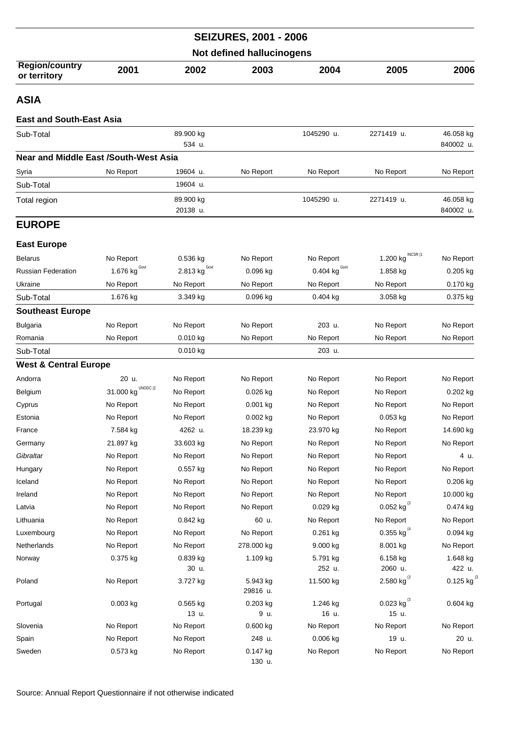|                                              |                                 |                       | <b>SEIZURES, 2001 - 2006</b> |                                 |                            |                          |  |  |
|----------------------------------------------|---------------------------------|-----------------------|------------------------------|---------------------------------|----------------------------|--------------------------|--|--|
| <b>Not defined hallucinogens</b>             |                                 |                       |                              |                                 |                            |                          |  |  |
| <b>Region/country</b><br>or territory        | 2001                            | 2002                  | 2003                         | 2004                            | 2005                       | 2006                     |  |  |
| <b>ASIA</b>                                  |                                 |                       |                              |                                 |                            |                          |  |  |
| <b>East and South-East Asia</b>              |                                 |                       |                              |                                 |                            |                          |  |  |
| Sub-Total                                    |                                 | 89.900 kg<br>534 u.   |                              | 1045290 u.                      | 2271419 u.                 | 46.058 kg<br>840002 u.   |  |  |
| <b>Near and Middle East /South-West Asia</b> |                                 |                       |                              |                                 |                            |                          |  |  |
| Syria                                        | No Report                       | 19604 u.              | No Report                    | No Report                       | No Report                  | No Report                |  |  |
| Sub-Total                                    |                                 | 19604 u.              |                              |                                 |                            |                          |  |  |
| Total region                                 |                                 | 89.900 kg<br>20138 u. |                              | 1045290 u.                      | 2271419 u.                 | 46.058 kg<br>840002 u.   |  |  |
| <b>EUROPE</b>                                |                                 |                       |                              |                                 |                            |                          |  |  |
| <b>East Europe</b>                           |                                 |                       |                              |                                 |                            |                          |  |  |
| <b>Belarus</b>                               | No Report                       | 0.536 kg              | No Report                    | No Report                       | INCSR (1<br>1.200 kg       | No Report                |  |  |
| Russian Federation                           | 1.676 $\text{kg}^{\text{Gout}}$ | Govt<br>2.813 kg      | 0.096 kg                     | 0.404 $\text{kg}^{\text{Gout}}$ | 1.858 kg                   | 0.205 kg                 |  |  |
| Ukraine                                      | No Report                       | No Report             | No Report                    | No Report                       | No Report                  | 0.170 kg                 |  |  |
| Sub-Total                                    | 1.676 kg                        | 3.349 kg              | 0.096 kg                     | 0.404 kg                        | 3.058 kg                   | 0.375 kg                 |  |  |
| <b>Southeast Europe</b>                      |                                 |                       |                              |                                 |                            |                          |  |  |
| <b>Bulgaria</b>                              | No Report                       | No Report             | No Report                    | 203 u.                          | No Report                  | No Report                |  |  |
| Romania                                      | No Report                       | $0.010$ kg            | No Report                    | No Report                       | No Report                  | No Report                |  |  |
| Sub-Total                                    |                                 | 0.010 kg              |                              | 203 u.                          |                            |                          |  |  |
| <b>West &amp; Central Europe</b>             |                                 |                       |                              |                                 |                            |                          |  |  |
| Andorra                                      | 20 u.                           | No Report             | No Report                    | No Report                       | No Report                  | No Report                |  |  |
| Belgium                                      | UNODC (2<br>31.000 kg           | No Report             | $0.026$ kg                   | No Report                       | No Report                  | $0.202$ kg               |  |  |
| Cyprus                                       | No Report                       | No Report             | $0.001$ kg                   | No Report                       | No Report                  | No Report                |  |  |
| Estonia                                      | No Report                       | No Report             | 0.002 kg                     | No Report                       | 0.053 kg                   | No Report                |  |  |
| France                                       | 7.584 kg                        | 4262 u.               | 18.239 kg                    | 23.970 kg                       | No Report                  | 14.690 kg                |  |  |
| Germany                                      | 21.897 kg                       | 33.603 kg             | No Report                    | No Report                       | No Report                  | No Report                |  |  |
| Gibraltar                                    | No Report                       | No Report             | No Report                    | No Report                       | No Report                  | 4 u.                     |  |  |
| Hungary                                      | No Report                       | 0.557 kg              | No Report                    | No Report                       | No Report                  | No Report                |  |  |
| Iceland                                      | No Report                       | No Report             | No Report                    | No Report                       | No Report                  | 0.206 kg                 |  |  |
| Ireland                                      | No Report                       | No Report             | No Report                    | No Report                       | No Report                  | 10.000 kg                |  |  |
| Latvia                                       | No Report                       | No Report             | No Report                    | 0.029 kg                        | 0.052 kg $^{(3)}$          | 0.474 kg                 |  |  |
| Lithuania                                    | No Report                       | 0.842 kg              | 60 u.                        | No Report                       | No Report                  | No Report                |  |  |
| Luxembourg                                   | No Report                       | No Report             | No Report                    | 0.261 kg                        | 0.355 kg $^{(4)}$          | 0.094 kg                 |  |  |
| Netherlands                                  | No Report                       | No Report             | 278.000 kg                   | 9.000 kg                        | 8.001 kg                   | No Report<br>1.648 kg    |  |  |
| Norway                                       | 0.375 kg                        | 0.839 kg<br>30 u.     | 1.109 kg                     | 5.791 kg<br>252 u.              | 6.158 kg<br>2060 u.        | 422 u.                   |  |  |
| Poland                                       | No Report                       | 3.727 kg              | 5.943 kg<br>29816 u.         | 11.500 kg                       | 2.580 kg $^{(3)}$          | $0.125$ kg <sup>(3</sup> |  |  |
| Portugal                                     | $0.003$ kg                      | 0.565 kg<br>13 u.     | 0.203 kg<br>9 u.             | 1.246 kg<br>16 u.               | 0.023 kg $^{(3)}$<br>15 u. | 0.604 kg                 |  |  |
| Slovenia                                     | No Report                       | No Report             | 0.600 kg                     | No Report                       | No Report                  | No Report                |  |  |
| Spain                                        | No Report                       | No Report             | 248 u.                       | 0.006 kg                        | 19 u.                      | 20 u.                    |  |  |
| Sweden                                       | $0.573$ kg                      | No Report             | 0.147 kg<br>130 u.           | No Report                       | No Report                  | No Report                |  |  |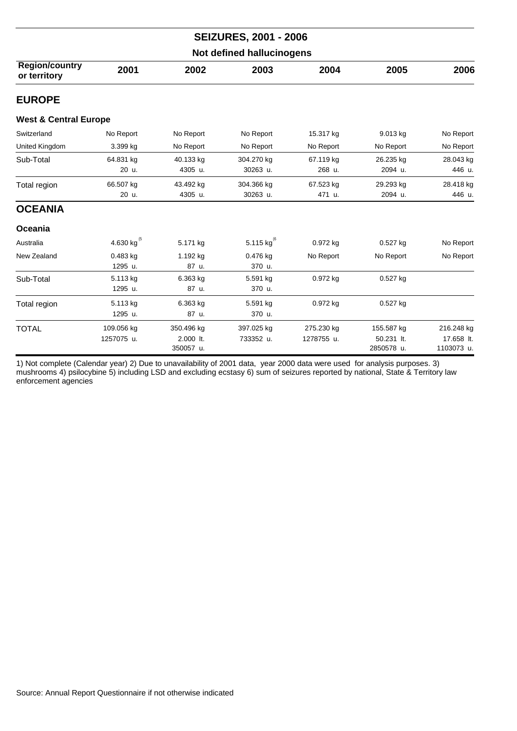|                                       | <b>SEIZURES, 2001 - 2006</b> |            |                |            |            |            |  |  |  |
|---------------------------------------|------------------------------|------------|----------------|------------|------------|------------|--|--|--|
| Not defined hallucinogens             |                              |            |                |            |            |            |  |  |  |
| <b>Region/country</b><br>or territory | 2001                         | 2002       | 2003           | 2004       | 2005       | 2006       |  |  |  |
| <b>EUROPE</b>                         |                              |            |                |            |            |            |  |  |  |
| <b>West &amp; Central Europe</b>      |                              |            |                |            |            |            |  |  |  |
| Switzerland                           | No Report                    | No Report  | No Report      | 15.317 kg  | 9.013 kg   | No Report  |  |  |  |
| United Kingdom                        | 3.399 kg                     | No Report  | No Report      | No Report  | No Report  | No Report  |  |  |  |
| Sub-Total                             | 64.831 kg                    | 40.133 kg  | 304.270 kg     | 67.119 kg  | 26.235 kg  | 28.043 kg  |  |  |  |
|                                       | 20 u.                        | 4305 u.    | 30263 u.       | 268 u.     | 2094 u.    | 446 u.     |  |  |  |
| Total region                          | 66.507 kg                    | 43.492 kg  | 304.366 kg     | 67.523 kg  | 29.293 kg  | 28.418 kg  |  |  |  |
|                                       | 20 u.                        | 4305 u.    | 30263 u.       | 471 u.     | 2094 u.    | 446 u.     |  |  |  |
| <b>OCEANIA</b>                        |                              |            |                |            |            |            |  |  |  |
| Oceania                               |                              |            |                |            |            |            |  |  |  |
| Australia                             | 4.630 kg $^{(5)}$            | 5.171 kg   | 5.115 $kg^{6}$ | 0.972 kg   | $0.527$ kg | No Report  |  |  |  |
| New Zealand                           | 0.483 kg                     | 1.192 kg   | 0.476 kg       | No Report  | No Report  | No Report  |  |  |  |
|                                       | 1295 u.                      | 87 u.      | 370 u.         |            |            |            |  |  |  |
| Sub-Total                             | 5.113 kg                     | 6.363 kg   | 5.591 kg       | 0.972 kg   | 0.527 kg   |            |  |  |  |
|                                       | 1295 u.                      | 87 u.      | 370 u.         |            |            |            |  |  |  |
| Total region                          | 5.113 kg                     | 6.363 kg   | 5.591 kg       | 0.972 kg   | 0.527 kg   |            |  |  |  |
|                                       | 1295 u.                      | 87 u.      | 370 u.         |            |            |            |  |  |  |
| <b>TOTAL</b>                          | 109.056 kg                   | 350.496 kg | 397.025 kg     | 275.230 kg | 155.587 kg | 216.248 kg |  |  |  |
|                                       | 1257075 u.                   | 2.000 lt.  | 733352 u.      | 1278755 u. | 50.231 lt. | 17.658 lt. |  |  |  |
|                                       |                              | 350057 u.  |                |            | 2850578 u. | 1103073 u. |  |  |  |

1) Not complete (Calendar year) 2) Due to unavailability of 2001 data, year 2000 data were used for analysis purposes. 3) mushrooms 4) psilocybine 5) including LSD and excluding ecstasy 6) sum of seizures reported by national, State & Territory law enforcement agencies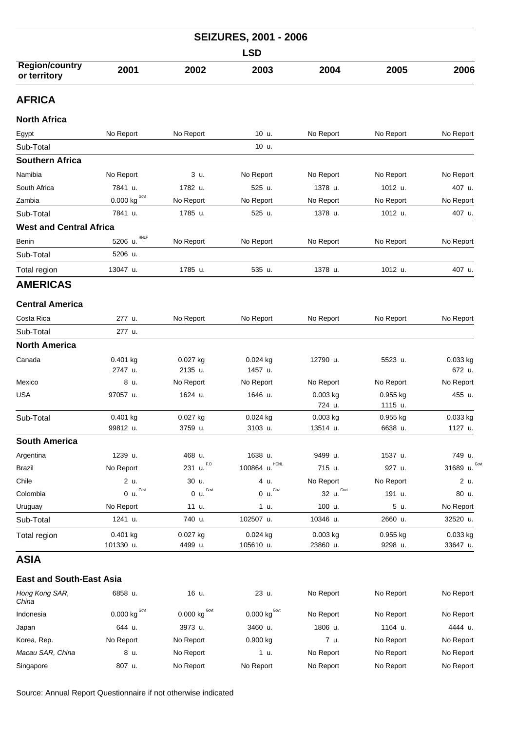| <b>SEIZURES, 2001 - 2006</b><br><b>LSD</b> |                      |                      |                      |            |           |                    |  |  |
|--------------------------------------------|----------------------|----------------------|----------------------|------------|-----------|--------------------|--|--|
|                                            |                      |                      |                      |            |           |                    |  |  |
| <b>AFRICA</b>                              |                      |                      |                      |            |           |                    |  |  |
| <b>North Africa</b>                        |                      |                      |                      |            |           |                    |  |  |
| Egypt                                      | No Report            | No Report            | 10 u.                | No Report  | No Report | No Report          |  |  |
| Sub-Total                                  |                      |                      | 10 u.                |            |           |                    |  |  |
| <b>Southern Africa</b>                     |                      |                      |                      |            |           |                    |  |  |
| Namibia                                    | No Report            | 3 u.                 | No Report            | No Report  | No Report | No Report          |  |  |
| South Africa                               | 7841 u.              | 1782 u.              | 525 u.               | 1378 u.    | 1012 u.   | 407 u.             |  |  |
| Zambia                                     | $0.000$ kg $^{Govt}$ | No Report            | No Report            | No Report  | No Report | No Report          |  |  |
| Sub-Total                                  | 7841 u.              | 1785 u.              | 525 u.               | 1378 u.    | 1012 u.   | 407 u.             |  |  |
| <b>West and Central Africa</b>             |                      |                      |                      |            |           |                    |  |  |
| Benin                                      | HNLF<br>5206 u.      | No Report            | No Report            | No Report  | No Report | No Report          |  |  |
| Sub-Total                                  | 5206 u.              |                      |                      |            |           |                    |  |  |
| Total region                               | 13047 u.             | 1785 u.              | 535 u.               | 1378 u.    | 1012 u.   | 407 u.             |  |  |
| <b>AMERICAS</b>                            |                      |                      |                      |            |           |                    |  |  |
| <b>Central America</b>                     |                      |                      |                      |            |           |                    |  |  |
|                                            |                      |                      |                      |            |           |                    |  |  |
| Costa Rica                                 | 277 u.               | No Report            | No Report            | No Report  | No Report | No Report          |  |  |
| Sub-Total                                  | 277 u.               |                      |                      |            |           |                    |  |  |
| <b>North America</b>                       |                      |                      |                      |            |           |                    |  |  |
| Canada                                     | 0.401 kg<br>2747 u.  | 0.027 kg<br>2135 u.  | 0.024 kg<br>1457 u.  | 12790 u.   | 5523 u.   | 0.033 kg<br>672 u. |  |  |
| Mexico                                     | 8 u.                 | No Report            | No Report            | No Report  | No Report | No Report          |  |  |
| <b>USA</b>                                 | 97057 u.             | 1624 u.              | 1646 u.              | 0.003 kg   | 0.955 kg  | 455 u.             |  |  |
|                                            |                      |                      |                      | 724 u.     | 1115 u.   |                    |  |  |
| Sub-Total                                  | 0.401 kg             | 0.027 kg             | 0.024 kg             | 0.003 kg   | 0.955 kg  | 0.033 kg           |  |  |
|                                            | 99812 u.             | 3759 u.              | 3103 u.              | 13514 u.   | 6638 u.   | 1127 u.            |  |  |
| <b>South America</b>                       |                      |                      |                      |            |           |                    |  |  |
| Argentina                                  | 1239 u.              | 468 u.               | 1638 u.              | 9499 u.    | 1537 u.   | 749 u.             |  |  |
| <b>Brazil</b>                              | No Report            | 231 u. $^{F,0}$      | 100864 u. HONL       | 715 u.     | 927 u.    | 31689 $\mu$ . Govi |  |  |
| Chile                                      | 2 u.                 | 30 u.                | 4 u.                 | No Report  | No Report | 2 u.               |  |  |
| Colombia                                   | 0 u. <sup>Govt</sup> | 0 u. <sup>Govt</sup> | 0 u. <sup>Govt</sup> | 32 u. Govt | 191 u.    | 80 u.              |  |  |
| Uruguay                                    | No Report            | 11 u.                | 1 u.                 | 100 u.     | 5 u.      | No Report          |  |  |
| Sub-Total                                  | 1241 u.              | 740 u.               | 102507 u.            | 10346 u.   | 2660 u.   | 32520 u.           |  |  |
| Total region                               | $0.401$ kg           | 0.027 kg             | 0.024 kg             | 0.003 kg   | 0.955 kg  | 0.033 kg           |  |  |
|                                            | 101330 u.            | 4499 u.              | 105610 u.            | 23860 u.   | 9298 u.   | 33647 u.           |  |  |

## **East and South-East Asia**

| Hong Kong SAR,<br>China | 6858 u.                 | 16 u.                   | 23 u.                      | No Report | No Report | No Report |
|-------------------------|-------------------------|-------------------------|----------------------------|-----------|-----------|-----------|
| Indonesia               | $0.000$ kg $\text{Gov}$ | $0.000$ kg $\text{Gov}$ | $0.000$ kg <sup>Govt</sup> | No Report | No Report | No Report |
| Japan                   | 644 u.                  | 3973 u.                 | 3460 u.                    | 1806 u.   | 1164 u.   | 4444 u.   |
| Korea, Rep.             | No Report               | No Report               | 0.900 kg                   | 7 u.      | No Report | No Report |
| Macau SAR, China        | 8 u.                    | No Report               | 1 u.                       | No Report | No Report | No Report |
| Singapore               | 807 u.                  | No Report               | No Report                  | No Report | No Report | No Report |

Source: Annual Report Questionnaire if not otherwise indicated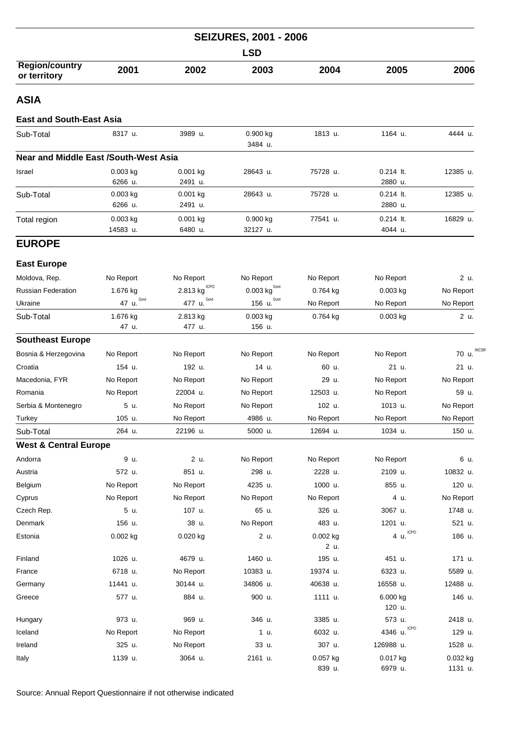| <b>SEIZURES, 2001 - 2006</b><br><b>LSD</b>   |                        |                            |                      |                    |                        |                       |  |  |
|----------------------------------------------|------------------------|----------------------------|----------------------|--------------------|------------------------|-----------------------|--|--|
|                                              |                        |                            |                      |                    |                        |                       |  |  |
| <b>ASIA</b>                                  |                        |                            |                      |                    |                        |                       |  |  |
| <b>East and South-East Asia</b>              |                        |                            |                      |                    |                        |                       |  |  |
| Sub-Total                                    | 8317 u.                | 3989 u.                    | 0.900 kg<br>3484 u.  | 1813 u.            | 1164 u.                | 4444 u.               |  |  |
| <b>Near and Middle East /South-West Asia</b> |                        |                            |                      |                    |                        |                       |  |  |
| Israel                                       | 0.003 kg<br>6266 u.    | $0.001$ kg<br>2491 u.      | 28643 u.             | 75728 u.           | $0.214$ lt.<br>2880 u. | 12385 u.              |  |  |
| Sub-Total                                    | 0.003 kg<br>6266 u.    | 0.001 kg<br>2491 u.        | 28643 u.             | 75728 u.           | $0.214$ It.<br>2880 u. | 12385 u.              |  |  |
| Total region                                 | $0.003$ kg<br>14583 u. | $0.001$ kg<br>6480 u.      | 0.900 kg<br>32127 u. | 77541 u.           | $0.214$ It.<br>4044 u. | 16829 u.              |  |  |
| <b>EUROPE</b>                                |                        |                            |                      |                    |                        |                       |  |  |
| <b>East Europe</b>                           |                        |                            |                      |                    |                        |                       |  |  |
| Moldova, Rep.                                | No Report              | No Report                  | No Report            | No Report          | No Report              | 2 u.                  |  |  |
| <b>Russian Federation</b>                    | 1.676 kg               | $2.813$ kg <sup>ICPO</sup> | $0.003$ kg $^{Govt}$ | 0.764 kg           | $0.003$ kg             | No Report             |  |  |
| Ukraine                                      | 47 u. <sup>Govt</sup>  | 477 u. Govt                | 156 $u.Govt$         | No Report          | No Report              | No Report             |  |  |
| Sub-Total                                    | 1.676 kg<br>47 u.      | 2.813 kg<br>477 u.         | 0.003 kg<br>156 u.   | 0.764 kg           | $0.003$ kg             | 2 u.                  |  |  |
| <b>Southeast Europe</b>                      |                        |                            |                      |                    |                        |                       |  |  |
| Bosnia & Herzegovina                         | No Report              | No Report                  | No Report            | No Report          | No Report              | <b>INCSF</b><br>70 u. |  |  |
| Croatia                                      | 154 u.                 | 192 u.                     | 14 u.                | 60 u.              | 21 u.                  | 21 u.                 |  |  |
| Macedonia, FYR                               | No Report              | No Report                  | No Report            | 29 u.              | No Report              | No Report             |  |  |
| Romania                                      | No Report              | 22004 u.                   | No Report            | 12503 u.           | No Report              | 59 u.                 |  |  |
| Serbia & Montenegro                          | 5 u.                   | No Report                  | No Report            | 102 u.             | 1013 u.                | No Report             |  |  |
| Turkey                                       | 105 u.                 | No Report                  | 4986 u.              | No Report          | No Report              | No Report             |  |  |
| Sub-Total                                    | 264 u.                 | 22196 u.                   | 5000 u.              | 12694 u.           | 1034 u.                | 150 u.                |  |  |
| <b>West &amp; Central Europe</b>             |                        |                            |                      |                    |                        |                       |  |  |
| Andorra                                      | 9 u.                   | 2 u.                       | No Report            | No Report          | No Report              | 6 u.                  |  |  |
| Austria                                      | 572 u.                 | 851 u.                     | 298 u.               | 2228 u.            | 2109 u.                | 10832 u.              |  |  |
| Belgium                                      | No Report              | No Report                  | 4235 u.              | 1000 u.            | 855 u.                 | 120 u.                |  |  |
| Cyprus                                       | No Report              | No Report                  | No Report            | No Report          | 4 u.                   | No Report             |  |  |
| Czech Rep.                                   | 5 u.                   | 107 u.                     | 65 u.                | 326 u.             | 3067 u.                | 1748 u.               |  |  |
| Denmark                                      | 156 u.                 | 38 u.                      | No Report            | 483 u.             | 1201 u.                | 521 u.                |  |  |
| Estonia                                      | $0.002$ kg             | $0.020$ kg                 | 2 u.                 | 0.002 kg<br>2 u.   | 4 $\mu$ . ICPO         | 186 u.                |  |  |
| Finland                                      | 1026 u.                | 4679 u.                    | 1460 u.              | 195 u.             | 451 u.                 | 171 u.                |  |  |
| France                                       | 6718 u.                | No Report                  | 10383 u.             | 19374 u.           | 6323 u.                | 5589 u.               |  |  |
| Germany                                      | 11441 u.               | 30144 u.                   | 34806 u.             | 40638 u.           | 16558 u.               | 12488 u.              |  |  |
| Greece                                       | 577 u.                 | 884 u.                     | 900 u.               | 1111 u.            | 6.000 kg<br>120 u.     | 146 u.                |  |  |
| Hungary                                      | 973 u.                 | 969 u.                     | 346 u.               | 3385 u.            | 573 u.                 | 2418 u.               |  |  |
| Iceland                                      | No Report              | No Report                  | 1 u.                 | 6032 u.            | <b>ICPO</b><br>4346 u. | 129 u.                |  |  |
| Ireland                                      | 325 u.                 | No Report                  | 33 u.                | 307 u.             | 126988 u.              | 1528 u.               |  |  |
| Italy                                        | 1139 u.                | 3064 u.                    | 2161 u.              | 0.057 kg<br>839 u. | 0.017 kg<br>6979 u.    | 0.032 kg<br>1131 u.   |  |  |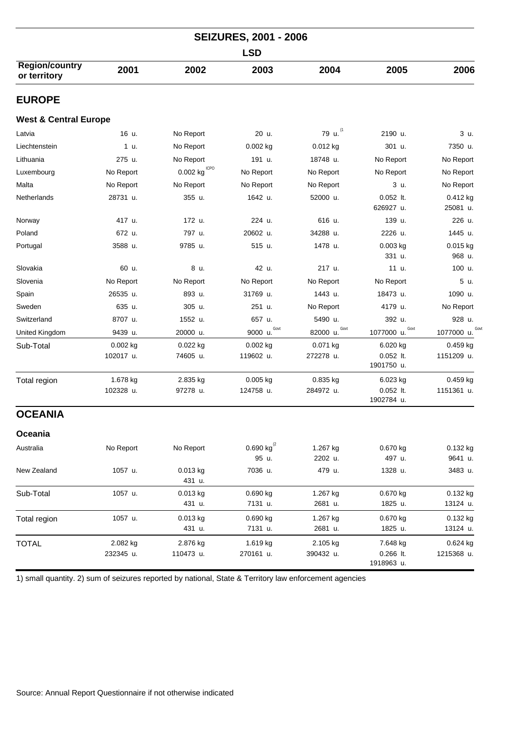| <b>SEIZURES, 2001 - 2006</b><br><b>LSD</b> |                       |                               |                            |                       |                                       |                          |  |  |  |
|--------------------------------------------|-----------------------|-------------------------------|----------------------------|-----------------------|---------------------------------------|--------------------------|--|--|--|
|                                            |                       |                               |                            |                       |                                       |                          |  |  |  |
| <b>EUROPE</b>                              |                       |                               |                            |                       |                                       |                          |  |  |  |
| <b>West &amp; Central Europe</b>           |                       |                               |                            |                       |                                       |                          |  |  |  |
| Latvia                                     | 16 u.                 | No Report                     | 20 u.                      | 79 u. (1              | 2190 u.                               | 3 u.                     |  |  |  |
| Liechtenstein                              | 1 u.                  | No Report                     | $0.002$ kg                 | 0.012 kg              | 301 u.                                | 7350 u.                  |  |  |  |
| Lithuania                                  | 275 u.                | No Report                     | 191 u.                     | 18748 u.              | No Report                             | No Report                |  |  |  |
| Luxembourg                                 | No Report             | $0.002$ kg $^{\mathrm{ICPO}}$ | No Report                  | No Report             | No Report                             | No Report                |  |  |  |
| Malta                                      | No Report             | No Report                     | No Report                  | No Report             | 3 u.                                  | No Report                |  |  |  |
| <b>Netherlands</b>                         | 28731 u.              | 355 u.                        | 1642 u.                    | 52000 u.              | $0.052$ lt.<br>626927 u.              | $0.412$ kg<br>25081 u.   |  |  |  |
| Norway                                     | 417 u.                | 172 u.                        | 224 u.                     | 616 u.                | 139 u.                                | 226 u.                   |  |  |  |
| Poland                                     | 672 u.                | 797 u.                        | 20602 u.                   | 34288 u.              | 2226 u.                               | 1445 u.                  |  |  |  |
| Portugal                                   | 3588 u.               | 9785 u.                       | 515 u.                     | 1478 u.               | $0.003$ kg<br>331 u.                  | 0.015 kg<br>968 u.       |  |  |  |
| Slovakia                                   | 60 u.                 | 8 u.                          | 42 u.                      | 217 u.                | 11 u.                                 | 100 u.                   |  |  |  |
| Slovenia                                   | No Report             | No Report                     | No Report                  | No Report             | No Report                             | 5 u.                     |  |  |  |
| Spain                                      | 26535 u.              | 893 u.                        | 31769 u.                   | 1443 u.               | 18473 u.                              | 1090 u.                  |  |  |  |
| Sweden                                     | 635 u.                | 305 u.                        | 251 u.                     | No Report             | 4179 u.                               | No Report                |  |  |  |
| Switzerland                                | 8707 u.               | 1552 u.                       | 657 u.                     | 5490 u.               | 392 u.                                | 928 u.                   |  |  |  |
| United Kingdom                             | 9439 u.               | 20000 u.                      | Govt<br>9000 u.            | Govt<br>82000 u.      | Govt<br>1077000 u.                    | Gov<br>1077000 u.        |  |  |  |
| Sub-Total                                  | 0.002 kg<br>102017 u. | 0.022 kg<br>74605 u.          | 0.002 kg<br>119602 u.      | 0.071 kg<br>272278 u. | 6.020 kg<br>$0.052$ lt.<br>1901750 u. | $0.459$ kg<br>1151209 u. |  |  |  |
| Total region                               | 1.678 kg<br>102328 u. | 2.835 kg<br>97278 u.          | 0.005 kg<br>124758 u.      | 0.835 kg<br>284972 u. | 6.023 kg<br>$0.052$ lt.<br>1902784 u. | 0.459 kg<br>1151361 u.   |  |  |  |
| <b>OCEANIA</b>                             |                       |                               |                            |                       |                                       |                          |  |  |  |
| Oceania                                    |                       |                               |                            |                       |                                       |                          |  |  |  |
| Australia                                  | No Report             | No Report                     | 0.690 kg $^{(2)}$<br>95 u. | 1.267 kg<br>2202 u.   | 0.670 kg<br>497 u.                    | 0.132 kg<br>9641 u.      |  |  |  |
| New Zealand                                | 1057 u.               | $0.013$ kg<br>431 u.          | 7036 u.                    | 479 u.                | 1328 u.                               | 3483 u.                  |  |  |  |
| Sub-Total                                  | 1057 u.               | 0.013 kg<br>431 u.            | 0.690 kg<br>7131 u.        | 1.267 kg<br>2681 u.   | 0.670 kg<br>1825 u.                   | $0.132$ kg<br>13124 u.   |  |  |  |
| Total region                               | 1057 u.               | $0.013$ kg<br>431 u.          | $0.690$ kg<br>7131 u.      | 1.267 kg<br>2681 u.   | 0.670 kg<br>1825 u.                   | 0.132 kg<br>13124 u.     |  |  |  |
| <b>TOTAL</b>                               | 2.082 kg<br>232345 u. | 2.876 kg<br>110473 u.         | 1.619 kg<br>270161 u.      | 2.105 kg<br>390432 u. | 7.648 kg<br>$0.266$ It.<br>1918963 u. | 0.624 kg<br>1215368 u.   |  |  |  |

1) small quantity. 2) sum of seizures reported by national, State & Territory law enforcement agencies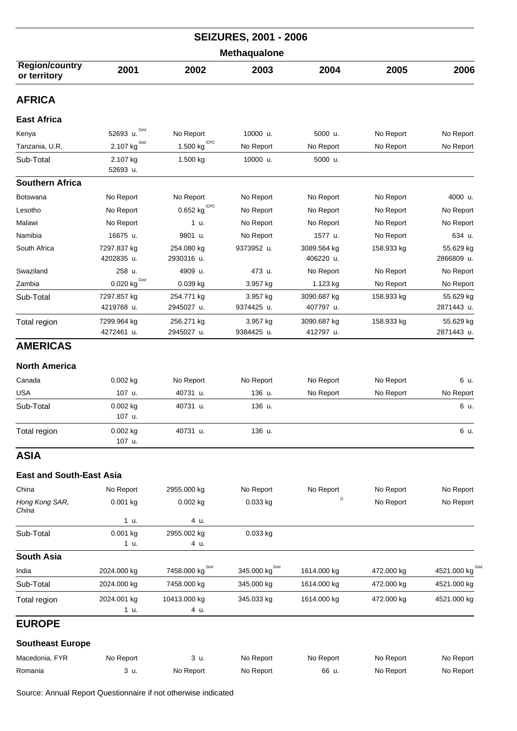|                                       | <b>SEIZURES, 2001 - 2006</b>     |                          |                        |                          |            |                         |  |  |  |
|---------------------------------------|----------------------------------|--------------------------|------------------------|--------------------------|------------|-------------------------|--|--|--|
| Methaqualone                          |                                  |                          |                        |                          |            |                         |  |  |  |
| <b>Region/country</b><br>or territory | 2001                             | 2002                     | 2003                   | 2004                     | 2005       | 2006                    |  |  |  |
| <b>AFRICA</b>                         |                                  |                          |                        |                          |            |                         |  |  |  |
| <b>East Africa</b>                    |                                  |                          |                        |                          |            |                         |  |  |  |
| Kenya                                 | 52693 u. Govt                    | No Report                | 10000 u.               | 5000 u.                  | No Report  | No Report               |  |  |  |
| Tanzania, U.R.                        | Govt<br>2.107 kg                 | ICPO<br>1.500 kg         | No Report              | No Report                | No Report  | No Report               |  |  |  |
| Sub-Total                             | 2.107 kg<br>52693 u.             | 1.500 kg                 | 10000 u.               | 5000 u.                  |            |                         |  |  |  |
| <b>Southern Africa</b>                |                                  |                          |                        |                          |            |                         |  |  |  |
| <b>Botswana</b>                       | No Report                        | No Report                | No Report              | No Report                | No Report  | 4000 u.                 |  |  |  |
| Lesotho                               | No Report                        | <b>ICPO</b><br>0.652 kg  | No Report              | No Report                | No Report  | No Report               |  |  |  |
| Malawi                                | No Report                        | 1 u.                     | No Report              | No Report                | No Report  | No Report               |  |  |  |
| Namibia                               | 16675 u.                         | 9801 u.                  | No Report              | 1577 u.                  | No Report  | 634 u.                  |  |  |  |
| South Africa                          | 7297.837 kg<br>4202835 u.        | 254.080 kg<br>2930316 u. | 9373952 u.             | 3089.564 kg<br>406220 u. | 158.933 kg | 55.629 kg<br>2866809 u. |  |  |  |
| Swaziland                             | 258 u.                           | 4909 u.                  | 473 u.                 | No Report                | No Report  | No Report               |  |  |  |
| Zambia                                | $\underline{0.020}$ kg $^{Govt}$ | 0.039 kg                 | 3.957 kg               | 1.123 kg                 | No Report  | No Report               |  |  |  |
| Sub-Total                             | 7297.857 kg<br>4219768 u.        | 254.771 kg<br>2945027 u. | 3.957 kg<br>9374425 u. | 3090.687 kg<br>407797 u. | 158.933 kg | 55.629 kg<br>2871443 u. |  |  |  |
| Total region                          | 7299.964 kg<br>4272461 u.        | 256.271 kg<br>2945027 u. | 3.957 kg<br>9384425 u. | 3090.687 kg<br>412797 u. | 158.933 kg | 55.629 kg<br>2871443 u. |  |  |  |
| <b>AMERICAS</b>                       |                                  |                          |                        |                          |            |                         |  |  |  |
| <b>North America</b>                  |                                  |                          |                        |                          |            |                         |  |  |  |
| Canada                                | $0.002$ kg                       | No Report                | No Report              | No Report                | No Report  | 6 u.                    |  |  |  |
| <b>USA</b>                            | 107 u.                           | 40731 u.                 | 136 u.                 | No Report                | No Report  | No Report               |  |  |  |
| Sub-Total                             | 0.002 kg<br>107 u.               | 40731 u.                 | 136 u.                 |                          |            | 6 u.                    |  |  |  |
| Total region                          | 0.002 kg<br>107 u.               | 40731 u.                 | 136 u.                 |                          |            | 6 u.                    |  |  |  |
| <b>ASIA</b>                           |                                  |                          |                        |                          |            |                         |  |  |  |
| <b>East and South-East Asia</b>       |                                  |                          |                        |                          |            |                         |  |  |  |
| China                                 | No Report                        | 2955.000 kg              | No Report              | No Report                | No Report  | No Report               |  |  |  |

| China                   | No Report   | 2955.000 kg      | No Report                  | No Report   | No Report  | No Report        |
|-------------------------|-------------|------------------|----------------------------|-------------|------------|------------------|
| Hong Kong SAR,<br>China | $0.001$ kg  | $0.002$ kg       | $0.033$ kg                 | (1)         | No Report  | No Report        |
|                         | 1 u.        | 4 u.             |                            |             |            |                  |
| Sub-Total               | $0.001$ kg  | 2955.002 kg      | $0.033$ kg                 |             |            |                  |
|                         | 1 u.        | 4 u.             |                            |             |            |                  |
| <b>South Asia</b>       |             |                  |                            |             |            |                  |
| India                   | 2024.000 kg | 7458.000 kg Govt | 345.000 kg <sup>Govt</sup> | 1614.000 kg | 472.000 kg | 4521.000 kg Govt |
| Sub-Total               | 2024.000 kg | 7458.000 kg      | 345.000 kg                 | 1614.000 kg | 472.000 kg | 4521.000 kg      |
| Total region            | 2024.001 kg | 10413.000 kg     | 345.033 kg                 | 1614.000 kg | 472.000 kg | 4521.000 kg      |
|                         | 1 u.        | 4 u.             |                            |             |            |                  |
| <b>EUROPE</b>           |             |                  |                            |             |            |                  |
| <b>Southeast Europe</b> |             |                  |                            |             |            |                  |
| Macedonia, FYR          | No Report   | 3 u.             | No Report                  | No Report   | No Report  | No Report        |
| Romania                 | 3 u.        | No Report        | No Report                  | 66 u.       | No Report  | No Report        |

Source: Annual Report Questionnaire if not otherwise indicated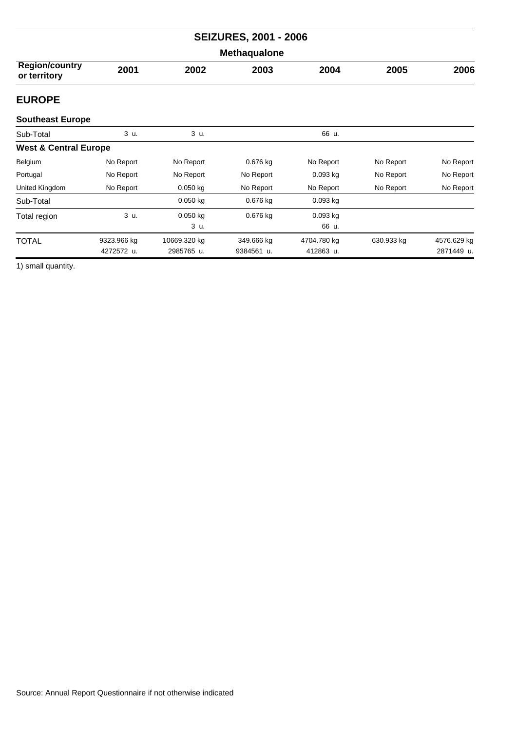| <b>SEIZURES, 2001 - 2006</b>          |                           |                            |                          |                          |            |                           |  |  |
|---------------------------------------|---------------------------|----------------------------|--------------------------|--------------------------|------------|---------------------------|--|--|
| Methaqualone                          |                           |                            |                          |                          |            |                           |  |  |
| <b>Region/country</b><br>or territory | 2001                      | 2002                       | 2003                     | 2004                     | 2005       | 2006                      |  |  |
| <b>EUROPE</b>                         |                           |                            |                          |                          |            |                           |  |  |
| <b>Southeast Europe</b>               |                           |                            |                          |                          |            |                           |  |  |
| Sub-Total                             | 3 u.                      | 3 u.                       |                          | 66 u.                    |            |                           |  |  |
| <b>West &amp; Central Europe</b>      |                           |                            |                          |                          |            |                           |  |  |
| Belgium                               | No Report                 | No Report                  | 0.676 kg                 | No Report                | No Report  | No Report                 |  |  |
| Portugal                              | No Report                 | No Report                  | No Report                | $0.093$ kg               | No Report  | No Report                 |  |  |
| United Kingdom                        | No Report                 | $0.050$ kg                 | No Report                | No Report                | No Report  | No Report                 |  |  |
| Sub-Total                             |                           | $0.050$ kg                 | 0.676 kg                 | $0.093$ kg               |            |                           |  |  |
| Total region                          | 3 u.                      | $0.050$ kg<br>3 u.         | 0.676 kg                 | 0.093 kg<br>66 u.        |            |                           |  |  |
| <b>TOTAL</b>                          | 9323.966 kg<br>4272572 u. | 10669.320 kg<br>2985765 u. | 349.666 kg<br>9384561 u. | 4704.780 kg<br>412863 u. | 630.933 kg | 4576.629 kg<br>2871449 u. |  |  |

1) small quantity.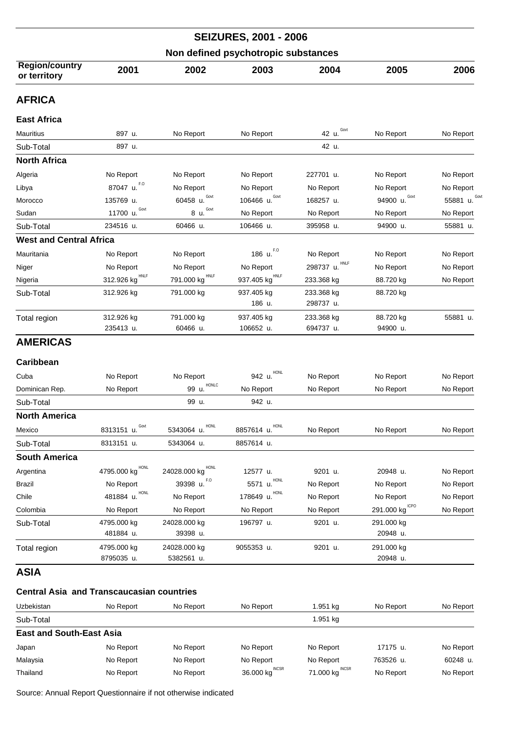|                                       |                             |                    | <b>SEIZURES, 2001 - 2006</b> |                |                  |               |  |  |
|---------------------------------------|-----------------------------|--------------------|------------------------------|----------------|------------------|---------------|--|--|
| Non defined psychotropic substances   |                             |                    |                              |                |                  |               |  |  |
| <b>Region/country</b><br>or territory | 2001                        | 2002               | 2003                         | 2004           | 2005             | 2006          |  |  |
| <b>AFRICA</b>                         |                             |                    |                              |                |                  |               |  |  |
| <b>East Africa</b>                    |                             |                    |                              |                |                  |               |  |  |
| Mauritius                             | 897 u.                      | No Report          | No Report                    | 42 u. Govt     | No Report        | No Report     |  |  |
| Sub-Total                             | 897 u.                      |                    |                              | 42 u.          |                  |               |  |  |
| <b>North Africa</b>                   |                             |                    |                              |                |                  |               |  |  |
| Algeria                               | No Report                   | No Report          | No Report                    | 227701 u.      | No Report        | No Report     |  |  |
| Libya                                 | 87047 u. F.O                | No Report          | No Report                    | No Report      | No Report        | No Report     |  |  |
| Morocco                               | 135769 u.                   | 60458 $u$ . Govt   | 106466 $u.Govt$              | 168257 u.      | Govt<br>94900 u. | 55881 u. Govl |  |  |
| Sudan                                 | Govt<br>11700 u.            | Govt<br>8 u.       | No Report                    | No Report      | No Report        | No Report     |  |  |
| Sub-Total                             | 234516 u.                   | 60466 u.           | 106466 u.                    | 395958 u.      | 94900 u.         | 55881 u.      |  |  |
| <b>West and Central Africa</b>        |                             |                    |                              |                |                  |               |  |  |
| Mauritania                            | No Report                   | No Report          | 186 u. F.O                   | No Report      | No Report        | No Report     |  |  |
| Niger                                 | No Report                   | No Report          | No Report                    | 298737 u. HNLF | No Report        | No Report     |  |  |
| Nigeria                               | 312.926 kg $^{\text{HNLF}}$ | 791.000 kg HNLF    | 937.405 kg HNLF              | 233.368 kg     | 88.720 kg        | No Report     |  |  |
| Sub-Total                             | 312.926 kg                  | 791.000 kg         | 937.405 kg                   | 233.368 kg     | 88.720 kg        |               |  |  |
|                                       |                             |                    | 186 u.                       | 298737 u.      |                  |               |  |  |
| Total region                          | 312.926 kg                  | 791.000 kg         | 937.405 kg                   | 233.368 kg     | 88.720 kg        | 55881 u.      |  |  |
|                                       | 235413 u.                   | 60466 u.           | 106652 u.                    | 694737 u.      | 94900 u.         |               |  |  |
| <b>AMERICAS</b>                       |                             |                    |                              |                |                  |               |  |  |
| Caribbean                             |                             |                    |                              |                |                  |               |  |  |
| Cuba                                  | No Report                   | No Report          | HONI<br>942 u.               | No Report      | No Report        | No Report     |  |  |
| Dominican Rep.                        | No Report                   | HONLC<br>99 u.     | No Report                    | No Report      | No Report        | No Report     |  |  |
| Sub-Total                             |                             | 99 u.              | 942 u.                       |                |                  |               |  |  |
| <b>North America</b>                  |                             |                    |                              |                |                  |               |  |  |
| Mexico                                | 8313151 u. Govt             | HONL<br>5343064 u. | 8857614 u. HONL              | No Report      | No Report        | No Report     |  |  |
| Sub-Total                             | 8313151 u.                  | 5343064 u.         | 8857614 u.                   |                |                  |               |  |  |
| <b>South America</b>                  |                             |                    |                              |                |                  |               |  |  |
| Argentina                             | 4795.000 kg <sup>HONL</sup> | 24028.000 kg HONL  | 12577 u.                     | 9201 u.        | 20948 u.         | No Report     |  |  |
| Brazil                                | No Report                   | 39398 u. F.O       | 5571 u.                      | No Report      | No Report        | No Report     |  |  |
| Chile                                 | <b>HONL</b><br>481884 u.    | No Report          | <b>HONL</b><br>178649 u.     | No Report      | No Report        | No Report     |  |  |
| Colombia                              | No Report                   | No Report          | No Report                    | No Report      | 291.000 kg CPO   | No Report     |  |  |
| Sub-Total                             | 4795.000 kg                 | 24028.000 kg       | 196797 u.                    | 9201 u.        | 291.000 kg       |               |  |  |
|                                       | 481884 u.                   | 39398 u.           |                              |                | 20948 u.         |               |  |  |
| Total region                          | 4795.000 kg                 | 24028.000 kg       | 9055353 u.                   | 9201 u.        | 291.000 kg       |               |  |  |
|                                       | 8795035 u.                  | 5382561 u.         |                              |                | 20948 u.         |               |  |  |
| ASIA                                  |                             |                    |                              |                |                  |               |  |  |

## **Central Asia and Transcaucasian countries**

| Uzbekistan                      | No Report | No Report | No Report                  | 1.951 ka           | No Report | No Report |
|---------------------------------|-----------|-----------|----------------------------|--------------------|-----------|-----------|
| Sub-Total                       |           |           |                            | 1.951 kg           |           |           |
| <b>East and South-East Asia</b> |           |           |                            |                    |           |           |
| Japan                           | No Report | No Report | No Report                  | No Report          | 17175 u.  | No Report |
| Malaysia                        | No Report | No Report | No Report                  | No Report          | 763526 u. | 60248 u.  |
| Thailand                        | No Report | No Report | 36.000 kg <sup>INCSR</sup> | INCSR<br>71.000 kg | No Report | No Report |

Source: Annual Report Questionnaire if not otherwise indicated